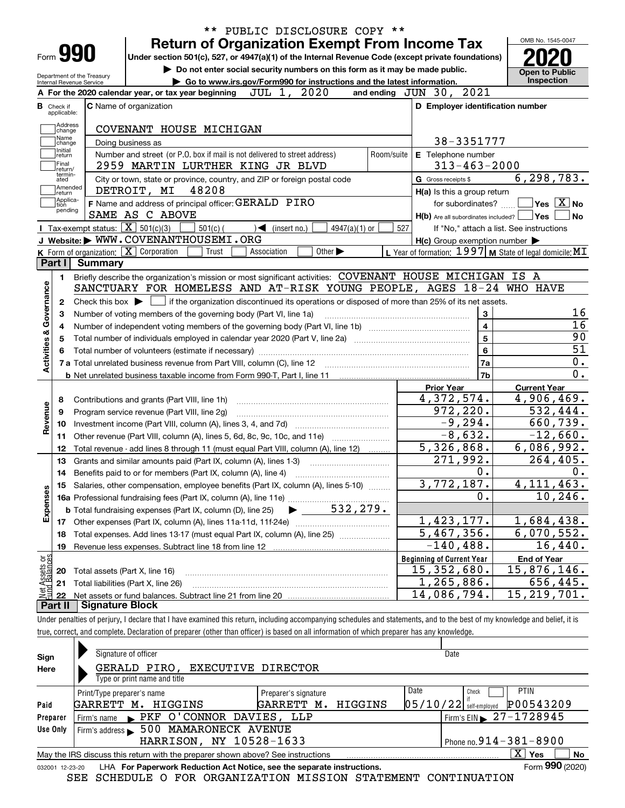| Form <b>990</b><br>Department of the Treasury |                                                   | <b>Return of Organization Exempt From Income Tax</b><br>Under section 501(c), 527, or 4947(a)(1) of the Internal Revenue Code (except private foundations)<br>Do not enter social security numbers on this form as it may be made public. |                                                           | OMB No. 1545-0047<br><b>Open to Public</b>                                      |
|-----------------------------------------------|---------------------------------------------------|-------------------------------------------------------------------------------------------------------------------------------------------------------------------------------------------------------------------------------------------|-----------------------------------------------------------|---------------------------------------------------------------------------------|
| Internal Revenue Service                      |                                                   | ► Go to www.irs.gov/Form990 for instructions and the latest information.                                                                                                                                                                  |                                                           | <b>Inspection</b>                                                               |
|                                               |                                                   | 2020<br>JUL 1,<br>A For the 2020 calendar year, or tax year beginning                                                                                                                                                                     | 2021<br>and ending $JUN$ $30$ ,                           |                                                                                 |
| <b>B</b> Check if<br>applicable:              |                                                   | <b>C</b> Name of organization                                                                                                                                                                                                             | D Employer identification number                          |                                                                                 |
| Address                                       |                                                   |                                                                                                                                                                                                                                           |                                                           |                                                                                 |
| change<br>Name                                |                                                   | COVENANT HOUSE MICHIGAN                                                                                                                                                                                                                   | 38-3351777                                                |                                                                                 |
| change<br>Initial                             |                                                   | Doing business as                                                                                                                                                                                                                         |                                                           |                                                                                 |
| return<br> Final                              |                                                   | Number and street (or P.O. box if mail is not delivered to street address)<br>Room/suite<br>2959 MARTIN LURTHER KING JR BLVD                                                                                                              | E Telephone number<br>$313 - 463 - 2000$                  |                                                                                 |
| return/<br>termin-                            |                                                   |                                                                                                                                                                                                                                           | G Gross receipts \$                                       | 6, 298, 783.                                                                    |
| ated<br>Amended                               |                                                   | City or town, state or province, country, and ZIP or foreign postal code<br>DETROIT, MI<br>48208                                                                                                                                          |                                                           |                                                                                 |
| return<br> Applica-                           |                                                   | F Name and address of principal officer: GERALD PIRO                                                                                                                                                                                      | H(a) Is this a group return<br>for subordinates?          | $ {\mathsf Y}{\mathsf e}{\mathsf s} \: \mid \! \underline{{\mathsf X}} \:  $ No |
| tion<br>pending                               |                                                   | SAME AS C ABOVE                                                                                                                                                                                                                           | $H(b)$ Are all subordinates included? $\Box$ Yes          |                                                                                 |
|                                               | Tax-exempt status: $\boxed{\mathbf{X}}$ 501(c)(3) | $501(c)$ (<br>$\leq$ (insert no.)<br>$4947(a)(1)$ or                                                                                                                                                                                      | 527                                                       | If "No," attach a list. See instructions                                        |
|                                               |                                                   | J Website: WWW.COVENANTHOUSEMI.ORG                                                                                                                                                                                                        | $H(c)$ Group exemption number $\blacktriangleright$       |                                                                                 |
|                                               |                                                   | $K$ Form of organization: $X$ Corporation<br>Other $\blacktriangleright$<br>Trust<br>Association                                                                                                                                          | L Year of formation: $1997$ M State of legal domicile: MT |                                                                                 |
| Part I                                        | <b>Summary</b>                                    |                                                                                                                                                                                                                                           |                                                           |                                                                                 |
| 1.                                            |                                                   | Briefly describe the organization's mission or most significant activities: COVENANT HOUSE MICHIGAN IS A                                                                                                                                  |                                                           |                                                                                 |
|                                               |                                                   | SANCTUARY FOR HOMELESS AND AT-RISK YOUNG PEOPLE, AGES 18-24 WHO HAVE                                                                                                                                                                      |                                                           |                                                                                 |
| 2                                             |                                                   | Check this box $\blacktriangleright$ $\Box$ if the organization discontinued its operations or disposed of more than 25% of its net assets.                                                                                               |                                                           |                                                                                 |
| З                                             |                                                   | Number of voting members of the governing body (Part VI, line 1a)                                                                                                                                                                         | 3                                                         |                                                                                 |
| 4                                             |                                                   |                                                                                                                                                                                                                                           | $\overline{\mathbf{4}}$                                   |                                                                                 |
| 5                                             |                                                   |                                                                                                                                                                                                                                           | 5                                                         |                                                                                 |
|                                               |                                                   |                                                                                                                                                                                                                                           | 6                                                         |                                                                                 |
| Activities & Governance                       |                                                   |                                                                                                                                                                                                                                           | 7a                                                        |                                                                                 |
|                                               |                                                   |                                                                                                                                                                                                                                           | 7b                                                        |                                                                                 |
|                                               |                                                   |                                                                                                                                                                                                                                           | <b>Prior Year</b>                                         | <b>Current Year</b>                                                             |
| 8                                             |                                                   | Contributions and grants (Part VIII, line 1h)                                                                                                                                                                                             | 4,372,574.                                                | $\overline{4}$ , 906, 469.                                                      |
| Revenue<br>9                                  |                                                   | Program service revenue (Part VIII, line 2g)                                                                                                                                                                                              | 972, 220.                                                 | 532,444.                                                                        |
| 10                                            |                                                   |                                                                                                                                                                                                                                           | $-9, 294.$                                                | 660,739.                                                                        |
| 11                                            |                                                   | Other revenue (Part VIII, column (A), lines 5, 6d, 8c, 9c, 10c, and 11e)                                                                                                                                                                  | $-8,632.$                                                 | $-12,660.$                                                                      |
| 12                                            |                                                   | Total revenue - add lines 8 through 11 (must equal Part VIII, column (A), line 12)                                                                                                                                                        | 5,326,868.                                                | 6,086,992.                                                                      |
| 13                                            |                                                   | Grants and similar amounts paid (Part IX, column (A), lines 1-3)                                                                                                                                                                          | 271,992.                                                  | 264, 405.                                                                       |
| 14                                            |                                                   |                                                                                                                                                                                                                                           | 0.                                                        |                                                                                 |
|                                               |                                                   |                                                                                                                                                                                                                                           | 3,772,187.                                                | 4, 111, 463.                                                                    |
|                                               |                                                   | 15 Salaries, other compensation, employee benefits (Part IX, column (A), lines 5-10)                                                                                                                                                      |                                                           |                                                                                 |
|                                               |                                                   |                                                                                                                                                                                                                                           | 0.                                                        |                                                                                 |
|                                               |                                                   | 532, 279.<br><b>b</b> Total fundraising expenses (Part IX, column (D), line 25)                                                                                                                                                           |                                                           |                                                                                 |
| 17                                            |                                                   |                                                                                                                                                                                                                                           | 1,423,177.                                                |                                                                                 |
| 18                                            |                                                   | Total expenses. Add lines 13-17 (must equal Part IX, column (A), line 25) [                                                                                                                                                               | 5,467,356.                                                |                                                                                 |
| 19                                            |                                                   | Revenue less expenses. Subtract line 18 from line 12                                                                                                                                                                                      | $-140, 488.$                                              |                                                                                 |
|                                               |                                                   |                                                                                                                                                                                                                                           | <b>Beginning of Current Year</b>                          | <b>End of Year</b>                                                              |
| Expenses<br>20                                |                                                   | Total assets (Part X, line 16)                                                                                                                                                                                                            | 15,352,680.                                               | 10, 246.<br>$\overline{1,684,438}$ .<br>6,070,552.<br>16,440.<br>15,876,146.    |
| t Assets or<br>d Balances<br>21<br>혏<br>22    |                                                   | Total liabilities (Part X, line 26)                                                                                                                                                                                                       | 1,265,886.<br>$\overline{14}$ , 086, 794.                 | 656,445.<br>15, 219, 701.                                                       |

true, correct, and complete. Declaration of preparer (other than officer) is based on all information of which preparer has any knowledge.

| Sign            | Signature of officer                                                            |                          | Date                                  |
|-----------------|---------------------------------------------------------------------------------|--------------------------|---------------------------------------|
| Here            | GERALD PIRO, EXECUTIVE DIRECTOR                                                 |                          |                                       |
|                 | Type or print name and title                                                    |                          |                                       |
|                 | Print/Type preparer's name                                                      | Preparer's signature     | Date<br><b>PTIN</b><br>Check          |
| Paid            | GARRETT<br>м.<br>HIGGINS                                                        | GARRETT<br>HIGGINS<br>м. | P00543209<br>$05/10/22$ self-employed |
| Preparer        | Firm's name PKF O'CONNOR DAVIES, LLP                                            |                          | $1$ Firm's EIN $\geq 27 - 1728945$    |
| Use Only        | 500 MAMARONECK AVENUE<br>Firm's address                                         |                          |                                       |
|                 | HARRISON, NY 10528-1633                                                         |                          | Phone no. $914 - 381 - 8900$          |
|                 | May the IRS discuss this return with the preparer shown above? See instructions |                          | $X \mid Y$ es<br>No                   |
| 032001 12-23-20 | LHA For Paperwork Reduction Act Notice, see the separate instructions.          |                          | Form 990 (2020)                       |

SEE SCHEDULE O FOR ORGANIZATION MISSION STATEMENT CONTINUATION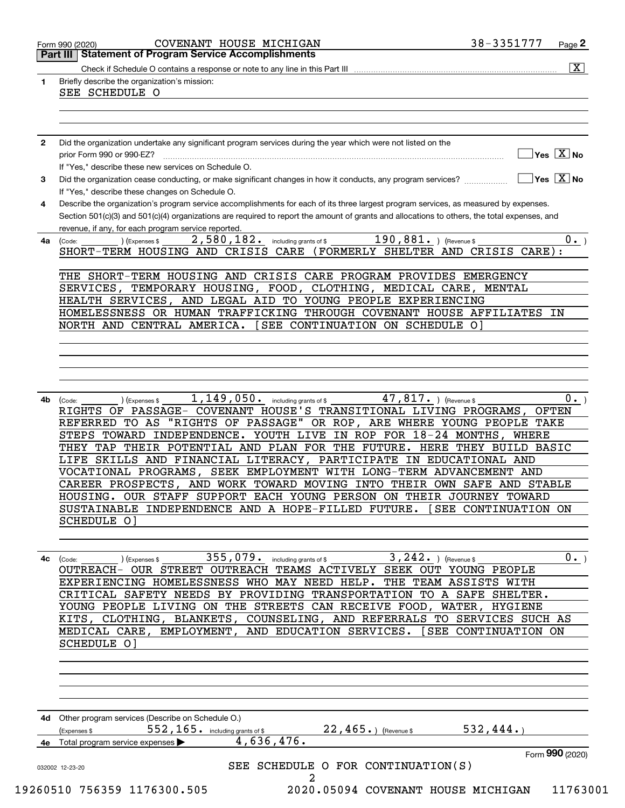|                                                                                                                                                                                                                                                                                                                                                                                                                                                                                                                                                                                                                                                                                                                                                                                                                                                                                                                                                                                                                                                                                                                                                                                                                                                                                                                                                                                                                                                                                                                                                                                                                                                                                                                                                                                                                                                                                                                                                                                                                                                                                                                                                                                                                                                                                                                                                                                                                                                                                                                                                                                                                                                                                                                                                                                                                                                                                            | Briefly describe the organization's mission:                                                                         |  |
|--------------------------------------------------------------------------------------------------------------------------------------------------------------------------------------------------------------------------------------------------------------------------------------------------------------------------------------------------------------------------------------------------------------------------------------------------------------------------------------------------------------------------------------------------------------------------------------------------------------------------------------------------------------------------------------------------------------------------------------------------------------------------------------------------------------------------------------------------------------------------------------------------------------------------------------------------------------------------------------------------------------------------------------------------------------------------------------------------------------------------------------------------------------------------------------------------------------------------------------------------------------------------------------------------------------------------------------------------------------------------------------------------------------------------------------------------------------------------------------------------------------------------------------------------------------------------------------------------------------------------------------------------------------------------------------------------------------------------------------------------------------------------------------------------------------------------------------------------------------------------------------------------------------------------------------------------------------------------------------------------------------------------------------------------------------------------------------------------------------------------------------------------------------------------------------------------------------------------------------------------------------------------------------------------------------------------------------------------------------------------------------------------------------------------------------------------------------------------------------------------------------------------------------------------------------------------------------------------------------------------------------------------------------------------------------------------------------------------------------------------------------------------------------------------------------------------------------------------------------------------------------------|----------------------------------------------------------------------------------------------------------------------|--|
|                                                                                                                                                                                                                                                                                                                                                                                                                                                                                                                                                                                                                                                                                                                                                                                                                                                                                                                                                                                                                                                                                                                                                                                                                                                                                                                                                                                                                                                                                                                                                                                                                                                                                                                                                                                                                                                                                                                                                                                                                                                                                                                                                                                                                                                                                                                                                                                                                                                                                                                                                                                                                                                                                                                                                                                                                                                                                            | SEE SCHEDULE O                                                                                                       |  |
| 38-3351777<br>COVENANT HOUSE MICHIGAN<br>Page 2<br>Form 990 (2020)<br><b>Part III   Statement of Program Service Accomplishments</b><br>$\overline{\mathbf{X}}$<br>1<br>Did the organization undertake any significant program services during the year which were not listed on the<br>2<br>$]$ Yes $[\overline{\mathrm{X}}]$ No<br>If "Yes," describe these new services on Schedule O.<br>$\overline{\mathsf{Yes}}$ $\overline{\mathsf{X}}$ No<br>Did the organization cease conducting, or make significant changes in how it conducts, any program services?<br>3<br>If "Yes," describe these changes on Schedule O.<br>Describe the organization's program service accomplishments for each of its three largest program services, as measured by expenses.<br>4<br>Section 501(c)(3) and 501(c)(4) organizations are required to report the amount of grants and allocations to others, the total expenses, and<br>revenue, if any, for each program service reported.<br>190,881. ) (Revenue \$<br>2,580,182. including grants of \$<br>0.<br>) (Expenses \$<br>4a<br>(Code:<br>SHORT-TERM HOUSING AND CRISIS CARE (FORMERLY SHELTER AND CRISIS CARE):<br>THE SHORT-TERM HOUSING AND CRISIS CARE PROGRAM PROVIDES EMERGENCY<br>SERVICES, TEMPORARY HOUSING, FOOD, CLOTHING, MEDICAL CARE, MENTAL<br>HEALTH SERVICES, AND LEGAL AID TO YOUNG PEOPLE EXPERIENCING<br>HOMELESSNESS OR HUMAN TRAFFICKING THROUGH COVENANT HOUSE AFFILIATES IN<br>NORTH AND CENTRAL AMERICA. [SEE CONTINUATION ON SCHEDULE O]<br>1, 149, 050. including grants of \$<br>$47,817.$ ) (Revenue \$<br>$0 \cdot$ )<br>4b<br>(Code:<br>(Expenses \$<br>RIGHTS OF PASSAGE- COVENANT HOUSE'S TRANSITIONAL LIVING PROGRAMS, OFTEN<br>REFERRED TO AS "RIGHTS OF PASSAGE" OR ROP, ARE WHERE YOUNG PEOPLE TAKE<br>STEPS TOWARD INDEPENDENCE. YOUTH LIVE IN ROP FOR 18-24 MONTHS, WHERE<br>THEY TAP THEIR POTENTIAL AND PLAN FOR THE FUTURE. HERE THEY BUILD BASIC<br>LIFE SKILLS AND FINANCIAL LITERACY, PARTICIPATE IN EDUCATIONAL AND<br>VOCATIONAL PROGRAMS, SEEK EMPLOYMENT WITH LONG-TERM ADVANCEMENT AND<br>CAREER PROSPECTS, AND WORK TOWARD MOVING INTO THEIR OWN SAFE AND STABLE<br>HOUSING. OUR STAFF SUPPORT EACH YOUNG PERSON ON THEIR JOURNEY TOWARD<br>SUSTAINABLE INDEPENDENCE AND A HOPE-FILLED FUTURE. [SEE CONTINUATION ON<br>SCHEDULE 0]<br>$355,079.$ including grants of \$ $3,242.$ ) (Revenue \$<br>4c (Code: ) (Expenses \$<br>OUTREACH- OUR STREET OUTREACH TEAMS ACTIVELY SEEK OUT YOUNG PEOPLE<br>EXPERIENCING HOMELESSNESS WHO MAY NEED HELP. THE TEAM ASSISTS WITH<br>CRITICAL SAFETY NEEDS BY PROVIDING TRANSPORTATION TO A SAFE SHELTER.<br>YOUNG PEOPLE LIVING ON THE STREETS CAN RECEIVE FOOD, WATER, HYGIENE<br>KITS, CLOTHING, BLANKETS, COUNSELING, AND REFERRALS TO SERVICES SUCH AS<br>MEDICAL CARE, EMPLOYMENT, AND EDUCATION SERVICES. [SEE CONTINUATION ON<br>SCHEDULE 0] |                                                                                                                      |  |
|                                                                                                                                                                                                                                                                                                                                                                                                                                                                                                                                                                                                                                                                                                                                                                                                                                                                                                                                                                                                                                                                                                                                                                                                                                                                                                                                                                                                                                                                                                                                                                                                                                                                                                                                                                                                                                                                                                                                                                                                                                                                                                                                                                                                                                                                                                                                                                                                                                                                                                                                                                                                                                                                                                                                                                                                                                                                                            |                                                                                                                      |  |
|                                                                                                                                                                                                                                                                                                                                                                                                                                                                                                                                                                                                                                                                                                                                                                                                                                                                                                                                                                                                                                                                                                                                                                                                                                                                                                                                                                                                                                                                                                                                                                                                                                                                                                                                                                                                                                                                                                                                                                                                                                                                                                                                                                                                                                                                                                                                                                                                                                                                                                                                                                                                                                                                                                                                                                                                                                                                                            |                                                                                                                      |  |
|                                                                                                                                                                                                                                                                                                                                                                                                                                                                                                                                                                                                                                                                                                                                                                                                                                                                                                                                                                                                                                                                                                                                                                                                                                                                                                                                                                                                                                                                                                                                                                                                                                                                                                                                                                                                                                                                                                                                                                                                                                                                                                                                                                                                                                                                                                                                                                                                                                                                                                                                                                                                                                                                                                                                                                                                                                                                                            |                                                                                                                      |  |
|                                                                                                                                                                                                                                                                                                                                                                                                                                                                                                                                                                                                                                                                                                                                                                                                                                                                                                                                                                                                                                                                                                                                                                                                                                                                                                                                                                                                                                                                                                                                                                                                                                                                                                                                                                                                                                                                                                                                                                                                                                                                                                                                                                                                                                                                                                                                                                                                                                                                                                                                                                                                                                                                                                                                                                                                                                                                                            |                                                                                                                      |  |
|                                                                                                                                                                                                                                                                                                                                                                                                                                                                                                                                                                                                                                                                                                                                                                                                                                                                                                                                                                                                                                                                                                                                                                                                                                                                                                                                                                                                                                                                                                                                                                                                                                                                                                                                                                                                                                                                                                                                                                                                                                                                                                                                                                                                                                                                                                                                                                                                                                                                                                                                                                                                                                                                                                                                                                                                                                                                                            |                                                                                                                      |  |
|                                                                                                                                                                                                                                                                                                                                                                                                                                                                                                                                                                                                                                                                                                                                                                                                                                                                                                                                                                                                                                                                                                                                                                                                                                                                                                                                                                                                                                                                                                                                                                                                                                                                                                                                                                                                                                                                                                                                                                                                                                                                                                                                                                                                                                                                                                                                                                                                                                                                                                                                                                                                                                                                                                                                                                                                                                                                                            |                                                                                                                      |  |
|                                                                                                                                                                                                                                                                                                                                                                                                                                                                                                                                                                                                                                                                                                                                                                                                                                                                                                                                                                                                                                                                                                                                                                                                                                                                                                                                                                                                                                                                                                                                                                                                                                                                                                                                                                                                                                                                                                                                                                                                                                                                                                                                                                                                                                                                                                                                                                                                                                                                                                                                                                                                                                                                                                                                                                                                                                                                                            |                                                                                                                      |  |
|                                                                                                                                                                                                                                                                                                                                                                                                                                                                                                                                                                                                                                                                                                                                                                                                                                                                                                                                                                                                                                                                                                                                                                                                                                                                                                                                                                                                                                                                                                                                                                                                                                                                                                                                                                                                                                                                                                                                                                                                                                                                                                                                                                                                                                                                                                                                                                                                                                                                                                                                                                                                                                                                                                                                                                                                                                                                                            |                                                                                                                      |  |
|                                                                                                                                                                                                                                                                                                                                                                                                                                                                                                                                                                                                                                                                                                                                                                                                                                                                                                                                                                                                                                                                                                                                                                                                                                                                                                                                                                                                                                                                                                                                                                                                                                                                                                                                                                                                                                                                                                                                                                                                                                                                                                                                                                                                                                                                                                                                                                                                                                                                                                                                                                                                                                                                                                                                                                                                                                                                                            |                                                                                                                      |  |
|                                                                                                                                                                                                                                                                                                                                                                                                                                                                                                                                                                                                                                                                                                                                                                                                                                                                                                                                                                                                                                                                                                                                                                                                                                                                                                                                                                                                                                                                                                                                                                                                                                                                                                                                                                                                                                                                                                                                                                                                                                                                                                                                                                                                                                                                                                                                                                                                                                                                                                                                                                                                                                                                                                                                                                                                                                                                                            |                                                                                                                      |  |
|                                                                                                                                                                                                                                                                                                                                                                                                                                                                                                                                                                                                                                                                                                                                                                                                                                                                                                                                                                                                                                                                                                                                                                                                                                                                                                                                                                                                                                                                                                                                                                                                                                                                                                                                                                                                                                                                                                                                                                                                                                                                                                                                                                                                                                                                                                                                                                                                                                                                                                                                                                                                                                                                                                                                                                                                                                                                                            |                                                                                                                      |  |
|                                                                                                                                                                                                                                                                                                                                                                                                                                                                                                                                                                                                                                                                                                                                                                                                                                                                                                                                                                                                                                                                                                                                                                                                                                                                                                                                                                                                                                                                                                                                                                                                                                                                                                                                                                                                                                                                                                                                                                                                                                                                                                                                                                                                                                                                                                                                                                                                                                                                                                                                                                                                                                                                                                                                                                                                                                                                                            |                                                                                                                      |  |
|                                                                                                                                                                                                                                                                                                                                                                                                                                                                                                                                                                                                                                                                                                                                                                                                                                                                                                                                                                                                                                                                                                                                                                                                                                                                                                                                                                                                                                                                                                                                                                                                                                                                                                                                                                                                                                                                                                                                                                                                                                                                                                                                                                                                                                                                                                                                                                                                                                                                                                                                                                                                                                                                                                                                                                                                                                                                                            |                                                                                                                      |  |
|                                                                                                                                                                                                                                                                                                                                                                                                                                                                                                                                                                                                                                                                                                                                                                                                                                                                                                                                                                                                                                                                                                                                                                                                                                                                                                                                                                                                                                                                                                                                                                                                                                                                                                                                                                                                                                                                                                                                                                                                                                                                                                                                                                                                                                                                                                                                                                                                                                                                                                                                                                                                                                                                                                                                                                                                                                                                                            |                                                                                                                      |  |
|                                                                                                                                                                                                                                                                                                                                                                                                                                                                                                                                                                                                                                                                                                                                                                                                                                                                                                                                                                                                                                                                                                                                                                                                                                                                                                                                                                                                                                                                                                                                                                                                                                                                                                                                                                                                                                                                                                                                                                                                                                                                                                                                                                                                                                                                                                                                                                                                                                                                                                                                                                                                                                                                                                                                                                                                                                                                                            |                                                                                                                      |  |
|                                                                                                                                                                                                                                                                                                                                                                                                                                                                                                                                                                                                                                                                                                                                                                                                                                                                                                                                                                                                                                                                                                                                                                                                                                                                                                                                                                                                                                                                                                                                                                                                                                                                                                                                                                                                                                                                                                                                                                                                                                                                                                                                                                                                                                                                                                                                                                                                                                                                                                                                                                                                                                                                                                                                                                                                                                                                                            |                                                                                                                      |  |
|                                                                                                                                                                                                                                                                                                                                                                                                                                                                                                                                                                                                                                                                                                                                                                                                                                                                                                                                                                                                                                                                                                                                                                                                                                                                                                                                                                                                                                                                                                                                                                                                                                                                                                                                                                                                                                                                                                                                                                                                                                                                                                                                                                                                                                                                                                                                                                                                                                                                                                                                                                                                                                                                                                                                                                                                                                                                                            |                                                                                                                      |  |
|                                                                                                                                                                                                                                                                                                                                                                                                                                                                                                                                                                                                                                                                                                                                                                                                                                                                                                                                                                                                                                                                                                                                                                                                                                                                                                                                                                                                                                                                                                                                                                                                                                                                                                                                                                                                                                                                                                                                                                                                                                                                                                                                                                                                                                                                                                                                                                                                                                                                                                                                                                                                                                                                                                                                                                                                                                                                                            |                                                                                                                      |  |
|                                                                                                                                                                                                                                                                                                                                                                                                                                                                                                                                                                                                                                                                                                                                                                                                                                                                                                                                                                                                                                                                                                                                                                                                                                                                                                                                                                                                                                                                                                                                                                                                                                                                                                                                                                                                                                                                                                                                                                                                                                                                                                                                                                                                                                                                                                                                                                                                                                                                                                                                                                                                                                                                                                                                                                                                                                                                                            |                                                                                                                      |  |
|                                                                                                                                                                                                                                                                                                                                                                                                                                                                                                                                                                                                                                                                                                                                                                                                                                                                                                                                                                                                                                                                                                                                                                                                                                                                                                                                                                                                                                                                                                                                                                                                                                                                                                                                                                                                                                                                                                                                                                                                                                                                                                                                                                                                                                                                                                                                                                                                                                                                                                                                                                                                                                                                                                                                                                                                                                                                                            |                                                                                                                      |  |
|                                                                                                                                                                                                                                                                                                                                                                                                                                                                                                                                                                                                                                                                                                                                                                                                                                                                                                                                                                                                                                                                                                                                                                                                                                                                                                                                                                                                                                                                                                                                                                                                                                                                                                                                                                                                                                                                                                                                                                                                                                                                                                                                                                                                                                                                                                                                                                                                                                                                                                                                                                                                                                                                                                                                                                                                                                                                                            |                                                                                                                      |  |
|                                                                                                                                                                                                                                                                                                                                                                                                                                                                                                                                                                                                                                                                                                                                                                                                                                                                                                                                                                                                                                                                                                                                                                                                                                                                                                                                                                                                                                                                                                                                                                                                                                                                                                                                                                                                                                                                                                                                                                                                                                                                                                                                                                                                                                                                                                                                                                                                                                                                                                                                                                                                                                                                                                                                                                                                                                                                                            |                                                                                                                      |  |
|                                                                                                                                                                                                                                                                                                                                                                                                                                                                                                                                                                                                                                                                                                                                                                                                                                                                                                                                                                                                                                                                                                                                                                                                                                                                                                                                                                                                                                                                                                                                                                                                                                                                                                                                                                                                                                                                                                                                                                                                                                                                                                                                                                                                                                                                                                                                                                                                                                                                                                                                                                                                                                                                                                                                                                                                                                                                                            |                                                                                                                      |  |
|                                                                                                                                                                                                                                                                                                                                                                                                                                                                                                                                                                                                                                                                                                                                                                                                                                                                                                                                                                                                                                                                                                                                                                                                                                                                                                                                                                                                                                                                                                                                                                                                                                                                                                                                                                                                                                                                                                                                                                                                                                                                                                                                                                                                                                                                                                                                                                                                                                                                                                                                                                                                                                                                                                                                                                                                                                                                                            |                                                                                                                      |  |
|                                                                                                                                                                                                                                                                                                                                                                                                                                                                                                                                                                                                                                                                                                                                                                                                                                                                                                                                                                                                                                                                                                                                                                                                                                                                                                                                                                                                                                                                                                                                                                                                                                                                                                                                                                                                                                                                                                                                                                                                                                                                                                                                                                                                                                                                                                                                                                                                                                                                                                                                                                                                                                                                                                                                                                                                                                                                                            |                                                                                                                      |  |
|                                                                                                                                                                                                                                                                                                                                                                                                                                                                                                                                                                                                                                                                                                                                                                                                                                                                                                                                                                                                                                                                                                                                                                                                                                                                                                                                                                                                                                                                                                                                                                                                                                                                                                                                                                                                                                                                                                                                                                                                                                                                                                                                                                                                                                                                                                                                                                                                                                                                                                                                                                                                                                                                                                                                                                                                                                                                                            |                                                                                                                      |  |
|                                                                                                                                                                                                                                                                                                                                                                                                                                                                                                                                                                                                                                                                                                                                                                                                                                                                                                                                                                                                                                                                                                                                                                                                                                                                                                                                                                                                                                                                                                                                                                                                                                                                                                                                                                                                                                                                                                                                                                                                                                                                                                                                                                                                                                                                                                                                                                                                                                                                                                                                                                                                                                                                                                                                                                                                                                                                                            |                                                                                                                      |  |
|                                                                                                                                                                                                                                                                                                                                                                                                                                                                                                                                                                                                                                                                                                                                                                                                                                                                                                                                                                                                                                                                                                                                                                                                                                                                                                                                                                                                                                                                                                                                                                                                                                                                                                                                                                                                                                                                                                                                                                                                                                                                                                                                                                                                                                                                                                                                                                                                                                                                                                                                                                                                                                                                                                                                                                                                                                                                                            |                                                                                                                      |  |
|                                                                                                                                                                                                                                                                                                                                                                                                                                                                                                                                                                                                                                                                                                                                                                                                                                                                                                                                                                                                                                                                                                                                                                                                                                                                                                                                                                                                                                                                                                                                                                                                                                                                                                                                                                                                                                                                                                                                                                                                                                                                                                                                                                                                                                                                                                                                                                                                                                                                                                                                                                                                                                                                                                                                                                                                                                                                                            |                                                                                                                      |  |
|                                                                                                                                                                                                                                                                                                                                                                                                                                                                                                                                                                                                                                                                                                                                                                                                                                                                                                                                                                                                                                                                                                                                                                                                                                                                                                                                                                                                                                                                                                                                                                                                                                                                                                                                                                                                                                                                                                                                                                                                                                                                                                                                                                                                                                                                                                                                                                                                                                                                                                                                                                                                                                                                                                                                                                                                                                                                                            |                                                                                                                      |  |
|                                                                                                                                                                                                                                                                                                                                                                                                                                                                                                                                                                                                                                                                                                                                                                                                                                                                                                                                                                                                                                                                                                                                                                                                                                                                                                                                                                                                                                                                                                                                                                                                                                                                                                                                                                                                                                                                                                                                                                                                                                                                                                                                                                                                                                                                                                                                                                                                                                                                                                                                                                                                                                                                                                                                                                                                                                                                                            |                                                                                                                      |  |
|                                                                                                                                                                                                                                                                                                                                                                                                                                                                                                                                                                                                                                                                                                                                                                                                                                                                                                                                                                                                                                                                                                                                                                                                                                                                                                                                                                                                                                                                                                                                                                                                                                                                                                                                                                                                                                                                                                                                                                                                                                                                                                                                                                                                                                                                                                                                                                                                                                                                                                                                                                                                                                                                                                                                                                                                                                                                                            |                                                                                                                      |  |
|                                                                                                                                                                                                                                                                                                                                                                                                                                                                                                                                                                                                                                                                                                                                                                                                                                                                                                                                                                                                                                                                                                                                                                                                                                                                                                                                                                                                                                                                                                                                                                                                                                                                                                                                                                                                                                                                                                                                                                                                                                                                                                                                                                                                                                                                                                                                                                                                                                                                                                                                                                                                                                                                                                                                                                                                                                                                                            |                                                                                                                      |  |
|                                                                                                                                                                                                                                                                                                                                                                                                                                                                                                                                                                                                                                                                                                                                                                                                                                                                                                                                                                                                                                                                                                                                                                                                                                                                                                                                                                                                                                                                                                                                                                                                                                                                                                                                                                                                                                                                                                                                                                                                                                                                                                                                                                                                                                                                                                                                                                                                                                                                                                                                                                                                                                                                                                                                                                                                                                                                                            |                                                                                                                      |  |
|                                                                                                                                                                                                                                                                                                                                                                                                                                                                                                                                                                                                                                                                                                                                                                                                                                                                                                                                                                                                                                                                                                                                                                                                                                                                                                                                                                                                                                                                                                                                                                                                                                                                                                                                                                                                                                                                                                                                                                                                                                                                                                                                                                                                                                                                                                                                                                                                                                                                                                                                                                                                                                                                                                                                                                                                                                                                                            |                                                                                                                      |  |
|                                                                                                                                                                                                                                                                                                                                                                                                                                                                                                                                                                                                                                                                                                                                                                                                                                                                                                                                                                                                                                                                                                                                                                                                                                                                                                                                                                                                                                                                                                                                                                                                                                                                                                                                                                                                                                                                                                                                                                                                                                                                                                                                                                                                                                                                                                                                                                                                                                                                                                                                                                                                                                                                                                                                                                                                                                                                                            |                                                                                                                      |  |
|                                                                                                                                                                                                                                                                                                                                                                                                                                                                                                                                                                                                                                                                                                                                                                                                                                                                                                                                                                                                                                                                                                                                                                                                                                                                                                                                                                                                                                                                                                                                                                                                                                                                                                                                                                                                                                                                                                                                                                                                                                                                                                                                                                                                                                                                                                                                                                                                                                                                                                                                                                                                                                                                                                                                                                                                                                                                                            |                                                                                                                      |  |
|                                                                                                                                                                                                                                                                                                                                                                                                                                                                                                                                                                                                                                                                                                                                                                                                                                                                                                                                                                                                                                                                                                                                                                                                                                                                                                                                                                                                                                                                                                                                                                                                                                                                                                                                                                                                                                                                                                                                                                                                                                                                                                                                                                                                                                                                                                                                                                                                                                                                                                                                                                                                                                                                                                                                                                                                                                                                                            |                                                                                                                      |  |
|                                                                                                                                                                                                                                                                                                                                                                                                                                                                                                                                                                                                                                                                                                                                                                                                                                                                                                                                                                                                                                                                                                                                                                                                                                                                                                                                                                                                                                                                                                                                                                                                                                                                                                                                                                                                                                                                                                                                                                                                                                                                                                                                                                                                                                                                                                                                                                                                                                                                                                                                                                                                                                                                                                                                                                                                                                                                                            | 4d Other program services (Describe on Schedule O.)                                                                  |  |
|                                                                                                                                                                                                                                                                                                                                                                                                                                                                                                                                                                                                                                                                                                                                                                                                                                                                                                                                                                                                                                                                                                                                                                                                                                                                                                                                                                                                                                                                                                                                                                                                                                                                                                                                                                                                                                                                                                                                                                                                                                                                                                                                                                                                                                                                                                                                                                                                                                                                                                                                                                                                                                                                                                                                                                                                                                                                                            | $\overline{0.}$<br>$552$ , $165$ • including grants of \$ 22 , $465$ • ) (Revenue \$ 532 , $444$ • )<br>(Expenses \$ |  |
|                                                                                                                                                                                                                                                                                                                                                                                                                                                                                                                                                                                                                                                                                                                                                                                                                                                                                                                                                                                                                                                                                                                                                                                                                                                                                                                                                                                                                                                                                                                                                                                                                                                                                                                                                                                                                                                                                                                                                                                                                                                                                                                                                                                                                                                                                                                                                                                                                                                                                                                                                                                                                                                                                                                                                                                                                                                                                            | 4,636,476.<br>4e Total program service expenses<br>Form 990 (2020)                                                   |  |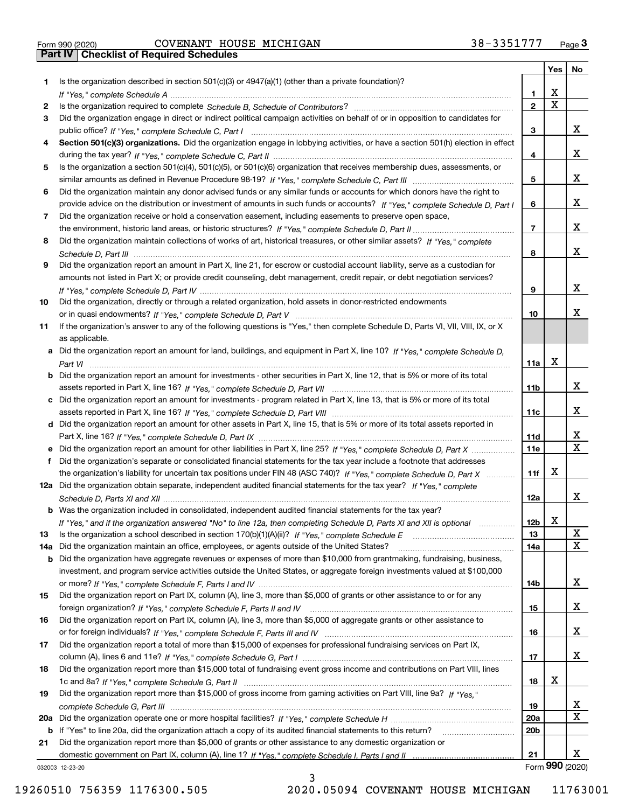| Form 990 (2020) |  |
|-----------------|--|

Form 990 (2020) Page **3Part IV Checklist of Required Schedules** COVENANT HOUSE MICHIGAN 38-3351777

|     |                                                                                                                                                                                                                                |                 | Yes         | No              |
|-----|--------------------------------------------------------------------------------------------------------------------------------------------------------------------------------------------------------------------------------|-----------------|-------------|-----------------|
| 1.  | Is the organization described in section $501(c)(3)$ or $4947(a)(1)$ (other than a private foundation)?                                                                                                                        |                 |             |                 |
|     | If "Yes," complete Schedule A (1) respectively contained a series of the Schedule A (1) respectively and the Schedule A (1) respectively and the Schedule A (1) respectively and the Schedule A (1) respectively and the Sched | 1.              | X           |                 |
| 2   |                                                                                                                                                                                                                                | $\overline{2}$  | $\mathbf x$ |                 |
| 3   | Did the organization engage in direct or indirect political campaign activities on behalf of or in opposition to candidates for                                                                                                |                 |             |                 |
|     |                                                                                                                                                                                                                                | 3               |             | x               |
| 4   | Section 501(c)(3) organizations. Did the organization engage in lobbying activities, or have a section 501(h) election in effect                                                                                               |                 |             |                 |
|     |                                                                                                                                                                                                                                | 4               |             | x               |
| 5   | Is the organization a section 501(c)(4), 501(c)(5), or 501(c)(6) organization that receives membership dues, assessments, or                                                                                                   |                 |             |                 |
|     |                                                                                                                                                                                                                                | 5               |             | x               |
| 6   | Did the organization maintain any donor advised funds or any similar funds or accounts for which donors have the right to                                                                                                      |                 |             |                 |
|     | provide advice on the distribution or investment of amounts in such funds or accounts? If "Yes," complete Schedule D, Part I                                                                                                   | 6               |             | x               |
| 7   | Did the organization receive or hold a conservation easement, including easements to preserve open space,                                                                                                                      |                 |             |                 |
|     |                                                                                                                                                                                                                                | $\overline{7}$  |             | x               |
| 8   | Did the organization maintain collections of works of art, historical treasures, or other similar assets? If "Yes," complete                                                                                                   |                 |             | x               |
|     |                                                                                                                                                                                                                                | 8               |             |                 |
| 9   | Did the organization report an amount in Part X, line 21, for escrow or custodial account liability, serve as a custodian for                                                                                                  |                 |             |                 |
|     | amounts not listed in Part X; or provide credit counseling, debt management, credit repair, or debt negotiation services?                                                                                                      |                 |             | х               |
|     |                                                                                                                                                                                                                                | 9               |             |                 |
| 10  | Did the organization, directly or through a related organization, hold assets in donor-restricted endowments                                                                                                                   | 10              |             | x               |
| 11  | If the organization's answer to any of the following questions is "Yes," then complete Schedule D, Parts VI, VII, VIII, IX, or X                                                                                               |                 |             |                 |
|     | as applicable.                                                                                                                                                                                                                 |                 |             |                 |
|     | a Did the organization report an amount for land, buildings, and equipment in Part X, line 10? If "Yes," complete Schedule D,                                                                                                  |                 |             |                 |
|     |                                                                                                                                                                                                                                | 11a             | X           |                 |
|     | <b>b</b> Did the organization report an amount for investments - other securities in Part X, line 12, that is 5% or more of its total                                                                                          |                 |             |                 |
|     |                                                                                                                                                                                                                                | 11 <sub>b</sub> |             | х               |
|     | c Did the organization report an amount for investments - program related in Part X, line 13, that is 5% or more of its total                                                                                                  |                 |             |                 |
|     |                                                                                                                                                                                                                                | 11c             |             | х               |
|     | d Did the organization report an amount for other assets in Part X, line 15, that is 5% or more of its total assets reported in                                                                                                |                 |             |                 |
|     |                                                                                                                                                                                                                                | 11d             |             | х               |
|     | e Did the organization report an amount for other liabilities in Part X, line 25? If "Yes," complete Schedule D, Part X                                                                                                        | <b>11e</b>      |             | $\mathbf X$     |
| f   | Did the organization's separate or consolidated financial statements for the tax year include a footnote that addresses                                                                                                        |                 |             |                 |
|     | the organization's liability for uncertain tax positions under FIN 48 (ASC 740)? If "Yes," complete Schedule D, Part X                                                                                                         | 11f             | х           |                 |
|     | 12a Did the organization obtain separate, independent audited financial statements for the tax year? If "Yes," complete                                                                                                        |                 |             |                 |
|     |                                                                                                                                                                                                                                | 12a             |             | x               |
|     | <b>b</b> Was the organization included in consolidated, independent audited financial statements for the tax year?                                                                                                             |                 |             |                 |
|     | If "Yes," and if the organization answered "No" to line 12a, then completing Schedule D, Parts XI and XII is optional                                                                                                          | 12D             | Δ.          |                 |
| 13  | Is the organization a school described in section $170(b)(1)(A)(ii)?$ If "Yes," complete Schedule E                                                                                                                            | 13              |             | х               |
| 14a | Did the organization maintain an office, employees, or agents outside of the United States?                                                                                                                                    | 14a             |             | X               |
|     | <b>b</b> Did the organization have aggregate revenues or expenses of more than \$10,000 from grantmaking, fundraising, business,                                                                                               |                 |             |                 |
|     | investment, and program service activities outside the United States, or aggregate foreign investments valued at \$100,000                                                                                                     |                 |             |                 |
|     |                                                                                                                                                                                                                                | 14b             |             | х               |
| 15  | Did the organization report on Part IX, column (A), line 3, more than \$5,000 of grants or other assistance to or for any                                                                                                      |                 |             |                 |
|     |                                                                                                                                                                                                                                | 15              |             | x               |
| 16  | Did the organization report on Part IX, column (A), line 3, more than \$5,000 of aggregate grants or other assistance to                                                                                                       |                 |             |                 |
|     |                                                                                                                                                                                                                                | 16              |             | x               |
| 17  | Did the organization report a total of more than \$15,000 of expenses for professional fundraising services on Part IX,                                                                                                        |                 |             |                 |
|     |                                                                                                                                                                                                                                | 17              |             | x               |
| 18  | Did the organization report more than \$15,000 total of fundraising event gross income and contributions on Part VIII, lines                                                                                                   |                 |             |                 |
|     |                                                                                                                                                                                                                                | 18              | х           |                 |
| 19  | Did the organization report more than \$15,000 of gross income from gaming activities on Part VIII, line 9a? If "Yes."                                                                                                         |                 |             |                 |
|     |                                                                                                                                                                                                                                | 19              |             | х               |
|     |                                                                                                                                                                                                                                | 20a             |             | X               |
|     | b If "Yes" to line 20a, did the organization attach a copy of its audited financial statements to this return?                                                                                                                 | 20 <sub>b</sub> |             |                 |
| 21  | Did the organization report more than \$5,000 of grants or other assistance to any domestic organization or                                                                                                                    |                 |             |                 |
|     |                                                                                                                                                                                                                                | 21              |             | х               |
|     | 032003 12-23-20                                                                                                                                                                                                                |                 |             | Form 990 (2020) |

3

032003 12-23-20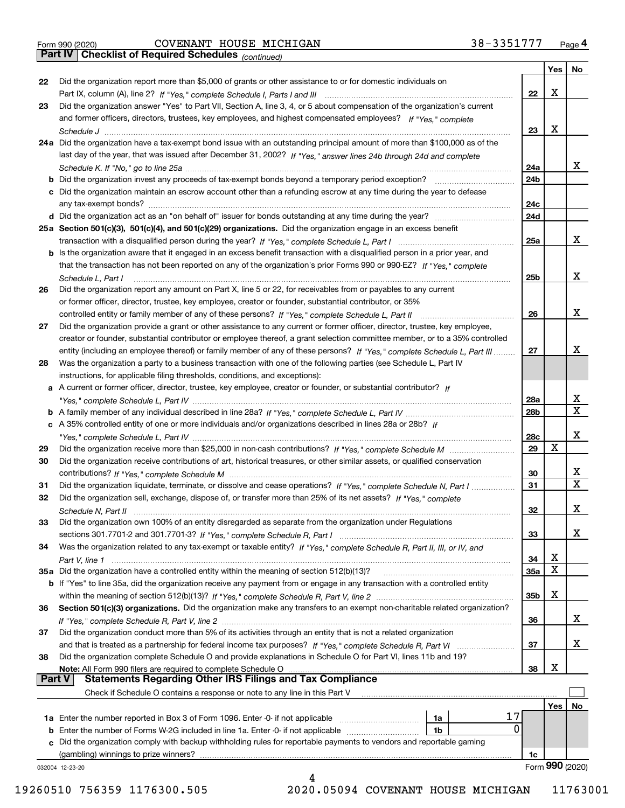|  | Form 990 (2020) |
|--|-----------------|

*(continued)*

|               |                                                                                                                              |                 | Yes | No.             |
|---------------|------------------------------------------------------------------------------------------------------------------------------|-----------------|-----|-----------------|
| 22            | Did the organization report more than \$5,000 of grants or other assistance to or for domestic individuals on                |                 |     |                 |
|               |                                                                                                                              | 22              | Х   |                 |
| 23            | Did the organization answer "Yes" to Part VII, Section A, line 3, 4, or 5 about compensation of the organization's current   |                 |     |                 |
|               | and former officers, directors, trustees, key employees, and highest compensated employees? If "Yes," complete               |                 |     |                 |
|               |                                                                                                                              | 23              | Х   |                 |
|               | 24a Did the organization have a tax-exempt bond issue with an outstanding principal amount of more than \$100,000 as of the  |                 |     |                 |
|               | last day of the year, that was issued after December 31, 2002? If "Yes," answer lines 24b through 24d and complete           |                 |     |                 |
|               |                                                                                                                              | 24a             |     | x               |
|               | b Did the organization invest any proceeds of tax-exempt bonds beyond a temporary period exception?                          | 24b             |     |                 |
|               | c Did the organization maintain an escrow account other than a refunding escrow at any time during the year to defease       |                 |     |                 |
|               | any tax-exempt bonds?                                                                                                        | 24c             |     |                 |
|               | d Did the organization act as an "on behalf of" issuer for bonds outstanding at any time during the year?                    | 24d             |     |                 |
|               | 25a Section 501(c)(3), 501(c)(4), and 501(c)(29) organizations. Did the organization engage in an excess benefit             |                 |     |                 |
|               |                                                                                                                              | 25a             |     | х               |
|               | b Is the organization aware that it engaged in an excess benefit transaction with a disqualified person in a prior year, and |                 |     |                 |
|               | that the transaction has not been reported on any of the organization's prior Forms 990 or 990-EZ? If "Yes," complete        |                 |     |                 |
|               |                                                                                                                              |                 |     | х               |
|               | Schedule L. Part I                                                                                                           | 25b             |     |                 |
| 26            | Did the organization report any amount on Part X, line 5 or 22, for receivables from or payables to any current              |                 |     |                 |
|               | or former officer, director, trustee, key employee, creator or founder, substantial contributor, or 35%                      |                 |     |                 |
|               |                                                                                                                              | 26              |     | х               |
| 27            | Did the organization provide a grant or other assistance to any current or former officer, director, trustee, key employee,  |                 |     |                 |
|               | creator or founder, substantial contributor or employee thereof, a grant selection committee member, or to a 35% controlled  |                 |     |                 |
|               | entity (including an employee thereof) or family member of any of these persons? If "Yes," complete Schedule L, Part III     | 27              |     | х               |
| 28            | Was the organization a party to a business transaction with one of the following parties (see Schedule L, Part IV            |                 |     |                 |
|               | instructions, for applicable filing thresholds, conditions, and exceptions):                                                 |                 |     |                 |
|               | a A current or former officer, director, trustee, key employee, creator or founder, or substantial contributor? If           |                 |     |                 |
|               |                                                                                                                              | 28a             |     | x               |
|               |                                                                                                                              | 28 <sub>b</sub> |     | $\mathbf X$     |
|               | c A 35% controlled entity of one or more individuals and/or organizations described in lines 28a or 28b? If                  |                 |     |                 |
|               |                                                                                                                              | 28c             |     | x               |
| 29            |                                                                                                                              | 29              | x   |                 |
| 30            | Did the organization receive contributions of art, historical treasures, or other similar assets, or qualified conservation  |                 |     |                 |
|               |                                                                                                                              | 30              |     | X               |
| 31            | Did the organization liquidate, terminate, or dissolve and cease operations? If "Yes," complete Schedule N, Part I           | 31              |     | $\mathbf x$     |
| 32            | Did the organization sell, exchange, dispose of, or transfer more than 25% of its net assets? If "Yes," complete             |                 |     |                 |
|               |                                                                                                                              | 32              |     | x               |
| 33            | Did the organization own 100% of an entity disregarded as separate from the organization under Regulations                   |                 |     |                 |
|               |                                                                                                                              | 33              |     | х               |
| 34            | Was the organization related to any tax-exempt or taxable entity? If "Yes," complete Schedule R, Part II, III, or IV, and    |                 |     |                 |
|               |                                                                                                                              | 34              | х   |                 |
|               | 35a Did the organization have a controlled entity within the meaning of section 512(b)(13)?                                  | <b>35a</b>      | х   |                 |
|               | b If "Yes" to line 35a, did the organization receive any payment from or engage in any transaction with a controlled entity  |                 |     |                 |
|               |                                                                                                                              | 35b             | х   |                 |
| 36            | Section 501(c)(3) organizations. Did the organization make any transfers to an exempt non-charitable related organization?   |                 |     |                 |
|               |                                                                                                                              | 36              |     | X               |
| 37            | Did the organization conduct more than 5% of its activities through an entity that is not a related organization             |                 |     |                 |
|               | and that is treated as a partnership for federal income tax purposes? If "Yes," complete Schedule R, Part VI                 | 37              |     | x               |
| 38            | Did the organization complete Schedule O and provide explanations in Schedule O for Part VI, lines 11b and 19?               |                 |     |                 |
|               | Note: All Form 990 filers are required to complete Schedule O                                                                | 38              | х   |                 |
| <b>Part V</b> | <b>Statements Regarding Other IRS Filings and Tax Compliance</b>                                                             |                 |     |                 |
|               | Check if Schedule O contains a response or note to any line in this Part V                                                   |                 |     |                 |
|               |                                                                                                                              |                 | Yes | No              |
|               | 17<br><b>1a</b> Enter the number reported in Box 3 of Form 1096. Enter -0- if not applicable <i>manumumumum</i><br>1a        |                 |     |                 |
|               | 0<br><b>b</b> Enter the number of Forms W-2G included in line 1a. Enter -0- if not applicable <i>manumumumum</i><br>1b       |                 |     |                 |
|               | c Did the organization comply with backup withholding rules for reportable payments to vendors and reportable gaming         |                 |     |                 |
|               | (gambling) winnings to prize winners?                                                                                        | 1c              |     |                 |
|               | 032004 12-23-20                                                                                                              |                 |     | Form 990 (2020) |
|               |                                                                                                                              |                 |     |                 |

 <sup>19260510 756359 1176300.505 2020.05094</sup> COVENANT HOUSE MICHIGAN 11763001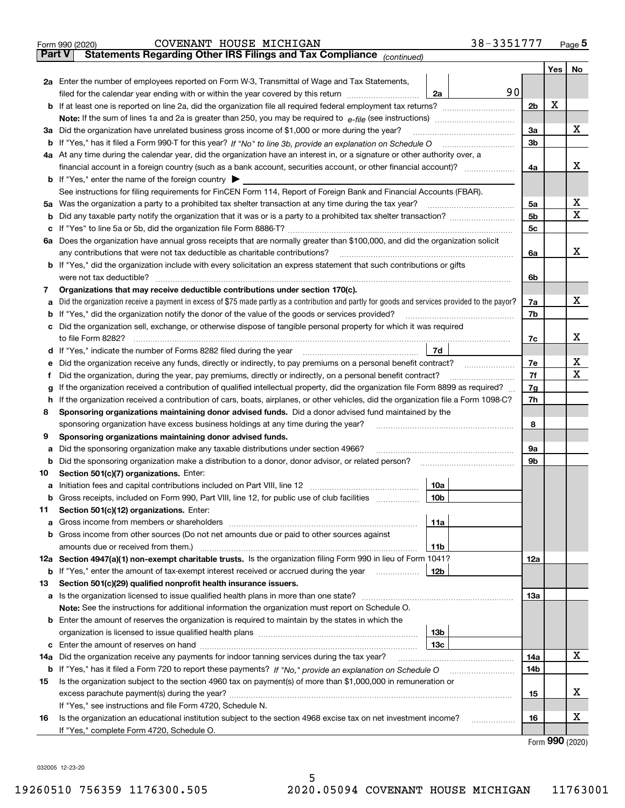|               | 38-3351777<br>COVENANT HOUSE MICHIGAN<br>Form 990 (2020)                                                                                                                                                      |                |   | $Page$ <sup>5</sup> |  |  |  |  |
|---------------|---------------------------------------------------------------------------------------------------------------------------------------------------------------------------------------------------------------|----------------|---|---------------------|--|--|--|--|
| <b>Part V</b> | Statements Regarding Other IRS Filings and Tax Compliance (continued)                                                                                                                                         |                |   |                     |  |  |  |  |
|               |                                                                                                                                                                                                               |                |   | Yes   No            |  |  |  |  |
|               | 2a Enter the number of employees reported on Form W-3, Transmittal of Wage and Tax Statements,                                                                                                                |                |   |                     |  |  |  |  |
|               | 90<br>filed for the calendar year ending with or within the year covered by this return <i>manumumumum</i><br>2a                                                                                              |                |   |                     |  |  |  |  |
|               |                                                                                                                                                                                                               | 2 <sub>b</sub> | х |                     |  |  |  |  |
|               |                                                                                                                                                                                                               |                |   |                     |  |  |  |  |
|               | 3a Did the organization have unrelated business gross income of \$1,000 or more during the year?                                                                                                              | 3a             |   | x                   |  |  |  |  |
|               |                                                                                                                                                                                                               | 3b             |   |                     |  |  |  |  |
|               |                                                                                                                                                                                                               |                |   |                     |  |  |  |  |
|               | 4a At any time during the calendar year, did the organization have an interest in, or a signature or other authority over, a                                                                                  |                |   | х                   |  |  |  |  |
|               |                                                                                                                                                                                                               | 4a             |   |                     |  |  |  |  |
|               | <b>b</b> If "Yes," enter the name of the foreign country $\triangleright$                                                                                                                                     |                |   |                     |  |  |  |  |
|               | See instructions for filing requirements for FinCEN Form 114, Report of Foreign Bank and Financial Accounts (FBAR).                                                                                           |                |   |                     |  |  |  |  |
| 5a            | Was the organization a party to a prohibited tax shelter transaction at any time during the tax year?                                                                                                         | 5a             |   | x                   |  |  |  |  |
| b             |                                                                                                                                                                                                               | 5 <sub>b</sub> |   | х                   |  |  |  |  |
| с             |                                                                                                                                                                                                               | 5c             |   |                     |  |  |  |  |
|               | 6a Does the organization have annual gross receipts that are normally greater than \$100,000, and did the organization solicit                                                                                |                |   |                     |  |  |  |  |
|               |                                                                                                                                                                                                               | 6a             |   | х                   |  |  |  |  |
|               | <b>b</b> If "Yes," did the organization include with every solicitation an express statement that such contributions or gifts                                                                                 |                |   |                     |  |  |  |  |
|               |                                                                                                                                                                                                               | 6b             |   |                     |  |  |  |  |
| 7             | Organizations that may receive deductible contributions under section 170(c).                                                                                                                                 |                |   |                     |  |  |  |  |
| а             | Did the organization receive a payment in excess of \$75 made partly as a contribution and partly for goods and services provided to the payor?                                                               | 7a             |   | х                   |  |  |  |  |
| b             | If "Yes," did the organization notify the donor of the value of the goods or services provided?                                                                                                               | 7b             |   |                     |  |  |  |  |
| с             | Did the organization sell, exchange, or otherwise dispose of tangible personal property for which it was required                                                                                             |                |   |                     |  |  |  |  |
|               |                                                                                                                                                                                                               | 7c             |   | х                   |  |  |  |  |
|               | 7d<br>d If "Yes," indicate the number of Forms 8282 filed during the year [11] [11] The System manuscription of Forms 8282 filed during the year [11] [12] The System manuscription of the Year [12] $\sigma$ |                |   |                     |  |  |  |  |
| е             |                                                                                                                                                                                                               | 7е             |   | х                   |  |  |  |  |
| f             | Did the organization, during the year, pay premiums, directly or indirectly, on a personal benefit contract?                                                                                                  |                |   |                     |  |  |  |  |
| g             | If the organization received a contribution of qualified intellectual property, did the organization file Form 8899 as required?                                                                              | 7f<br>7g       |   |                     |  |  |  |  |
| h.            | If the organization received a contribution of cars, boats, airplanes, or other vehicles, did the organization file a Form 1098-C?                                                                            | 7h             |   |                     |  |  |  |  |
| 8             | Sponsoring organizations maintaining donor advised funds. Did a donor advised fund maintained by the                                                                                                          |                |   |                     |  |  |  |  |
|               | sponsoring organization have excess business holdings at any time during the year?                                                                                                                            | 8              |   |                     |  |  |  |  |
| 9             | Sponsoring organizations maintaining donor advised funds.                                                                                                                                                     |                |   |                     |  |  |  |  |
|               | Did the sponsoring organization make any taxable distributions under section 4966?                                                                                                                            | 9а             |   |                     |  |  |  |  |
| а             |                                                                                                                                                                                                               | 9b             |   |                     |  |  |  |  |
| b             | Did the sponsoring organization make a distribution to a donor, donor advisor, or related person?                                                                                                             |                |   |                     |  |  |  |  |
| 10            | Section 501(c)(7) organizations. Enter:                                                                                                                                                                       |                |   |                     |  |  |  |  |
|               | 10a                                                                                                                                                                                                           |                |   |                     |  |  |  |  |
|               | 10b<br>Gross receipts, included on Form 990, Part VIII, line 12, for public use of club facilities                                                                                                            |                |   |                     |  |  |  |  |
| 11            | Section 501(c)(12) organizations. Enter:                                                                                                                                                                      |                |   |                     |  |  |  |  |
| a             | 11a                                                                                                                                                                                                           |                |   |                     |  |  |  |  |
|               | b Gross income from other sources (Do not net amounts due or paid to other sources against                                                                                                                    |                |   |                     |  |  |  |  |
|               | 11b                                                                                                                                                                                                           |                |   |                     |  |  |  |  |
|               | 12a Section 4947(a)(1) non-exempt charitable trusts. Is the organization filing Form 990 in lieu of Form 1041?                                                                                                | 12a            |   |                     |  |  |  |  |
|               | 12b<br><b>b</b> If "Yes," enter the amount of tax-exempt interest received or accrued during the year                                                                                                         |                |   |                     |  |  |  |  |
| 13            | Section 501(c)(29) qualified nonprofit health insurance issuers.                                                                                                                                              |                |   |                     |  |  |  |  |
|               | a Is the organization licensed to issue qualified health plans in more than one state?                                                                                                                        | 13а            |   |                     |  |  |  |  |
|               | Note: See the instructions for additional information the organization must report on Schedule O.                                                                                                             |                |   |                     |  |  |  |  |
| b             | Enter the amount of reserves the organization is required to maintain by the states in which the                                                                                                              |                |   |                     |  |  |  |  |
|               | 13b                                                                                                                                                                                                           |                |   |                     |  |  |  |  |
| с             | 13с                                                                                                                                                                                                           |                |   |                     |  |  |  |  |
| 14a           | Did the organization receive any payments for indoor tanning services during the tax year?                                                                                                                    | 14a            |   | x                   |  |  |  |  |
|               | <b>b</b> If "Yes," has it filed a Form 720 to report these payments? If "No," provide an explanation on Schedule O                                                                                            | 14b            |   |                     |  |  |  |  |
| 15            | Is the organization subject to the section 4960 tax on payment(s) of more than \$1,000,000 in remuneration or                                                                                                 |                |   |                     |  |  |  |  |
|               |                                                                                                                                                                                                               | 15             |   | х                   |  |  |  |  |
|               | If "Yes," see instructions and file Form 4720, Schedule N.                                                                                                                                                    |                |   |                     |  |  |  |  |
| 16            | Is the organization an educational institution subject to the section 4968 excise tax on net investment income?                                                                                               | 16             |   | х                   |  |  |  |  |
|               | If "Yes," complete Form 4720, Schedule O.                                                                                                                                                                     |                |   |                     |  |  |  |  |
|               |                                                                                                                                                                                                               |                |   | QQQ                 |  |  |  |  |

Form (2020) **990**

032005 12-23-20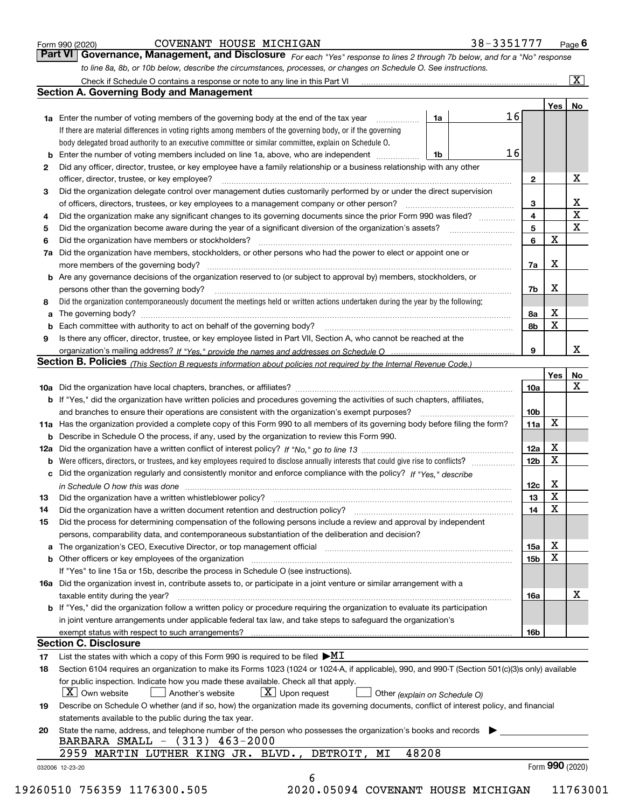|  | Form 990 (2020) |
|--|-----------------|
|  |                 |

| Form 990 (2020) |  | COVENANT HOUSE MICHIGAN | 38-3351777                                                                                                                  | $P_{\text{aqe}}$ 6 |
|-----------------|--|-------------------------|-----------------------------------------------------------------------------------------------------------------------------|--------------------|
|                 |  |                         | Part VI Governance, Management, and Disclosure For each "Yes" response to lines 2 through 7b below, and for a "No" response |                    |
|                 |  |                         | to line 8a, 8b, or 10b below, describe the circumstances, processes, or changes on Schedule O. See instructions.            |                    |

|    |                                                                                                                                                                                                                                |    |    |              | Yes | No                      |
|----|--------------------------------------------------------------------------------------------------------------------------------------------------------------------------------------------------------------------------------|----|----|--------------|-----|-------------------------|
|    | <b>1a</b> Enter the number of voting members of the governing body at the end of the tax year <i>manumum</i>                                                                                                                   | 1a | 16 |              |     |                         |
|    | If there are material differences in voting rights among members of the governing body, or if the governing                                                                                                                    |    |    |              |     |                         |
|    | body delegated broad authority to an executive committee or similar committee, explain on Schedule O.                                                                                                                          |    |    |              |     |                         |
| b  | Enter the number of voting members included on line 1a, above, who are independent                                                                                                                                             | 1b | 16 |              |     |                         |
| 2  | Did any officer, director, trustee, or key employee have a family relationship or a business relationship with any other                                                                                                       |    |    |              |     |                         |
|    | officer, director, trustee, or key employee?                                                                                                                                                                                   |    |    | $\mathbf{2}$ |     | X                       |
| 3  | Did the organization delegate control over management duties customarily performed by or under the direct supervision                                                                                                          |    |    |              |     |                         |
|    |                                                                                                                                                                                                                                |    |    | 3            |     | X                       |
| 4  | Did the organization make any significant changes to its governing documents since the prior Form 990 was filed?                                                                                                               |    |    | 4            |     | $\overline{\mathbf{x}}$ |
| 5  |                                                                                                                                                                                                                                |    |    | 5            |     | X                       |
| 6  | Did the organization have members or stockholders?                                                                                                                                                                             |    |    | 6            | X   |                         |
| 7a | Did the organization have members, stockholders, or other persons who had the power to elect or appoint one or                                                                                                                 |    |    |              |     |                         |
|    |                                                                                                                                                                                                                                |    |    | 7a           | X   |                         |
|    | <b>b</b> Are any governance decisions of the organization reserved to (or subject to approval by) members, stockholders, or                                                                                                    |    |    |              |     |                         |
|    | persons other than the governing body?                                                                                                                                                                                         |    |    | 7b           | X   |                         |
| 8  | Did the organization contemporaneously document the meetings held or written actions undertaken during the year by the following:                                                                                              |    |    |              |     |                         |
| а  |                                                                                                                                                                                                                                |    |    | 8a           | X   |                         |
| b  |                                                                                                                                                                                                                                |    |    | 8b           | X   |                         |
| 9  | Is there any officer, director, trustee, or key employee listed in Part VII, Section A, who cannot be reached at the                                                                                                           |    |    |              |     |                         |
|    |                                                                                                                                                                                                                                |    |    | 9            |     | х                       |
|    | Section B. Policies <sub>(This</sub> Section B requests information about policies not required by the Internal Revenue Code.)                                                                                                 |    |    |              |     |                         |
|    |                                                                                                                                                                                                                                |    |    |              | Yes | No                      |
|    |                                                                                                                                                                                                                                |    |    | 10a          |     | X                       |
|    | <b>b</b> If "Yes," did the organization have written policies and procedures governing the activities of such chapters, affiliates,                                                                                            |    |    |              |     |                         |
|    |                                                                                                                                                                                                                                |    |    | 10b          |     |                         |
|    | 11a Has the organization provided a complete copy of this Form 990 to all members of its governing body before filing the form?                                                                                                |    |    | 11a          | X   |                         |
|    | <b>b</b> Describe in Schedule O the process, if any, used by the organization to review this Form 990.                                                                                                                         |    |    |              |     |                         |
|    |                                                                                                                                                                                                                                |    |    | 12a          | X   |                         |
| b  |                                                                                                                                                                                                                                |    |    | 12b          | X   |                         |
| c  | Did the organization regularly and consistently monitor and enforce compliance with the policy? If "Yes," describe                                                                                                             |    |    |              |     |                         |
|    | in Schedule O how this was done material contact the control of the state of the state of the state of the state of the state of the state of the state of the state of the state of the state of the state of the state of th |    |    | 12c          | X   |                         |
| 13 |                                                                                                                                                                                                                                |    |    | 13           | X   |                         |
| 14 | Did the organization have a written document retention and destruction policy? manufactured and the organization have a written document retention and destruction policy?                                                     |    |    | 14           | X   |                         |
| 15 | Did the process for determining compensation of the following persons include a review and approval by independent                                                                                                             |    |    |              |     |                         |
|    | persons, comparability data, and contemporaneous substantiation of the deliberation and decision?                                                                                                                              |    |    |              |     |                         |
| а  | The organization's CEO, Executive Director, or top management official manufactured content content of the organization's CEO, Executive Director, or top management official manufactured content of the original content of  |    |    | 15a          | X   |                         |
|    | <b>b</b> Other officers or key employees of the organization                                                                                                                                                                   |    |    | 15b          | X   |                         |
|    | If "Yes" to line 15a or 15b, describe the process in Schedule O (see instructions).                                                                                                                                            |    |    |              |     |                         |
|    | 16a Did the organization invest in, contribute assets to, or participate in a joint venture or similar arrangement with a                                                                                                      |    |    |              |     |                         |
|    | taxable entity during the year?                                                                                                                                                                                                |    |    | 16a          |     | X                       |
|    | b If "Yes," did the organization follow a written policy or procedure requiring the organization to evaluate its participation                                                                                                 |    |    |              |     |                         |
|    | in joint venture arrangements under applicable federal tax law, and take steps to safeguard the organization's                                                                                                                 |    |    |              |     |                         |
|    | exempt status with respect to such arrangements?                                                                                                                                                                               |    |    | 16b          |     |                         |
|    | <b>Section C. Disclosure</b>                                                                                                                                                                                                   |    |    |              |     |                         |
| 17 | List the states with which a copy of this Form 990 is required to be filed $\blacktriangleright\!\!\underline{\mathsf{MI}}$                                                                                                    |    |    |              |     |                         |
| 18 | Section 6104 requires an organization to make its Forms 1023 (1024 or 1024-A, if applicable), 990, and 990-T (Section 501(c)(3)s only) available                                                                               |    |    |              |     |                         |
|    |                                                                                                                                                                                                                                |    |    |              |     |                         |
|    | for public inspection. Indicate how you made these available. Check all that apply.<br>$X$ Upon request<br>  X   Own website<br>Another's website                                                                              |    |    |              |     |                         |
|    | Other (explain on Schedule O)                                                                                                                                                                                                  |    |    |              |     |                         |
| 19 | Describe on Schedule O whether (and if so, how) the organization made its governing documents, conflict of interest policy, and financial                                                                                      |    |    |              |     |                         |
|    | statements available to the public during the tax year.                                                                                                                                                                        |    |    |              |     |                         |
| 20 | State the name, address, and telephone number of the person who possesses the organization's books and records<br>BARBARA SMALL - (313) 463-2000                                                                               |    |    |              |     |                         |
|    | 48208<br>2959 MARTIN LUTHER KING JR. BLVD., DETROIT,<br>MΙ                                                                                                                                                                     |    |    |              |     |                         |
|    |                                                                                                                                                                                                                                |    |    |              |     |                         |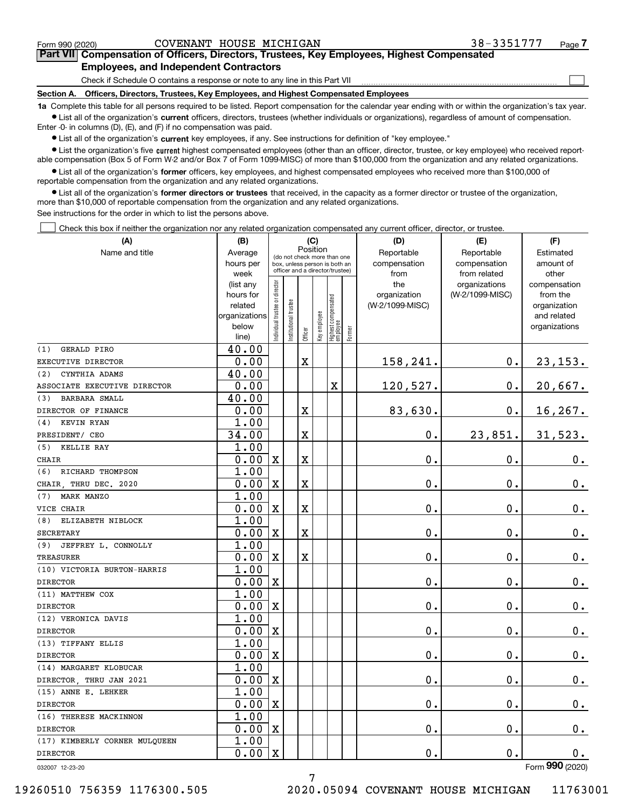$\mathcal{L}^{\text{max}}$ 

# **7Part VII Compensation of Officers, Directors, Trustees, Key Employees, Highest Compensated Employees, and Independent Contractors**

Check if Schedule O contains a response or note to any line in this Part VII

**Section A. Officers, Directors, Trustees, Key Employees, and Highest Compensated Employees**

**1a**  Complete this table for all persons required to be listed. Report compensation for the calendar year ending with or within the organization's tax year. **•** List all of the organization's current officers, directors, trustees (whether individuals or organizations), regardless of amount of compensation.

Enter -0- in columns (D), (E), and (F) if no compensation was paid.

 $\bullet$  List all of the organization's  $\,$ current key employees, if any. See instructions for definition of "key employee."

**•** List the organization's five current highest compensated employees (other than an officer, director, trustee, or key employee) who received reportable compensation (Box 5 of Form W-2 and/or Box 7 of Form 1099-MISC) of more than \$100,000 from the organization and any related organizations.

**•** List all of the organization's former officers, key employees, and highest compensated employees who received more than \$100,000 of reportable compensation from the organization and any related organizations.

**former directors or trustees**  ¥ List all of the organization's that received, in the capacity as a former director or trustee of the organization, more than \$10,000 of reportable compensation from the organization and any related organizations.

See instructions for the order in which to list the persons above.

Check this box if neither the organization nor any related organization compensated any current officer, director, or trustee.  $\mathcal{L}^{\text{max}}$ 

| (A)                           | (B)               |                               |                                                                  | (C)         |              |                                  |        | (D)             | (E)                           | (F)                   |
|-------------------------------|-------------------|-------------------------------|------------------------------------------------------------------|-------------|--------------|----------------------------------|--------|-----------------|-------------------------------|-----------------------|
| Name and title                | Average           |                               | (do not check more than one                                      | Position    |              |                                  |        | Reportable      | Reportable                    | Estimated             |
|                               | hours per         |                               | box, unless person is both an<br>officer and a director/trustee) |             |              |                                  |        | compensation    | compensation                  | amount of             |
|                               | week<br>(list any |                               |                                                                  |             |              |                                  |        | from<br>the     | from related<br>organizations | other<br>compensation |
|                               | hours for         |                               |                                                                  |             |              |                                  |        | organization    | (W-2/1099-MISC)               | from the              |
|                               | related           |                               |                                                                  |             |              |                                  |        | (W-2/1099-MISC) |                               | organization          |
|                               | organizations     |                               |                                                                  |             |              |                                  |        |                 |                               | and related           |
|                               | below             | ndividual trustee or director | nstitutional trustee                                             |             | Key employee | Highest compensated<br> employee |        |                 |                               | organizations         |
|                               | line)             |                               |                                                                  | Officer     |              |                                  | Former |                 |                               |                       |
| GERALD PIRO<br>(1)            | 40.00             |                               |                                                                  |             |              |                                  |        |                 |                               |                       |
| EXECUTIVE DIRECTOR            | 0.00              |                               |                                                                  | $\mathbf X$ |              |                                  |        | 158,241.        | $\mathbf 0$ .                 | 23, 153.              |
| CYNTHIA ADAMS<br>(2)          | 40.00             |                               |                                                                  |             |              |                                  |        |                 |                               |                       |
| ASSOCIATE EXECUTIVE DIRECTOR  | 0.00              |                               |                                                                  |             |              | X                                |        | 120,527.        | $\mathbf 0$ .                 | 20,667.               |
| <b>BARBARA SMALL</b><br>(3)   | 40.00             |                               |                                                                  |             |              |                                  |        |                 |                               |                       |
| DIRECTOR OF FINANCE           | 0.00              |                               |                                                                  | $\mathbf X$ |              |                                  |        | 83,630.         | $\mathbf 0$ .                 | 16,267.               |
| KEVIN RYAN<br>(4)             | 1.00              |                               |                                                                  |             |              |                                  |        |                 |                               |                       |
| PRESIDENT/ CEO                | 34.00             |                               |                                                                  | X           |              |                                  |        | 0.              | 23,851.                       | 31,523.               |
| (5)<br>KELLIE RAY             | 1.00              |                               |                                                                  |             |              |                                  |        |                 |                               |                       |
| <b>CHAIR</b>                  | 0.00              | $\mathbf X$                   |                                                                  | $\mathbf X$ |              |                                  |        | 0.              | $\mathbf 0$ .                 | $0_{.}$               |
| (6)<br>RICHARD THOMPSON       | 1.00              |                               |                                                                  |             |              |                                  |        |                 |                               |                       |
| CHAIR, THRU DEC. 2020         | 0.00              | $\overline{\mathbf{X}}$       |                                                                  | $\mathbf X$ |              |                                  |        | 0.              | $\mathbf{0}$ .                | $\mathbf 0$ .         |
| MARK MANZO<br>(7)             | 1.00              |                               |                                                                  |             |              |                                  |        |                 |                               |                       |
| VICE CHAIR                    | 0.00              | $\mathbf x$                   |                                                                  | $\mathbf X$ |              |                                  |        | 0.              | $\mathbf 0$ .                 | $\mathbf 0$ .         |
| ELIZABETH NIBLOCK<br>(8)      | 1.00              |                               |                                                                  |             |              |                                  |        |                 |                               |                       |
| <b>SECRETARY</b>              | 0.00              | $\overline{\text{X}}$         |                                                                  | $\mathbf X$ |              |                                  |        | 0.              | $\mathbf{0}$ .                | $\mathbf 0$ .         |
| (9)<br>JEFFREY L. CONNOLLY    | 1.00              |                               |                                                                  |             |              |                                  |        |                 |                               |                       |
| <b>TREASURER</b>              | 0.00              | $\mathbf x$                   |                                                                  | $\mathbf X$ |              |                                  |        | 0.              | $\mathbf 0$ .                 | $0_{.}$               |
| (10) VICTORIA BURTON-HARRIS   | 1.00              |                               |                                                                  |             |              |                                  |        |                 |                               |                       |
| <b>DIRECTOR</b>               | 0.00              | $\overline{\text{X}}$         |                                                                  |             |              |                                  |        | 0.              | $\mathbf 0$ .                 | $0_{.}$               |
| (11) MATTHEW COX              | 1.00              |                               |                                                                  |             |              |                                  |        |                 |                               |                       |
| <b>DIRECTOR</b>               | 0.00              | $\mathbf X$                   |                                                                  |             |              |                                  |        | 0.              | $\mathbf 0$ .                 | $0_{.}$               |
| (12) VERONICA DAVIS           | 1.00              |                               |                                                                  |             |              |                                  |        |                 |                               |                       |
| <b>DIRECTOR</b>               | 0.00              | $\overline{\mathbf{X}}$       |                                                                  |             |              |                                  |        | 0.              | $\mathbf 0$ .                 | $\mathbf 0$ .         |
| (13) TIFFANY ELLIS            | 1.00              |                               |                                                                  |             |              |                                  |        |                 |                               |                       |
| <b>DIRECTOR</b>               | 0.00              | $\mathbf X$                   |                                                                  |             |              |                                  |        | 0.              | $\mathbf 0$ .                 | $\mathbf 0$ .         |
| (14) MARGARET KLOBUCAR        | 1.00              |                               |                                                                  |             |              |                                  |        |                 |                               |                       |
| DIRECTOR THRU JAN 2021        | 0.00              | $\overline{\mathbf{X}}$       |                                                                  |             |              |                                  |        | 0.              | $\mathbf 0$ .                 | $\mathbf 0$ .         |
| (15) ANNE E. LEHKER           | 1.00              |                               |                                                                  |             |              |                                  |        |                 |                               |                       |
| <b>DIRECTOR</b>               | 0.00              | $\mathbf X$                   |                                                                  |             |              |                                  |        | 0.              | 0.                            | $0_{.}$               |
| (16) THERESE MACKINNON        | 1.00              |                               |                                                                  |             |              |                                  |        |                 |                               |                       |
| <b>DIRECTOR</b>               | 0.00              | $\overline{\mathbf{X}}$       |                                                                  |             |              |                                  |        | 0.              | $\mathbf 0$ .                 | $\mathbf 0$ .         |
| (17) KIMBERLY CORNER MULOUEEN | 1.00              |                               |                                                                  |             |              |                                  |        |                 |                               |                       |
| <b>DIRECTOR</b>               | 0.00              | $\overline{\mathbf{X}}$       |                                                                  |             |              |                                  |        | 0.              | $\mathbf{0}$ .                | 0.                    |
|                               |                   |                               |                                                                  |             |              |                                  |        |                 |                               |                       |

7

032007 12-23-20

Form (2020) **990**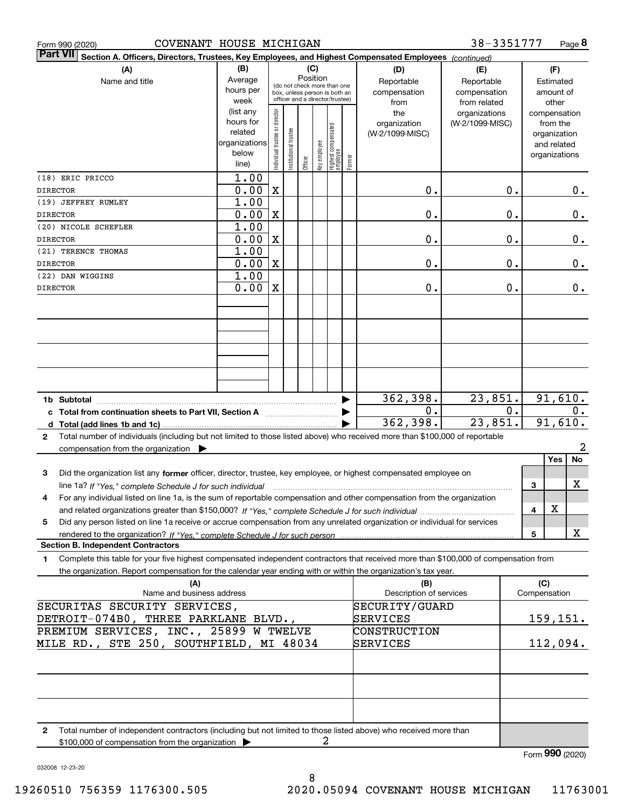| COVENANT HOUSE MICHIGAN<br>Form 990 (2020)                                                                                                      |                        |                                         |                       |         |              |                                 |        |                                | 38-3351777            |                     |                             | Page 8    |
|-------------------------------------------------------------------------------------------------------------------------------------------------|------------------------|-----------------------------------------|-----------------------|---------|--------------|---------------------------------|--------|--------------------------------|-----------------------|---------------------|-----------------------------|-----------|
| <b>Part VII</b><br>Section A. Officers, Directors, Trustees, Key Employees, and Highest Compensated Employees (continued)                       |                        |                                         |                       |         |              |                                 |        |                                |                       |                     |                             |           |
| (A)                                                                                                                                             | (B)                    |                                         |                       |         | (C)          |                                 |        | (D)                            | (E)                   |                     | (F)                         |           |
| Name and title                                                                                                                                  | Average                | Position<br>(do not check more than one |                       |         |              |                                 |        | Reportable                     | Reportable            |                     | Estimated                   |           |
|                                                                                                                                                 | hours per              |                                         |                       |         |              | box, unless person is both an   |        | compensation                   | compensation          |                     | amount of                   |           |
|                                                                                                                                                 | week                   |                                         |                       |         |              | officer and a director/trustee) |        | from                           | from related          |                     | other                       |           |
|                                                                                                                                                 | (list any<br>hours for |                                         |                       |         |              |                                 |        | the                            | organizations         |                     | compensation                |           |
|                                                                                                                                                 | related                |                                         |                       |         |              |                                 |        | organization                   | (W-2/1099-MISC)       |                     | from the                    |           |
|                                                                                                                                                 | organizations          |                                         |                       |         |              |                                 |        | (W-2/1099-MISC)                |                       |                     | organization<br>and related |           |
|                                                                                                                                                 | below                  |                                         |                       |         |              |                                 |        |                                |                       |                     | organizations               |           |
|                                                                                                                                                 | line)                  | Individual trustee or director          | Institutional trustee | Officer | Key employee | Highest compensated<br>employee | Former |                                |                       |                     |                             |           |
| (18) ERIC PRICCO                                                                                                                                | 1.00                   |                                         |                       |         |              |                                 |        |                                |                       |                     |                             |           |
| <b>DIRECTOR</b>                                                                                                                                 | 0.00                   | $\mathbf X$                             |                       |         |              |                                 |        | $\mathbf 0$ .                  | $\mathbf 0$ .         |                     |                             | $0$ .     |
| (19) JEFFREY RUMLEY                                                                                                                             | 1.00                   |                                         |                       |         |              |                                 |        |                                |                       |                     |                             |           |
| <b>DIRECTOR</b>                                                                                                                                 | 0.00                   | $\mathbf X$                             |                       |         |              |                                 |        | $\mathbf 0$ .                  | $\mathbf 0$ .         |                     |                             | 0.        |
| (20) NICOLE SCHEFLER                                                                                                                            | 1.00                   |                                         |                       |         |              |                                 |        |                                |                       |                     |                             |           |
| <b>DIRECTOR</b>                                                                                                                                 | 0.00                   | $\mathbf X$                             |                       |         |              |                                 |        | $\mathbf 0$ .                  | $\mathbf 0$ .         |                     |                             | 0.        |
| (21) TERENCE THOMAS                                                                                                                             | 1.00                   |                                         |                       |         |              |                                 |        |                                |                       |                     |                             |           |
| <b>DIRECTOR</b>                                                                                                                                 | 0.00                   | $\mathbf X$                             |                       |         |              |                                 |        | $\mathbf 0$ .                  | $\mathbf 0$ .         |                     |                             | 0.        |
| (22) DAN WIGGINS                                                                                                                                | 1.00                   |                                         |                       |         |              |                                 |        |                                |                       |                     |                             |           |
| <b>DIRECTOR</b>                                                                                                                                 | 0.00                   | $\mathbf X$                             |                       |         |              |                                 |        | Ο.                             | $\mathbf 0$ .         |                     |                             | 0.        |
|                                                                                                                                                 |                        |                                         |                       |         |              |                                 |        |                                |                       |                     |                             |           |
|                                                                                                                                                 |                        |                                         |                       |         |              |                                 |        |                                |                       |                     |                             |           |
|                                                                                                                                                 |                        |                                         |                       |         |              |                                 |        |                                |                       |                     |                             |           |
|                                                                                                                                                 |                        |                                         |                       |         |              |                                 |        |                                |                       |                     |                             |           |
|                                                                                                                                                 |                        |                                         |                       |         |              |                                 |        |                                |                       |                     |                             |           |
|                                                                                                                                                 |                        |                                         |                       |         |              |                                 |        |                                |                       |                     |                             |           |
|                                                                                                                                                 |                        |                                         |                       |         |              |                                 |        |                                |                       |                     |                             |           |
|                                                                                                                                                 |                        |                                         |                       |         |              |                                 |        |                                |                       |                     |                             |           |
| 1b Subtotal                                                                                                                                     |                        |                                         |                       |         |              |                                 |        | 362,398.                       | 23,851.               |                     |                             | 91,610.   |
|                                                                                                                                                 |                        |                                         |                       |         |              |                                 |        | 0.                             | 0.                    |                     |                             | $0$ .     |
|                                                                                                                                                 |                        |                                         |                       |         |              |                                 |        | 362,398.                       | $\overline{23,851}$ . |                     |                             | 91,610.   |
| Total number of individuals (including but not limited to those listed above) who received more than \$100,000 of reportable<br>2               |                        |                                         |                       |         |              |                                 |        |                                |                       |                     |                             |           |
| compensation from the organization $\blacktriangleright$                                                                                        |                        |                                         |                       |         |              |                                 |        |                                |                       |                     |                             | 2         |
|                                                                                                                                                 |                        |                                         |                       |         |              |                                 |        |                                |                       |                     | Yes                         | No        |
| Did the organization list any former officer, director, trustee, key employee, or highest compensated employee on<br>3                          |                        |                                         |                       |         |              |                                 |        |                                |                       |                     |                             |           |
| line 1a? If "Yes," complete Schedule J for such individual manufactured contained and the 1a? If "Yes," complete Schedule J for such individual |                        |                                         |                       |         |              |                                 |        |                                |                       | 3                   |                             | x         |
| For any individual listed on line 1a, is the sum of reportable compensation and other compensation from the organization                        |                        |                                         |                       |         |              |                                 |        |                                |                       |                     |                             |           |
|                                                                                                                                                 |                        |                                         |                       |         |              |                                 |        |                                |                       | 4                   | х                           |           |
| Did any person listed on line 1a receive or accrue compensation from any unrelated organization or individual for services<br>5                 |                        |                                         |                       |         |              |                                 |        |                                |                       |                     |                             |           |
|                                                                                                                                                 |                        |                                         |                       |         |              |                                 |        |                                |                       | 5                   |                             | X         |
| <b>Section B. Independent Contractors</b>                                                                                                       |                        |                                         |                       |         |              |                                 |        |                                |                       |                     |                             |           |
| Complete this table for your five highest compensated independent contractors that received more than \$100,000 of compensation from<br>1       |                        |                                         |                       |         |              |                                 |        |                                |                       |                     |                             |           |
| the organization. Report compensation for the calendar year ending with or within the organization's tax year.                                  |                        |                                         |                       |         |              |                                 |        |                                |                       |                     |                             |           |
| (A)<br>Name and business address                                                                                                                |                        |                                         |                       |         |              |                                 |        | (B)<br>Description of services |                       | (C)<br>Compensation |                             |           |
| SECURITAS SECURITY SERVICES,                                                                                                                    |                        |                                         |                       |         |              |                                 |        | SECURITY/GUARD                 |                       |                     |                             |           |
| DETROIT-074B0, THREE PARKLANE BLVD.,                                                                                                            |                        |                                         |                       |         |              |                                 |        | SERVICES                       |                       |                     |                             | 159, 151. |
| PREMIUM SERVICES, INC., 25899 W TWELVE                                                                                                          |                        |                                         |                       |         |              |                                 |        | CONSTRUCTION                   |                       |                     |                             |           |
| MILE RD., STE 250, SOUTHFIELD, MI 48034                                                                                                         |                        |                                         |                       |         |              |                                 |        | SERVICES                       |                       |                     | 112,094.                    |           |
|                                                                                                                                                 |                        |                                         |                       |         |              |                                 |        |                                |                       |                     |                             |           |
|                                                                                                                                                 |                        |                                         |                       |         |              |                                 |        |                                |                       |                     |                             |           |
|                                                                                                                                                 |                        |                                         |                       |         |              |                                 |        |                                |                       |                     |                             |           |
|                                                                                                                                                 |                        |                                         |                       |         |              |                                 |        |                                |                       |                     |                             |           |

**2**Total number of independent contractors (including but not limited to those listed above) who received more than \$100,000 of compensation from the organization 2

Form (2020) **990**

032008 12-23-20

| Form 990 (2020) | COVENANT HOUSE MICHIGAN | 38-3351777<br>Page |
|-----------------|-------------------------|--------------------|
|-----------------|-------------------------|--------------------|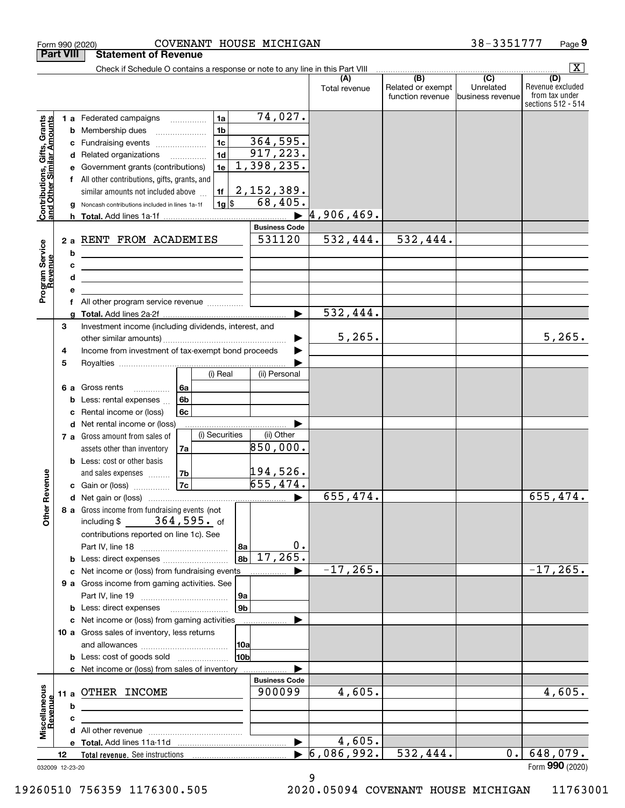|                                                                                         |        |                       | Form 990 (2020)                                                                                                                                                                                                                                                                                                                                                |                                                                             | COVENANT HOUSE MICHIGAN                                                                                                           |                        |                                       | 38-3351777                    | Page 9                                                          |
|-----------------------------------------------------------------------------------------|--------|-----------------------|----------------------------------------------------------------------------------------------------------------------------------------------------------------------------------------------------------------------------------------------------------------------------------------------------------------------------------------------------------------|-----------------------------------------------------------------------------|-----------------------------------------------------------------------------------------------------------------------------------|------------------------|---------------------------------------|-------------------------------|-----------------------------------------------------------------|
| <b>Part VIII</b>                                                                        |        |                       | <b>Statement of Revenue</b>                                                                                                                                                                                                                                                                                                                                    |                                                                             |                                                                                                                                   |                        |                                       |                               |                                                                 |
|                                                                                         |        |                       | Check if Schedule O contains a response or note to any line in this Part VIII                                                                                                                                                                                                                                                                                  |                                                                             |                                                                                                                                   |                        | $\overline{ }$ (B) (C) $\overline{ }$ |                               | $\boxed{\text{X}}$                                              |
|                                                                                         |        |                       |                                                                                                                                                                                                                                                                                                                                                                |                                                                             |                                                                                                                                   | (A)<br>Total revenue   | Related or exempt<br>function revenue | Unrelated<br>business revenue | (D)<br>Revenue excluded<br>from tax under<br>sections 512 - 514 |
| Contributions, Gifts, Grants<br>and Other Similar Amounts<br>Program Service<br>Revenue |        | b<br>с<br>g<br>b<br>c | 1 a Federated campaigns<br>Membership dues<br>Fundraising events<br>d Related organizations<br>Government grants (contributions)<br>f All other contributions, gifts, grants, and<br>similar amounts not included above<br>Noncash contributions included in lines 1a-1f<br>2 a RENT FROM ACADEMIES<br><u> 1989 - Johann Stein, marwolaethau a bhann an t-</u> | 1a<br>1 <sub>b</sub><br>1 <sub>c</sub><br>1 <sub>d</sub><br>1e<br>1f<br> 1g | 74,027.<br>364,595.<br>917,223.<br>1,398,235.<br>2,152,389.<br>68,405.<br>$\blacktriangleright$<br><b>Business Code</b><br>531120 | 4,906,469.<br>532,444. | $\overline{532,444}$ .                |                               |                                                                 |
|                                                                                         |        | d<br>е                | <u> 1989 - Johann Barn, fransk politik amerikansk politik (</u>                                                                                                                                                                                                                                                                                                |                                                                             |                                                                                                                                   |                        |                                       |                               |                                                                 |
|                                                                                         |        | f                     | All other program service revenue                                                                                                                                                                                                                                                                                                                              |                                                                             |                                                                                                                                   |                        |                                       |                               |                                                                 |
|                                                                                         |        | a                     |                                                                                                                                                                                                                                                                                                                                                                |                                                                             |                                                                                                                                   | $\overline{532,444}$ . |                                       |                               |                                                                 |
|                                                                                         | 3<br>4 |                       | Investment income (including dividends, interest, and<br>Income from investment of tax-exempt bond proceeds                                                                                                                                                                                                                                                    |                                                                             | ▶                                                                                                                                 | 5,265.                 |                                       |                               | 5,265.                                                          |
|                                                                                         | 5      |                       |                                                                                                                                                                                                                                                                                                                                                                |                                                                             |                                                                                                                                   |                        |                                       |                               |                                                                 |
|                                                                                         | 6а     | b<br>c                | 6a<br>Gross rents<br>6b<br>Less: rental expenses<br>Rental income or (loss)<br>6с                                                                                                                                                                                                                                                                              | (i) Real                                                                    | (ii) Personal                                                                                                                     |                        |                                       |                               |                                                                 |
|                                                                                         |        | d                     | Net rental income or (loss)<br>7 a Gross amount from sales of                                                                                                                                                                                                                                                                                                  | (i) Securities                                                              | (ii) Other<br>850,000.                                                                                                            |                        |                                       |                               |                                                                 |
| evenue                                                                                  |        |                       | 7a<br>assets other than inventory<br><b>b</b> Less: cost or other basis<br>7b<br>and sales expenses<br><b>7c</b><br>c Gain or (loss)                                                                                                                                                                                                                           |                                                                             | 194,526.<br>655, 474.                                                                                                             |                        |                                       |                               |                                                                 |
|                                                                                         |        |                       | d Net gain or (loss)                                                                                                                                                                                                                                                                                                                                           |                                                                             |                                                                                                                                   | 655,474.               |                                       |                               | 655,474.                                                        |
| Other R                                                                                 |        |                       | 8 a Gross income from fundraising events (not<br>including $$364,595.$ of<br>contributions reported on line 1c). See                                                                                                                                                                                                                                           |                                                                             | 0.<br>  8a<br>17, 265.<br>8 <sub>b</sub>                                                                                          |                        |                                       |                               |                                                                 |
|                                                                                         |        |                       | c Net income or (loss) from fundraising events                                                                                                                                                                                                                                                                                                                 |                                                                             |                                                                                                                                   | $-17, 265.$            |                                       |                               | $-17, 265.$                                                     |
|                                                                                         |        |                       | 9 a Gross income from gaming activities. See                                                                                                                                                                                                                                                                                                                   |                                                                             | 9a                                                                                                                                |                        |                                       |                               |                                                                 |
|                                                                                         |        |                       | <b>b</b> Less: direct expenses <b>manually</b>                                                                                                                                                                                                                                                                                                                 |                                                                             | 9b                                                                                                                                |                        |                                       |                               |                                                                 |
|                                                                                         |        |                       | c Net income or (loss) from gaming activities<br>10 a Gross sales of inventory, less returns                                                                                                                                                                                                                                                                   |                                                                             | 10a                                                                                                                               |                        |                                       |                               |                                                                 |
|                                                                                         |        |                       | <b>b</b> Less: cost of goods sold                                                                                                                                                                                                                                                                                                                              |                                                                             | 10 <sub>b</sub>                                                                                                                   |                        |                                       |                               |                                                                 |
| Miscellaneous<br>Revenue                                                                |        |                       | c Net income or (loss) from sales of inventory<br>11 a OTHER INCOME                                                                                                                                                                                                                                                                                            |                                                                             | <b>Business Code</b><br>900099                                                                                                    | 4,605.                 |                                       |                               | 4,605.                                                          |
|                                                                                         |        | b                     |                                                                                                                                                                                                                                                                                                                                                                |                                                                             |                                                                                                                                   |                        |                                       |                               |                                                                 |
|                                                                                         |        | c                     |                                                                                                                                                                                                                                                                                                                                                                |                                                                             | ▶                                                                                                                                 | 4,605.                 |                                       |                               |                                                                 |
|                                                                                         |        |                       |                                                                                                                                                                                                                                                                                                                                                                |                                                                             | $\blacktriangleright$                                                                                                             | 6,086,992.             | 532,444.                              | $0$ .                         | 648,079.                                                        |
|                                                                                         | 12     |                       |                                                                                                                                                                                                                                                                                                                                                                |                                                                             |                                                                                                                                   |                        |                                       |                               | Form 990 (2020)                                                 |

# 19260510 756359 1176300.505 2020.05094 COVENANT HOUSE MICHIGAN 11763001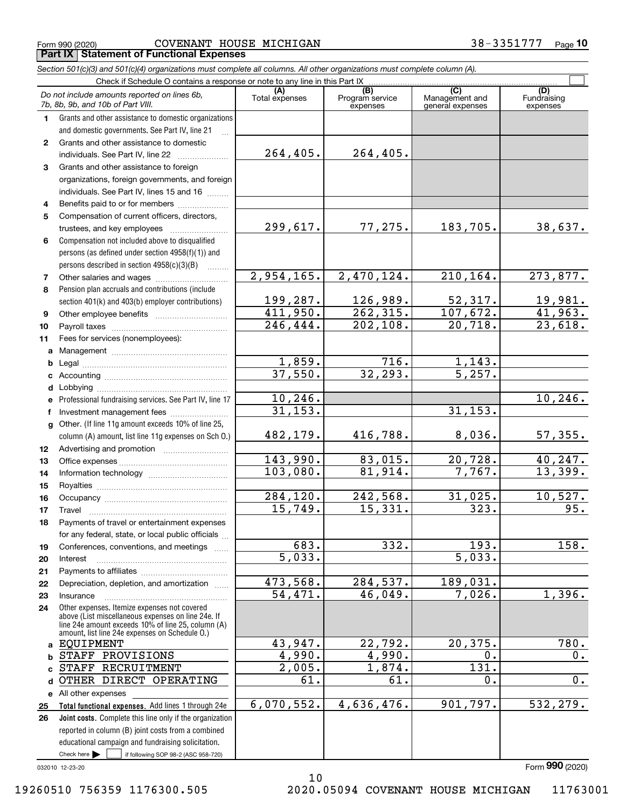Form 990 (2020) COVENANT HOUSE MICHIGAN 38-3351777 <sub>Page</sub> **Part IX Statement of Functional Expenses**

|              | Section 501(c)(3) and 501(c)(4) organizations must complete all columns. All other organizations must complete column (A).                                                                                 |                        |                                    |                                           |                                |
|--------------|------------------------------------------------------------------------------------------------------------------------------------------------------------------------------------------------------------|------------------------|------------------------------------|-------------------------------------------|--------------------------------|
|              | Check if Schedule O contains a response or note to any line in this Part IX                                                                                                                                |                        |                                    |                                           |                                |
|              | Do not include amounts reported on lines 6b,<br>7b, 8b, 9b, and 10b of Part VIII.                                                                                                                          | (A)<br>Total expenses  | (B)<br>Program service<br>expenses | (C)<br>Management and<br>general expenses | (D)<br>Fundraising<br>expenses |
| 1.           | Grants and other assistance to domestic organizations                                                                                                                                                      |                        |                                    |                                           |                                |
|              | and domestic governments. See Part IV, line 21                                                                                                                                                             |                        |                                    |                                           |                                |
| $\mathbf{2}$ | Grants and other assistance to domestic                                                                                                                                                                    |                        |                                    |                                           |                                |
|              | individuals. See Part IV, line 22                                                                                                                                                                          | 264, 405.              | 264, 405.                          |                                           |                                |
| 3            | Grants and other assistance to foreign                                                                                                                                                                     |                        |                                    |                                           |                                |
|              | organizations, foreign governments, and foreign                                                                                                                                                            |                        |                                    |                                           |                                |
|              | individuals. See Part IV, lines 15 and 16                                                                                                                                                                  |                        |                                    |                                           |                                |
| 4            | Benefits paid to or for members                                                                                                                                                                            |                        |                                    |                                           |                                |
| 5            | Compensation of current officers, directors,                                                                                                                                                               |                        |                                    |                                           |                                |
|              | trustees, and key employees                                                                                                                                                                                | 299,617.               | 77,275.                            | 183,705.                                  | 38,637.                        |
| 6            | Compensation not included above to disqualified                                                                                                                                                            |                        |                                    |                                           |                                |
|              | persons (as defined under section 4958(f)(1)) and                                                                                                                                                          |                        |                                    |                                           |                                |
|              | persons described in section 4958(c)(3)(B)<br>1.1.1.1.1.1.1                                                                                                                                                |                        |                                    |                                           |                                |
| 7            |                                                                                                                                                                                                            | 2,954,165.             | 2,470,124.                         | 210, 164.                                 | 273,877.                       |
| 8            | Pension plan accruals and contributions (include                                                                                                                                                           |                        |                                    |                                           |                                |
|              | section 401(k) and 403(b) employer contributions)                                                                                                                                                          | 199,287.               | 126,989.                           | 52,317.                                   | 19,981.                        |
| 9            |                                                                                                                                                                                                            | 411,950.               | 262, 315.                          | 107,672.                                  | 41,963.                        |
| 10           |                                                                                                                                                                                                            | $\overline{246,444}$ . | 202, 108.                          | 20,718.                                   | 23,618.                        |
| 11           | Fees for services (nonemployees):                                                                                                                                                                          |                        |                                    |                                           |                                |
|              |                                                                                                                                                                                                            |                        |                                    |                                           |                                |
| b            |                                                                                                                                                                                                            | 1,859.                 | 716.                               | 1,143.                                    |                                |
| c            |                                                                                                                                                                                                            | 37,550.                | 32, 293.                           | 5,257.                                    |                                |
| d            |                                                                                                                                                                                                            |                        |                                    |                                           |                                |
| е            | Professional fundraising services. See Part IV, line 17                                                                                                                                                    | 10, 246.               |                                    |                                           | 10, 246.                       |
| f            | Investment management fees                                                                                                                                                                                 | 31, 153.               |                                    | 31, 153.                                  |                                |
| g            | Other. (If line 11g amount exceeds 10% of line 25,                                                                                                                                                         |                        |                                    |                                           |                                |
|              | column (A) amount, list line 11g expenses on Sch O.)                                                                                                                                                       | 482,179.               | 416,788.                           | 8,036.                                    | 57,355.                        |
| 12           |                                                                                                                                                                                                            |                        |                                    |                                           |                                |
| 13           |                                                                                                                                                                                                            | 143,990.               | 83,015.                            | 20, 728.                                  | 40,247.                        |
| 14           |                                                                                                                                                                                                            | 103,080.               | 81,914.                            | 7,767.                                    | 13,399.                        |
| 15           |                                                                                                                                                                                                            |                        |                                    |                                           |                                |
| 16           |                                                                                                                                                                                                            | 284,120.               | 242,568.                           | 31,025.                                   | 10,527.                        |
| 17           |                                                                                                                                                                                                            | 15,749.                | 15,331.                            | 323.                                      | 95.                            |
| 18           | Payments of travel or entertainment expenses                                                                                                                                                               |                        |                                    |                                           |                                |
|              | for any federal, state, or local public officials                                                                                                                                                          |                        |                                    |                                           |                                |
| 19           | Conferences, conventions, and meetings                                                                                                                                                                     | 683.                   | 332.                               | 193.                                      | 158.                           |
| 20           | Interest                                                                                                                                                                                                   | $\overline{5,033}$ .   |                                    | $\overline{5,033}$ .                      |                                |
| 21           |                                                                                                                                                                                                            |                        |                                    |                                           |                                |
| 22           | Depreciation, depletion, and amortization                                                                                                                                                                  | $\overline{473,568}$ . | 284,537.                           | 189,031.                                  |                                |
| 23           | Insurance                                                                                                                                                                                                  | 54,471.                | 46,049.                            | 7,026.                                    | 1,396.                         |
| 24           | Other expenses. Itemize expenses not covered<br>above (List miscellaneous expenses on line 24e. If<br>line 24e amount exceeds 10% of line 25, column (A)<br>amount, list line 24e expenses on Schedule O.) |                        |                                    |                                           |                                |
| a            | <b>EQUIPMENT</b>                                                                                                                                                                                           | 43,947.                | 22,792.                            | 20,375.                                   | 780.                           |
|              | STAFF PROVISIONS                                                                                                                                                                                           | 4,990.                 | 4,990.                             | 0.                                        | $0$ .                          |
|              | RECRUITMENT<br>STAFF                                                                                                                                                                                       | 2,005.                 | 1,874.                             | 131.                                      |                                |
|              | OTHER DIRECT OPERATING                                                                                                                                                                                     | 61.                    | 61.                                | 0.                                        | 0.                             |
|              | e All other expenses                                                                                                                                                                                       |                        |                                    |                                           |                                |
| 25           | Total functional expenses. Add lines 1 through 24e                                                                                                                                                         | 6,070,552.             | 4,636,476.                         | 901,797.                                  | 532,279.                       |
| 26           | Joint costs. Complete this line only if the organization                                                                                                                                                   |                        |                                    |                                           |                                |
|              | reported in column (B) joint costs from a combined                                                                                                                                                         |                        |                                    |                                           |                                |
|              | educational campaign and fundraising solicitation.                                                                                                                                                         |                        |                                    |                                           |                                |

032010 12-23-20

Check here

 $\mathcal{L}^{\text{max}}$ 

If following SOP 98-2 (ASC 958-720)

Form (2020) **990**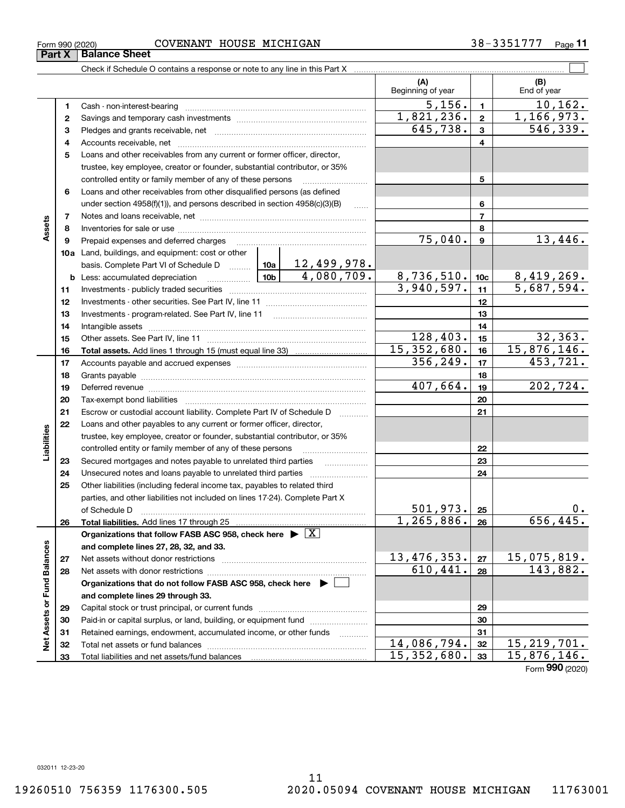**32 33** **3233**

14,086,794. 15,219,701. 15,352,680. 33 15,876,146.

Form (2020) **990**

|                             |    | controlled entity or family member of any of these persons                            |  |                  |    |                               | 5               |                        |    |
|-----------------------------|----|---------------------------------------------------------------------------------------|--|------------------|----|-------------------------------|-----------------|------------------------|----|
|                             | 6  | Loans and other receivables from other disqualified persons (as defined               |  |                  |    |                               |                 |                        |    |
|                             |    | under section 4958(f)(1)), and persons described in section 4958(c)(3)(B)             |  |                  | 6  |                               |                 |                        |    |
|                             | 7  |                                                                                       |  |                  |    |                               | $\overline{7}$  |                        |    |
| Assets                      | 8  |                                                                                       |  |                  |    |                               | 8               |                        |    |
|                             | 9  | Prepaid expenses and deferred charges                                                 |  |                  |    | $\overline{75,040}$ .         | 9               | 13,446.                |    |
|                             |    | 10a Land, buildings, and equipment: cost or other                                     |  |                  |    |                               |                 |                        |    |
|                             |    | basis. Complete Part VI of Schedule D $\frac{10a}{10a}$ 12, 499, 978.                 |  |                  |    |                               |                 |                        |    |
|                             |    | <b>b</b> Less: accumulated depreciation                                               |  | $10b$ 4,080,709. |    | $\frac{8,736,510}{3,940,597}$ | 10 <sub>c</sub> | 8,419,269.             |    |
|                             | 11 |                                                                                       |  |                  |    |                               | 11              | $\overline{5,687,594}$ |    |
|                             | 12 |                                                                                       |  |                  |    |                               | 12              |                        |    |
|                             | 13 |                                                                                       |  |                  |    |                               | 13              |                        |    |
|                             | 14 |                                                                                       |  |                  |    |                               | 14              |                        |    |
|                             | 15 |                                                                                       |  |                  |    | 128,403.                      | 15              | 32,363.                |    |
|                             | 16 |                                                                                       |  |                  |    | 15,352,680.                   | 16              | 15,876,146.            |    |
|                             | 17 |                                                                                       |  |                  |    | 356, 249.                     | 17              | 453,721.               |    |
|                             | 18 |                                                                                       |  |                  | 18 |                               |                 |                        |    |
|                             | 19 |                                                                                       |  | 407,664.         | 19 | 202,724.                      |                 |                        |    |
|                             | 20 |                                                                                       |  |                  | 20 |                               |                 |                        |    |
|                             | 21 | Escrow or custodial account liability. Complete Part IV of Schedule D                 |  |                  | 21 |                               |                 |                        |    |
|                             | 22 | Loans and other payables to any current or former officer, director,                  |  |                  |    |                               |                 |                        |    |
|                             |    | trustee, key employee, creator or founder, substantial contributor, or 35%            |  |                  |    |                               |                 |                        |    |
| Liabilities                 |    | controlled entity or family member of any of these persons                            |  |                  | 22 |                               |                 |                        |    |
|                             | 23 | Secured mortgages and notes payable to unrelated third parties                        |  |                  |    | 23                            |                 |                        |    |
|                             | 24 | Unsecured notes and loans payable to unrelated third parties                          |  |                  | 24 |                               |                 |                        |    |
|                             | 25 | Other liabilities (including federal income tax, payables to related third            |  |                  |    |                               |                 |                        |    |
|                             |    | parties, and other liabilities not included on lines 17-24). Complete Part X          |  |                  |    |                               |                 |                        |    |
|                             |    | of Schedule D                                                                         |  |                  |    | 501,973.                      | 25              |                        | υ. |
|                             | 26 |                                                                                       |  |                  |    | 1, 265, 886.                  | 26              | 656, 445.              |    |
|                             |    | Organizations that follow FASB ASC 958, check here $\triangleright \lfloor X \rfloor$ |  |                  |    |                               |                 |                        |    |
| Net Assets or Fund Balances |    | and complete lines 27, 28, 32, and 33.                                                |  |                  |    |                               |                 |                        |    |
|                             | 27 |                                                                                       |  | 13,476,353.      | 27 | 15,075,819.                   |                 |                        |    |
|                             | 28 |                                                                                       |  | 610, 441.        | 28 | 143,882.                      |                 |                        |    |
|                             |    | Organizations that do not follow FASB ASC 958, check here $\blacktriangleright$       |  |                  |    |                               |                 |                        |    |
|                             |    | and complete lines 29 through 33.                                                     |  |                  |    |                               |                 |                        |    |
|                             | 29 |                                                                                       |  |                  |    |                               | 29              |                        |    |
|                             | 30 |                                                                                       |  |                  |    |                               | 30              |                        |    |
|                             | 31 | Retained earnings, endowment, accumulated income, or other funds                      |  |                  |    |                               | 31              |                        |    |
|                             | 32 |                                                                                       |  |                  |    | 14,086,794.                   | 32              | 15, 219, 701.          |    |
|                             |    |                                                                                       |  |                  |    |                               |                 |                        |    |

Form 990 (2020) COVENANT HOUSE MICHIGAN 38-3351777 <sub>Page</sub>

**3** Pledges and grants receivable, net www.communically.communically.com **4**Accounts receivable, net ~~~~~~~~~~~~~~~~~~~~~~~~~~

Loans and other receivables from any current or former officer, director, trustee, key employee, creator or founder, substantial contributor, or 35%

Cash - non-interest-bearing ~~~~~~~~~~~~~~~~~~~~~~~~~ Savings and temporary cash investments ~~~~~~~~~~~~~~~~~~

Total liabilities and net assets/fund balances

Check if Schedule O contains a response or note to any line in this Part X

**11**

 $\mathcal{L}^{\text{max}}$ 

**(A) (B)**

Beginning of year | | End of year

 $5,156.$  1 10,162.

645,738. 546,339.

 $1,821,236.$  2 1,166,973.

**Part X** | Balance Sheet

**12**

**5**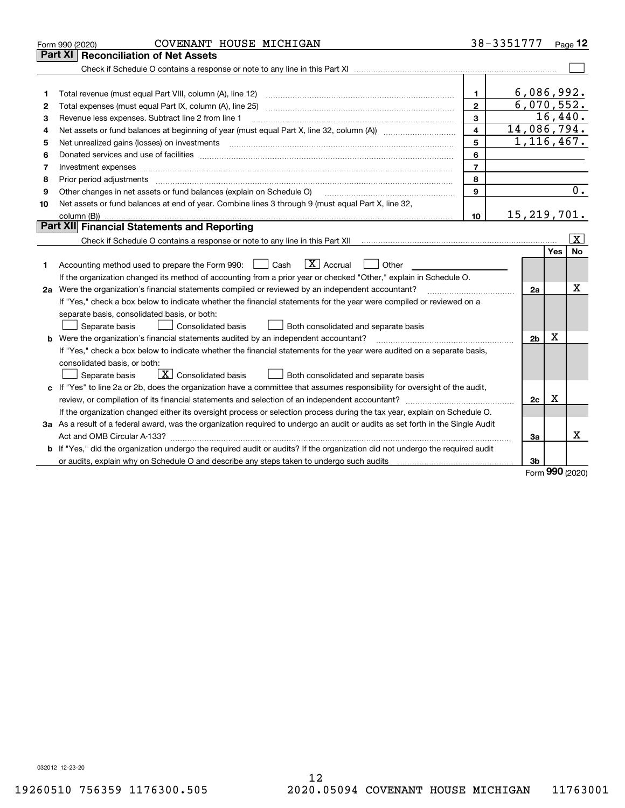|    | COVENANT HOUSE MICHIGAN<br>Form 990 (2020)                                                                                      |                         | 38-3351777     |            | Page 12                 |
|----|---------------------------------------------------------------------------------------------------------------------------------|-------------------------|----------------|------------|-------------------------|
|    | Part XI<br><b>Reconciliation of Net Assets</b>                                                                                  |                         |                |            |                         |
|    |                                                                                                                                 |                         |                |            |                         |
|    |                                                                                                                                 |                         |                |            |                         |
| 1  |                                                                                                                                 | $\mathbf{1}$            | 6,086,992.     |            |                         |
| 2  |                                                                                                                                 | $\overline{2}$          | 6,070,552.     |            |                         |
| з  | Revenue less expenses. Subtract line 2 from line 1                                                                              | 3                       |                |            | 16,440.                 |
| 4  |                                                                                                                                 | $\overline{\mathbf{4}}$ | 14,086,794.    |            |                         |
| 5  |                                                                                                                                 | 5                       | 1, 116, 467.   |            |                         |
| 6  |                                                                                                                                 | 6                       |                |            |                         |
| 7  |                                                                                                                                 | $\overline{7}$          |                |            |                         |
| 8  |                                                                                                                                 | 8                       |                |            |                         |
| 9  | Other changes in net assets or fund balances (explain on Schedule O)                                                            | 9                       |                |            | 0.                      |
| 10 | Net assets or fund balances at end of year. Combine lines 3 through 9 (must equal Part X, line 32,                              |                         |                |            |                         |
|    |                                                                                                                                 | 10                      | 15, 219, 701.  |            |                         |
|    | Part XII Financial Statements and Reporting                                                                                     |                         |                |            |                         |
|    |                                                                                                                                 |                         |                |            | $\overline{\mathbf{X}}$ |
|    |                                                                                                                                 |                         |                | Yes        | <b>No</b>               |
| 1. | $\boxed{\mathbf{X}}$ Accrual<br>Accounting method used to prepare the Form 990: <u>[</u> Cash<br>Other                          |                         |                |            |                         |
|    | If the organization changed its method of accounting from a prior year or checked "Other," explain in Schedule O.               |                         |                |            |                         |
|    | 2a Were the organization's financial statements compiled or reviewed by an independent accountant?                              |                         | 2a             |            | х                       |
|    | If "Yes," check a box below to indicate whether the financial statements for the year were compiled or reviewed on a            |                         |                |            |                         |
|    | separate basis, consolidated basis, or both:                                                                                    |                         |                |            |                         |
|    | Separate basis<br>Consolidated basis<br>Both consolidated and separate basis                                                    |                         |                |            |                         |
|    | b Were the organization's financial statements audited by an independent accountant?                                            |                         | 2 <sub>b</sub> | X          |                         |
|    | If "Yes," check a box below to indicate whether the financial statements for the year were audited on a separate basis,         |                         |                |            |                         |
|    | consolidated basis, or both:                                                                                                    |                         |                |            |                         |
|    | $\boxed{\textbf{X}}$ Consolidated basis<br>Both consolidated and separate basis<br>Separate basis                               |                         |                |            |                         |
|    | c If "Yes" to line 2a or 2b, does the organization have a committee that assumes responsibility for oversight of the audit,     |                         |                |            |                         |
|    |                                                                                                                                 |                         | 2c             | X          |                         |
|    | If the organization changed either its oversight process or selection process during the tax year, explain on Schedule O.       |                         |                |            |                         |
|    | 3a As a result of a federal award, was the organization required to undergo an audit or audits as set forth in the Single Audit |                         |                |            |                         |
|    |                                                                                                                                 |                         | За             |            | x                       |
|    | b If "Yes," did the organization undergo the required audit or audits? If the organization did not undergo the required audit   |                         |                |            |                         |
|    |                                                                                                                                 |                         | 3b             | <b>nnn</b> |                         |
|    |                                                                                                                                 |                         |                |            |                         |

Form (2020) **990**

032012 12-23-20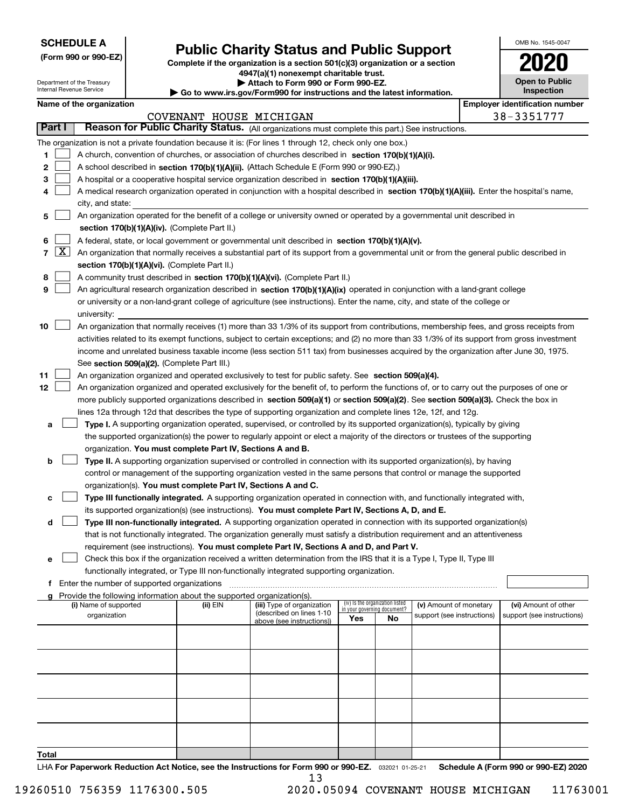| <b>SCHEDULE A</b> |
|-------------------|
|-------------------|

Department of the Treasury Internal Revenue Service

**(Form 990 or 990-EZ)**

# **Public Charity Status and Public Support**

**Complete if the organization is a section 501(c)(3) organization or a section 4947(a)(1) nonexempt charitable trust.**

**| Attach to Form 990 or Form 990-EZ.** 

**| Go to www.irs.gov/Form990 for instructions and the latest information.**

| OMB No. 1545-0047     |
|-----------------------|
| 2020                  |
| <b>Open to Public</b> |

**InspectionEmployer identification number** 

|       |        | name or the organization                                                                                                                     |                         |                                                       |                                                                |    |                            | <b>Employer identification number</b> |  |
|-------|--------|----------------------------------------------------------------------------------------------------------------------------------------------|-------------------------|-------------------------------------------------------|----------------------------------------------------------------|----|----------------------------|---------------------------------------|--|
|       |        |                                                                                                                                              | COVENANT HOUSE MICHIGAN |                                                       |                                                                |    |                            | 38-3351777                            |  |
|       | Part I | Reason for Public Charity Status. (All organizations must complete this part.) See instructions.                                             |                         |                                                       |                                                                |    |                            |                                       |  |
|       |        | The organization is not a private foundation because it is: (For lines 1 through 12, check only one box.)                                    |                         |                                                       |                                                                |    |                            |                                       |  |
| 1.    |        | A church, convention of churches, or association of churches described in section 170(b)(1)(A)(i).                                           |                         |                                                       |                                                                |    |                            |                                       |  |
| 2     |        | A school described in section 170(b)(1)(A)(ii). (Attach Schedule E (Form 990 or 990-EZ).)                                                    |                         |                                                       |                                                                |    |                            |                                       |  |
| 3     |        | A hospital or a cooperative hospital service organization described in section 170(b)(1)(A)(iii).                                            |                         |                                                       |                                                                |    |                            |                                       |  |
| 4     |        | A medical research organization operated in conjunction with a hospital described in section 170(b)(1)(A)(iii). Enter the hospital's name,   |                         |                                                       |                                                                |    |                            |                                       |  |
|       |        | city, and state:                                                                                                                             |                         |                                                       |                                                                |    |                            |                                       |  |
| 5     |        | An organization operated for the benefit of a college or university owned or operated by a governmental unit described in                    |                         |                                                       |                                                                |    |                            |                                       |  |
|       |        | section 170(b)(1)(A)(iv). (Complete Part II.)                                                                                                |                         |                                                       |                                                                |    |                            |                                       |  |
| 6     |        | A federal, state, or local government or governmental unit described in section 170(b)(1)(A)(v).                                             |                         |                                                       |                                                                |    |                            |                                       |  |
|       | 7   X  | An organization that normally receives a substantial part of its support from a governmental unit or from the general public described in    |                         |                                                       |                                                                |    |                            |                                       |  |
|       |        | section 170(b)(1)(A)(vi). (Complete Part II.)                                                                                                |                         |                                                       |                                                                |    |                            |                                       |  |
| 8     |        | A community trust described in section 170(b)(1)(A)(vi). (Complete Part II.)                                                                 |                         |                                                       |                                                                |    |                            |                                       |  |
| 9     |        | An agricultural research organization described in section 170(b)(1)(A)(ix) operated in conjunction with a land-grant college                |                         |                                                       |                                                                |    |                            |                                       |  |
|       |        | or university or a non-land-grant college of agriculture (see instructions). Enter the name, city, and state of the college or               |                         |                                                       |                                                                |    |                            |                                       |  |
|       |        | university:                                                                                                                                  |                         |                                                       |                                                                |    |                            |                                       |  |
|       |        |                                                                                                                                              |                         |                                                       |                                                                |    |                            |                                       |  |
| 10    |        | An organization that normally receives (1) more than 33 1/3% of its support from contributions, membership fees, and gross receipts from     |                         |                                                       |                                                                |    |                            |                                       |  |
|       |        | activities related to its exempt functions, subject to certain exceptions; and (2) no more than 33 1/3% of its support from gross investment |                         |                                                       |                                                                |    |                            |                                       |  |
|       |        | income and unrelated business taxable income (less section 511 tax) from businesses acquired by the organization after June 30, 1975.        |                         |                                                       |                                                                |    |                            |                                       |  |
|       |        | See section 509(a)(2). (Complete Part III.)                                                                                                  |                         |                                                       |                                                                |    |                            |                                       |  |
| 11    |        | An organization organized and operated exclusively to test for public safety. See section 509(a)(4).                                         |                         |                                                       |                                                                |    |                            |                                       |  |
| 12    |        | An organization organized and operated exclusively for the benefit of, to perform the functions of, or to carry out the purposes of one or   |                         |                                                       |                                                                |    |                            |                                       |  |
|       |        | more publicly supported organizations described in section 509(a)(1) or section 509(a)(2). See section 509(a)(3). Check the box in           |                         |                                                       |                                                                |    |                            |                                       |  |
|       |        | lines 12a through 12d that describes the type of supporting organization and complete lines 12e, 12f, and 12g.                               |                         |                                                       |                                                                |    |                            |                                       |  |
| a     |        | Type I. A supporting organization operated, supervised, or controlled by its supported organization(s), typically by giving                  |                         |                                                       |                                                                |    |                            |                                       |  |
|       |        | the supported organization(s) the power to regularly appoint or elect a majority of the directors or trustees of the supporting              |                         |                                                       |                                                                |    |                            |                                       |  |
|       |        | organization. You must complete Part IV, Sections A and B.                                                                                   |                         |                                                       |                                                                |    |                            |                                       |  |
| b     |        | Type II. A supporting organization supervised or controlled in connection with its supported organization(s), by having                      |                         |                                                       |                                                                |    |                            |                                       |  |
|       |        | control or management of the supporting organization vested in the same persons that control or manage the supported                         |                         |                                                       |                                                                |    |                            |                                       |  |
|       |        | organization(s). You must complete Part IV, Sections A and C.                                                                                |                         |                                                       |                                                                |    |                            |                                       |  |
| с     |        | Type III functionally integrated. A supporting organization operated in connection with, and functionally integrated with,                   |                         |                                                       |                                                                |    |                            |                                       |  |
|       |        | its supported organization(s) (see instructions). You must complete Part IV, Sections A, D, and E.                                           |                         |                                                       |                                                                |    |                            |                                       |  |
| d     |        | Type III non-functionally integrated. A supporting organization operated in connection with its supported organization(s)                    |                         |                                                       |                                                                |    |                            |                                       |  |
|       |        | that is not functionally integrated. The organization generally must satisfy a distribution requirement and an attentiveness                 |                         |                                                       |                                                                |    |                            |                                       |  |
|       |        | requirement (see instructions). You must complete Part IV, Sections A and D, and Part V.                                                     |                         |                                                       |                                                                |    |                            |                                       |  |
| е     |        | Check this box if the organization received a written determination from the IRS that it is a Type I, Type II, Type III                      |                         |                                                       |                                                                |    |                            |                                       |  |
|       |        | functionally integrated, or Type III non-functionally integrated supporting organization.                                                    |                         |                                                       |                                                                |    |                            |                                       |  |
|       |        | <b>f</b> Enter the number of supported organizations                                                                                         |                         |                                                       |                                                                |    |                            |                                       |  |
|       |        | Provide the following information about the supported organization(s).                                                                       |                         |                                                       |                                                                |    |                            |                                       |  |
|       |        | (i) Name of supported                                                                                                                        | (ii) EIN                | (iii) Type of organization                            | (iv) Is the organization listed<br>in your governing document? |    | (v) Amount of monetary     | (vi) Amount of other                  |  |
|       |        | organization                                                                                                                                 |                         | (described on lines 1-10<br>above (see instructions)) | Yes                                                            | No | support (see instructions) | support (see instructions)            |  |
|       |        |                                                                                                                                              |                         |                                                       |                                                                |    |                            |                                       |  |
|       |        |                                                                                                                                              |                         |                                                       |                                                                |    |                            |                                       |  |
|       |        |                                                                                                                                              |                         |                                                       |                                                                |    |                            |                                       |  |
|       |        |                                                                                                                                              |                         |                                                       |                                                                |    |                            |                                       |  |
|       |        |                                                                                                                                              |                         |                                                       |                                                                |    |                            |                                       |  |
|       |        |                                                                                                                                              |                         |                                                       |                                                                |    |                            |                                       |  |
|       |        |                                                                                                                                              |                         |                                                       |                                                                |    |                            |                                       |  |
|       |        |                                                                                                                                              |                         |                                                       |                                                                |    |                            |                                       |  |
|       |        |                                                                                                                                              |                         |                                                       |                                                                |    |                            |                                       |  |
|       |        |                                                                                                                                              |                         |                                                       |                                                                |    |                            |                                       |  |
|       |        |                                                                                                                                              |                         |                                                       |                                                                |    |                            |                                       |  |
| Total |        |                                                                                                                                              |                         |                                                       |                                                                |    |                            |                                       |  |

LHA For Paperwork Reduction Act Notice, see the Instructions for Form 990 or 990-EZ. <sub>032021</sub> o1-25-21 Schedule A (Form 990 or 990-EZ) 2020 13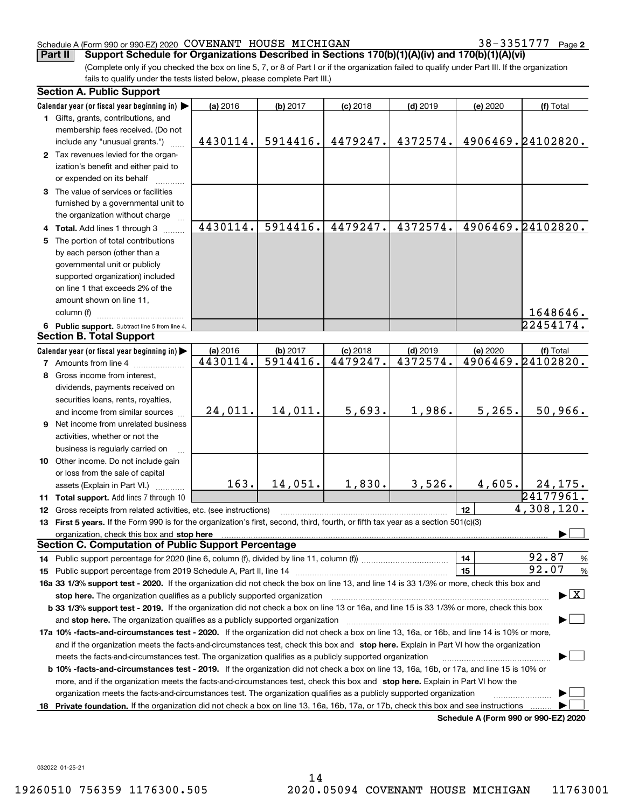38-3351777 Page 2

(Complete only if you checked the box on line 5, 7, or 8 of Part I or if the organization failed to qualify under Part III. If the organization fails to qualify under the tests listed below, please complete Part III.) **Part II Support Schedule for Organizations Described in Sections 170(b)(1)(A)(iv) and 170(b)(1)(A)(vi)**

| Calendar year (or fiscal year beginning in)<br>(a) 2016<br>$(d)$ 2019<br>(b) 2017<br>$(c)$ 2018<br>(e) 2020<br>1 Gifts, grants, contributions, and<br>membership fees received. (Do not<br>4906469.24102820.<br>5914416.<br>4479247.<br>4372574.<br>4430114.<br>include any "unusual grants.")<br>2 Tax revenues levied for the organ-<br>ization's benefit and either paid to<br>or expended on its behalf<br>3 The value of services or facilities<br>furnished by a governmental unit to<br>the organization without charge<br>4430114.<br>4906469.24102820.<br>5914416.<br>4479247.<br>4372574.<br>4 Total. Add lines 1 through 3<br>5 The portion of total contributions<br>by each person (other than a<br>governmental unit or publicly<br>supported organization) included<br>on line 1 that exceeds 2% of the<br>amount shown on line 11,<br>column (f)<br>6 Public support. Subtract line 5 from line 4.<br>Calendar year (or fiscal year beginning in)<br>(b) 2017<br>$(c)$ 2018<br>$(d)$ 2019<br>(e) 2020<br>(a) 2016<br>4906469.24102820.<br>4430114.<br>5914416.<br>4479247.<br>4372574.<br><b>7</b> Amounts from line 4<br>8 Gross income from interest,<br>dividends, payments received on<br>securities loans, rents, royalties,<br>14,011.<br>5,693.<br>1,986.<br>5, 265.<br>24,011.<br>and income from similar sources<br>9 Net income from unrelated business<br>activities, whether or not the<br>business is regularly carried on<br>10 Other income. Do not include gain<br>or loss from the sale of capital<br>14,051.<br>1,830.<br>3,526.<br>163.<br>4,605.<br>assets (Explain in Part VI.)<br>11 Total support. Add lines 7 through 10<br>12<br>12 Gross receipts from related activities, etc. (see instructions)<br>13 First 5 years. If the Form 990 is for the organization's first, second, third, fourth, or fifth tax year as a section 501(c)(3)<br>organization, check this box and stop here<br><b>Section C. Computation of Public Support Percentage</b><br>14<br>15<br>16a 33 1/3% support test - 2020. If the organization did not check the box on line 13, and line 14 is 33 1/3% or more, check this box and<br>stop here. The organization qualifies as a publicly supported organization<br>b 33 1/3% support test - 2019. If the organization did not check a box on line 13 or 16a, and line 15 is 33 1/3% or more, check this box<br>and stop here. The organization qualifies as a publicly supported organization<br>17a 10% -facts-and-circumstances test - 2020. If the organization did not check a box on line 13, 16a, or 16b, and line 14 is 10% or more,<br>and if the organization meets the facts-and-circumstances test, check this box and stop here. Explain in Part VI how the organization |                                 |  |  |  |  |  |  |  |  |
|------------------------------------------------------------------------------------------------------------------------------------------------------------------------------------------------------------------------------------------------------------------------------------------------------------------------------------------------------------------------------------------------------------------------------------------------------------------------------------------------------------------------------------------------------------------------------------------------------------------------------------------------------------------------------------------------------------------------------------------------------------------------------------------------------------------------------------------------------------------------------------------------------------------------------------------------------------------------------------------------------------------------------------------------------------------------------------------------------------------------------------------------------------------------------------------------------------------------------------------------------------------------------------------------------------------------------------------------------------------------------------------------------------------------------------------------------------------------------------------------------------------------------------------------------------------------------------------------------------------------------------------------------------------------------------------------------------------------------------------------------------------------------------------------------------------------------------------------------------------------------------------------------------------------------------------------------------------------------------------------------------------------------------------------------------------------------------------------------------------------------------------------------------------------------------------------------------------------------------------------------------------------------------------------------------------------------------------------------------------------------------------------------------------------------------------------------------------------------------------------------------------------------------------------------------------------------------------------------------------------------------------------------------------------------------------------------------------------------------------------------------|---------------------------------|--|--|--|--|--|--|--|--|
|                                                                                                                                                                                                                                                                                                                                                                                                                                                                                                                                                                                                                                                                                                                                                                                                                                                                                                                                                                                                                                                                                                                                                                                                                                                                                                                                                                                                                                                                                                                                                                                                                                                                                                                                                                                                                                                                                                                                                                                                                                                                                                                                                                                                                                                                                                                                                                                                                                                                                                                                                                                                                                                                                                                                                            | (f) Total                       |  |  |  |  |  |  |  |  |
| <b>Section B. Total Support</b>                                                                                                                                                                                                                                                                                                                                                                                                                                                                                                                                                                                                                                                                                                                                                                                                                                                                                                                                                                                                                                                                                                                                                                                                                                                                                                                                                                                                                                                                                                                                                                                                                                                                                                                                                                                                                                                                                                                                                                                                                                                                                                                                                                                                                                                                                                                                                                                                                                                                                                                                                                                                                                                                                                                            |                                 |  |  |  |  |  |  |  |  |
|                                                                                                                                                                                                                                                                                                                                                                                                                                                                                                                                                                                                                                                                                                                                                                                                                                                                                                                                                                                                                                                                                                                                                                                                                                                                                                                                                                                                                                                                                                                                                                                                                                                                                                                                                                                                                                                                                                                                                                                                                                                                                                                                                                                                                                                                                                                                                                                                                                                                                                                                                                                                                                                                                                                                                            |                                 |  |  |  |  |  |  |  |  |
|                                                                                                                                                                                                                                                                                                                                                                                                                                                                                                                                                                                                                                                                                                                                                                                                                                                                                                                                                                                                                                                                                                                                                                                                                                                                                                                                                                                                                                                                                                                                                                                                                                                                                                                                                                                                                                                                                                                                                                                                                                                                                                                                                                                                                                                                                                                                                                                                                                                                                                                                                                                                                                                                                                                                                            |                                 |  |  |  |  |  |  |  |  |
|                                                                                                                                                                                                                                                                                                                                                                                                                                                                                                                                                                                                                                                                                                                                                                                                                                                                                                                                                                                                                                                                                                                                                                                                                                                                                                                                                                                                                                                                                                                                                                                                                                                                                                                                                                                                                                                                                                                                                                                                                                                                                                                                                                                                                                                                                                                                                                                                                                                                                                                                                                                                                                                                                                                                                            |                                 |  |  |  |  |  |  |  |  |
|                                                                                                                                                                                                                                                                                                                                                                                                                                                                                                                                                                                                                                                                                                                                                                                                                                                                                                                                                                                                                                                                                                                                                                                                                                                                                                                                                                                                                                                                                                                                                                                                                                                                                                                                                                                                                                                                                                                                                                                                                                                                                                                                                                                                                                                                                                                                                                                                                                                                                                                                                                                                                                                                                                                                                            |                                 |  |  |  |  |  |  |  |  |
|                                                                                                                                                                                                                                                                                                                                                                                                                                                                                                                                                                                                                                                                                                                                                                                                                                                                                                                                                                                                                                                                                                                                                                                                                                                                                                                                                                                                                                                                                                                                                                                                                                                                                                                                                                                                                                                                                                                                                                                                                                                                                                                                                                                                                                                                                                                                                                                                                                                                                                                                                                                                                                                                                                                                                            |                                 |  |  |  |  |  |  |  |  |
|                                                                                                                                                                                                                                                                                                                                                                                                                                                                                                                                                                                                                                                                                                                                                                                                                                                                                                                                                                                                                                                                                                                                                                                                                                                                                                                                                                                                                                                                                                                                                                                                                                                                                                                                                                                                                                                                                                                                                                                                                                                                                                                                                                                                                                                                                                                                                                                                                                                                                                                                                                                                                                                                                                                                                            |                                 |  |  |  |  |  |  |  |  |
|                                                                                                                                                                                                                                                                                                                                                                                                                                                                                                                                                                                                                                                                                                                                                                                                                                                                                                                                                                                                                                                                                                                                                                                                                                                                                                                                                                                                                                                                                                                                                                                                                                                                                                                                                                                                                                                                                                                                                                                                                                                                                                                                                                                                                                                                                                                                                                                                                                                                                                                                                                                                                                                                                                                                                            |                                 |  |  |  |  |  |  |  |  |
|                                                                                                                                                                                                                                                                                                                                                                                                                                                                                                                                                                                                                                                                                                                                                                                                                                                                                                                                                                                                                                                                                                                                                                                                                                                                                                                                                                                                                                                                                                                                                                                                                                                                                                                                                                                                                                                                                                                                                                                                                                                                                                                                                                                                                                                                                                                                                                                                                                                                                                                                                                                                                                                                                                                                                            |                                 |  |  |  |  |  |  |  |  |
|                                                                                                                                                                                                                                                                                                                                                                                                                                                                                                                                                                                                                                                                                                                                                                                                                                                                                                                                                                                                                                                                                                                                                                                                                                                                                                                                                                                                                                                                                                                                                                                                                                                                                                                                                                                                                                                                                                                                                                                                                                                                                                                                                                                                                                                                                                                                                                                                                                                                                                                                                                                                                                                                                                                                                            |                                 |  |  |  |  |  |  |  |  |
|                                                                                                                                                                                                                                                                                                                                                                                                                                                                                                                                                                                                                                                                                                                                                                                                                                                                                                                                                                                                                                                                                                                                                                                                                                                                                                                                                                                                                                                                                                                                                                                                                                                                                                                                                                                                                                                                                                                                                                                                                                                                                                                                                                                                                                                                                                                                                                                                                                                                                                                                                                                                                                                                                                                                                            |                                 |  |  |  |  |  |  |  |  |
|                                                                                                                                                                                                                                                                                                                                                                                                                                                                                                                                                                                                                                                                                                                                                                                                                                                                                                                                                                                                                                                                                                                                                                                                                                                                                                                                                                                                                                                                                                                                                                                                                                                                                                                                                                                                                                                                                                                                                                                                                                                                                                                                                                                                                                                                                                                                                                                                                                                                                                                                                                                                                                                                                                                                                            |                                 |  |  |  |  |  |  |  |  |
|                                                                                                                                                                                                                                                                                                                                                                                                                                                                                                                                                                                                                                                                                                                                                                                                                                                                                                                                                                                                                                                                                                                                                                                                                                                                                                                                                                                                                                                                                                                                                                                                                                                                                                                                                                                                                                                                                                                                                                                                                                                                                                                                                                                                                                                                                                                                                                                                                                                                                                                                                                                                                                                                                                                                                            |                                 |  |  |  |  |  |  |  |  |
|                                                                                                                                                                                                                                                                                                                                                                                                                                                                                                                                                                                                                                                                                                                                                                                                                                                                                                                                                                                                                                                                                                                                                                                                                                                                                                                                                                                                                                                                                                                                                                                                                                                                                                                                                                                                                                                                                                                                                                                                                                                                                                                                                                                                                                                                                                                                                                                                                                                                                                                                                                                                                                                                                                                                                            |                                 |  |  |  |  |  |  |  |  |
|                                                                                                                                                                                                                                                                                                                                                                                                                                                                                                                                                                                                                                                                                                                                                                                                                                                                                                                                                                                                                                                                                                                                                                                                                                                                                                                                                                                                                                                                                                                                                                                                                                                                                                                                                                                                                                                                                                                                                                                                                                                                                                                                                                                                                                                                                                                                                                                                                                                                                                                                                                                                                                                                                                                                                            | 1648646.                        |  |  |  |  |  |  |  |  |
|                                                                                                                                                                                                                                                                                                                                                                                                                                                                                                                                                                                                                                                                                                                                                                                                                                                                                                                                                                                                                                                                                                                                                                                                                                                                                                                                                                                                                                                                                                                                                                                                                                                                                                                                                                                                                                                                                                                                                                                                                                                                                                                                                                                                                                                                                                                                                                                                                                                                                                                                                                                                                                                                                                                                                            | 22454174.                       |  |  |  |  |  |  |  |  |
|                                                                                                                                                                                                                                                                                                                                                                                                                                                                                                                                                                                                                                                                                                                                                                                                                                                                                                                                                                                                                                                                                                                                                                                                                                                                                                                                                                                                                                                                                                                                                                                                                                                                                                                                                                                                                                                                                                                                                                                                                                                                                                                                                                                                                                                                                                                                                                                                                                                                                                                                                                                                                                                                                                                                                            |                                 |  |  |  |  |  |  |  |  |
|                                                                                                                                                                                                                                                                                                                                                                                                                                                                                                                                                                                                                                                                                                                                                                                                                                                                                                                                                                                                                                                                                                                                                                                                                                                                                                                                                                                                                                                                                                                                                                                                                                                                                                                                                                                                                                                                                                                                                                                                                                                                                                                                                                                                                                                                                                                                                                                                                                                                                                                                                                                                                                                                                                                                                            | (f) Total                       |  |  |  |  |  |  |  |  |
|                                                                                                                                                                                                                                                                                                                                                                                                                                                                                                                                                                                                                                                                                                                                                                                                                                                                                                                                                                                                                                                                                                                                                                                                                                                                                                                                                                                                                                                                                                                                                                                                                                                                                                                                                                                                                                                                                                                                                                                                                                                                                                                                                                                                                                                                                                                                                                                                                                                                                                                                                                                                                                                                                                                                                            |                                 |  |  |  |  |  |  |  |  |
|                                                                                                                                                                                                                                                                                                                                                                                                                                                                                                                                                                                                                                                                                                                                                                                                                                                                                                                                                                                                                                                                                                                                                                                                                                                                                                                                                                                                                                                                                                                                                                                                                                                                                                                                                                                                                                                                                                                                                                                                                                                                                                                                                                                                                                                                                                                                                                                                                                                                                                                                                                                                                                                                                                                                                            |                                 |  |  |  |  |  |  |  |  |
|                                                                                                                                                                                                                                                                                                                                                                                                                                                                                                                                                                                                                                                                                                                                                                                                                                                                                                                                                                                                                                                                                                                                                                                                                                                                                                                                                                                                                                                                                                                                                                                                                                                                                                                                                                                                                                                                                                                                                                                                                                                                                                                                                                                                                                                                                                                                                                                                                                                                                                                                                                                                                                                                                                                                                            |                                 |  |  |  |  |  |  |  |  |
|                                                                                                                                                                                                                                                                                                                                                                                                                                                                                                                                                                                                                                                                                                                                                                                                                                                                                                                                                                                                                                                                                                                                                                                                                                                                                                                                                                                                                                                                                                                                                                                                                                                                                                                                                                                                                                                                                                                                                                                                                                                                                                                                                                                                                                                                                                                                                                                                                                                                                                                                                                                                                                                                                                                                                            |                                 |  |  |  |  |  |  |  |  |
|                                                                                                                                                                                                                                                                                                                                                                                                                                                                                                                                                                                                                                                                                                                                                                                                                                                                                                                                                                                                                                                                                                                                                                                                                                                                                                                                                                                                                                                                                                                                                                                                                                                                                                                                                                                                                                                                                                                                                                                                                                                                                                                                                                                                                                                                                                                                                                                                                                                                                                                                                                                                                                                                                                                                                            | 50,966.                         |  |  |  |  |  |  |  |  |
|                                                                                                                                                                                                                                                                                                                                                                                                                                                                                                                                                                                                                                                                                                                                                                                                                                                                                                                                                                                                                                                                                                                                                                                                                                                                                                                                                                                                                                                                                                                                                                                                                                                                                                                                                                                                                                                                                                                                                                                                                                                                                                                                                                                                                                                                                                                                                                                                                                                                                                                                                                                                                                                                                                                                                            |                                 |  |  |  |  |  |  |  |  |
|                                                                                                                                                                                                                                                                                                                                                                                                                                                                                                                                                                                                                                                                                                                                                                                                                                                                                                                                                                                                                                                                                                                                                                                                                                                                                                                                                                                                                                                                                                                                                                                                                                                                                                                                                                                                                                                                                                                                                                                                                                                                                                                                                                                                                                                                                                                                                                                                                                                                                                                                                                                                                                                                                                                                                            |                                 |  |  |  |  |  |  |  |  |
|                                                                                                                                                                                                                                                                                                                                                                                                                                                                                                                                                                                                                                                                                                                                                                                                                                                                                                                                                                                                                                                                                                                                                                                                                                                                                                                                                                                                                                                                                                                                                                                                                                                                                                                                                                                                                                                                                                                                                                                                                                                                                                                                                                                                                                                                                                                                                                                                                                                                                                                                                                                                                                                                                                                                                            |                                 |  |  |  |  |  |  |  |  |
|                                                                                                                                                                                                                                                                                                                                                                                                                                                                                                                                                                                                                                                                                                                                                                                                                                                                                                                                                                                                                                                                                                                                                                                                                                                                                                                                                                                                                                                                                                                                                                                                                                                                                                                                                                                                                                                                                                                                                                                                                                                                                                                                                                                                                                                                                                                                                                                                                                                                                                                                                                                                                                                                                                                                                            |                                 |  |  |  |  |  |  |  |  |
|                                                                                                                                                                                                                                                                                                                                                                                                                                                                                                                                                                                                                                                                                                                                                                                                                                                                                                                                                                                                                                                                                                                                                                                                                                                                                                                                                                                                                                                                                                                                                                                                                                                                                                                                                                                                                                                                                                                                                                                                                                                                                                                                                                                                                                                                                                                                                                                                                                                                                                                                                                                                                                                                                                                                                            |                                 |  |  |  |  |  |  |  |  |
|                                                                                                                                                                                                                                                                                                                                                                                                                                                                                                                                                                                                                                                                                                                                                                                                                                                                                                                                                                                                                                                                                                                                                                                                                                                                                                                                                                                                                                                                                                                                                                                                                                                                                                                                                                                                                                                                                                                                                                                                                                                                                                                                                                                                                                                                                                                                                                                                                                                                                                                                                                                                                                                                                                                                                            | 24,175.                         |  |  |  |  |  |  |  |  |
|                                                                                                                                                                                                                                                                                                                                                                                                                                                                                                                                                                                                                                                                                                                                                                                                                                                                                                                                                                                                                                                                                                                                                                                                                                                                                                                                                                                                                                                                                                                                                                                                                                                                                                                                                                                                                                                                                                                                                                                                                                                                                                                                                                                                                                                                                                                                                                                                                                                                                                                                                                                                                                                                                                                                                            | 24177961.                       |  |  |  |  |  |  |  |  |
|                                                                                                                                                                                                                                                                                                                                                                                                                                                                                                                                                                                                                                                                                                                                                                                                                                                                                                                                                                                                                                                                                                                                                                                                                                                                                                                                                                                                                                                                                                                                                                                                                                                                                                                                                                                                                                                                                                                                                                                                                                                                                                                                                                                                                                                                                                                                                                                                                                                                                                                                                                                                                                                                                                                                                            | 4,308,120.                      |  |  |  |  |  |  |  |  |
|                                                                                                                                                                                                                                                                                                                                                                                                                                                                                                                                                                                                                                                                                                                                                                                                                                                                                                                                                                                                                                                                                                                                                                                                                                                                                                                                                                                                                                                                                                                                                                                                                                                                                                                                                                                                                                                                                                                                                                                                                                                                                                                                                                                                                                                                                                                                                                                                                                                                                                                                                                                                                                                                                                                                                            |                                 |  |  |  |  |  |  |  |  |
|                                                                                                                                                                                                                                                                                                                                                                                                                                                                                                                                                                                                                                                                                                                                                                                                                                                                                                                                                                                                                                                                                                                                                                                                                                                                                                                                                                                                                                                                                                                                                                                                                                                                                                                                                                                                                                                                                                                                                                                                                                                                                                                                                                                                                                                                                                                                                                                                                                                                                                                                                                                                                                                                                                                                                            |                                 |  |  |  |  |  |  |  |  |
|                                                                                                                                                                                                                                                                                                                                                                                                                                                                                                                                                                                                                                                                                                                                                                                                                                                                                                                                                                                                                                                                                                                                                                                                                                                                                                                                                                                                                                                                                                                                                                                                                                                                                                                                                                                                                                                                                                                                                                                                                                                                                                                                                                                                                                                                                                                                                                                                                                                                                                                                                                                                                                                                                                                                                            |                                 |  |  |  |  |  |  |  |  |
|                                                                                                                                                                                                                                                                                                                                                                                                                                                                                                                                                                                                                                                                                                                                                                                                                                                                                                                                                                                                                                                                                                                                                                                                                                                                                                                                                                                                                                                                                                                                                                                                                                                                                                                                                                                                                                                                                                                                                                                                                                                                                                                                                                                                                                                                                                                                                                                                                                                                                                                                                                                                                                                                                                                                                            | 92.87<br>$\frac{9}{6}$<br>92.07 |  |  |  |  |  |  |  |  |
|                                                                                                                                                                                                                                                                                                                                                                                                                                                                                                                                                                                                                                                                                                                                                                                                                                                                                                                                                                                                                                                                                                                                                                                                                                                                                                                                                                                                                                                                                                                                                                                                                                                                                                                                                                                                                                                                                                                                                                                                                                                                                                                                                                                                                                                                                                                                                                                                                                                                                                                                                                                                                                                                                                                                                            | %                               |  |  |  |  |  |  |  |  |
|                                                                                                                                                                                                                                                                                                                                                                                                                                                                                                                                                                                                                                                                                                                                                                                                                                                                                                                                                                                                                                                                                                                                                                                                                                                                                                                                                                                                                                                                                                                                                                                                                                                                                                                                                                                                                                                                                                                                                                                                                                                                                                                                                                                                                                                                                                                                                                                                                                                                                                                                                                                                                                                                                                                                                            |                                 |  |  |  |  |  |  |  |  |
|                                                                                                                                                                                                                                                                                                                                                                                                                                                                                                                                                                                                                                                                                                                                                                                                                                                                                                                                                                                                                                                                                                                                                                                                                                                                                                                                                                                                                                                                                                                                                                                                                                                                                                                                                                                                                                                                                                                                                                                                                                                                                                                                                                                                                                                                                                                                                                                                                                                                                                                                                                                                                                                                                                                                                            | $\blacktriangleright$ $\vert$ X |  |  |  |  |  |  |  |  |
|                                                                                                                                                                                                                                                                                                                                                                                                                                                                                                                                                                                                                                                                                                                                                                                                                                                                                                                                                                                                                                                                                                                                                                                                                                                                                                                                                                                                                                                                                                                                                                                                                                                                                                                                                                                                                                                                                                                                                                                                                                                                                                                                                                                                                                                                                                                                                                                                                                                                                                                                                                                                                                                                                                                                                            |                                 |  |  |  |  |  |  |  |  |
|                                                                                                                                                                                                                                                                                                                                                                                                                                                                                                                                                                                                                                                                                                                                                                                                                                                                                                                                                                                                                                                                                                                                                                                                                                                                                                                                                                                                                                                                                                                                                                                                                                                                                                                                                                                                                                                                                                                                                                                                                                                                                                                                                                                                                                                                                                                                                                                                                                                                                                                                                                                                                                                                                                                                                            |                                 |  |  |  |  |  |  |  |  |
|                                                                                                                                                                                                                                                                                                                                                                                                                                                                                                                                                                                                                                                                                                                                                                                                                                                                                                                                                                                                                                                                                                                                                                                                                                                                                                                                                                                                                                                                                                                                                                                                                                                                                                                                                                                                                                                                                                                                                                                                                                                                                                                                                                                                                                                                                                                                                                                                                                                                                                                                                                                                                                                                                                                                                            |                                 |  |  |  |  |  |  |  |  |
|                                                                                                                                                                                                                                                                                                                                                                                                                                                                                                                                                                                                                                                                                                                                                                                                                                                                                                                                                                                                                                                                                                                                                                                                                                                                                                                                                                                                                                                                                                                                                                                                                                                                                                                                                                                                                                                                                                                                                                                                                                                                                                                                                                                                                                                                                                                                                                                                                                                                                                                                                                                                                                                                                                                                                            |                                 |  |  |  |  |  |  |  |  |
| meets the facts-and-circumstances test. The organization qualifies as a publicly supported organization                                                                                                                                                                                                                                                                                                                                                                                                                                                                                                                                                                                                                                                                                                                                                                                                                                                                                                                                                                                                                                                                                                                                                                                                                                                                                                                                                                                                                                                                                                                                                                                                                                                                                                                                                                                                                                                                                                                                                                                                                                                                                                                                                                                                                                                                                                                                                                                                                                                                                                                                                                                                                                                    |                                 |  |  |  |  |  |  |  |  |
| <b>b 10% -facts-and-circumstances test - 2019.</b> If the organization did not check a box on line 13, 16a, 16b, or 17a, and line 15 is 10% or                                                                                                                                                                                                                                                                                                                                                                                                                                                                                                                                                                                                                                                                                                                                                                                                                                                                                                                                                                                                                                                                                                                                                                                                                                                                                                                                                                                                                                                                                                                                                                                                                                                                                                                                                                                                                                                                                                                                                                                                                                                                                                                                                                                                                                                                                                                                                                                                                                                                                                                                                                                                             |                                 |  |  |  |  |  |  |  |  |
| more, and if the organization meets the facts-and-circumstances test, check this box and stop here. Explain in Part VI how the                                                                                                                                                                                                                                                                                                                                                                                                                                                                                                                                                                                                                                                                                                                                                                                                                                                                                                                                                                                                                                                                                                                                                                                                                                                                                                                                                                                                                                                                                                                                                                                                                                                                                                                                                                                                                                                                                                                                                                                                                                                                                                                                                                                                                                                                                                                                                                                                                                                                                                                                                                                                                             |                                 |  |  |  |  |  |  |  |  |
| organization meets the facts-and-circumstances test. The organization qualifies as a publicly supported organization<br>Private foundation. If the organization did not check a box on line 13, 16a, 16b, 17a, or 17b, check this box and see instructions<br>18                                                                                                                                                                                                                                                                                                                                                                                                                                                                                                                                                                                                                                                                                                                                                                                                                                                                                                                                                                                                                                                                                                                                                                                                                                                                                                                                                                                                                                                                                                                                                                                                                                                                                                                                                                                                                                                                                                                                                                                                                                                                                                                                                                                                                                                                                                                                                                                                                                                                                           |                                 |  |  |  |  |  |  |  |  |
| Schedule A (Form 990 or 990-EZ) 2020                                                                                                                                                                                                                                                                                                                                                                                                                                                                                                                                                                                                                                                                                                                                                                                                                                                                                                                                                                                                                                                                                                                                                                                                                                                                                                                                                                                                                                                                                                                                                                                                                                                                                                                                                                                                                                                                                                                                                                                                                                                                                                                                                                                                                                                                                                                                                                                                                                                                                                                                                                                                                                                                                                                       |                                 |  |  |  |  |  |  |  |  |

032022 01-25-21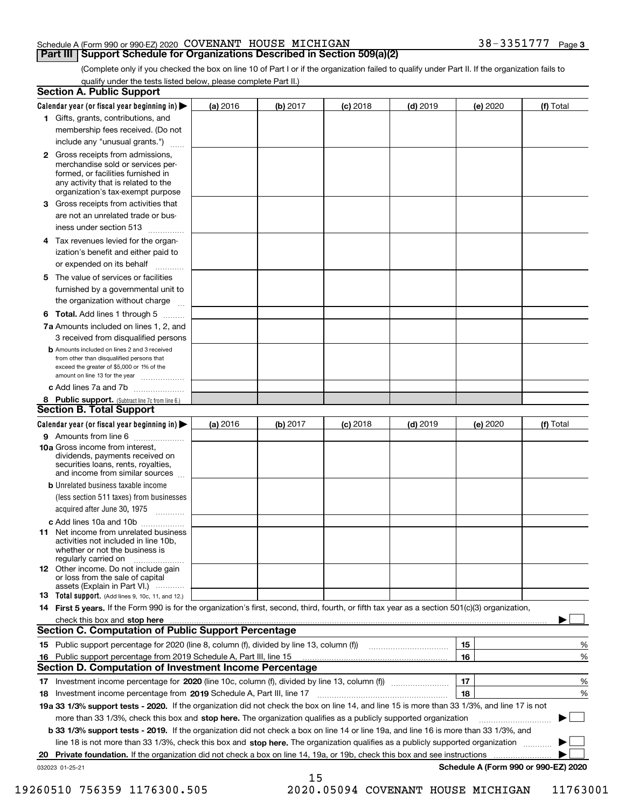(Complete only if you checked the box on line 10 of Part I or if the organization failed to qualify under Part II. If the organization fails to qualify under the tests listed below, please complete Part II.)

| <b>Section A. Public Support</b>                                                                                                                                                                                                                                                             |          |          |            |            |          |                                      |
|----------------------------------------------------------------------------------------------------------------------------------------------------------------------------------------------------------------------------------------------------------------------------------------------|----------|----------|------------|------------|----------|--------------------------------------|
| Calendar year (or fiscal year beginning in) $\blacktriangleright$                                                                                                                                                                                                                            | (a) 2016 | (b) 2017 | $(c)$ 2018 | $(d)$ 2019 | (e) 2020 | (f) Total                            |
| 1 Gifts, grants, contributions, and                                                                                                                                                                                                                                                          |          |          |            |            |          |                                      |
| membership fees received. (Do not                                                                                                                                                                                                                                                            |          |          |            |            |          |                                      |
| include any "unusual grants.")                                                                                                                                                                                                                                                               |          |          |            |            |          |                                      |
| 2 Gross receipts from admissions,<br>merchandise sold or services per-<br>formed, or facilities furnished in<br>any activity that is related to the<br>organization's tax-exempt purpose                                                                                                     |          |          |            |            |          |                                      |
| 3 Gross receipts from activities that                                                                                                                                                                                                                                                        |          |          |            |            |          |                                      |
| are not an unrelated trade or bus-                                                                                                                                                                                                                                                           |          |          |            |            |          |                                      |
| iness under section 513                                                                                                                                                                                                                                                                      |          |          |            |            |          |                                      |
| 4 Tax revenues levied for the organ-<br>ization's benefit and either paid to                                                                                                                                                                                                                 |          |          |            |            |          |                                      |
| or expended on its behalf<br>.                                                                                                                                                                                                                                                               |          |          |            |            |          |                                      |
| 5 The value of services or facilities                                                                                                                                                                                                                                                        |          |          |            |            |          |                                      |
| furnished by a governmental unit to                                                                                                                                                                                                                                                          |          |          |            |            |          |                                      |
| the organization without charge                                                                                                                                                                                                                                                              |          |          |            |            |          |                                      |
| <b>6 Total.</b> Add lines 1 through 5                                                                                                                                                                                                                                                        |          |          |            |            |          |                                      |
| 7a Amounts included on lines 1, 2, and<br>3 received from disqualified persons                                                                                                                                                                                                               |          |          |            |            |          |                                      |
| <b>b</b> Amounts included on lines 2 and 3 received<br>from other than disqualified persons that<br>exceed the greater of \$5,000 or 1% of the<br>amount on line 13 for the year                                                                                                             |          |          |            |            |          |                                      |
| c Add lines 7a and 7b                                                                                                                                                                                                                                                                        |          |          |            |            |          |                                      |
| 8 Public support. (Subtract line 7c from line 6.)<br><b>Section B. Total Support</b>                                                                                                                                                                                                         |          |          |            |            |          |                                      |
| Calendar year (or fiscal year beginning in)                                                                                                                                                                                                                                                  | (a) 2016 | (b) 2017 | $(c)$ 2018 | $(d)$ 2019 | (e) 2020 | (f) Total                            |
| 9 Amounts from line 6                                                                                                                                                                                                                                                                        |          |          |            |            |          |                                      |
| 10a Gross income from interest,<br>dividends, payments received on<br>securities loans, rents, royalties,<br>and income from similar sources                                                                                                                                                 |          |          |            |            |          |                                      |
| <b>b</b> Unrelated business taxable income                                                                                                                                                                                                                                                   |          |          |            |            |          |                                      |
| (less section 511 taxes) from businesses                                                                                                                                                                                                                                                     |          |          |            |            |          |                                      |
| acquired after June 30, 1975                                                                                                                                                                                                                                                                 |          |          |            |            |          |                                      |
| c Add lines 10a and 10b                                                                                                                                                                                                                                                                      |          |          |            |            |          |                                      |
| <b>11</b> Net income from unrelated business<br>activities not included in line 10b,<br>whether or not the business is<br>regularly carried on                                                                                                                                               |          |          |            |            |          |                                      |
| 12 Other income. Do not include gain<br>or loss from the sale of capital<br>assets (Explain in Part VI.)                                                                                                                                                                                     |          |          |            |            |          |                                      |
| <b>13 Total support.</b> (Add lines 9, 10c, 11, and 12.)                                                                                                                                                                                                                                     |          |          |            |            |          |                                      |
| 14 First 5 years. If the Form 990 is for the organization's first, second, third, fourth, or fifth tax year as a section 501(c)(3) organization,                                                                                                                                             |          |          |            |            |          |                                      |
| check this box and stop here measurements and stop here are constructed and state and stop here are constructed and stop here are constructed and stop here are constructed and stop here are constructed and stop here are co<br><b>Section C. Computation of Public Support Percentage</b> |          |          |            |            |          |                                      |
|                                                                                                                                                                                                                                                                                              |          |          |            |            | 15       | %                                    |
| 16 Public support percentage from 2019 Schedule A, Part III, line 15                                                                                                                                                                                                                         |          |          |            |            | 16       | %                                    |
| <b>Section D. Computation of Investment Income Percentage</b>                                                                                                                                                                                                                                |          |          |            |            |          |                                      |
| 17 Investment income percentage for 2020 (line 10c, column (f), divided by line 13, column (f))                                                                                                                                                                                              |          |          |            |            | 17       | %                                    |
| 18 Investment income percentage from 2019 Schedule A, Part III, line 17                                                                                                                                                                                                                      |          |          |            |            | 18       | %                                    |
| 19a 33 1/3% support tests - 2020. If the organization did not check the box on line 14, and line 15 is more than 33 1/3%, and line 17 is not                                                                                                                                                 |          |          |            |            |          |                                      |
| more than 33 1/3%, check this box and stop here. The organization qualifies as a publicly supported organization                                                                                                                                                                             |          |          |            |            |          | ▶                                    |
| b 33 1/3% support tests - 2019. If the organization did not check a box on line 14 or line 19a, and line 16 is more than 33 1/3%, and                                                                                                                                                        |          |          |            |            |          |                                      |
| line 18 is not more than 33 1/3%, check this box and stop here. The organization qualifies as a publicly supported organization                                                                                                                                                              |          |          |            |            |          |                                      |
| 20 Private foundation. If the organization did not check a box on line 14, 19a, or 19b, check this box and see instructions                                                                                                                                                                  |          |          |            |            |          |                                      |
| 032023 01-25-21                                                                                                                                                                                                                                                                              |          | 15       |            |            |          | Schedule A (Form 990 or 990-EZ) 2020 |

 <sup>19260510 756359 1176300.505 2020.05094</sup> COVENANT HOUSE MICHIGAN 11763001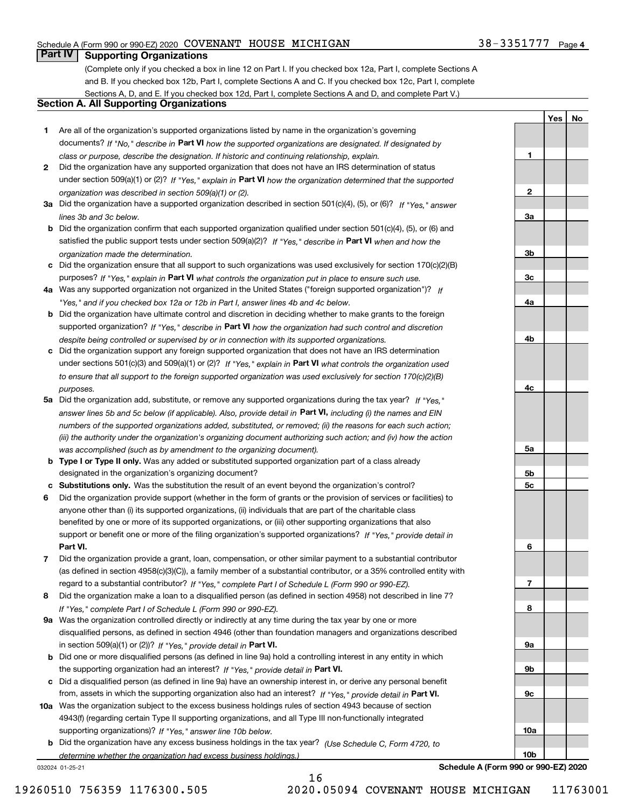## 38-3351777 Page 4

**1**

**2**

**3a**

**3b**

**3c**

**4a**

**4b**

**4c**

**5a**

**5b5c**

**6**

**7**

**8**

**9a**

**9b**

**9c**

**10a**

**10b**

**YesNo**

# **Part IV Supporting Organizations**

(Complete only if you checked a box in line 12 on Part I. If you checked box 12a, Part I, complete Sections A and B. If you checked box 12b, Part I, complete Sections A and C. If you checked box 12c, Part I, complete Sections A, D, and E. If you checked box 12d, Part I, complete Sections A and D, and complete Part V.)

## **Section A. All Supporting Organizations**

- **1** Are all of the organization's supported organizations listed by name in the organization's governing documents? If "No," describe in **Part VI** how the supported organizations are designated. If designated by *class or purpose, describe the designation. If historic and continuing relationship, explain.*
- **2** Did the organization have any supported organization that does not have an IRS determination of status under section 509(a)(1) or (2)? If "Yes," explain in Part VI how the organization determined that the supported *organization was described in section 509(a)(1) or (2).*
- **3a** Did the organization have a supported organization described in section 501(c)(4), (5), or (6)? If "Yes," answer *lines 3b and 3c below.*
- **b** Did the organization confirm that each supported organization qualified under section 501(c)(4), (5), or (6) and satisfied the public support tests under section 509(a)(2)? If "Yes," describe in **Part VI** when and how the *organization made the determination.*
- **c**Did the organization ensure that all support to such organizations was used exclusively for section 170(c)(2)(B) purposes? If "Yes," explain in **Part VI** what controls the organization put in place to ensure such use.
- **4a***If* Was any supported organization not organized in the United States ("foreign supported organization")? *"Yes," and if you checked box 12a or 12b in Part I, answer lines 4b and 4c below.*
- **b** Did the organization have ultimate control and discretion in deciding whether to make grants to the foreign supported organization? If "Yes," describe in **Part VI** how the organization had such control and discretion *despite being controlled or supervised by or in connection with its supported organizations.*
- **c** Did the organization support any foreign supported organization that does not have an IRS determination under sections 501(c)(3) and 509(a)(1) or (2)? If "Yes," explain in **Part VI** what controls the organization used *to ensure that all support to the foreign supported organization was used exclusively for section 170(c)(2)(B) purposes.*
- **5a** Did the organization add, substitute, or remove any supported organizations during the tax year? If "Yes," answer lines 5b and 5c below (if applicable). Also, provide detail in **Part VI,** including (i) the names and EIN *numbers of the supported organizations added, substituted, or removed; (ii) the reasons for each such action; (iii) the authority under the organization's organizing document authorizing such action; and (iv) how the action was accomplished (such as by amendment to the organizing document).*
- **b** Type I or Type II only. Was any added or substituted supported organization part of a class already designated in the organization's organizing document?
- **cSubstitutions only.**  Was the substitution the result of an event beyond the organization's control?
- **6** Did the organization provide support (whether in the form of grants or the provision of services or facilities) to **Part VI.** *If "Yes," provide detail in* support or benefit one or more of the filing organization's supported organizations? anyone other than (i) its supported organizations, (ii) individuals that are part of the charitable class benefited by one or more of its supported organizations, or (iii) other supporting organizations that also
- **7**Did the organization provide a grant, loan, compensation, or other similar payment to a substantial contributor *If "Yes," complete Part I of Schedule L (Form 990 or 990-EZ).* regard to a substantial contributor? (as defined in section 4958(c)(3)(C)), a family member of a substantial contributor, or a 35% controlled entity with
- **8** Did the organization make a loan to a disqualified person (as defined in section 4958) not described in line 7? *If "Yes," complete Part I of Schedule L (Form 990 or 990-EZ).*
- **9a** Was the organization controlled directly or indirectly at any time during the tax year by one or more in section 509(a)(1) or (2))? If "Yes," *provide detail in* <code>Part VI.</code> disqualified persons, as defined in section 4946 (other than foundation managers and organizations described
- **b** Did one or more disqualified persons (as defined in line 9a) hold a controlling interest in any entity in which the supporting organization had an interest? If "Yes," provide detail in P**art VI**.
- **c**Did a disqualified person (as defined in line 9a) have an ownership interest in, or derive any personal benefit from, assets in which the supporting organization also had an interest? If "Yes," provide detail in P**art VI.**
- **10a** Was the organization subject to the excess business holdings rules of section 4943 because of section supporting organizations)? If "Yes," answer line 10b below. 4943(f) (regarding certain Type II supporting organizations, and all Type III non-functionally integrated
- **b** Did the organization have any excess business holdings in the tax year? (Use Schedule C, Form 4720, to *determine whether the organization had excess business holdings.)*

16

032024 01-25-21

**Schedule A (Form 990 or 990-EZ) 2020**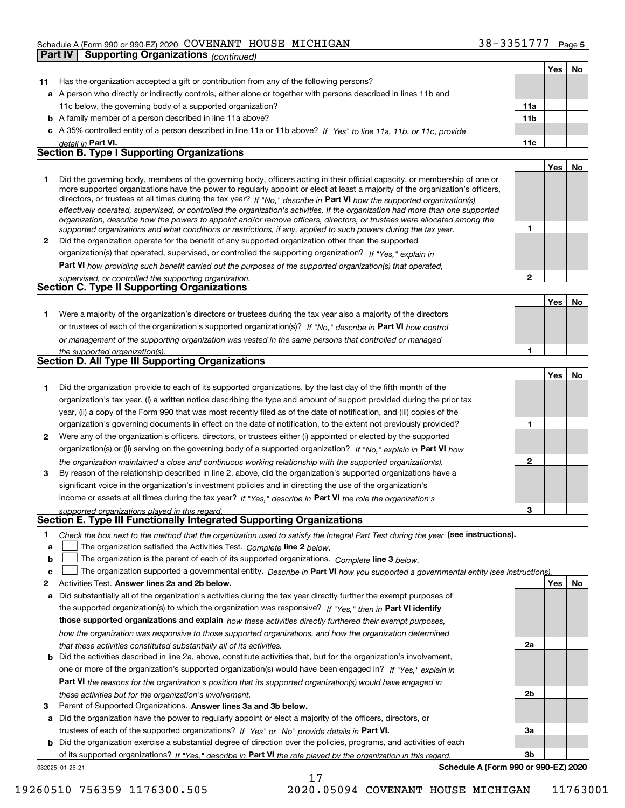|              | <b>Supporting Organizations (continued)</b><br>Part IV                                                                                                                                                                                                     |                 |     |    |
|--------------|------------------------------------------------------------------------------------------------------------------------------------------------------------------------------------------------------------------------------------------------------------|-----------------|-----|----|
|              |                                                                                                                                                                                                                                                            |                 | Yes | No |
| 11           | Has the organization accepted a gift or contribution from any of the following persons?                                                                                                                                                                    |                 |     |    |
|              | a A person who directly or indirectly controls, either alone or together with persons described in lines 11b and                                                                                                                                           |                 |     |    |
|              | 11c below, the governing body of a supported organization?                                                                                                                                                                                                 | 11a             |     |    |
|              | <b>b</b> A family member of a person described in line 11a above?                                                                                                                                                                                          | 11 <sub>b</sub> |     |    |
|              | c A 35% controlled entity of a person described in line 11a or 11b above? If "Yes" to line 11a, 11b, or 11c, provide                                                                                                                                       |                 |     |    |
|              | detail in Part VI.                                                                                                                                                                                                                                         | 11c             |     |    |
|              | <b>Section B. Type I Supporting Organizations</b>                                                                                                                                                                                                          |                 |     |    |
|              |                                                                                                                                                                                                                                                            |                 | Yes | No |
| 1.           | Did the governing body, members of the governing body, officers acting in their official capacity, or membership of one or                                                                                                                                 |                 |     |    |
|              | more supported organizations have the power to regularly appoint or elect at least a majority of the organization's officers,                                                                                                                              |                 |     |    |
|              | directors, or trustees at all times during the tax year? If "No," describe in Part VI how the supported organization(s)                                                                                                                                    |                 |     |    |
|              | effectively operated, supervised, or controlled the organization's activities. If the organization had more than one supported<br>organization, describe how the powers to appoint and/or remove officers, directors, or trustees were allocated among the |                 |     |    |
|              | supported organizations and what conditions or restrictions, if any, applied to such powers during the tax year.                                                                                                                                           | 1               |     |    |
| $\mathbf{2}$ | Did the organization operate for the benefit of any supported organization other than the supported                                                                                                                                                        |                 |     |    |
|              | organization(s) that operated, supervised, or controlled the supporting organization? If "Yes," explain in                                                                                                                                                 |                 |     |    |
|              | <b>Part VI</b> how providing such benefit carried out the purposes of the supported organization(s) that operated,                                                                                                                                         |                 |     |    |
|              | supervised, or controlled the supporting organization.                                                                                                                                                                                                     | $\mathbf{2}$    |     |    |
|              | Section C. Type II Supporting Organizations                                                                                                                                                                                                                |                 |     |    |
|              |                                                                                                                                                                                                                                                            |                 | Yes | No |
| 1.           | Were a majority of the organization's directors or trustees during the tax year also a majority of the directors                                                                                                                                           |                 |     |    |
|              | or trustees of each of the organization's supported organization(s)? If "No," describe in Part VI how control                                                                                                                                              |                 |     |    |
|              | or management of the supporting organization was vested in the same persons that controlled or managed                                                                                                                                                     |                 |     |    |
|              | the supported organization(s).                                                                                                                                                                                                                             | 1               |     |    |
|              | Section D. All Type III Supporting Organizations                                                                                                                                                                                                           |                 |     |    |
|              |                                                                                                                                                                                                                                                            |                 | Yes | No |
| 1.           | Did the organization provide to each of its supported organizations, by the last day of the fifth month of the                                                                                                                                             |                 |     |    |
|              | organization's tax year, (i) a written notice describing the type and amount of support provided during the prior tax                                                                                                                                      |                 |     |    |
|              | year, (ii) a copy of the Form 990 that was most recently filed as of the date of notification, and (iii) copies of the                                                                                                                                     |                 |     |    |
|              | organization's governing documents in effect on the date of notification, to the extent not previously provided?                                                                                                                                           | 1               |     |    |
| 2            | Were any of the organization's officers, directors, or trustees either (i) appointed or elected by the supported                                                                                                                                           |                 |     |    |
|              | organization(s) or (ii) serving on the governing body of a supported organization? If "No," explain in Part VI how                                                                                                                                         |                 |     |    |
|              | the organization maintained a close and continuous working relationship with the supported organization(s).                                                                                                                                                | $\mathbf{2}$    |     |    |
| 3            | By reason of the relationship described in line 2, above, did the organization's supported organizations have a                                                                                                                                            |                 |     |    |
|              | significant voice in the organization's investment policies and in directing the use of the organization's                                                                                                                                                 |                 |     |    |
|              | income or assets at all times during the tax year? If "Yes," describe in Part VI the role the organization's                                                                                                                                               |                 |     |    |
|              | supported organizations played in this regard.<br>Section E. Type III Functionally Integrated Supporting Organizations                                                                                                                                     | з               |     |    |
|              |                                                                                                                                                                                                                                                            |                 |     |    |
| 1<br>a       | Check the box next to the method that the organization used to satisfy the Integral Part Test during the year (see instructions).<br>The organization satisfied the Activities Test. Complete line 2 below.                                                |                 |     |    |
| b            | The organization is the parent of each of its supported organizations. Complete line 3 below.                                                                                                                                                              |                 |     |    |
| c            | The organization supported a governmental entity. Describe in Part VI how you supported a governmental entity (see instructions).                                                                                                                          |                 |     |    |
| 2            | Activities Test. Answer lines 2a and 2b below.                                                                                                                                                                                                             |                 | Yes | No |
| a            | Did substantially all of the organization's activities during the tax year directly further the exempt purposes of                                                                                                                                         |                 |     |    |
|              | the supported organization(s) to which the organization was responsive? If "Yes," then in Part VI identify                                                                                                                                                 |                 |     |    |
|              | those supported organizations and explain how these activities directly furthered their exempt purposes,                                                                                                                                                   |                 |     |    |
|              | how the organization was responsive to those supported organizations, and how the organization determined                                                                                                                                                  |                 |     |    |
|              | that these activities constituted substantially all of its activities.                                                                                                                                                                                     | 2a              |     |    |
|              | <b>b</b> Did the activities described in line 2a, above, constitute activities that, but for the organization's involvement,                                                                                                                               |                 |     |    |
|              | one or more of the organization's supported organization(s) would have been engaged in? If "Yes," explain in                                                                                                                                               |                 |     |    |
|              | Part VI the reasons for the organization's position that its supported organization(s) would have engaged in                                                                                                                                               |                 |     |    |
|              | these activities but for the organization's involvement.                                                                                                                                                                                                   | 2b              |     |    |

**3** Parent of Supported Organizations. Answer lines 3a and 3b below.

**a** Did the organization have the power to regularly appoint or elect a majority of the officers, directors, or trustees of each of the supported organizations? If "Yes" or "No" provide details in **Part VI.** 

**b** Did the organization exercise a substantial degree of direction over the policies, programs, and activities of each of its supported organizations? If "Yes," describe in Part VI the role played by the organization in this regard.

17

032025 01-25-21

**Schedule A (Form 990 or 990-EZ) 2020**

**3a**

**3b**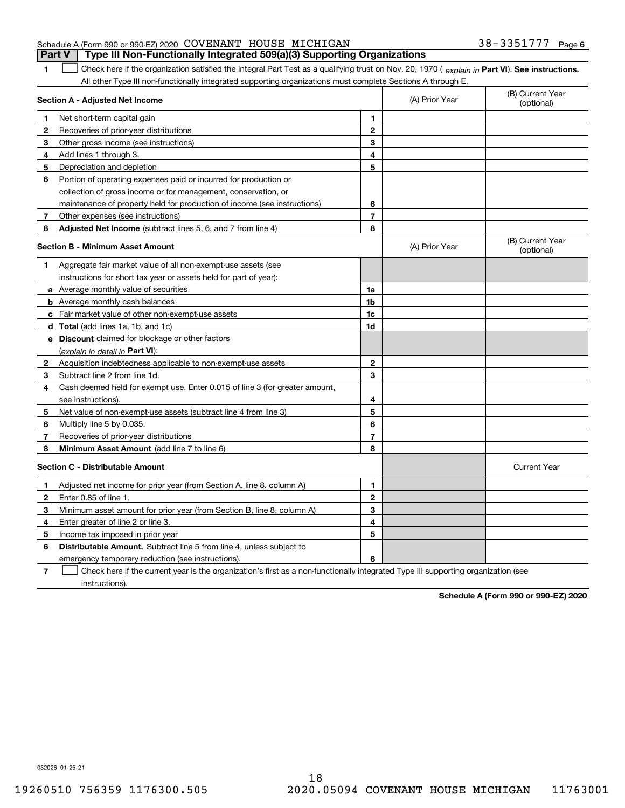|                                                              |  | <b>Part V</b> Type III Non-Functionally Integrated 509(a)(3) Supporting Organizations |                       |  |
|--------------------------------------------------------------|--|---------------------------------------------------------------------------------------|-----------------------|--|
| Schedule A (Form 990 or 990-EZ) 2020 COVENANT HOUSE MICHIGAN |  |                                                                                       | $38 - 3351777$ Page 6 |  |

1 Check here if the organization satisfied the Integral Part Test as a qualifying trust on Nov. 20, 1970 (explain in Part VI). See instructions. All other Type III non-functionally integrated supporting organizations must complete Sections A through E.

| Section A - Adjusted Net Income |                                                                                                                                   |                | (A) Prior Year | (B) Current Year<br>(optional) |
|---------------------------------|-----------------------------------------------------------------------------------------------------------------------------------|----------------|----------------|--------------------------------|
| п.                              | Net short-term capital gain                                                                                                       | 1              |                |                                |
| 2                               | Recoveries of prior-year distributions                                                                                            | $\mathbf{2}$   |                |                                |
| З                               | Other gross income (see instructions)                                                                                             | 3              |                |                                |
| 4                               | Add lines 1 through 3.                                                                                                            | 4              |                |                                |
| 5                               | Depreciation and depletion                                                                                                        | 5              |                |                                |
| 6                               | Portion of operating expenses paid or incurred for production or                                                                  |                |                |                                |
|                                 | collection of gross income or for management, conservation, or                                                                    |                |                |                                |
|                                 | maintenance of property held for production of income (see instructions)                                                          | 6              |                |                                |
| 7                               | Other expenses (see instructions)                                                                                                 | $\overline{7}$ |                |                                |
| 8                               | Adjusted Net Income (subtract lines 5, 6, and 7 from line 4)                                                                      | 8              |                |                                |
|                                 | <b>Section B - Minimum Asset Amount</b>                                                                                           |                | (A) Prior Year | (B) Current Year<br>(optional) |
| 1                               | Aggregate fair market value of all non-exempt-use assets (see                                                                     |                |                |                                |
|                                 | instructions for short tax year or assets held for part of year):                                                                 |                |                |                                |
|                                 | a Average monthly value of securities                                                                                             | 1a             |                |                                |
|                                 | 1b<br><b>b</b> Average monthly cash balances                                                                                      |                |                |                                |
|                                 | 1c<br>c Fair market value of other non-exempt-use assets                                                                          |                |                |                                |
|                                 | d Total (add lines 1a, 1b, and 1c)                                                                                                | 1d             |                |                                |
|                                 | e Discount claimed for blockage or other factors                                                                                  |                |                |                                |
|                                 | (explain in detail in Part VI):                                                                                                   |                |                |                                |
| $\mathbf{2}$                    | Acquisition indebtedness applicable to non-exempt-use assets                                                                      | $\mathbf 2$    |                |                                |
| 3                               | Subtract line 2 from line 1d.                                                                                                     | 3              |                |                                |
| 4                               | Cash deemed held for exempt use. Enter 0.015 of line 3 (for greater amount,                                                       |                |                |                                |
|                                 | see instructions).                                                                                                                | 4              |                |                                |
| 5                               | Net value of non-exempt-use assets (subtract line 4 from line 3)                                                                  | 5              |                |                                |
| 6                               | Multiply line 5 by 0.035.                                                                                                         | 6              |                |                                |
| 7                               | Recoveries of prior-year distributions                                                                                            | $\overline{7}$ |                |                                |
| 8                               | Minimum Asset Amount (add line 7 to line 6)                                                                                       | 8              |                |                                |
|                                 | <b>Section C - Distributable Amount</b>                                                                                           |                |                | <b>Current Year</b>            |
| 1                               | Adjusted net income for prior year (from Section A, line 8, column A)                                                             | 1              |                |                                |
| 2                               | Enter 0.85 of line 1.                                                                                                             | $\mathbf{2}$   |                |                                |
| з                               | Minimum asset amount for prior year (from Section B, line 8, column A)                                                            | 3              |                |                                |
| 4                               | Enter greater of line 2 or line 3.                                                                                                | 4              |                |                                |
| 5                               | Income tax imposed in prior year                                                                                                  | 5              |                |                                |
| 6                               | <b>Distributable Amount.</b> Subtract line 5 from line 4, unless subject to                                                       |                |                |                                |
|                                 | emergency temporary reduction (see instructions).                                                                                 | 6              |                |                                |
| 7                               | Check here if the current year is the organization's first as a non-functionally integrated Type III supporting organization (see |                |                |                                |

instructions).

**1**

**Schedule A (Form 990 or 990-EZ) 2020**

032026 01-25-21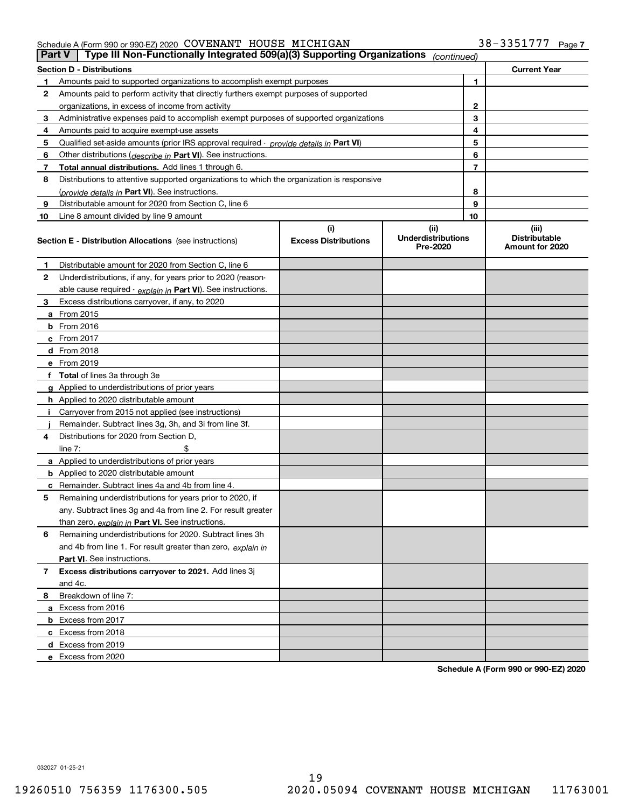| <b>Part V</b> | Type III Non-Functionally Integrated 509(a)(3) Supporting Organizations                    |                                    | (continued)                                   |    |                                                  |
|---------------|--------------------------------------------------------------------------------------------|------------------------------------|-----------------------------------------------|----|--------------------------------------------------|
|               | <b>Section D - Distributions</b>                                                           |                                    |                                               |    | <b>Current Year</b>                              |
| 1             | Amounts paid to supported organizations to accomplish exempt purposes                      |                                    |                                               | 1  |                                                  |
| 2             | Amounts paid to perform activity that directly furthers exempt purposes of supported       |                                    |                                               |    |                                                  |
|               | organizations, in excess of income from activity                                           |                                    |                                               | 2  |                                                  |
| 3             | Administrative expenses paid to accomplish exempt purposes of supported organizations      |                                    |                                               | 3  |                                                  |
| 4             | Amounts paid to acquire exempt-use assets                                                  |                                    |                                               | 4  |                                                  |
| 5             | Qualified set-aside amounts (prior IRS approval required - provide details in Part VI)     |                                    |                                               | 5  |                                                  |
| 6             | Other distributions (describe in Part VI). See instructions.                               |                                    |                                               | 6  |                                                  |
| 7             | Total annual distributions. Add lines 1 through 6.                                         |                                    |                                               | 7  |                                                  |
| 8             | Distributions to attentive supported organizations to which the organization is responsive |                                    |                                               |    |                                                  |
|               | (provide details in Part VI). See instructions.                                            |                                    |                                               | 8  |                                                  |
| 9             | Distributable amount for 2020 from Section C, line 6                                       |                                    |                                               | 9  |                                                  |
| 10            | Line 8 amount divided by line 9 amount                                                     |                                    |                                               | 10 |                                                  |
|               | <b>Section E - Distribution Allocations</b> (see instructions)                             | (i)<br><b>Excess Distributions</b> | (ii)<br><b>Underdistributions</b><br>Pre-2020 |    | (iii)<br><b>Distributable</b><br>Amount for 2020 |
| 1             | Distributable amount for 2020 from Section C, line 6                                       |                                    |                                               |    |                                                  |
| 2             | Underdistributions, if any, for years prior to 2020 (reason-                               |                                    |                                               |    |                                                  |
|               | able cause required - explain in Part VI). See instructions.                               |                                    |                                               |    |                                                  |
| 3             | Excess distributions carryover, if any, to 2020                                            |                                    |                                               |    |                                                  |
|               | <b>a</b> From 2015                                                                         |                                    |                                               |    |                                                  |
|               | <b>b</b> From 2016                                                                         |                                    |                                               |    |                                                  |
|               | c From 2017                                                                                |                                    |                                               |    |                                                  |
|               | <b>d</b> From 2018                                                                         |                                    |                                               |    |                                                  |
|               | e From 2019                                                                                |                                    |                                               |    |                                                  |
|               | f Total of lines 3a through 3e                                                             |                                    |                                               |    |                                                  |
|               | g Applied to underdistributions of prior years                                             |                                    |                                               |    |                                                  |
|               | <b>h</b> Applied to 2020 distributable amount                                              |                                    |                                               |    |                                                  |
|               | Carryover from 2015 not applied (see instructions)                                         |                                    |                                               |    |                                                  |
|               | Remainder. Subtract lines 3g, 3h, and 3i from line 3f.                                     |                                    |                                               |    |                                                  |
| 4             | Distributions for 2020 from Section D,                                                     |                                    |                                               |    |                                                  |
|               | line $7:$                                                                                  |                                    |                                               |    |                                                  |
|               | a Applied to underdistributions of prior years                                             |                                    |                                               |    |                                                  |
|               | <b>b</b> Applied to 2020 distributable amount                                              |                                    |                                               |    |                                                  |
|               | c Remainder. Subtract lines 4a and 4b from line 4.                                         |                                    |                                               |    |                                                  |
| 5             | Remaining underdistributions for years prior to 2020, if                                   |                                    |                                               |    |                                                  |
|               | any. Subtract lines 3g and 4a from line 2. For result greater                              |                                    |                                               |    |                                                  |
|               | than zero, explain in Part VI. See instructions.                                           |                                    |                                               |    |                                                  |
| 6             | Remaining underdistributions for 2020. Subtract lines 3h                                   |                                    |                                               |    |                                                  |
|               | and 4b from line 1. For result greater than zero, explain in                               |                                    |                                               |    |                                                  |
|               | Part VI. See instructions.                                                                 |                                    |                                               |    |                                                  |
| 7             | Excess distributions carryover to 2021. Add lines 3j                                       |                                    |                                               |    |                                                  |
|               | and 4c.                                                                                    |                                    |                                               |    |                                                  |
| 8             | Breakdown of line 7:                                                                       |                                    |                                               |    |                                                  |
|               | a Excess from 2016                                                                         |                                    |                                               |    |                                                  |
|               | <b>b</b> Excess from 2017                                                                  |                                    |                                               |    |                                                  |
|               | c Excess from 2018                                                                         |                                    |                                               |    |                                                  |
|               | d Excess from 2019                                                                         |                                    |                                               |    |                                                  |
|               | e Excess from 2020                                                                         |                                    |                                               |    |                                                  |

**Schedule A (Form 990 or 990-EZ) 2020**

032027 01-25-21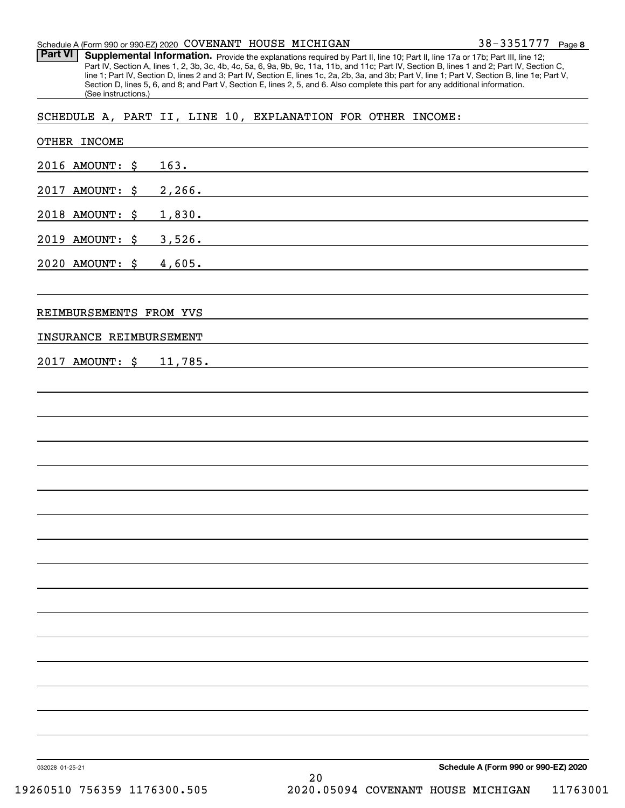Part VI | Supplemental Information. Provide the explanations required by Part II, line 10; Part II, line 17a or 17b; Part III, line 12; Part IV, Section A, lines 1, 2, 3b, 3c, 4b, 4c, 5a, 6, 9a, 9b, 9c, 11a, 11b, and 11c; Part IV, Section B, lines 1 and 2; Part IV, Section C, line 1; Part IV, Section D, lines 2 and 3; Part IV, Section E, lines 1c, 2a, 2b, 3a, and 3b; Part V, line 1; Part V, Section B, line 1e; Part V, Section D, lines 5, 6, and 8; and Part V, Section E, lines 2, 5, and 6. Also complete this part for any additional information. (See instructions.)

SCHEDULE A, PART II, LINE 10, EXPLANATION FOR OTHER INCOME:

| OTHER INCOME            |                                                                                                                                    |
|-------------------------|------------------------------------------------------------------------------------------------------------------------------------|
| 2016 AMOUNT: \$         | 163.                                                                                                                               |
| 2017 AMOUNT:<br>\$      | 2, 266.<br><u> 1989 - Johann Stoff, deutscher Stoff, der Stoff, der Stoff, der Stoff, der Stoff, der Stoff, der Stoff, der S</u>   |
| 2018 AMOUNT:<br>\$      | 1,830.<br><u>a sa barang sa mga barang sa mga barang sa mga barang sa mga barang sa mga barang sa mga barang sa mga barang sa </u> |
| 2019 AMOUNT:<br>\$      | 3,526.<br><u> 1989 - Johann Stein, mars an de Frankrik (f. 1989)</u>                                                               |
| 2020 AMOUNT: \$         | 4,605.<br>and the control of the control of the control of the control of the control of the control of the control of the         |
| REIMBURSEMENTS FROM YVS |                                                                                                                                    |
| INSURANCE REIMBURSEMENT |                                                                                                                                    |
| 2017 AMOUNT: \$         | 11,785.<br>and the control of the control of the control of the control of the control of the control of the control of the        |
|                         |                                                                                                                                    |
|                         |                                                                                                                                    |
|                         |                                                                                                                                    |
|                         |                                                                                                                                    |
|                         |                                                                                                                                    |
|                         |                                                                                                                                    |
|                         |                                                                                                                                    |
|                         |                                                                                                                                    |
|                         |                                                                                                                                    |
|                         |                                                                                                                                    |
|                         |                                                                                                                                    |
|                         |                                                                                                                                    |
|                         |                                                                                                                                    |
|                         |                                                                                                                                    |
|                         |                                                                                                                                    |
|                         |                                                                                                                                    |
|                         |                                                                                                                                    |
|                         |                                                                                                                                    |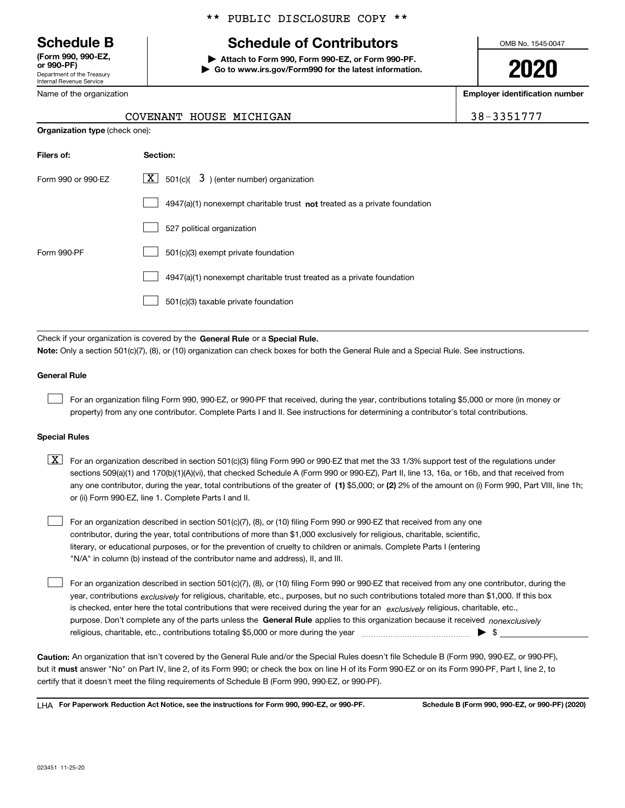Department of the Treasury Internal Revenue Service **(Form 990, 990-EZ, or 990-PF)**

Name of the organization

**Organization type** (check one):

## \*\* PUBLIC DISCLOSURE COPY \*\*

# **Schedule B Schedule of Contributors**

**| Attach to Form 990, Form 990-EZ, or Form 990-PF. | Go to www.irs.gov/Form990 for the latest information.** OMB No. 1545-0047

**2020**

**Employer identification number**

|--|--|

| Filers of:         | Section:                                                                  |
|--------------------|---------------------------------------------------------------------------|
| Form 990 or 990-EZ | $\boxed{\text{X}}$ 501(c)( 3) (enter number) organization                 |
|                    | 4947(a)(1) nonexempt charitable trust not treated as a private foundation |
|                    | 527 political organization                                                |
| Form 990-PF        | 501(c)(3) exempt private foundation                                       |
|                    | 4947(a)(1) nonexempt charitable trust treated as a private foundation     |
|                    | 501(c)(3) taxable private foundation                                      |

Check if your organization is covered by the **General Rule** or a **Special Rule. Note:**  Only a section 501(c)(7), (8), or (10) organization can check boxes for both the General Rule and a Special Rule. See instructions.

#### **General Rule**

 $\mathcal{L}^{\text{max}}$ 

For an organization filing Form 990, 990-EZ, or 990-PF that received, during the year, contributions totaling \$5,000 or more (in money or property) from any one contributor. Complete Parts I and II. See instructions for determining a contributor's total contributions.

#### **Special Rules**

any one contributor, during the year, total contributions of the greater of  $\,$  (1) \$5,000; or **(2)** 2% of the amount on (i) Form 990, Part VIII, line 1h;  $\boxed{\textbf{X}}$  For an organization described in section 501(c)(3) filing Form 990 or 990-EZ that met the 33 1/3% support test of the regulations under sections 509(a)(1) and 170(b)(1)(A)(vi), that checked Schedule A (Form 990 or 990-EZ), Part II, line 13, 16a, or 16b, and that received from or (ii) Form 990-EZ, line 1. Complete Parts I and II.

For an organization described in section 501(c)(7), (8), or (10) filing Form 990 or 990-EZ that received from any one contributor, during the year, total contributions of more than \$1,000 exclusively for religious, charitable, scientific, literary, or educational purposes, or for the prevention of cruelty to children or animals. Complete Parts I (entering "N/A" in column (b) instead of the contributor name and address), II, and III.  $\mathcal{L}^{\text{max}}$ 

purpose. Don't complete any of the parts unless the **General Rule** applies to this organization because it received *nonexclusively* year, contributions <sub>exclusively</sub> for religious, charitable, etc., purposes, but no such contributions totaled more than \$1,000. If this box is checked, enter here the total contributions that were received during the year for an  $\;$ exclusively religious, charitable, etc., For an organization described in section 501(c)(7), (8), or (10) filing Form 990 or 990-EZ that received from any one contributor, during the religious, charitable, etc., contributions totaling \$5,000 or more during the year  $\Box$ — $\Box$   $\Box$  $\mathcal{L}^{\text{max}}$ 

**Caution:**  An organization that isn't covered by the General Rule and/or the Special Rules doesn't file Schedule B (Form 990, 990-EZ, or 990-PF),  **must** but it answer "No" on Part IV, line 2, of its Form 990; or check the box on line H of its Form 990-EZ or on its Form 990-PF, Part I, line 2, to certify that it doesn't meet the filing requirements of Schedule B (Form 990, 990-EZ, or 990-PF).

**For Paperwork Reduction Act Notice, see the instructions for Form 990, 990-EZ, or 990-PF. Schedule B (Form 990, 990-EZ, or 990-PF) (2020)** LHA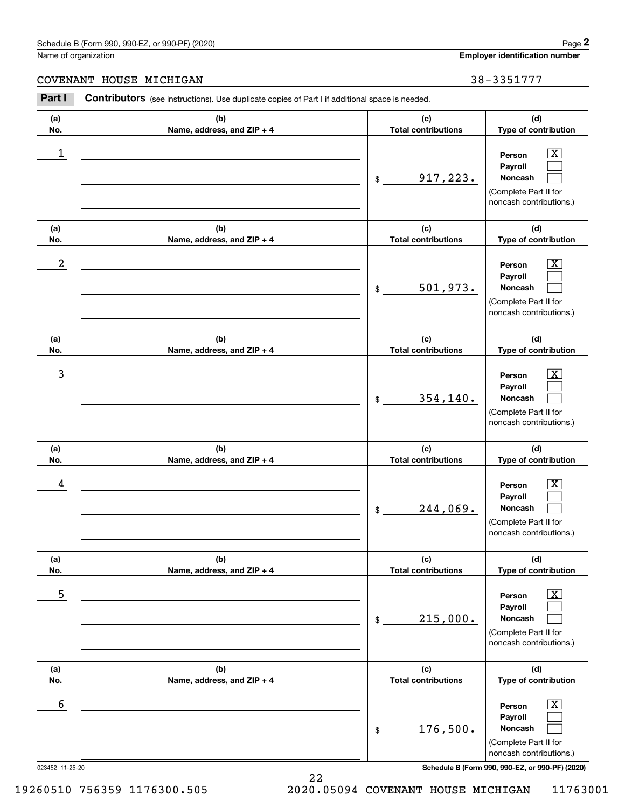# Schedule B (Form 990, 990-EZ, or 990-PF) (2020) Page 2

# COVENANT HOUSE MICHIGAN 38-3351777

|                 | Schedule B (Form 990, 990-EZ, or 990-PF) (2020)                                                       |                                   | Page 2                                                                                                      |
|-----------------|-------------------------------------------------------------------------------------------------------|-----------------------------------|-------------------------------------------------------------------------------------------------------------|
|                 | Name of organization                                                                                  |                                   | Employer identification number                                                                              |
|                 | COVENANT HOUSE MICHIGAN                                                                               |                                   | 38-3351777                                                                                                  |
| Part I          | <b>Contributors</b> (see instructions). Use duplicate copies of Part I if additional space is needed. |                                   |                                                                                                             |
| (a)<br>No.      | (b)<br>Name, address, and ZIP + 4                                                                     | (c)<br><b>Total contributions</b> | (d)<br>Type of contribution                                                                                 |
| 1               |                                                                                                       | 917,223.<br>\$                    | $\overline{\mathbf{X}}$<br>Person<br>Payroll<br>Noncash<br>(Complete Part II for<br>noncash contributions.) |
| (a)<br>No.      | (b)<br>Name, address, and ZIP + 4                                                                     | (c)<br><b>Total contributions</b> | (d)<br>Type of contribution                                                                                 |
| 2               |                                                                                                       | 501,973.<br>\$                    | $\overline{\mathbf{X}}$<br>Person<br>Payroll<br>Noncash<br>(Complete Part II for<br>noncash contributions.) |
| (a)<br>No.      | (b)<br>Name, address, and ZIP + 4                                                                     | (c)<br><b>Total contributions</b> | (d)<br>Type of contribution                                                                                 |
| 3               |                                                                                                       | 354, 140.<br>\$                   | $\overline{\mathbf{X}}$<br>Person<br>Payroll<br>Noncash<br>(Complete Part II for<br>noncash contributions.) |
| (a)<br>No.      | (b)<br>Name, address, and ZIP + 4                                                                     | (c)<br><b>Total contributions</b> | (d)<br>Type of contribution                                                                                 |
| 4               |                                                                                                       | 244,069.<br>\$                    | $\mathbf{X}$<br>Person<br>Payroll<br>Noncash<br>(Complete Part II for<br>noncash contributions.)            |
| (a)<br>No.      | (b)<br>Name, address, and ZIP + 4                                                                     | (c)<br><b>Total contributions</b> | (d)<br>Type of contribution                                                                                 |
| 5               |                                                                                                       | 215,000.<br>\$                    | $\overline{\mathbf{X}}$<br>Person<br>Payroll<br>Noncash<br>(Complete Part II for<br>noncash contributions.) |
| (a)<br>No.      | (b)<br>Name, address, and ZIP + 4                                                                     | (c)<br><b>Total contributions</b> | (d)<br>Type of contribution                                                                                 |
| 6               |                                                                                                       | 176,500.<br>\$                    | $\overline{\mathbf{X}}$<br>Person<br>Payroll<br>Noncash<br>(Complete Part II for<br>noncash contributions.) |
| 023452 11-25-20 |                                                                                                       |                                   | Schedule B (Form 990, 990-EZ, or 990-PF) (2020)                                                             |

19260510 756359 1176300.505 2020.05094 COVENANT HOUSE MICHIGAN 11763001

22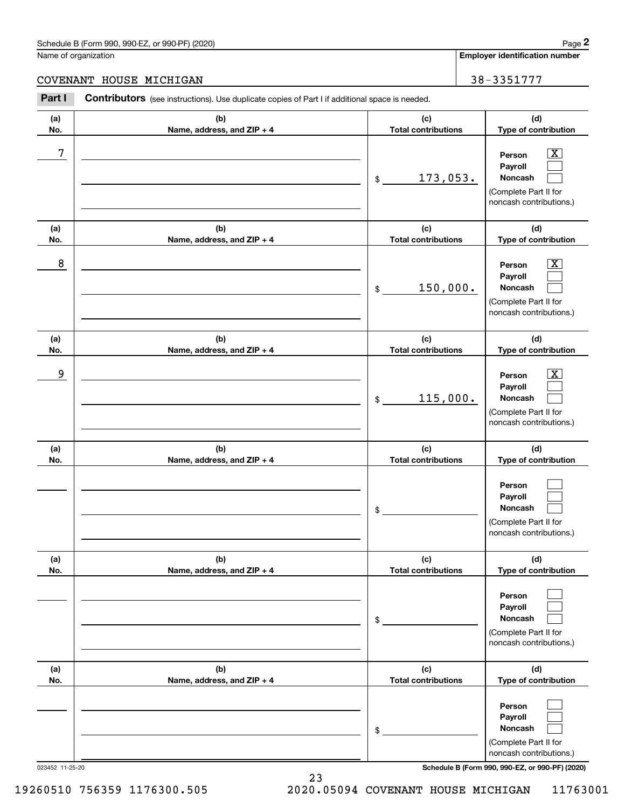# Schedule B (Form 990, 990-EZ, or 990-PF) (2020) Page 2

|                 | Schedule B (Form 990, 990-EZ, or 990-PF) (2020)                                                       |                                   | Page 2                                                                                                    |
|-----------------|-------------------------------------------------------------------------------------------------------|-----------------------------------|-----------------------------------------------------------------------------------------------------------|
|                 | Name of organization                                                                                  |                                   | <b>Employer identification number</b>                                                                     |
| <b>COVENANT</b> | HOUSE MICHIGAN                                                                                        |                                   | 38-3351777                                                                                                |
| Part I          | <b>Contributors</b> (see instructions). Use duplicate copies of Part I if additional space is needed. |                                   |                                                                                                           |
| (a)<br>No.      | (b)<br>Name, address, and ZIP + 4                                                                     | (c)<br><b>Total contributions</b> | (d)<br>Type of contribution                                                                               |
| 7               |                                                                                                       | 173,053.<br>\$                    | $\overline{\text{X}}$<br>Person<br>Payroll<br>Noncash<br>(Complete Part II for<br>noncash contributions.) |
| (a)<br>No.      | (b)<br>Name, address, and ZIP + 4                                                                     | (c)<br><b>Total contributions</b> | (d)<br>Type of contribution                                                                               |
| 8               |                                                                                                       | 150,000.<br>\$                    | $\overline{\text{X}}$<br>Person<br>Payroll<br>Noncash<br>(Complete Part II for<br>noncash contributions.) |
| (a)<br>No.      | (b)<br>Name, address, and ZIP + 4                                                                     | (c)<br><b>Total contributions</b> | (d)<br>Type of contribution                                                                               |
| 9               |                                                                                                       | 115,000.<br>\$                    | $\overline{\text{X}}$<br>Person<br>Payroll<br>Noncash<br>(Complete Part II for<br>noncash contributions.) |
| (a)<br>No.      | (b)<br>Name, address, and ZIP + 4                                                                     | (c)<br><b>Total contributions</b> | (d)<br>Type of contribution                                                                               |
|                 |                                                                                                       | \$                                | Person<br>Payroll<br>Noncash<br>(Complete Part II for<br>noncash contributions.)                          |
| (a)<br>No.      | (b)<br>Name, address, and ZIP + 4                                                                     | (c)<br><b>Total contributions</b> | (d)<br>Type of contribution                                                                               |
|                 |                                                                                                       | \$                                | Person<br>Payroll<br>Noncash<br>(Complete Part II for<br>noncash contributions.)                          |
| (a)<br>No.      | (b)<br>Name, address, and ZIP + 4                                                                     | (c)<br><b>Total contributions</b> | (d)<br>Type of contribution                                                                               |
|                 |                                                                                                       | \$                                | Person<br>Payroll<br>Noncash<br>(Complete Part II for<br>noncash contributions.)                          |

023452 11-25-20 **Schedule B (Form 990, 990-EZ, or 990-PF) (2020)**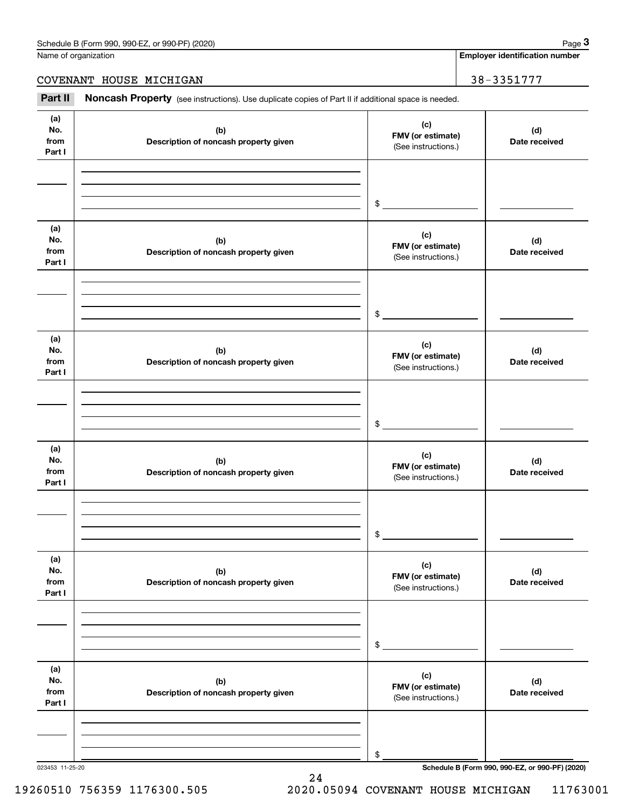Name of organization

**Employer identification number**

COVENANT HOUSE MICHIGAN 38-3351777

(see instructions). Use duplicate copies of Part II if additional space is needed.<br> **2Part II if Noncash Property** (see instructions). Use duplicate copies of Part II if additional space is needed.

| (a)<br>No.<br>from<br>Part I | (b)<br>Description of noncash property given | (c)<br>FMV (or estimate)<br>(See instructions.) | (d)<br>Date received                            |
|------------------------------|----------------------------------------------|-------------------------------------------------|-------------------------------------------------|
|                              |                                              | $\frac{1}{2}$                                   |                                                 |
| (a)<br>No.<br>from<br>Part I | (b)<br>Description of noncash property given | (c)<br>FMV (or estimate)<br>(See instructions.) | (d)<br>Date received                            |
|                              |                                              | $\sim$                                          |                                                 |
| (a)<br>No.<br>from<br>Part I | (b)<br>Description of noncash property given | (c)<br>FMV (or estimate)<br>(See instructions.) | (d)<br>Date received                            |
|                              |                                              | $\frac{1}{2}$                                   |                                                 |
| (a)<br>No.<br>from<br>Part I | (b)<br>Description of noncash property given | (c)<br>FMV (or estimate)<br>(See instructions.) | (d)<br>Date received                            |
|                              |                                              | $\mathfrak s$                                   |                                                 |
| (a)<br>No.<br>from<br>Part I | (b)<br>Description of noncash property given | (c)<br>FMV (or estimate)<br>(See instructions.) | (d)<br>Date received                            |
|                              |                                              | \$                                              |                                                 |
| (a)<br>No.<br>from<br>Part I | (b)<br>Description of noncash property given | (c)<br>FMV (or estimate)<br>(See instructions.) | (d)<br>Date received                            |
|                              |                                              | \$                                              | Schedule B (Form 990, 990-EZ, or 990-PF) (2020) |

24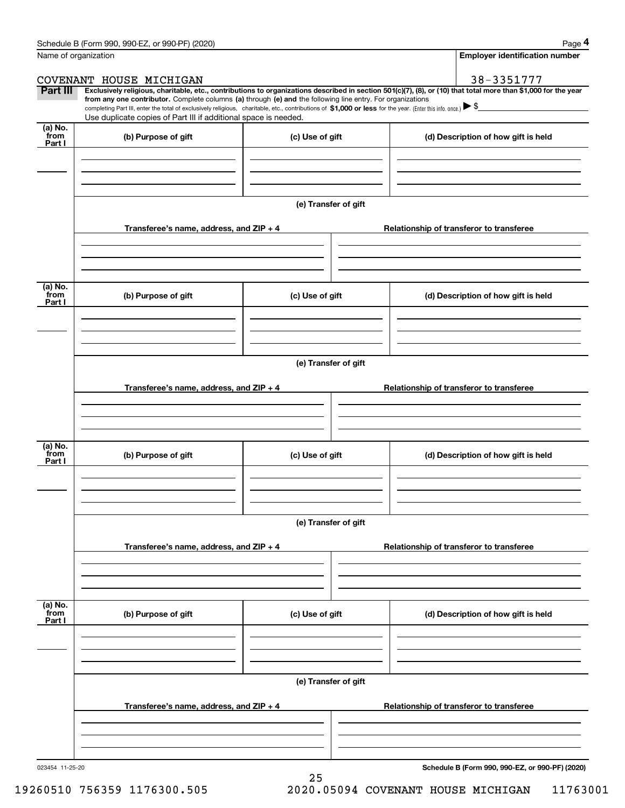|                           | Schedule B (Form 990, 990-EZ, or 990-PF) (2020)                                                                                                                                                                                                                                                 |                      |                                          | Page 4                                                                                                                                                         |  |  |
|---------------------------|-------------------------------------------------------------------------------------------------------------------------------------------------------------------------------------------------------------------------------------------------------------------------------------------------|----------------------|------------------------------------------|----------------------------------------------------------------------------------------------------------------------------------------------------------------|--|--|
|                           | Name of organization                                                                                                                                                                                                                                                                            |                      |                                          | <b>Employer identification number</b>                                                                                                                          |  |  |
|                           | COVENANT HOUSE MICHIGAN                                                                                                                                                                                                                                                                         |                      |                                          | 38-3351777                                                                                                                                                     |  |  |
| <b>Part III</b>           | from any one contributor. Complete columns (a) through (e) and the following line entry. For organizations<br>completing Part III, enter the total of exclusively religious, charitable, etc., contributions of \$1,000 or less for the year. (Enter this info. once.) $\blacktriangleright$ \$ |                      |                                          | Exclusively religious, charitable, etc., contributions to organizations described in section 501(c)(7), (8), or (10) that total more than \$1,000 for the year |  |  |
|                           | Use duplicate copies of Part III if additional space is needed.                                                                                                                                                                                                                                 |                      |                                          |                                                                                                                                                                |  |  |
| (a) No.<br>from<br>Part I | (b) Purpose of gift                                                                                                                                                                                                                                                                             | (c) Use of gift      |                                          | (d) Description of how gift is held                                                                                                                            |  |  |
|                           |                                                                                                                                                                                                                                                                                                 |                      |                                          |                                                                                                                                                                |  |  |
|                           |                                                                                                                                                                                                                                                                                                 |                      |                                          |                                                                                                                                                                |  |  |
|                           |                                                                                                                                                                                                                                                                                                 | (e) Transfer of gift |                                          |                                                                                                                                                                |  |  |
|                           | Transferee's name, address, and ZIP + 4                                                                                                                                                                                                                                                         |                      |                                          | Relationship of transferor to transferee                                                                                                                       |  |  |
|                           |                                                                                                                                                                                                                                                                                                 |                      |                                          |                                                                                                                                                                |  |  |
| (a) No.<br>from<br>Part I | (b) Purpose of gift                                                                                                                                                                                                                                                                             | (c) Use of gift      |                                          | (d) Description of how gift is held                                                                                                                            |  |  |
|                           |                                                                                                                                                                                                                                                                                                 |                      |                                          |                                                                                                                                                                |  |  |
|                           | (e) Transfer of gift                                                                                                                                                                                                                                                                            |                      |                                          |                                                                                                                                                                |  |  |
|                           | Transferee's name, address, and ZIP + 4                                                                                                                                                                                                                                                         |                      | Relationship of transferor to transferee |                                                                                                                                                                |  |  |
|                           |                                                                                                                                                                                                                                                                                                 |                      |                                          |                                                                                                                                                                |  |  |
|                           |                                                                                                                                                                                                                                                                                                 |                      |                                          |                                                                                                                                                                |  |  |
| (a) No.<br>from<br>Part I | (b) Purpose of gift                                                                                                                                                                                                                                                                             | (c) Use of gift      |                                          | (d) Description of how gift is held                                                                                                                            |  |  |
|                           |                                                                                                                                                                                                                                                                                                 |                      |                                          |                                                                                                                                                                |  |  |
|                           |                                                                                                                                                                                                                                                                                                 | (e) Transfer of gift |                                          |                                                                                                                                                                |  |  |
|                           | Transferee's name, address, and ZIP + 4                                                                                                                                                                                                                                                         |                      | Relationship of transferor to transferee |                                                                                                                                                                |  |  |
|                           |                                                                                                                                                                                                                                                                                                 |                      |                                          |                                                                                                                                                                |  |  |
|                           |                                                                                                                                                                                                                                                                                                 |                      |                                          |                                                                                                                                                                |  |  |
| (a) No.<br>from<br>Part I | (b) Purpose of gift                                                                                                                                                                                                                                                                             | (c) Use of gift      |                                          | (d) Description of how gift is held                                                                                                                            |  |  |
|                           |                                                                                                                                                                                                                                                                                                 |                      |                                          |                                                                                                                                                                |  |  |
|                           |                                                                                                                                                                                                                                                                                                 | (e) Transfer of gift |                                          |                                                                                                                                                                |  |  |
|                           | Transferee's name, address, and $ZIP + 4$                                                                                                                                                                                                                                                       |                      |                                          | Relationship of transferor to transferee                                                                                                                       |  |  |
|                           |                                                                                                                                                                                                                                                                                                 |                      |                                          |                                                                                                                                                                |  |  |
|                           |                                                                                                                                                                                                                                                                                                 |                      |                                          |                                                                                                                                                                |  |  |

25

023454 11-25-20

**Schedule B (Form 990, 990-EZ, or 990-PF) (2020)**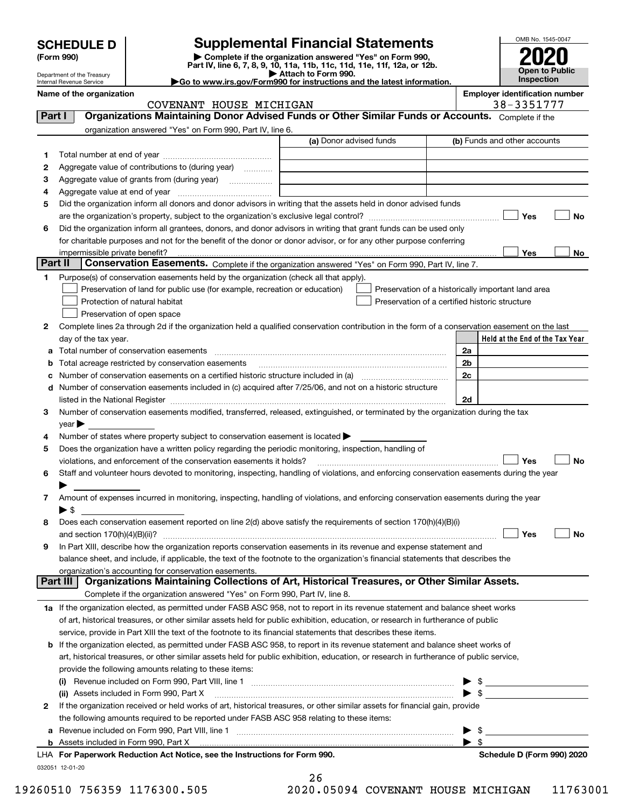| <b>SCHEDULE D</b><br>(Form 990)<br>Department of the Treasury<br><b>Internal Revenue Service</b> |                                |                                                                                                                                                | <b>Supplemental Financial Statements</b><br>Complete if the organization answered "Yes" on Form 990,<br>Part IV, line 6, 7, 8, 9, 10, 11a, 11b, 11c, 11d, 11e, 11f, 12a, or 12b.<br>Attach to Form 990.<br>Go to www.irs.gov/Form990 for instructions and the latest information. |  |                |                                                     |           |  |
|--------------------------------------------------------------------------------------------------|--------------------------------|------------------------------------------------------------------------------------------------------------------------------------------------|-----------------------------------------------------------------------------------------------------------------------------------------------------------------------------------------------------------------------------------------------------------------------------------|--|----------------|-----------------------------------------------------|-----------|--|
|                                                                                                  | Name of the organization       | COVENANT HOUSE MICHIGAN                                                                                                                        |                                                                                                                                                                                                                                                                                   |  |                | <b>Employer identification number</b><br>38-3351777 |           |  |
| Part I                                                                                           |                                | Organizations Maintaining Donor Advised Funds or Other Similar Funds or Accounts. Complete if the                                              |                                                                                                                                                                                                                                                                                   |  |                |                                                     |           |  |
|                                                                                                  |                                | organization answered "Yes" on Form 990, Part IV, line 6.                                                                                      | (a) Donor advised funds                                                                                                                                                                                                                                                           |  |                | (b) Funds and other accounts                        |           |  |
| 1.                                                                                               |                                |                                                                                                                                                |                                                                                                                                                                                                                                                                                   |  |                |                                                     |           |  |
| 2                                                                                                |                                | Aggregate value of contributions to (during year)                                                                                              |                                                                                                                                                                                                                                                                                   |  |                |                                                     |           |  |
| 3                                                                                                |                                |                                                                                                                                                |                                                                                                                                                                                                                                                                                   |  |                |                                                     |           |  |
| 4                                                                                                | Aggregate value at end of year |                                                                                                                                                |                                                                                                                                                                                                                                                                                   |  |                |                                                     |           |  |
| 5                                                                                                |                                | Did the organization inform all donors and donor advisors in writing that the assets held in donor advised funds                               |                                                                                                                                                                                                                                                                                   |  |                |                                                     |           |  |
|                                                                                                  |                                |                                                                                                                                                |                                                                                                                                                                                                                                                                                   |  |                | Yes                                                 | <b>No</b> |  |
| 6                                                                                                |                                | Did the organization inform all grantees, donors, and donor advisors in writing that grant funds can be used only                              |                                                                                                                                                                                                                                                                                   |  |                |                                                     |           |  |
|                                                                                                  |                                | for charitable purposes and not for the benefit of the donor or donor advisor, or for any other purpose conferring                             |                                                                                                                                                                                                                                                                                   |  |                |                                                     |           |  |
|                                                                                                  | impermissible private benefit? |                                                                                                                                                |                                                                                                                                                                                                                                                                                   |  |                | Yes                                                 | <b>No</b> |  |
| Part II                                                                                          |                                | Conservation Easements. Complete if the organization answered "Yes" on Form 990, Part IV, line 7.                                              |                                                                                                                                                                                                                                                                                   |  |                |                                                     |           |  |
| 1                                                                                                |                                | Purpose(s) of conservation easements held by the organization (check all that apply).                                                          |                                                                                                                                                                                                                                                                                   |  |                |                                                     |           |  |
|                                                                                                  |                                | Preservation of land for public use (for example, recreation or education)                                                                     | Preservation of a historically important land area                                                                                                                                                                                                                                |  |                |                                                     |           |  |
|                                                                                                  |                                | Protection of natural habitat                                                                                                                  | Preservation of a certified historic structure                                                                                                                                                                                                                                    |  |                |                                                     |           |  |
|                                                                                                  |                                | Preservation of open space                                                                                                                     |                                                                                                                                                                                                                                                                                   |  |                |                                                     |           |  |
| 2                                                                                                |                                | Complete lines 2a through 2d if the organization held a qualified conservation contribution in the form of a conservation easement on the last |                                                                                                                                                                                                                                                                                   |  |                |                                                     |           |  |
|                                                                                                  | day of the tax year.           |                                                                                                                                                |                                                                                                                                                                                                                                                                                   |  |                | Held at the End of the Tax Year                     |           |  |
| a                                                                                                |                                | Total number of conservation easements                                                                                                         |                                                                                                                                                                                                                                                                                   |  | 2a             |                                                     |           |  |
|                                                                                                  |                                | Total acreage restricted by conservation easements                                                                                             |                                                                                                                                                                                                                                                                                   |  | 2 <sub>b</sub> |                                                     |           |  |
|                                                                                                  |                                | c Number of conservation easements on a certified historic structure included in (a)                                                           |                                                                                                                                                                                                                                                                                   |  | 2c             |                                                     |           |  |

| listed in the National Register                                                                                                    |  |
|------------------------------------------------------------------------------------------------------------------------------------|--|
| 3 Number of conservation easements modified, transferred, released, extinguished, or terminated by the organization during the tax |  |
| vear                                                                                                                               |  |

| 4 | Number of states where property subject to conservation easement is located $\blacktriangleright$ |
|---|---------------------------------------------------------------------------------------------------|

**d** Number of conservation easements included in (c) acquired after 7/25/06, and not on a historic structure

| 5. | Does the organization have a written policy regarding the periodic monitoring, inspection, handling of                                    |         |       |  |  |  |
|----|-------------------------------------------------------------------------------------------------------------------------------------------|---------|-------|--|--|--|
|    | violations, and enforcement of the conservation easements it holds?                                                                       | ∃ Yes i | ∣ ∣No |  |  |  |
| 6. | Staff and volunteer hours devoted to monitoring, inspecting, handling of violations, and enforcing conservation easements during the year |         |       |  |  |  |
|    |                                                                                                                                           |         |       |  |  |  |

| Amount of expenses incurred in monitoring, inspecting, handling of violations, and enforcing conservation easements during the year |
|-------------------------------------------------------------------------------------------------------------------------------------|
|                                                                                                                                     |

| 8 Does each conservation easement reported on line 2(d) above satisfy the requirements of section 170(h)(4)(B)(i) |  |  |
|-------------------------------------------------------------------------------------------------------------------|--|--|
| and section 170(h)(4)(B)(ii)?                                                                                     |  |  |

| 9 In Part XIII, describe how the organization reports conservation easements in its revenue and expense statement and             |
|-----------------------------------------------------------------------------------------------------------------------------------|
| balance sheet, and include, if applicable, the text of the footnote to the organization's financial statements that describes the |
| organization's accounting for conservation easements.                                                                             |

| <b>Part III   Organizations Maintaining Collections of Art, Historical Treasures, or Other Similar Assets.</b> |
|----------------------------------------------------------------------------------------------------------------|
| Complete if the organization answered "Yes" on Form 990, Part IV, line 8.                                      |

| 1a If the organization elected, as permitted under FASB ASC 958, not to report in its revenue statement and balance sheet works   |
|-----------------------------------------------------------------------------------------------------------------------------------|
| of art, historical treasures, or other similar assets held for public exhibition, education, or research in furtherance of public |
| service, provide in Part XIII the text of the footnote to its financial statements that describes these items.                    |

| <b>b</b> If the organization elected, as permitted under FASB ASC 958, to report in its revenue statement and balance sheet works of    |
|-----------------------------------------------------------------------------------------------------------------------------------------|
| art, historical treasures, or other similar assets held for public exhibition, education, or research in furtherance of public service, |
| provide the following amounts relating to these items:                                                                                  |

| UA Ear Danarwark Daduation Act Nation, and the Instructions for Earm 000.                                                      | Cabadula D (Earm 000) 2020 |
|--------------------------------------------------------------------------------------------------------------------------------|----------------------------|
|                                                                                                                                |                            |
| <b>a</b> Revenue included on Form 990, Part VIII, line 1                                                                       |                            |
| the following amounts required to be reported under FASB ASC 958 relating to these items:                                      |                            |
| 2 If the organization received or held works of art, historical treasures, or other similar assets for financial gain, provide |                            |
| (ii) Assets included in Form 990, Part X [11] [12] [2] [2] [2] [2] [3] [3] Assets included in Form 990, Part X                 |                            |
| (i)                                                                                                                            |                            |

032051 12-01-20 **For Paperwork Reduction Act Notice, see the Instructions for Form 990. Schedule D (Form 990) 2020** LHA

 $\Box$  No

26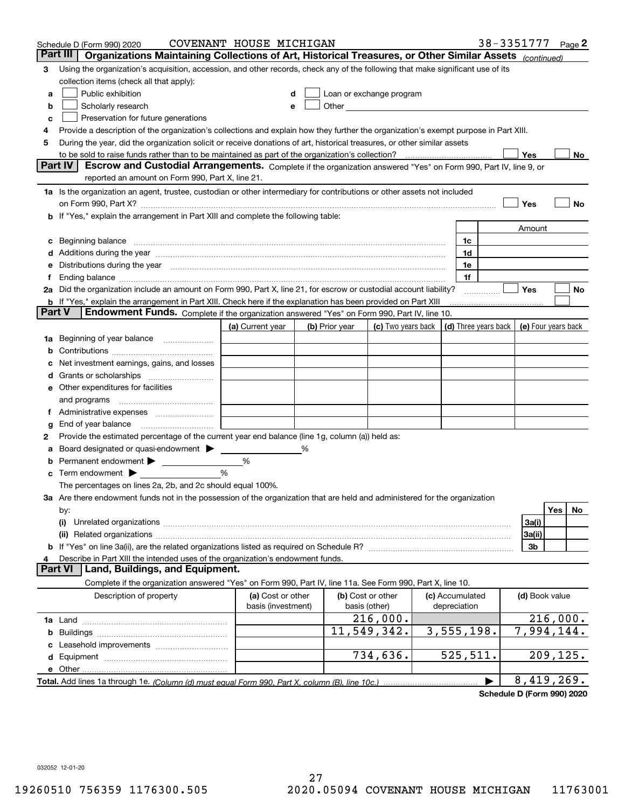| Part III<br>Organizations Maintaining Collections of Art, Historical Treasures, or Other Similar Assets (continued)<br>Using the organization's acquisition, accession, and other records, check any of the following that make significant use of its<br>3<br>collection items (check all that apply):<br>Public exhibition<br>Loan or exchange program<br>a<br>Other and the contract of the contract of the contract of the contract of the contract of the contract of the contract of the contract of the contract of the contract of the contract of the contract of the contract of the<br>Scholarly research<br>b<br>Preservation for future generations<br>c<br>Provide a description of the organization's collections and explain how they further the organization's exempt purpose in Part XIII.<br>4<br>During the year, did the organization solicit or receive donations of art, historical treasures, or other similar assets<br>5<br>Yes<br>to be sold to raise funds rather than to be maintained as part of the organization's collection?<br>No.<br><b>Part IV</b><br>Escrow and Custodial Arrangements. Complete if the organization answered "Yes" on Form 990, Part IV, line 9, or<br>reported an amount on Form 990, Part X, line 21.<br>1a Is the organization an agent, trustee, custodian or other intermediary for contributions or other assets not included<br>Yes<br>No<br>on Form 990, Part X? [11] matter contracts and contracts and contracts are contracted as a form 990, Part X?<br><b>b</b> If "Yes," explain the arrangement in Part XIII and complete the following table:<br>Amount<br>1c<br>Additions during the year manufactured and contain an account of the year manufactured and account of the year<br>1d<br>Distributions during the year measurement contains and the year of the set of the set of the set of the set of<br>1e<br>1f<br>Yes<br>2a Did the organization include an amount on Form 990, Part X, line 21, for escrow or custodial account liability?<br>No<br><b>b</b> If "Yes," explain the arrangement in Part XIII. Check here if the explanation has been provided on Part XIII<br>Part V<br><b>Endowment Funds.</b> Complete if the organization answered "Yes" on Form 990, Part IV, line 10.<br>$\vert$ (d) Three years back $\vert$<br>(a) Current year<br>(c) Two years back<br>(e) Four years back<br>(b) Prior year<br>Beginning of year balance<br>1a<br>Net investment earnings, gains, and losses<br>Other expenditures for facilities<br>е<br>and programs<br>End of year balance<br>g<br>Provide the estimated percentage of the current year end balance (line 1g, column (a)) held as:<br>2<br>Board designated or quasi-endowment<br>%<br>Permanent endowment ><br>%<br>%<br>Term endowment $\blacktriangleright$<br>с<br>The percentages on lines 2a, 2b, and 2c should equal 100%.<br>3a Are there endowment funds not in the possession of the organization that are held and administered for the organization<br>Yes<br>No<br>by:<br>3a(i)<br>(i)<br>3a(ii)<br>3b<br>Describe in Part XIII the intended uses of the organization's endowment funds.<br>Land, Buildings, and Equipment.<br>Part VI<br>Complete if the organization answered "Yes" on Form 990, Part IV, line 11a. See Form 990, Part X, line 10.<br>Description of property<br>(a) Cost or other<br>(b) Cost or other<br>(c) Accumulated<br>(d) Book value<br>depreciation<br>basis (investment)<br>basis (other)<br>216,000.<br>216,000.<br>$\overline{7,994,144}$ .<br>11,549,342.<br>3,555,198.<br>b<br>Leasehold improvements<br>525,511.<br>209,125.<br>734,636.<br>e Other<br>8,419,269. | 38-3351777<br>COVENANT HOUSE MICHIGAN<br>Schedule D (Form 990) 2020 |  |  |  |  |  |  | Page 2 |  |  |
|----------------------------------------------------------------------------------------------------------------------------------------------------------------------------------------------------------------------------------------------------------------------------------------------------------------------------------------------------------------------------------------------------------------------------------------------------------------------------------------------------------------------------------------------------------------------------------------------------------------------------------------------------------------------------------------------------------------------------------------------------------------------------------------------------------------------------------------------------------------------------------------------------------------------------------------------------------------------------------------------------------------------------------------------------------------------------------------------------------------------------------------------------------------------------------------------------------------------------------------------------------------------------------------------------------------------------------------------------------------------------------------------------------------------------------------------------------------------------------------------------------------------------------------------------------------------------------------------------------------------------------------------------------------------------------------------------------------------------------------------------------------------------------------------------------------------------------------------------------------------------------------------------------------------------------------------------------------------------------------------------------------------------------------------------------------------------------------------------------------------------------------------------------------------------------------------------------------------------------------------------------------------------------------------------------------------------------------------------------------------------------------------------------------------------------------------------------------------------------------------------------------------------------------------------------------------------------------------------------------------------------------------------------------------------------------------------------------------------------------------------------------------------------------------------------------------------------------------------------------------------------------------------------------------------------------------------------------------------------------------------------------------------------------------------------------------------------------------------------------------------------------------------------------------------------------------------------------------------------------------------------------------------------------------------------------------------------------------------------------------------------------------------------------------------------------------------------------------------------------------------------------------------------------------------------------------------------------------------------------------------------------------------------|---------------------------------------------------------------------|--|--|--|--|--|--|--------|--|--|
|                                                                                                                                                                                                                                                                                                                                                                                                                                                                                                                                                                                                                                                                                                                                                                                                                                                                                                                                                                                                                                                                                                                                                                                                                                                                                                                                                                                                                                                                                                                                                                                                                                                                                                                                                                                                                                                                                                                                                                                                                                                                                                                                                                                                                                                                                                                                                                                                                                                                                                                                                                                                                                                                                                                                                                                                                                                                                                                                                                                                                                                                                                                                                                                                                                                                                                                                                                                                                                                                                                                                                                                                                                                          |                                                                     |  |  |  |  |  |  |        |  |  |
|                                                                                                                                                                                                                                                                                                                                                                                                                                                                                                                                                                                                                                                                                                                                                                                                                                                                                                                                                                                                                                                                                                                                                                                                                                                                                                                                                                                                                                                                                                                                                                                                                                                                                                                                                                                                                                                                                                                                                                                                                                                                                                                                                                                                                                                                                                                                                                                                                                                                                                                                                                                                                                                                                                                                                                                                                                                                                                                                                                                                                                                                                                                                                                                                                                                                                                                                                                                                                                                                                                                                                                                                                                                          |                                                                     |  |  |  |  |  |  |        |  |  |
|                                                                                                                                                                                                                                                                                                                                                                                                                                                                                                                                                                                                                                                                                                                                                                                                                                                                                                                                                                                                                                                                                                                                                                                                                                                                                                                                                                                                                                                                                                                                                                                                                                                                                                                                                                                                                                                                                                                                                                                                                                                                                                                                                                                                                                                                                                                                                                                                                                                                                                                                                                                                                                                                                                                                                                                                                                                                                                                                                                                                                                                                                                                                                                                                                                                                                                                                                                                                                                                                                                                                                                                                                                                          |                                                                     |  |  |  |  |  |  |        |  |  |
|                                                                                                                                                                                                                                                                                                                                                                                                                                                                                                                                                                                                                                                                                                                                                                                                                                                                                                                                                                                                                                                                                                                                                                                                                                                                                                                                                                                                                                                                                                                                                                                                                                                                                                                                                                                                                                                                                                                                                                                                                                                                                                                                                                                                                                                                                                                                                                                                                                                                                                                                                                                                                                                                                                                                                                                                                                                                                                                                                                                                                                                                                                                                                                                                                                                                                                                                                                                                                                                                                                                                                                                                                                                          |                                                                     |  |  |  |  |  |  |        |  |  |
|                                                                                                                                                                                                                                                                                                                                                                                                                                                                                                                                                                                                                                                                                                                                                                                                                                                                                                                                                                                                                                                                                                                                                                                                                                                                                                                                                                                                                                                                                                                                                                                                                                                                                                                                                                                                                                                                                                                                                                                                                                                                                                                                                                                                                                                                                                                                                                                                                                                                                                                                                                                                                                                                                                                                                                                                                                                                                                                                                                                                                                                                                                                                                                                                                                                                                                                                                                                                                                                                                                                                                                                                                                                          |                                                                     |  |  |  |  |  |  |        |  |  |
|                                                                                                                                                                                                                                                                                                                                                                                                                                                                                                                                                                                                                                                                                                                                                                                                                                                                                                                                                                                                                                                                                                                                                                                                                                                                                                                                                                                                                                                                                                                                                                                                                                                                                                                                                                                                                                                                                                                                                                                                                                                                                                                                                                                                                                                                                                                                                                                                                                                                                                                                                                                                                                                                                                                                                                                                                                                                                                                                                                                                                                                                                                                                                                                                                                                                                                                                                                                                                                                                                                                                                                                                                                                          |                                                                     |  |  |  |  |  |  |        |  |  |
|                                                                                                                                                                                                                                                                                                                                                                                                                                                                                                                                                                                                                                                                                                                                                                                                                                                                                                                                                                                                                                                                                                                                                                                                                                                                                                                                                                                                                                                                                                                                                                                                                                                                                                                                                                                                                                                                                                                                                                                                                                                                                                                                                                                                                                                                                                                                                                                                                                                                                                                                                                                                                                                                                                                                                                                                                                                                                                                                                                                                                                                                                                                                                                                                                                                                                                                                                                                                                                                                                                                                                                                                                                                          |                                                                     |  |  |  |  |  |  |        |  |  |
|                                                                                                                                                                                                                                                                                                                                                                                                                                                                                                                                                                                                                                                                                                                                                                                                                                                                                                                                                                                                                                                                                                                                                                                                                                                                                                                                                                                                                                                                                                                                                                                                                                                                                                                                                                                                                                                                                                                                                                                                                                                                                                                                                                                                                                                                                                                                                                                                                                                                                                                                                                                                                                                                                                                                                                                                                                                                                                                                                                                                                                                                                                                                                                                                                                                                                                                                                                                                                                                                                                                                                                                                                                                          |                                                                     |  |  |  |  |  |  |        |  |  |
|                                                                                                                                                                                                                                                                                                                                                                                                                                                                                                                                                                                                                                                                                                                                                                                                                                                                                                                                                                                                                                                                                                                                                                                                                                                                                                                                                                                                                                                                                                                                                                                                                                                                                                                                                                                                                                                                                                                                                                                                                                                                                                                                                                                                                                                                                                                                                                                                                                                                                                                                                                                                                                                                                                                                                                                                                                                                                                                                                                                                                                                                                                                                                                                                                                                                                                                                                                                                                                                                                                                                                                                                                                                          |                                                                     |  |  |  |  |  |  |        |  |  |
|                                                                                                                                                                                                                                                                                                                                                                                                                                                                                                                                                                                                                                                                                                                                                                                                                                                                                                                                                                                                                                                                                                                                                                                                                                                                                                                                                                                                                                                                                                                                                                                                                                                                                                                                                                                                                                                                                                                                                                                                                                                                                                                                                                                                                                                                                                                                                                                                                                                                                                                                                                                                                                                                                                                                                                                                                                                                                                                                                                                                                                                                                                                                                                                                                                                                                                                                                                                                                                                                                                                                                                                                                                                          |                                                                     |  |  |  |  |  |  |        |  |  |
|                                                                                                                                                                                                                                                                                                                                                                                                                                                                                                                                                                                                                                                                                                                                                                                                                                                                                                                                                                                                                                                                                                                                                                                                                                                                                                                                                                                                                                                                                                                                                                                                                                                                                                                                                                                                                                                                                                                                                                                                                                                                                                                                                                                                                                                                                                                                                                                                                                                                                                                                                                                                                                                                                                                                                                                                                                                                                                                                                                                                                                                                                                                                                                                                                                                                                                                                                                                                                                                                                                                                                                                                                                                          |                                                                     |  |  |  |  |  |  |        |  |  |
|                                                                                                                                                                                                                                                                                                                                                                                                                                                                                                                                                                                                                                                                                                                                                                                                                                                                                                                                                                                                                                                                                                                                                                                                                                                                                                                                                                                                                                                                                                                                                                                                                                                                                                                                                                                                                                                                                                                                                                                                                                                                                                                                                                                                                                                                                                                                                                                                                                                                                                                                                                                                                                                                                                                                                                                                                                                                                                                                                                                                                                                                                                                                                                                                                                                                                                                                                                                                                                                                                                                                                                                                                                                          |                                                                     |  |  |  |  |  |  |        |  |  |
|                                                                                                                                                                                                                                                                                                                                                                                                                                                                                                                                                                                                                                                                                                                                                                                                                                                                                                                                                                                                                                                                                                                                                                                                                                                                                                                                                                                                                                                                                                                                                                                                                                                                                                                                                                                                                                                                                                                                                                                                                                                                                                                                                                                                                                                                                                                                                                                                                                                                                                                                                                                                                                                                                                                                                                                                                                                                                                                                                                                                                                                                                                                                                                                                                                                                                                                                                                                                                                                                                                                                                                                                                                                          |                                                                     |  |  |  |  |  |  |        |  |  |
|                                                                                                                                                                                                                                                                                                                                                                                                                                                                                                                                                                                                                                                                                                                                                                                                                                                                                                                                                                                                                                                                                                                                                                                                                                                                                                                                                                                                                                                                                                                                                                                                                                                                                                                                                                                                                                                                                                                                                                                                                                                                                                                                                                                                                                                                                                                                                                                                                                                                                                                                                                                                                                                                                                                                                                                                                                                                                                                                                                                                                                                                                                                                                                                                                                                                                                                                                                                                                                                                                                                                                                                                                                                          |                                                                     |  |  |  |  |  |  |        |  |  |
|                                                                                                                                                                                                                                                                                                                                                                                                                                                                                                                                                                                                                                                                                                                                                                                                                                                                                                                                                                                                                                                                                                                                                                                                                                                                                                                                                                                                                                                                                                                                                                                                                                                                                                                                                                                                                                                                                                                                                                                                                                                                                                                                                                                                                                                                                                                                                                                                                                                                                                                                                                                                                                                                                                                                                                                                                                                                                                                                                                                                                                                                                                                                                                                                                                                                                                                                                                                                                                                                                                                                                                                                                                                          |                                                                     |  |  |  |  |  |  |        |  |  |
|                                                                                                                                                                                                                                                                                                                                                                                                                                                                                                                                                                                                                                                                                                                                                                                                                                                                                                                                                                                                                                                                                                                                                                                                                                                                                                                                                                                                                                                                                                                                                                                                                                                                                                                                                                                                                                                                                                                                                                                                                                                                                                                                                                                                                                                                                                                                                                                                                                                                                                                                                                                                                                                                                                                                                                                                                                                                                                                                                                                                                                                                                                                                                                                                                                                                                                                                                                                                                                                                                                                                                                                                                                                          |                                                                     |  |  |  |  |  |  |        |  |  |
|                                                                                                                                                                                                                                                                                                                                                                                                                                                                                                                                                                                                                                                                                                                                                                                                                                                                                                                                                                                                                                                                                                                                                                                                                                                                                                                                                                                                                                                                                                                                                                                                                                                                                                                                                                                                                                                                                                                                                                                                                                                                                                                                                                                                                                                                                                                                                                                                                                                                                                                                                                                                                                                                                                                                                                                                                                                                                                                                                                                                                                                                                                                                                                                                                                                                                                                                                                                                                                                                                                                                                                                                                                                          |                                                                     |  |  |  |  |  |  |        |  |  |
|                                                                                                                                                                                                                                                                                                                                                                                                                                                                                                                                                                                                                                                                                                                                                                                                                                                                                                                                                                                                                                                                                                                                                                                                                                                                                                                                                                                                                                                                                                                                                                                                                                                                                                                                                                                                                                                                                                                                                                                                                                                                                                                                                                                                                                                                                                                                                                                                                                                                                                                                                                                                                                                                                                                                                                                                                                                                                                                                                                                                                                                                                                                                                                                                                                                                                                                                                                                                                                                                                                                                                                                                                                                          |                                                                     |  |  |  |  |  |  |        |  |  |
|                                                                                                                                                                                                                                                                                                                                                                                                                                                                                                                                                                                                                                                                                                                                                                                                                                                                                                                                                                                                                                                                                                                                                                                                                                                                                                                                                                                                                                                                                                                                                                                                                                                                                                                                                                                                                                                                                                                                                                                                                                                                                                                                                                                                                                                                                                                                                                                                                                                                                                                                                                                                                                                                                                                                                                                                                                                                                                                                                                                                                                                                                                                                                                                                                                                                                                                                                                                                                                                                                                                                                                                                                                                          |                                                                     |  |  |  |  |  |  |        |  |  |
|                                                                                                                                                                                                                                                                                                                                                                                                                                                                                                                                                                                                                                                                                                                                                                                                                                                                                                                                                                                                                                                                                                                                                                                                                                                                                                                                                                                                                                                                                                                                                                                                                                                                                                                                                                                                                                                                                                                                                                                                                                                                                                                                                                                                                                                                                                                                                                                                                                                                                                                                                                                                                                                                                                                                                                                                                                                                                                                                                                                                                                                                                                                                                                                                                                                                                                                                                                                                                                                                                                                                                                                                                                                          |                                                                     |  |  |  |  |  |  |        |  |  |
|                                                                                                                                                                                                                                                                                                                                                                                                                                                                                                                                                                                                                                                                                                                                                                                                                                                                                                                                                                                                                                                                                                                                                                                                                                                                                                                                                                                                                                                                                                                                                                                                                                                                                                                                                                                                                                                                                                                                                                                                                                                                                                                                                                                                                                                                                                                                                                                                                                                                                                                                                                                                                                                                                                                                                                                                                                                                                                                                                                                                                                                                                                                                                                                                                                                                                                                                                                                                                                                                                                                                                                                                                                                          |                                                                     |  |  |  |  |  |  |        |  |  |
|                                                                                                                                                                                                                                                                                                                                                                                                                                                                                                                                                                                                                                                                                                                                                                                                                                                                                                                                                                                                                                                                                                                                                                                                                                                                                                                                                                                                                                                                                                                                                                                                                                                                                                                                                                                                                                                                                                                                                                                                                                                                                                                                                                                                                                                                                                                                                                                                                                                                                                                                                                                                                                                                                                                                                                                                                                                                                                                                                                                                                                                                                                                                                                                                                                                                                                                                                                                                                                                                                                                                                                                                                                                          |                                                                     |  |  |  |  |  |  |        |  |  |
|                                                                                                                                                                                                                                                                                                                                                                                                                                                                                                                                                                                                                                                                                                                                                                                                                                                                                                                                                                                                                                                                                                                                                                                                                                                                                                                                                                                                                                                                                                                                                                                                                                                                                                                                                                                                                                                                                                                                                                                                                                                                                                                                                                                                                                                                                                                                                                                                                                                                                                                                                                                                                                                                                                                                                                                                                                                                                                                                                                                                                                                                                                                                                                                                                                                                                                                                                                                                                                                                                                                                                                                                                                                          |                                                                     |  |  |  |  |  |  |        |  |  |
|                                                                                                                                                                                                                                                                                                                                                                                                                                                                                                                                                                                                                                                                                                                                                                                                                                                                                                                                                                                                                                                                                                                                                                                                                                                                                                                                                                                                                                                                                                                                                                                                                                                                                                                                                                                                                                                                                                                                                                                                                                                                                                                                                                                                                                                                                                                                                                                                                                                                                                                                                                                                                                                                                                                                                                                                                                                                                                                                                                                                                                                                                                                                                                                                                                                                                                                                                                                                                                                                                                                                                                                                                                                          |                                                                     |  |  |  |  |  |  |        |  |  |
|                                                                                                                                                                                                                                                                                                                                                                                                                                                                                                                                                                                                                                                                                                                                                                                                                                                                                                                                                                                                                                                                                                                                                                                                                                                                                                                                                                                                                                                                                                                                                                                                                                                                                                                                                                                                                                                                                                                                                                                                                                                                                                                                                                                                                                                                                                                                                                                                                                                                                                                                                                                                                                                                                                                                                                                                                                                                                                                                                                                                                                                                                                                                                                                                                                                                                                                                                                                                                                                                                                                                                                                                                                                          |                                                                     |  |  |  |  |  |  |        |  |  |
|                                                                                                                                                                                                                                                                                                                                                                                                                                                                                                                                                                                                                                                                                                                                                                                                                                                                                                                                                                                                                                                                                                                                                                                                                                                                                                                                                                                                                                                                                                                                                                                                                                                                                                                                                                                                                                                                                                                                                                                                                                                                                                                                                                                                                                                                                                                                                                                                                                                                                                                                                                                                                                                                                                                                                                                                                                                                                                                                                                                                                                                                                                                                                                                                                                                                                                                                                                                                                                                                                                                                                                                                                                                          |                                                                     |  |  |  |  |  |  |        |  |  |
|                                                                                                                                                                                                                                                                                                                                                                                                                                                                                                                                                                                                                                                                                                                                                                                                                                                                                                                                                                                                                                                                                                                                                                                                                                                                                                                                                                                                                                                                                                                                                                                                                                                                                                                                                                                                                                                                                                                                                                                                                                                                                                                                                                                                                                                                                                                                                                                                                                                                                                                                                                                                                                                                                                                                                                                                                                                                                                                                                                                                                                                                                                                                                                                                                                                                                                                                                                                                                                                                                                                                                                                                                                                          |                                                                     |  |  |  |  |  |  |        |  |  |
|                                                                                                                                                                                                                                                                                                                                                                                                                                                                                                                                                                                                                                                                                                                                                                                                                                                                                                                                                                                                                                                                                                                                                                                                                                                                                                                                                                                                                                                                                                                                                                                                                                                                                                                                                                                                                                                                                                                                                                                                                                                                                                                                                                                                                                                                                                                                                                                                                                                                                                                                                                                                                                                                                                                                                                                                                                                                                                                                                                                                                                                                                                                                                                                                                                                                                                                                                                                                                                                                                                                                                                                                                                                          |                                                                     |  |  |  |  |  |  |        |  |  |
|                                                                                                                                                                                                                                                                                                                                                                                                                                                                                                                                                                                                                                                                                                                                                                                                                                                                                                                                                                                                                                                                                                                                                                                                                                                                                                                                                                                                                                                                                                                                                                                                                                                                                                                                                                                                                                                                                                                                                                                                                                                                                                                                                                                                                                                                                                                                                                                                                                                                                                                                                                                                                                                                                                                                                                                                                                                                                                                                                                                                                                                                                                                                                                                                                                                                                                                                                                                                                                                                                                                                                                                                                                                          |                                                                     |  |  |  |  |  |  |        |  |  |
|                                                                                                                                                                                                                                                                                                                                                                                                                                                                                                                                                                                                                                                                                                                                                                                                                                                                                                                                                                                                                                                                                                                                                                                                                                                                                                                                                                                                                                                                                                                                                                                                                                                                                                                                                                                                                                                                                                                                                                                                                                                                                                                                                                                                                                                                                                                                                                                                                                                                                                                                                                                                                                                                                                                                                                                                                                                                                                                                                                                                                                                                                                                                                                                                                                                                                                                                                                                                                                                                                                                                                                                                                                                          |                                                                     |  |  |  |  |  |  |        |  |  |
|                                                                                                                                                                                                                                                                                                                                                                                                                                                                                                                                                                                                                                                                                                                                                                                                                                                                                                                                                                                                                                                                                                                                                                                                                                                                                                                                                                                                                                                                                                                                                                                                                                                                                                                                                                                                                                                                                                                                                                                                                                                                                                                                                                                                                                                                                                                                                                                                                                                                                                                                                                                                                                                                                                                                                                                                                                                                                                                                                                                                                                                                                                                                                                                                                                                                                                                                                                                                                                                                                                                                                                                                                                                          |                                                                     |  |  |  |  |  |  |        |  |  |
|                                                                                                                                                                                                                                                                                                                                                                                                                                                                                                                                                                                                                                                                                                                                                                                                                                                                                                                                                                                                                                                                                                                                                                                                                                                                                                                                                                                                                                                                                                                                                                                                                                                                                                                                                                                                                                                                                                                                                                                                                                                                                                                                                                                                                                                                                                                                                                                                                                                                                                                                                                                                                                                                                                                                                                                                                                                                                                                                                                                                                                                                                                                                                                                                                                                                                                                                                                                                                                                                                                                                                                                                                                                          |                                                                     |  |  |  |  |  |  |        |  |  |
|                                                                                                                                                                                                                                                                                                                                                                                                                                                                                                                                                                                                                                                                                                                                                                                                                                                                                                                                                                                                                                                                                                                                                                                                                                                                                                                                                                                                                                                                                                                                                                                                                                                                                                                                                                                                                                                                                                                                                                                                                                                                                                                                                                                                                                                                                                                                                                                                                                                                                                                                                                                                                                                                                                                                                                                                                                                                                                                                                                                                                                                                                                                                                                                                                                                                                                                                                                                                                                                                                                                                                                                                                                                          |                                                                     |  |  |  |  |  |  |        |  |  |
|                                                                                                                                                                                                                                                                                                                                                                                                                                                                                                                                                                                                                                                                                                                                                                                                                                                                                                                                                                                                                                                                                                                                                                                                                                                                                                                                                                                                                                                                                                                                                                                                                                                                                                                                                                                                                                                                                                                                                                                                                                                                                                                                                                                                                                                                                                                                                                                                                                                                                                                                                                                                                                                                                                                                                                                                                                                                                                                                                                                                                                                                                                                                                                                                                                                                                                                                                                                                                                                                                                                                                                                                                                                          |                                                                     |  |  |  |  |  |  |        |  |  |
|                                                                                                                                                                                                                                                                                                                                                                                                                                                                                                                                                                                                                                                                                                                                                                                                                                                                                                                                                                                                                                                                                                                                                                                                                                                                                                                                                                                                                                                                                                                                                                                                                                                                                                                                                                                                                                                                                                                                                                                                                                                                                                                                                                                                                                                                                                                                                                                                                                                                                                                                                                                                                                                                                                                                                                                                                                                                                                                                                                                                                                                                                                                                                                                                                                                                                                                                                                                                                                                                                                                                                                                                                                                          |                                                                     |  |  |  |  |  |  |        |  |  |
|                                                                                                                                                                                                                                                                                                                                                                                                                                                                                                                                                                                                                                                                                                                                                                                                                                                                                                                                                                                                                                                                                                                                                                                                                                                                                                                                                                                                                                                                                                                                                                                                                                                                                                                                                                                                                                                                                                                                                                                                                                                                                                                                                                                                                                                                                                                                                                                                                                                                                                                                                                                                                                                                                                                                                                                                                                                                                                                                                                                                                                                                                                                                                                                                                                                                                                                                                                                                                                                                                                                                                                                                                                                          |                                                                     |  |  |  |  |  |  |        |  |  |
|                                                                                                                                                                                                                                                                                                                                                                                                                                                                                                                                                                                                                                                                                                                                                                                                                                                                                                                                                                                                                                                                                                                                                                                                                                                                                                                                                                                                                                                                                                                                                                                                                                                                                                                                                                                                                                                                                                                                                                                                                                                                                                                                                                                                                                                                                                                                                                                                                                                                                                                                                                                                                                                                                                                                                                                                                                                                                                                                                                                                                                                                                                                                                                                                                                                                                                                                                                                                                                                                                                                                                                                                                                                          |                                                                     |  |  |  |  |  |  |        |  |  |
|                                                                                                                                                                                                                                                                                                                                                                                                                                                                                                                                                                                                                                                                                                                                                                                                                                                                                                                                                                                                                                                                                                                                                                                                                                                                                                                                                                                                                                                                                                                                                                                                                                                                                                                                                                                                                                                                                                                                                                                                                                                                                                                                                                                                                                                                                                                                                                                                                                                                                                                                                                                                                                                                                                                                                                                                                                                                                                                                                                                                                                                                                                                                                                                                                                                                                                                                                                                                                                                                                                                                                                                                                                                          |                                                                     |  |  |  |  |  |  |        |  |  |
|                                                                                                                                                                                                                                                                                                                                                                                                                                                                                                                                                                                                                                                                                                                                                                                                                                                                                                                                                                                                                                                                                                                                                                                                                                                                                                                                                                                                                                                                                                                                                                                                                                                                                                                                                                                                                                                                                                                                                                                                                                                                                                                                                                                                                                                                                                                                                                                                                                                                                                                                                                                                                                                                                                                                                                                                                                                                                                                                                                                                                                                                                                                                                                                                                                                                                                                                                                                                                                                                                                                                                                                                                                                          |                                                                     |  |  |  |  |  |  |        |  |  |
|                                                                                                                                                                                                                                                                                                                                                                                                                                                                                                                                                                                                                                                                                                                                                                                                                                                                                                                                                                                                                                                                                                                                                                                                                                                                                                                                                                                                                                                                                                                                                                                                                                                                                                                                                                                                                                                                                                                                                                                                                                                                                                                                                                                                                                                                                                                                                                                                                                                                                                                                                                                                                                                                                                                                                                                                                                                                                                                                                                                                                                                                                                                                                                                                                                                                                                                                                                                                                                                                                                                                                                                                                                                          |                                                                     |  |  |  |  |  |  |        |  |  |
|                                                                                                                                                                                                                                                                                                                                                                                                                                                                                                                                                                                                                                                                                                                                                                                                                                                                                                                                                                                                                                                                                                                                                                                                                                                                                                                                                                                                                                                                                                                                                                                                                                                                                                                                                                                                                                                                                                                                                                                                                                                                                                                                                                                                                                                                                                                                                                                                                                                                                                                                                                                                                                                                                                                                                                                                                                                                                                                                                                                                                                                                                                                                                                                                                                                                                                                                                                                                                                                                                                                                                                                                                                                          |                                                                     |  |  |  |  |  |  |        |  |  |
|                                                                                                                                                                                                                                                                                                                                                                                                                                                                                                                                                                                                                                                                                                                                                                                                                                                                                                                                                                                                                                                                                                                                                                                                                                                                                                                                                                                                                                                                                                                                                                                                                                                                                                                                                                                                                                                                                                                                                                                                                                                                                                                                                                                                                                                                                                                                                                                                                                                                                                                                                                                                                                                                                                                                                                                                                                                                                                                                                                                                                                                                                                                                                                                                                                                                                                                                                                                                                                                                                                                                                                                                                                                          |                                                                     |  |  |  |  |  |  |        |  |  |
|                                                                                                                                                                                                                                                                                                                                                                                                                                                                                                                                                                                                                                                                                                                                                                                                                                                                                                                                                                                                                                                                                                                                                                                                                                                                                                                                                                                                                                                                                                                                                                                                                                                                                                                                                                                                                                                                                                                                                                                                                                                                                                                                                                                                                                                                                                                                                                                                                                                                                                                                                                                                                                                                                                                                                                                                                                                                                                                                                                                                                                                                                                                                                                                                                                                                                                                                                                                                                                                                                                                                                                                                                                                          |                                                                     |  |  |  |  |  |  |        |  |  |
|                                                                                                                                                                                                                                                                                                                                                                                                                                                                                                                                                                                                                                                                                                                                                                                                                                                                                                                                                                                                                                                                                                                                                                                                                                                                                                                                                                                                                                                                                                                                                                                                                                                                                                                                                                                                                                                                                                                                                                                                                                                                                                                                                                                                                                                                                                                                                                                                                                                                                                                                                                                                                                                                                                                                                                                                                                                                                                                                                                                                                                                                                                                                                                                                                                                                                                                                                                                                                                                                                                                                                                                                                                                          |                                                                     |  |  |  |  |  |  |        |  |  |
|                                                                                                                                                                                                                                                                                                                                                                                                                                                                                                                                                                                                                                                                                                                                                                                                                                                                                                                                                                                                                                                                                                                                                                                                                                                                                                                                                                                                                                                                                                                                                                                                                                                                                                                                                                                                                                                                                                                                                                                                                                                                                                                                                                                                                                                                                                                                                                                                                                                                                                                                                                                                                                                                                                                                                                                                                                                                                                                                                                                                                                                                                                                                                                                                                                                                                                                                                                                                                                                                                                                                                                                                                                                          |                                                                     |  |  |  |  |  |  |        |  |  |
|                                                                                                                                                                                                                                                                                                                                                                                                                                                                                                                                                                                                                                                                                                                                                                                                                                                                                                                                                                                                                                                                                                                                                                                                                                                                                                                                                                                                                                                                                                                                                                                                                                                                                                                                                                                                                                                                                                                                                                                                                                                                                                                                                                                                                                                                                                                                                                                                                                                                                                                                                                                                                                                                                                                                                                                                                                                                                                                                                                                                                                                                                                                                                                                                                                                                                                                                                                                                                                                                                                                                                                                                                                                          |                                                                     |  |  |  |  |  |  |        |  |  |
|                                                                                                                                                                                                                                                                                                                                                                                                                                                                                                                                                                                                                                                                                                                                                                                                                                                                                                                                                                                                                                                                                                                                                                                                                                                                                                                                                                                                                                                                                                                                                                                                                                                                                                                                                                                                                                                                                                                                                                                                                                                                                                                                                                                                                                                                                                                                                                                                                                                                                                                                                                                                                                                                                                                                                                                                                                                                                                                                                                                                                                                                                                                                                                                                                                                                                                                                                                                                                                                                                                                                                                                                                                                          |                                                                     |  |  |  |  |  |  |        |  |  |
|                                                                                                                                                                                                                                                                                                                                                                                                                                                                                                                                                                                                                                                                                                                                                                                                                                                                                                                                                                                                                                                                                                                                                                                                                                                                                                                                                                                                                                                                                                                                                                                                                                                                                                                                                                                                                                                                                                                                                                                                                                                                                                                                                                                                                                                                                                                                                                                                                                                                                                                                                                                                                                                                                                                                                                                                                                                                                                                                                                                                                                                                                                                                                                                                                                                                                                                                                                                                                                                                                                                                                                                                                                                          |                                                                     |  |  |  |  |  |  |        |  |  |
|                                                                                                                                                                                                                                                                                                                                                                                                                                                                                                                                                                                                                                                                                                                                                                                                                                                                                                                                                                                                                                                                                                                                                                                                                                                                                                                                                                                                                                                                                                                                                                                                                                                                                                                                                                                                                                                                                                                                                                                                                                                                                                                                                                                                                                                                                                                                                                                                                                                                                                                                                                                                                                                                                                                                                                                                                                                                                                                                                                                                                                                                                                                                                                                                                                                                                                                                                                                                                                                                                                                                                                                                                                                          |                                                                     |  |  |  |  |  |  |        |  |  |
|                                                                                                                                                                                                                                                                                                                                                                                                                                                                                                                                                                                                                                                                                                                                                                                                                                                                                                                                                                                                                                                                                                                                                                                                                                                                                                                                                                                                                                                                                                                                                                                                                                                                                                                                                                                                                                                                                                                                                                                                                                                                                                                                                                                                                                                                                                                                                                                                                                                                                                                                                                                                                                                                                                                                                                                                                                                                                                                                                                                                                                                                                                                                                                                                                                                                                                                                                                                                                                                                                                                                                                                                                                                          |                                                                     |  |  |  |  |  |  |        |  |  |

**Schedule D (Form 990) 2020**

032052 12-01-20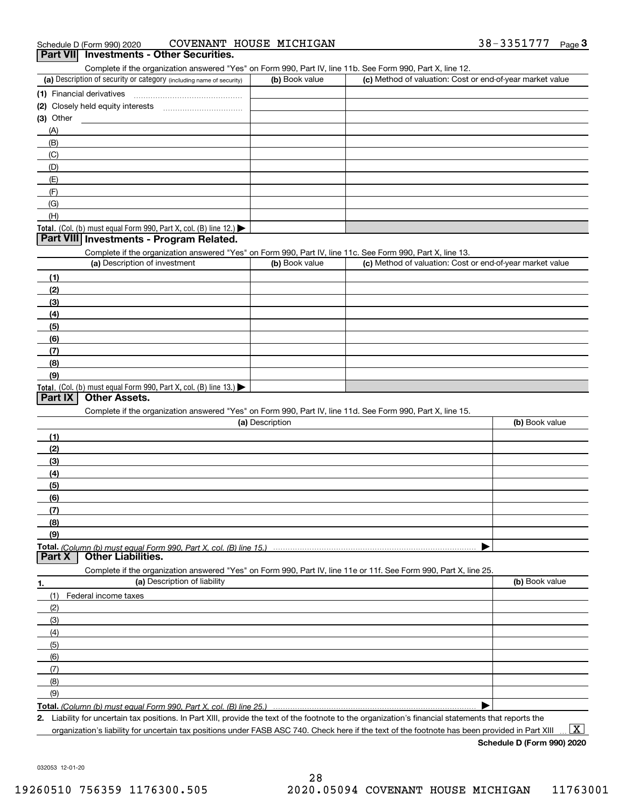# (a) Description of security or category (including name of security)  $\vert$  (b) Book value  $\vert$  (c) Total. (Col. (b) must equal Form 990, Part X, col. (B) line 12.) **(1)** Financial derivatives ~~~~~~~~~~~~~~~ **(2)** Closely held equity interests ~~~~~~~~~~~ **(3)** Other **(a)** Description of investment **being the control (c) (c) (c) (c) (1)**Complete if the organization answered "Yes" on Form 990, Part IV, line 11b. See Form 990, Part X, line 12.  $(b)$  Book value  $\vert$  (c) Method of valuation: Cost or end-of-year market value (A)(B)(C)(D)(E)(F)(G)(H)Complete if the organization answered "Yes" on Form 990, Part IV, line 11c. See Form 990, Part X, line 13. **Part VIII Investments - Program Related.**

| (a) Description of investment                                       | (b) Book value | (c) Method of valuation: Cost or end-of-year market value |
|---------------------------------------------------------------------|----------------|-----------------------------------------------------------|
| (1)                                                                 |                |                                                           |
| (2)                                                                 |                |                                                           |
| (3)                                                                 |                |                                                           |
| (4)                                                                 |                |                                                           |
| (5)                                                                 |                |                                                           |
| (6)                                                                 |                |                                                           |
| (7)                                                                 |                |                                                           |
| (8)                                                                 |                |                                                           |
| (9)                                                                 |                |                                                           |
| Total. (Col. (b) must equal Form 990, Part X, col. (B) line $13.$ ) |                |                                                           |

### **Part IX Other Assets.**

Complete if the organization answered "Yes" on Form 990, Part IV, line 11d. See Form 990, Part X, line 15.

| (a) Description                                                                                                                                                                                                                          | (b) Book value                                       |
|------------------------------------------------------------------------------------------------------------------------------------------------------------------------------------------------------------------------------------------|------------------------------------------------------|
| (1)                                                                                                                                                                                                                                      |                                                      |
| (2)                                                                                                                                                                                                                                      |                                                      |
| $\frac{1}{2}$                                                                                                                                                                                                                            |                                                      |
| (4)                                                                                                                                                                                                                                      |                                                      |
| (5)                                                                                                                                                                                                                                      |                                                      |
| (6)                                                                                                                                                                                                                                      |                                                      |
|                                                                                                                                                                                                                                          |                                                      |
| (8)                                                                                                                                                                                                                                      |                                                      |
| (9)                                                                                                                                                                                                                                      |                                                      |
|                                                                                                                                                                                                                                          |                                                      |
| Part X<br><b>Other Liabilities.</b>                                                                                                                                                                                                      |                                                      |
| Complete if the organization answered "Yes" on Form 990, Part IV, line 11e or 11f. See Form 990, Part X, line 25.                                                                                                                        |                                                      |
| $\mathcal{L} = \mathbf{1}$ . The second second second second second second second second second second second second second second second second second second second second second second second second second second second second sec | $\mathbf{A}$ . A. France and the set of $\mathbf{A}$ |

| 1.  | (a) Description of liability | (b) Book value |
|-----|------------------------------|----------------|
| (1) | Federal income taxes         |                |
| (2) |                              |                |
| (3) |                              |                |
| (4) |                              |                |
| (5) |                              |                |
| (6) |                              |                |
| (7) |                              |                |
| (8) |                              |                |
| (9) |                              |                |
|     |                              |                |

*(Column (b) must equal Form 990, Part X, col. (B) line 25.)* 

**2.**Liability for uncertain tax positions. In Part XIII, provide the text of the footnote to the organization's financial statements that reports the organization's liability for uncertain tax positions under FASB ASC 740. Check here if the text of the footnote has been provided in Part XIII

 $\boxed{\text{X}}$ 

**Schedule D (Form 990) 2020**

032053 12-01-20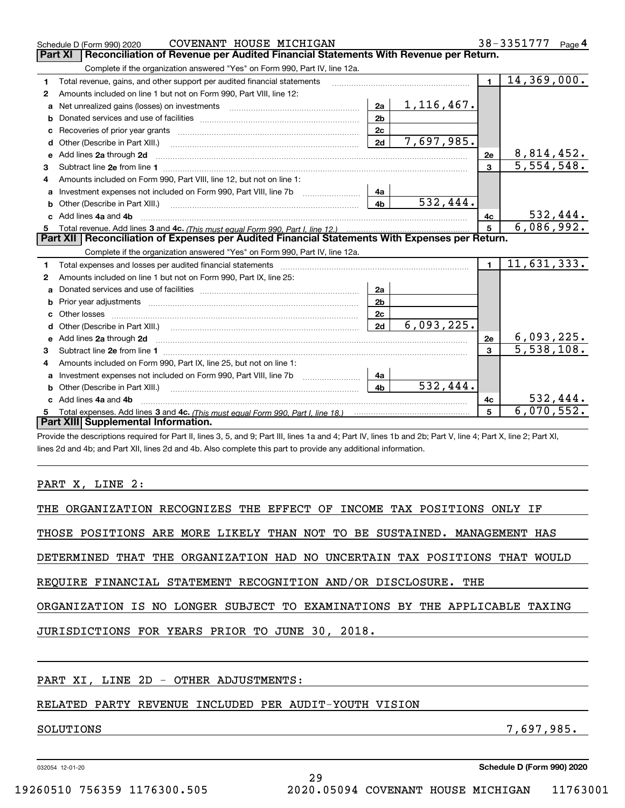|   | COVENANT HOUSE MICHIGAN<br>Schedule D (Form 990) 2020                                                                                                                                                                                                                                                                                                                                                                                      |                |                   |                | 38-3351777<br>Page 4            |  |  |  |  |
|---|--------------------------------------------------------------------------------------------------------------------------------------------------------------------------------------------------------------------------------------------------------------------------------------------------------------------------------------------------------------------------------------------------------------------------------------------|----------------|-------------------|----------------|---------------------------------|--|--|--|--|
|   | Reconciliation of Revenue per Audited Financial Statements With Revenue per Return.<br>Part XI                                                                                                                                                                                                                                                                                                                                             |                |                   |                |                                 |  |  |  |  |
|   | Complete if the organization answered "Yes" on Form 990, Part IV, line 12a.                                                                                                                                                                                                                                                                                                                                                                |                |                   |                |                                 |  |  |  |  |
| 1 | Total revenue, gains, and other support per audited financial statements                                                                                                                                                                                                                                                                                                                                                                   |                |                   | $\blacksquare$ | $\overline{14,369}$ ,000.       |  |  |  |  |
| 2 | Amounts included on line 1 but not on Form 990, Part VIII, line 12:                                                                                                                                                                                                                                                                                                                                                                        |                |                   |                |                                 |  |  |  |  |
| a | Net unrealized gains (losses) on investments [11] matter contracts and the unrealized gains (losses) on investments                                                                                                                                                                                                                                                                                                                        | 2a             | <u>1,116,467.</u> |                |                                 |  |  |  |  |
| b |                                                                                                                                                                                                                                                                                                                                                                                                                                            | 2 <sub>b</sub> |                   |                |                                 |  |  |  |  |
|   |                                                                                                                                                                                                                                                                                                                                                                                                                                            | 2c             |                   |                |                                 |  |  |  |  |
| d | Other (Describe in Part XIII.) <b>Construction Contract Construction</b> Chern Construction Construction Construction                                                                                                                                                                                                                                                                                                                      | 2d             | 7,697,985.        |                |                                 |  |  |  |  |
| e | Add lines 2a through 2d                                                                                                                                                                                                                                                                                                                                                                                                                    |                |                   | 2e             | $\frac{8,814,452.}{5,554,548.}$ |  |  |  |  |
| 3 |                                                                                                                                                                                                                                                                                                                                                                                                                                            |                |                   | $\overline{3}$ |                                 |  |  |  |  |
| 4 | Amounts included on Form 990, Part VIII, line 12, but not on line 1:                                                                                                                                                                                                                                                                                                                                                                       |                |                   |                |                                 |  |  |  |  |
| a |                                                                                                                                                                                                                                                                                                                                                                                                                                            | 4a             |                   |                |                                 |  |  |  |  |
|   |                                                                                                                                                                                                                                                                                                                                                                                                                                            | 4 <sub>h</sub> | 532,444.          |                |                                 |  |  |  |  |
|   | c Add lines 4a and 4b                                                                                                                                                                                                                                                                                                                                                                                                                      |                |                   | 4с             | 532,444.                        |  |  |  |  |
| 5 |                                                                                                                                                                                                                                                                                                                                                                                                                                            |                |                   | 5              | 6,086,992.                      |  |  |  |  |
|   | Part XII   Reconciliation of Expenses per Audited Financial Statements With Expenses per Return.                                                                                                                                                                                                                                                                                                                                           |                |                   |                |                                 |  |  |  |  |
|   | Complete if the organization answered "Yes" on Form 990, Part IV, line 12a.                                                                                                                                                                                                                                                                                                                                                                |                |                   |                |                                 |  |  |  |  |
| 1 |                                                                                                                                                                                                                                                                                                                                                                                                                                            |                |                   | $\blacksquare$ | 11,631,333.                     |  |  |  |  |
| 2 | Amounts included on line 1 but not on Form 990, Part IX, line 25:                                                                                                                                                                                                                                                                                                                                                                          |                |                   |                |                                 |  |  |  |  |
| a |                                                                                                                                                                                                                                                                                                                                                                                                                                            | 2a             |                   |                |                                 |  |  |  |  |
| b | Prior year adjustments material contents and content of the content of the content of the content of the content of the content of the content of the content of the content of the content of the content of the content of t                                                                                                                                                                                                             | 2 <sub>b</sub> |                   |                |                                 |  |  |  |  |
|   | Other losses<br>$\overline{a_1, \ldots, a_n, \ldots, a_n, \ldots, a_n, \ldots, a_n, \ldots, a_n, \ldots, a_n, \ldots, a_n, \ldots, a_n, \ldots, a_n, \ldots, a_n, \ldots, a_n, \ldots, a_n, \ldots, a_n, \ldots, a_n, \ldots, a_n, \ldots, a_n, \ldots, a_n, \ldots, a_n, \ldots, a_n, \ldots, a_n, \ldots, a_n, \ldots, a_n, \ldots, a_n, \ldots, a_n, \ldots, a_n, \ldots, a_n, \ldots, a_n, \ldots, a_n, \ldots, a_n, \ldots, a_n, \ld$ | 2c             |                   |                |                                 |  |  |  |  |
|   |                                                                                                                                                                                                                                                                                                                                                                                                                                            | 2d             | 6,093,225.        |                |                                 |  |  |  |  |
|   |                                                                                                                                                                                                                                                                                                                                                                                                                                            |                |                   | 2e             | $\frac{6,093,225}{5,538,108}$   |  |  |  |  |
| з |                                                                                                                                                                                                                                                                                                                                                                                                                                            |                |                   | 3              |                                 |  |  |  |  |
|   | Amounts included on Form 990, Part IX, line 25, but not on line 1:                                                                                                                                                                                                                                                                                                                                                                         |                |                   |                |                                 |  |  |  |  |
| a |                                                                                                                                                                                                                                                                                                                                                                                                                                            | 4a             |                   |                |                                 |  |  |  |  |
| b | Other (Describe in Part XIII.)                                                                                                                                                                                                                                                                                                                                                                                                             | 4 <sub>b</sub> | 532,444.          |                |                                 |  |  |  |  |
|   | Add lines 4a and 4b                                                                                                                                                                                                                                                                                                                                                                                                                        |                |                   | 4c             | 532,444.                        |  |  |  |  |
| 5 |                                                                                                                                                                                                                                                                                                                                                                                                                                            |                | 5                 | 6,070,552.     |                                 |  |  |  |  |
|   | Part XIII Supplemental Information.                                                                                                                                                                                                                                                                                                                                                                                                        |                |                   |                |                                 |  |  |  |  |
|   | <u>is a measure of top there are the there are the there are the series of the series of the series of the series of the series of the series of the series of the series of the series of the series of the series of the serie</u>                                                                                                                                                                                                       |                |                   |                |                                 |  |  |  |  |

Provide the descriptions required for Part II, lines 3, 5, and 9; Part III, lines 1a and 4; Part IV, lines 1b and 2b; Part V, line 4; Part X, line 2; Part XI, lines 2d and 4b; and Part XII, lines 2d and 4b. Also complete this part to provide any additional information.

## PART X, LINE 2:

|  | THE ORGANIZATION RECOGNIZES THE EFFECT OF INCOME TAX POSITIONS ONLY IF |  |  |  |  |  |  |  |  |  |
|--|------------------------------------------------------------------------|--|--|--|--|--|--|--|--|--|
|--|------------------------------------------------------------------------|--|--|--|--|--|--|--|--|--|

THOSE POSITIONS ARE MORE LIKELY THAN NOT TO BE SUSTAINED. MANAGEMENT HAS

DETERMINED THAT THE ORGANIZATION HAD NO UNCERTAIN TAX POSITIONS THAT WOULD

REQUIRE FINANCIAL STATEMENT RECOGNITION AND/OR DISCLOSURE. THE

ORGANIZATION IS NO LONGER SUBJECT TO EXAMINATIONS BY THE APPLICABLE TAXING

JURISDICTIONS FOR YEARS PRIOR TO JUNE 30, 2018.

#### PART XI, LINE 2D - OTHER ADJUSTMENTS:

# RELATED PARTY REVENUE INCLUDED PER AUDIT-YOUTH VISION

SOLUTIONS 7,697,985.

032054 12-01-20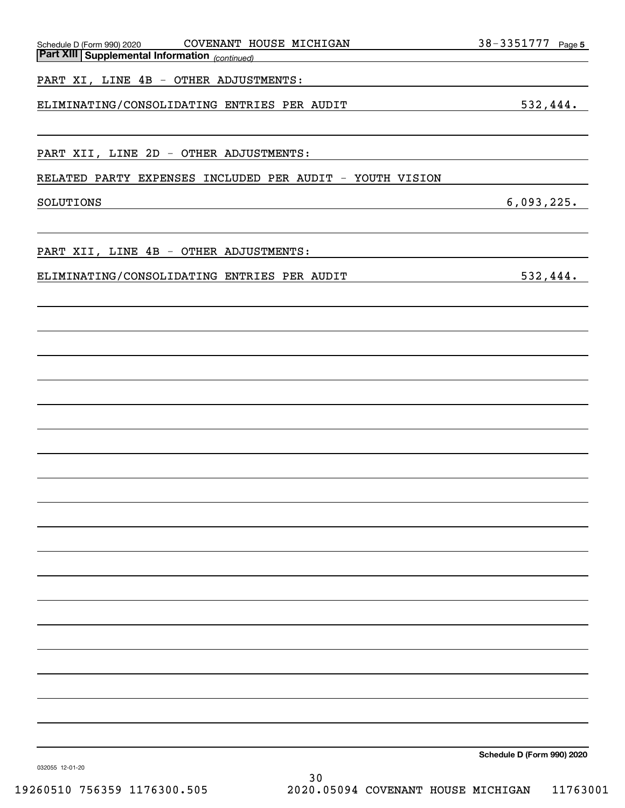| COVENANT HOUSE MICHIGAN<br>Schedule D (Form 990) 2020<br><u> 1989 - Johann Harry Barn, mars ar breist fan de Fryske kommer</u><br>Part XIII Supplemental Information (continued)<br><u> 1980 - Jan Sterling, mars and de la provincia de la provincia de la provincia de la provincia de la provincia</u> | 38-3351777 Page 5          |
|-----------------------------------------------------------------------------------------------------------------------------------------------------------------------------------------------------------------------------------------------------------------------------------------------------------|----------------------------|
| PART XI, LINE 4B - OTHER ADJUSTMENTS:                                                                                                                                                                                                                                                                     |                            |
| ELIMINATING/CONSOLIDATING ENTRIES PER AUDIT                                                                                                                                                                                                                                                               | 532,444.                   |
|                                                                                                                                                                                                                                                                                                           |                            |
| PART XII, LINE 2D - OTHER ADJUSTMENTS:                                                                                                                                                                                                                                                                    |                            |
| RELATED PARTY EXPENSES INCLUDED PER AUDIT - YOUTH VISION                                                                                                                                                                                                                                                  |                            |
| SOLUTIONS<br><u> 1989 - Johann Stoff, amerikansk politiker (d. 1989)</u>                                                                                                                                                                                                                                  | 6,093,225.                 |
| PART XII, LINE 4B - OTHER ADJUSTMENTS:                                                                                                                                                                                                                                                                    |                            |
| ELIMINATING/CONSOLIDATING ENTRIES PER AUDIT                                                                                                                                                                                                                                                               | $\frac{532,444}{.}$        |
|                                                                                                                                                                                                                                                                                                           |                            |
|                                                                                                                                                                                                                                                                                                           |                            |
|                                                                                                                                                                                                                                                                                                           |                            |
|                                                                                                                                                                                                                                                                                                           |                            |
|                                                                                                                                                                                                                                                                                                           |                            |
|                                                                                                                                                                                                                                                                                                           |                            |
|                                                                                                                                                                                                                                                                                                           |                            |
|                                                                                                                                                                                                                                                                                                           |                            |
|                                                                                                                                                                                                                                                                                                           |                            |
|                                                                                                                                                                                                                                                                                                           |                            |
|                                                                                                                                                                                                                                                                                                           |                            |
|                                                                                                                                                                                                                                                                                                           |                            |
|                                                                                                                                                                                                                                                                                                           |                            |
|                                                                                                                                                                                                                                                                                                           |                            |
| 032055 12-01-20<br>ח כי                                                                                                                                                                                                                                                                                   | Schedule D (Form 990) 2020 |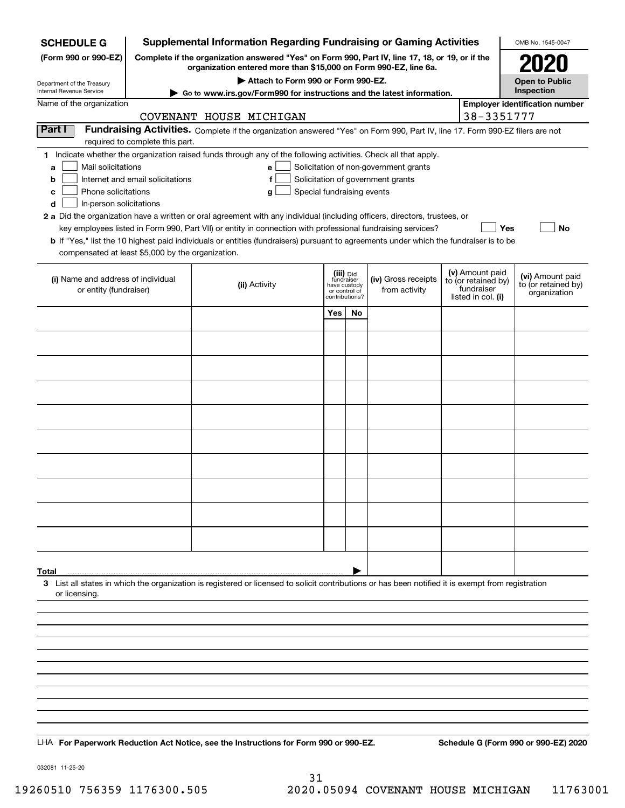| <b>SCHEDULE G</b>                                      | <b>Supplemental Information Regarding Fundraising or Gaming Activities</b>                      |                                                                                                                                                                                                                                           |                                                 |    |                                       |  |                                        |                                       |
|--------------------------------------------------------|-------------------------------------------------------------------------------------------------|-------------------------------------------------------------------------------------------------------------------------------------------------------------------------------------------------------------------------------------------|-------------------------------------------------|----|---------------------------------------|--|----------------------------------------|---------------------------------------|
| (Form 990 or 990-EZ)                                   | Complete if the organization answered "Yes" on Form 990, Part IV, line 17, 18, or 19, or if the |                                                                                                                                                                                                                                           |                                                 |    |                                       |  |                                        |                                       |
|                                                        | organization entered more than \$15,000 on Form 990-EZ, line 6a.                                |                                                                                                                                                                                                                                           | <b>Open to Public</b>                           |    |                                       |  |                                        |                                       |
| Department of the Treasury<br>Internal Revenue Service | Go to www.irs.gov/Form990 for instructions and the latest information.                          |                                                                                                                                                                                                                                           | Inspection                                      |    |                                       |  |                                        |                                       |
| Name of the organization                               |                                                                                                 | COVENANT HOUSE MICHIGAN                                                                                                                                                                                                                   |                                                 |    |                                       |  | 38-3351777                             | <b>Employer identification number</b> |
| Part I                                                 |                                                                                                 | Fundraising Activities. Complete if the organization answered "Yes" on Form 990, Part IV, line 17. Form 990-EZ filers are not                                                                                                             |                                                 |    |                                       |  |                                        |                                       |
|                                                        | required to complete this part.                                                                 |                                                                                                                                                                                                                                           |                                                 |    |                                       |  |                                        |                                       |
| Mail solicitations<br>a                                |                                                                                                 | 1 Indicate whether the organization raised funds through any of the following activities. Check all that apply.<br>e l                                                                                                                    |                                                 |    | Solicitation of non-government grants |  |                                        |                                       |
| b                                                      | Internet and email solicitations                                                                | f                                                                                                                                                                                                                                         |                                                 |    | Solicitation of government grants     |  |                                        |                                       |
| Phone solicitations<br>с                               |                                                                                                 | Special fundraising events<br>g                                                                                                                                                                                                           |                                                 |    |                                       |  |                                        |                                       |
| d<br>In-person solicitations                           |                                                                                                 |                                                                                                                                                                                                                                           |                                                 |    |                                       |  |                                        |                                       |
|                                                        |                                                                                                 | 2 a Did the organization have a written or oral agreement with any individual (including officers, directors, trustees, or<br>key employees listed in Form 990, Part VII) or entity in connection with professional fundraising services? |                                                 |    |                                       |  | <b>Yes</b>                             | No                                    |
|                                                        |                                                                                                 | <b>b</b> If "Yes," list the 10 highest paid individuals or entities (fundraisers) pursuant to agreements under which the fundraiser is to be                                                                                              |                                                 |    |                                       |  |                                        |                                       |
| compensated at least \$5,000 by the organization.      |                                                                                                 |                                                                                                                                                                                                                                           |                                                 |    |                                       |  |                                        |                                       |
| (i) Name and address of individual                     |                                                                                                 |                                                                                                                                                                                                                                           | (iii) Did<br>fundraiser                         |    | (iv) Gross receipts                   |  | (v) Amount paid<br>to (or retained by) | (vi) Amount paid                      |
| or entity (fundraiser)                                 |                                                                                                 | (ii) Activity                                                                                                                                                                                                                             | have custody<br>or control of<br>contributions? |    | from activity                         |  | fundraiser<br>listed in col. (i)       | to (or retained by)<br>organization   |
|                                                        |                                                                                                 |                                                                                                                                                                                                                                           | Yes                                             | No |                                       |  |                                        |                                       |
|                                                        |                                                                                                 |                                                                                                                                                                                                                                           |                                                 |    |                                       |  |                                        |                                       |
|                                                        |                                                                                                 |                                                                                                                                                                                                                                           |                                                 |    |                                       |  |                                        |                                       |
|                                                        |                                                                                                 |                                                                                                                                                                                                                                           |                                                 |    |                                       |  |                                        |                                       |
|                                                        |                                                                                                 |                                                                                                                                                                                                                                           |                                                 |    |                                       |  |                                        |                                       |
|                                                        |                                                                                                 |                                                                                                                                                                                                                                           |                                                 |    |                                       |  |                                        |                                       |
|                                                        |                                                                                                 |                                                                                                                                                                                                                                           |                                                 |    |                                       |  |                                        |                                       |
|                                                        |                                                                                                 |                                                                                                                                                                                                                                           |                                                 |    |                                       |  |                                        |                                       |
|                                                        |                                                                                                 |                                                                                                                                                                                                                                           |                                                 |    |                                       |  |                                        |                                       |
|                                                        |                                                                                                 |                                                                                                                                                                                                                                           |                                                 |    |                                       |  |                                        |                                       |
|                                                        |                                                                                                 |                                                                                                                                                                                                                                           |                                                 |    |                                       |  |                                        |                                       |
|                                                        |                                                                                                 |                                                                                                                                                                                                                                           |                                                 |    |                                       |  |                                        |                                       |
|                                                        |                                                                                                 |                                                                                                                                                                                                                                           |                                                 |    |                                       |  |                                        |                                       |
|                                                        |                                                                                                 |                                                                                                                                                                                                                                           |                                                 |    |                                       |  |                                        |                                       |
|                                                        |                                                                                                 |                                                                                                                                                                                                                                           |                                                 |    |                                       |  |                                        |                                       |
|                                                        |                                                                                                 |                                                                                                                                                                                                                                           |                                                 |    |                                       |  |                                        |                                       |
| Total                                                  |                                                                                                 |                                                                                                                                                                                                                                           |                                                 |    |                                       |  |                                        |                                       |
| or licensing.                                          |                                                                                                 | 3 List all states in which the organization is registered or licensed to solicit contributions or has been notified it is exempt from registration                                                                                        |                                                 |    |                                       |  |                                        |                                       |
|                                                        |                                                                                                 |                                                                                                                                                                                                                                           |                                                 |    |                                       |  |                                        |                                       |
|                                                        |                                                                                                 |                                                                                                                                                                                                                                           |                                                 |    |                                       |  |                                        |                                       |
|                                                        |                                                                                                 |                                                                                                                                                                                                                                           |                                                 |    |                                       |  |                                        |                                       |
|                                                        |                                                                                                 |                                                                                                                                                                                                                                           |                                                 |    |                                       |  |                                        |                                       |
|                                                        |                                                                                                 |                                                                                                                                                                                                                                           |                                                 |    |                                       |  |                                        |                                       |
|                                                        |                                                                                                 |                                                                                                                                                                                                                                           |                                                 |    |                                       |  |                                        |                                       |
|                                                        |                                                                                                 |                                                                                                                                                                                                                                           |                                                 |    |                                       |  |                                        |                                       |
|                                                        |                                                                                                 |                                                                                                                                                                                                                                           |                                                 |    |                                       |  |                                        |                                       |
|                                                        |                                                                                                 | LHA For Paperwork Reduction Act Notice, see the Instructions for Form 990 or 990-EZ.                                                                                                                                                      |                                                 |    |                                       |  |                                        | Schedule G (Form 990 or 990-EZ) 2020  |

032081 11-25-20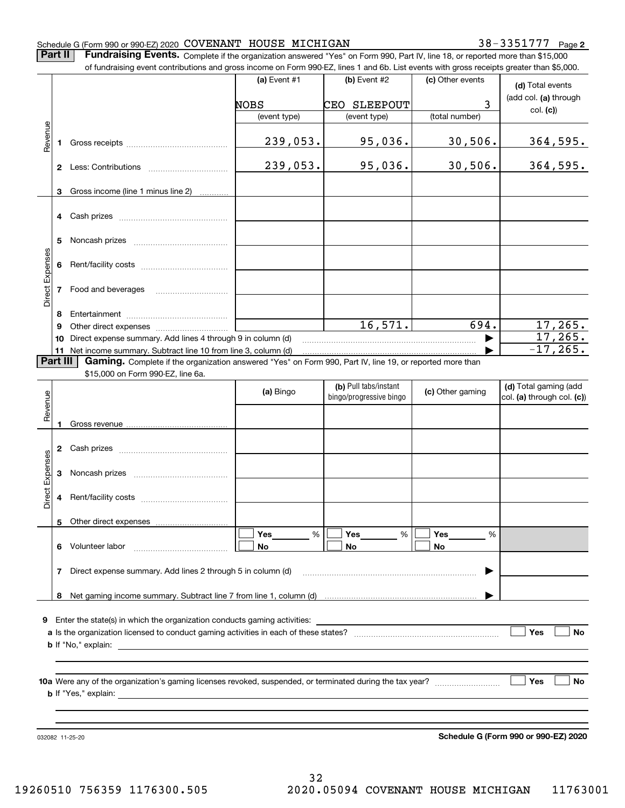|  |  |  |  |  |  |  | 38-3351777 Page 2 |
|--|--|--|--|--|--|--|-------------------|
|--|--|--|--|--|--|--|-------------------|

**Part II** | Fundraising Events. Complete if the organization answered "Yes" on Form 990, Part IV, line 18, or reported more than \$15,000

|                 |          | of fundraising event contributions and gross income on Form 990-EZ, lines 1 and 6b. List events with gross receipts greater than \$5,000. |              |                         |                  |                                      |
|-----------------|----------|-------------------------------------------------------------------------------------------------------------------------------------------|--------------|-------------------------|------------------|--------------------------------------|
|                 |          |                                                                                                                                           | (a) Event #1 | (b) Event #2            | (c) Other events | (d) Total events                     |
|                 |          |                                                                                                                                           | <b>NOBS</b>  | CEO<br>SLEEPOUT         | 3                | (add col. (a) through                |
|                 |          |                                                                                                                                           | (event type) | (event type)            | (total number)   | col. (c)                             |
| Revenue         |          |                                                                                                                                           |              |                         |                  |                                      |
|                 | 1        |                                                                                                                                           | 239,053.     | 95,036.                 | 30,506.          | <u>364,595.</u>                      |
|                 |          |                                                                                                                                           | 239,053.     | 95,036.                 | 30,506.          | 364,595.                             |
|                 | 3        | Gross income (line 1 minus line 2)<br>.                                                                                                   |              |                         |                  |                                      |
|                 | 4        |                                                                                                                                           |              |                         |                  |                                      |
|                 | 5        |                                                                                                                                           |              |                         |                  |                                      |
|                 |          |                                                                                                                                           |              |                         |                  |                                      |
| Direct Expenses | 6        |                                                                                                                                           |              |                         |                  |                                      |
|                 | 7        | Food and beverages                                                                                                                        |              |                         |                  |                                      |
|                 |          |                                                                                                                                           |              |                         |                  |                                      |
|                 | 8<br>9   |                                                                                                                                           |              | 16,571.                 | 694.             | 17,265.                              |
|                 | 10       | Direct expense summary. Add lines 4 through 9 in column (d)                                                                               |              |                         |                  | 17,265.                              |
|                 |          | 11 Net income summary. Subtract line 10 from line 3, column (d)                                                                           |              |                         |                  | $-17, 265.$                          |
|                 | Part III | Gaming. Complete if the organization answered "Yes" on Form 990, Part IV, line 19, or reported more than                                  |              |                         |                  |                                      |
|                 |          | \$15,000 on Form 990-EZ, line 6a.                                                                                                         |              |                         |                  |                                      |
|                 |          |                                                                                                                                           | (a) Bingo    | (b) Pull tabs/instant   | (c) Other gaming | (d) Total gaming (add                |
| Revenue         |          |                                                                                                                                           |              | bingo/progressive bingo |                  | col. (a) through col. (c))           |
|                 |          |                                                                                                                                           |              |                         |                  |                                      |
|                 | 1        |                                                                                                                                           |              |                         |                  |                                      |
|                 | 2        |                                                                                                                                           |              |                         |                  |                                      |
| Expenses        |          |                                                                                                                                           |              |                         |                  |                                      |
|                 | 3        |                                                                                                                                           |              |                         |                  |                                      |
| Direct          | 4        |                                                                                                                                           |              |                         |                  |                                      |
|                 |          |                                                                                                                                           |              |                         |                  |                                      |
|                 |          | 5 Other direct expenses                                                                                                                   | %<br>Yes     | %<br>Yes                | Yes<br>%         |                                      |
|                 | 6.       | Volunteer labor                                                                                                                           | No.          | No                      | No               |                                      |
|                 |          |                                                                                                                                           |              |                         |                  |                                      |
|                 | 7        | Direct expense summary. Add lines 2 through 5 in column (d)                                                                               |              |                         |                  |                                      |
|                 |          |                                                                                                                                           |              |                         |                  |                                      |
|                 |          |                                                                                                                                           |              |                         |                  |                                      |
| 9               |          |                                                                                                                                           |              |                         |                  |                                      |
|                 |          |                                                                                                                                           |              |                         |                  | Yes<br>No                            |
|                 |          |                                                                                                                                           |              |                         |                  |                                      |
|                 |          |                                                                                                                                           |              |                         |                  |                                      |
|                 |          |                                                                                                                                           |              |                         |                  | Yes<br>No                            |
|                 |          |                                                                                                                                           |              |                         |                  |                                      |
|                 |          |                                                                                                                                           |              |                         |                  |                                      |
|                 |          |                                                                                                                                           |              |                         |                  |                                      |
|                 |          | 032082 11-25-20                                                                                                                           |              |                         |                  | Schedule G (Form 990 or 990-EZ) 2020 |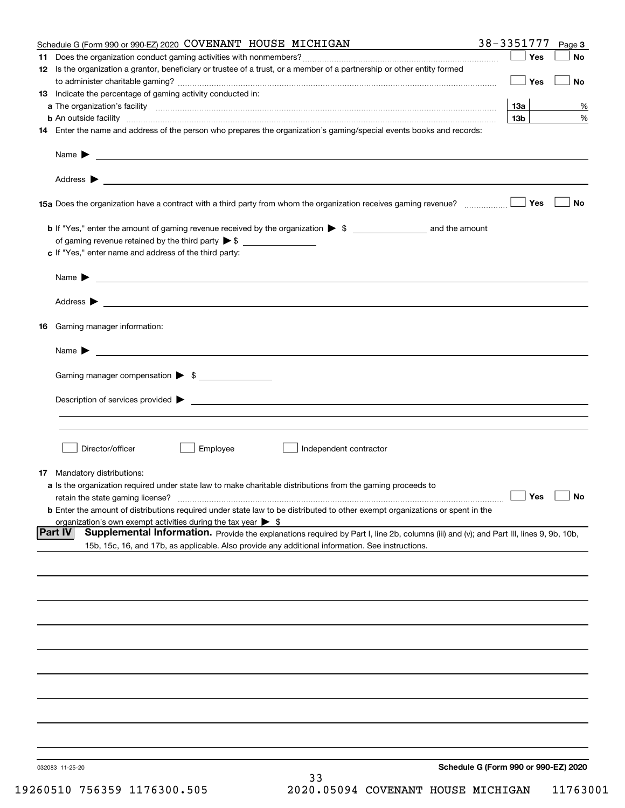|    | Schedule G (Form 990 or 990-EZ) 2020 COVENANT HOUSE MICHIGAN                                                                                                  | 38-3351777      | Page 3 |
|----|---------------------------------------------------------------------------------------------------------------------------------------------------------------|-----------------|--------|
| 11 |                                                                                                                                                               | Yes             | No     |
|    | 12 Is the organization a grantor, beneficiary or trustee of a trust, or a member of a partnership or other entity formed                                      | Yes             | No     |
|    | 13 Indicate the percentage of gaming activity conducted in:                                                                                                   |                 |        |
|    |                                                                                                                                                               | <u>13a</u>      | %      |
|    | <b>b</b> An outside facility <i>www.communicality www.communicality.communicality www.communicality www.communicality.communicality www.communicality.com</i> | 13 <sub>b</sub> | %      |
|    | 14 Enter the name and address of the person who prepares the organization's gaming/special events books and records:                                          |                 |        |
|    |                                                                                                                                                               |                 |        |
|    |                                                                                                                                                               |                 |        |
|    | 15a Does the organization have a contract with a third party from whom the organization receives gaming revenue?                                              | Yes             | No     |
|    | b If "Yes," enter the amount of gaming revenue received by the organization > \$ ____________________ and the amount                                          |                 |        |
|    |                                                                                                                                                               |                 |        |
|    | c If "Yes," enter name and address of the third party:                                                                                                        |                 |        |
|    | Name $\blacktriangleright$ $\bot$                                                                                                                             |                 |        |
|    |                                                                                                                                                               |                 |        |
|    |                                                                                                                                                               |                 |        |
| 16 | Gaming manager information:                                                                                                                                   |                 |        |
|    | Name $\blacktriangleright$ $\frac{1}{\sqrt{1-\frac{1}{2}}\left(1-\frac{1}{2}\right)}$                                                                         |                 |        |
|    | Gaming manager compensation > \$                                                                                                                              |                 |        |
|    |                                                                                                                                                               |                 |        |
|    |                                                                                                                                                               |                 |        |
|    |                                                                                                                                                               |                 |        |
|    | Director/officer<br>Employee<br>Independent contractor                                                                                                        |                 |        |
|    |                                                                                                                                                               |                 |        |
|    | 17 Mandatory distributions:                                                                                                                                   |                 |        |
|    | a Is the organization required under state law to make charitable distributions from the gaming proceeds to<br>retain the state gaming license?               |                 |        |
|    | $\Box$ Yes $\Box$ No<br><b>b</b> Enter the amount of distributions required under state law to be distributed to other exempt organizations or spent in the   |                 |        |
|    | organization's own exempt activities during the tax year $\triangleright$ \$                                                                                  |                 |        |
|    | Part IV<br>Supplemental Information. Provide the explanations required by Part I, line 2b, columns (iii) and (v); and Part III, lines 9, 9b, 10b,             |                 |        |
|    | 15b, 15c, 16, and 17b, as applicable. Also provide any additional information. See instructions.                                                              |                 |        |
|    |                                                                                                                                                               |                 |        |
|    |                                                                                                                                                               |                 |        |
|    |                                                                                                                                                               |                 |        |
|    |                                                                                                                                                               |                 |        |
|    |                                                                                                                                                               |                 |        |
|    |                                                                                                                                                               |                 |        |
|    |                                                                                                                                                               |                 |        |
|    |                                                                                                                                                               |                 |        |
|    |                                                                                                                                                               |                 |        |
|    | Schedule G (Form 990 or 990-EZ) 2020<br>032083 11-25-20                                                                                                       |                 |        |
|    | 33                                                                                                                                                            |                 |        |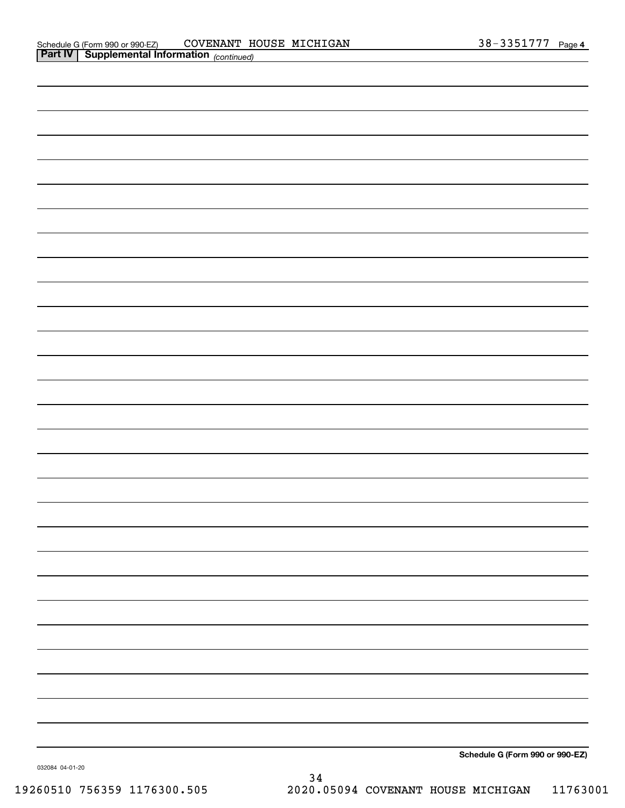| Schedule G (Form 990 or 990-EZ) |
|---------------------------------|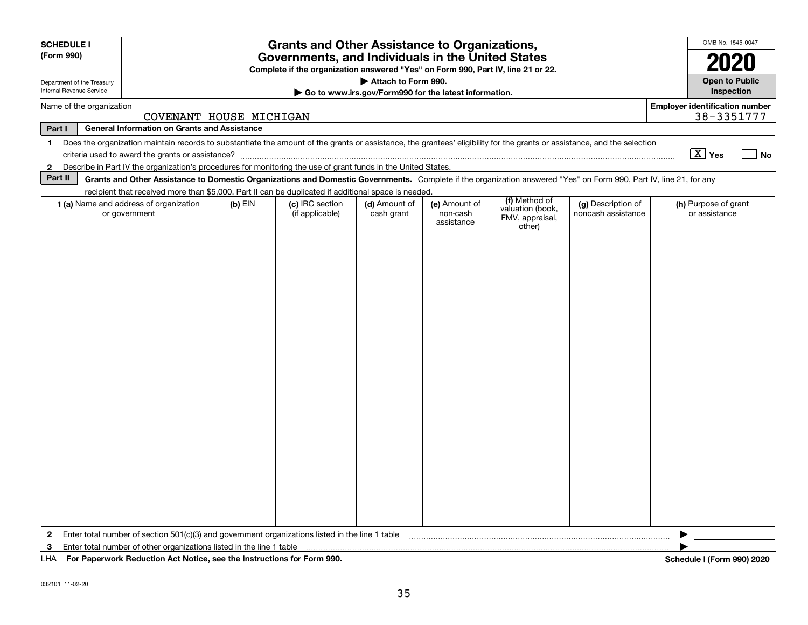| <b>SCHEDULE I</b><br>(Form 990)                                                                                                        | <b>Grants and Other Assistance to Organizations,</b><br>Governments, and Individuals in the United States<br>Complete if the organization answered "Yes" on Form 990, Part IV, line 21 or 22. |           |                                    |                             |                                         |                                               |                                          |                                       |  |  |  |
|----------------------------------------------------------------------------------------------------------------------------------------|-----------------------------------------------------------------------------------------------------------------------------------------------------------------------------------------------|-----------|------------------------------------|-----------------------------|-----------------------------------------|-----------------------------------------------|------------------------------------------|---------------------------------------|--|--|--|
| Attach to Form 990.<br>Department of the Treasury<br>Internal Revenue Service<br>Go to www.irs.gov/Form990 for the latest information. |                                                                                                                                                                                               |           |                                    |                             |                                         |                                               |                                          |                                       |  |  |  |
|                                                                                                                                        | <b>Employer identification number</b><br>Name of the organization<br>38-3351777<br>COVENANT HOUSE MICHIGAN                                                                                    |           |                                    |                             |                                         |                                               |                                          |                                       |  |  |  |
| Part I                                                                                                                                 | <b>General Information on Grants and Assistance</b>                                                                                                                                           |           |                                    |                             |                                         |                                               |                                          |                                       |  |  |  |
| $\mathbf{1}$                                                                                                                           | Does the organization maintain records to substantiate the amount of the grants or assistance, the grantees' eligibility for the grants or assistance, and the selection                      |           |                                    |                             |                                         |                                               |                                          | $\boxed{\text{X}}$ Yes<br>No          |  |  |  |
| $\mathbf{2}$                                                                                                                           | Describe in Part IV the organization's procedures for monitoring the use of grant funds in the United States.                                                                                 |           |                                    |                             |                                         |                                               |                                          |                                       |  |  |  |
| Part II                                                                                                                                | Grants and Other Assistance to Domestic Organizations and Domestic Governments. Complete if the organization answered "Yes" on Form 990, Part IV, line 21, for any                            |           |                                    |                             |                                         |                                               |                                          |                                       |  |  |  |
|                                                                                                                                        | recipient that received more than \$5,000. Part II can be duplicated if additional space is needed.                                                                                           |           |                                    |                             |                                         | (f) Method of                                 |                                          |                                       |  |  |  |
|                                                                                                                                        | 1 (a) Name and address of organization<br>or government                                                                                                                                       | $(b)$ EIN | (c) IRC section<br>(if applicable) | (d) Amount of<br>cash grant | (e) Amount of<br>non-cash<br>assistance | valuation (book,<br>FMV, appraisal,<br>other) | (g) Description of<br>noncash assistance | (h) Purpose of grant<br>or assistance |  |  |  |
|                                                                                                                                        |                                                                                                                                                                                               |           |                                    |                             |                                         |                                               |                                          |                                       |  |  |  |
|                                                                                                                                        |                                                                                                                                                                                               |           |                                    |                             |                                         |                                               |                                          |                                       |  |  |  |
|                                                                                                                                        |                                                                                                                                                                                               |           |                                    |                             |                                         |                                               |                                          |                                       |  |  |  |
|                                                                                                                                        |                                                                                                                                                                                               |           |                                    |                             |                                         |                                               |                                          |                                       |  |  |  |
|                                                                                                                                        |                                                                                                                                                                                               |           |                                    |                             |                                         |                                               |                                          |                                       |  |  |  |
|                                                                                                                                        |                                                                                                                                                                                               |           |                                    |                             |                                         |                                               |                                          |                                       |  |  |  |
|                                                                                                                                        |                                                                                                                                                                                               |           |                                    |                             |                                         |                                               |                                          |                                       |  |  |  |
|                                                                                                                                        |                                                                                                                                                                                               |           |                                    |                             |                                         |                                               |                                          |                                       |  |  |  |
| $\mathbf{2}$                                                                                                                           | Enter total number of section 501(c)(3) and government organizations listed in the line 1 table                                                                                               |           |                                    |                             |                                         |                                               |                                          |                                       |  |  |  |
| 3                                                                                                                                      | Enter total number of other organizations listed in the line 1 table                                                                                                                          |           |                                    |                             |                                         |                                               |                                          |                                       |  |  |  |
|                                                                                                                                        | LHA For Paperwork Reduction Act Notice, see the Instructions for Form 990.                                                                                                                    |           |                                    |                             |                                         |                                               |                                          | Schedule I (Form 990) 2020            |  |  |  |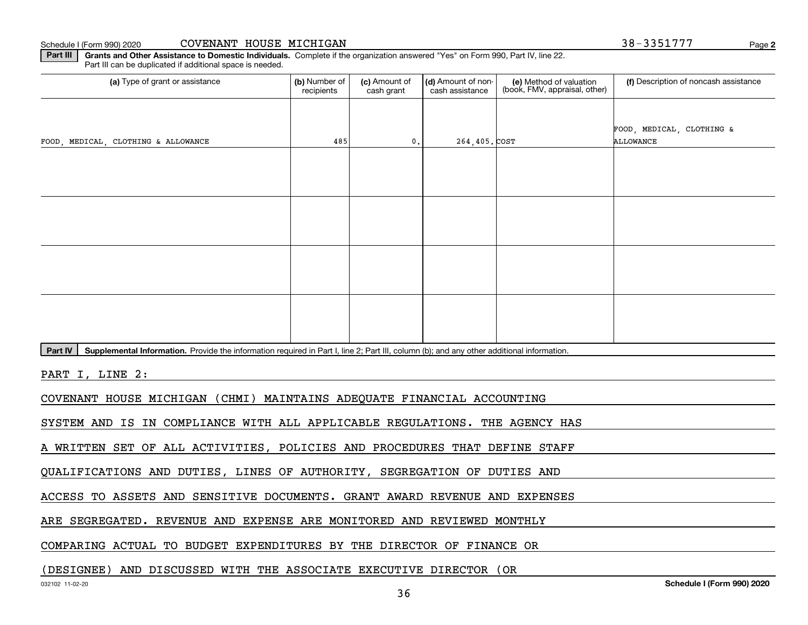Schedule I (Form 990) 2020

|  |  | COVENANT HOUSE MICHIGAN |
|--|--|-------------------------|
|--|--|-------------------------|

**2**38-3351777

**Part III | Grants and Other Assistance to Domestic Individuals. Complete if the organization answered "Yes" on Form 990, Part IV, line 22.** Part III can be duplicated if additional space is needed.

| (a) Type of grant or assistance                                                                                                                      | (b) Number of<br>recipients | (c) Amount of<br>cash grant | (d) Amount of non-<br>cash assistance | (e) Method of valuation<br>(book, FMV, appraisal, other) | (f) Description of noncash assistance  |  |  |  |
|------------------------------------------------------------------------------------------------------------------------------------------------------|-----------------------------|-----------------------------|---------------------------------------|----------------------------------------------------------|----------------------------------------|--|--|--|
| FOOD, MEDICAL, CLOTHING & ALLOWANCE                                                                                                                  | 485                         | $\mathfrak o$ .             | 264,405. COST                         |                                                          | FOOD, MEDICAL, CLOTHING &<br>ALLOWANCE |  |  |  |
|                                                                                                                                                      |                             |                             |                                       |                                                          |                                        |  |  |  |
|                                                                                                                                                      |                             |                             |                                       |                                                          |                                        |  |  |  |
|                                                                                                                                                      |                             |                             |                                       |                                                          |                                        |  |  |  |
|                                                                                                                                                      |                             |                             |                                       |                                                          |                                        |  |  |  |
| Part IV<br>Supplemental Information. Provide the information required in Part I, line 2; Part III, column (b); and any other additional information. |                             |                             |                                       |                                                          |                                        |  |  |  |
| PART I, LINE 2:                                                                                                                                      |                             |                             |                                       |                                                          |                                        |  |  |  |
| COVENANT HOUSE MICHIGAN (CHMI) MAINTAINS ADEQUATE FINANCIAL ACCOUNTING                                                                               |                             |                             |                                       |                                                          |                                        |  |  |  |
| SYSTEM AND IS IN COMPLIANCE WITH ALL APPLICABLE REGULATIONS. THE AGENCY HAS                                                                          |                             |                             |                                       |                                                          |                                        |  |  |  |
| A WRITTEN SET OF ALL ACTIVITIES, POLICIES AND PROCEDURES THAT DEFINE STAFF                                                                           |                             |                             |                                       |                                                          |                                        |  |  |  |
| QUALIFICATIONS AND DUTIES, LINES OF AUTHORITY, SEGREGATION OF DUTIES AND                                                                             |                             |                             |                                       |                                                          |                                        |  |  |  |
| ACCESS TO ASSETS AND SENSITIVE DOCUMENTS. GRANT AWARD REVENUE AND EXPENSES                                                                           |                             |                             |                                       |                                                          |                                        |  |  |  |
| ARE SEGREGATED. REVENUE AND EXPENSE ARE MONITORED AND REVIEWED MONTHLY                                                                               |                             |                             |                                       |                                                          |                                        |  |  |  |

COMPARING ACTUAL TO BUDGET EXPENDITURES BY THE DIRECTOR OF FINANCE OR

## (DESIGNEE) AND DISCUSSED WITH THE ASSOCIATE EXECUTIVE DIRECTOR (OR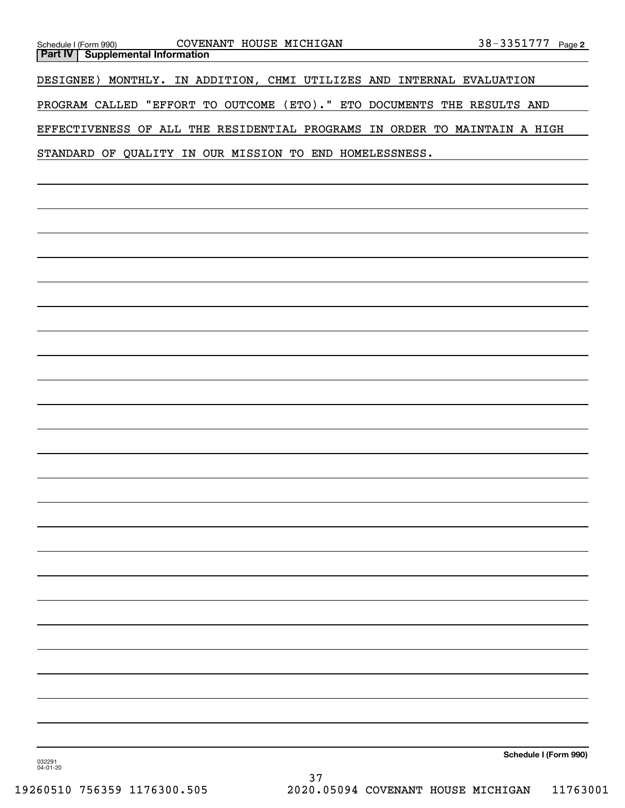| Schedule I (Form 990) | COVENANT HOUSE MICHIGAN                                 |     | 38-3351777 Page 2                                                         |
|-----------------------|---------------------------------------------------------|-----|---------------------------------------------------------------------------|
| <b>Part IV</b>        | <b>Supplemental Information</b>                         |     |                                                                           |
|                       |                                                         |     | DESIGNEE) MONTHLY. IN ADDITION, CHMI UTILIZES AND INTERNAL EVALUATION     |
|                       |                                                         |     | PROGRAM CALLED "EFFORT TO OUTCOME (ETO)." ETO DOCUMENTS THE RESULTS AND   |
|                       |                                                         |     | EFFECTIVENESS OF ALL THE RESIDENTIAL PROGRAMS IN ORDER TO MAINTAIN A HIGH |
|                       | STANDARD OF QUALITY IN OUR MISSION TO END HOMELESSNESS. |     |                                                                           |
|                       |                                                         |     |                                                                           |
|                       |                                                         |     |                                                                           |
|                       |                                                         |     |                                                                           |
|                       |                                                         |     |                                                                           |
|                       |                                                         |     |                                                                           |
|                       |                                                         |     |                                                                           |
|                       |                                                         |     |                                                                           |
|                       |                                                         |     |                                                                           |
|                       |                                                         |     |                                                                           |
|                       |                                                         |     |                                                                           |
|                       |                                                         |     |                                                                           |
|                       |                                                         |     |                                                                           |
|                       |                                                         |     |                                                                           |
|                       |                                                         |     |                                                                           |
|                       |                                                         |     |                                                                           |
|                       |                                                         |     |                                                                           |
|                       |                                                         |     |                                                                           |
|                       |                                                         |     |                                                                           |
|                       |                                                         |     |                                                                           |
|                       |                                                         |     |                                                                           |
|                       |                                                         |     |                                                                           |
|                       |                                                         |     |                                                                           |
|                       |                                                         |     |                                                                           |
|                       |                                                         |     |                                                                           |
| 032291                |                                                         |     | Schedule I (Form 990)                                                     |
| 04-01-20              |                                                         | ה ר |                                                                           |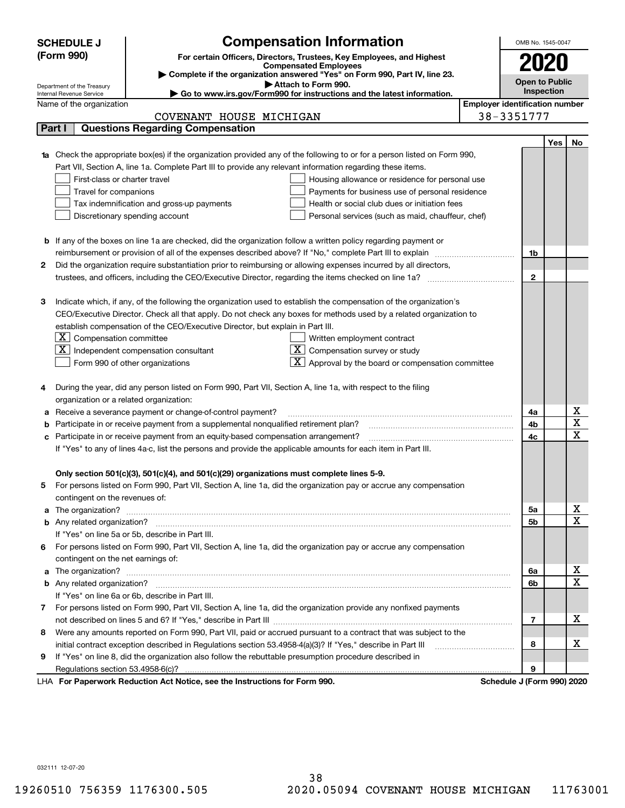|    | <b>Compensation Information</b><br><b>SCHEDULE J</b>                                                                                                                                                                                 |                                       | OMB No. 1545-0047          |     |                         |  |
|----|--------------------------------------------------------------------------------------------------------------------------------------------------------------------------------------------------------------------------------------|---------------------------------------|----------------------------|-----|-------------------------|--|
|    | (Form 990)<br>For certain Officers, Directors, Trustees, Key Employees, and Highest                                                                                                                                                  |                                       |                            |     |                         |  |
|    | 2020<br><b>Compensated Employees</b><br>Complete if the organization answered "Yes" on Form 990, Part IV, line 23.                                                                                                                   |                                       |                            |     |                         |  |
|    | Attach to Form 990.<br>Department of the Treasury                                                                                                                                                                                    |                                       | <b>Open to Public</b>      |     |                         |  |
|    | Go to www.irs.gov/Form990 for instructions and the latest information.<br>Internal Revenue Service                                                                                                                                   |                                       | Inspection                 |     |                         |  |
|    | Name of the organization                                                                                                                                                                                                             | <b>Employer identification number</b> |                            |     |                         |  |
|    | COVENANT HOUSE MICHIGAN                                                                                                                                                                                                              |                                       | 38-3351777                 |     |                         |  |
|    | <b>Questions Regarding Compensation</b><br>Part I                                                                                                                                                                                    |                                       |                            |     |                         |  |
|    |                                                                                                                                                                                                                                      |                                       |                            | Yes | No                      |  |
|    | 1a Check the appropriate box(es) if the organization provided any of the following to or for a person listed on Form 990,                                                                                                            |                                       |                            |     |                         |  |
|    | Part VII, Section A, line 1a. Complete Part III to provide any relevant information regarding these items.                                                                                                                           |                                       |                            |     |                         |  |
|    | First-class or charter travel<br>Housing allowance or residence for personal use                                                                                                                                                     |                                       |                            |     |                         |  |
|    | Travel for companions<br>Payments for business use of personal residence                                                                                                                                                             |                                       |                            |     |                         |  |
|    | Tax indemnification and gross-up payments<br>Health or social club dues or initiation fees                                                                                                                                           |                                       |                            |     |                         |  |
|    | Discretionary spending account<br>Personal services (such as maid, chauffeur, chef)                                                                                                                                                  |                                       |                            |     |                         |  |
|    |                                                                                                                                                                                                                                      |                                       |                            |     |                         |  |
|    | <b>b</b> If any of the boxes on line 1a are checked, did the organization follow a written policy regarding payment or                                                                                                               |                                       |                            |     |                         |  |
|    | reimbursement or provision of all of the expenses described above? If "No," complete Part III to explain                                                                                                                             |                                       | 1b                         |     |                         |  |
| 2  | Did the organization require substantiation prior to reimbursing or allowing expenses incurred by all directors,                                                                                                                     |                                       |                            |     |                         |  |
|    |                                                                                                                                                                                                                                      |                                       | $\mathbf{2}$               |     |                         |  |
|    |                                                                                                                                                                                                                                      |                                       |                            |     |                         |  |
| 3  | Indicate which, if any, of the following the organization used to establish the compensation of the organization's                                                                                                                   |                                       |                            |     |                         |  |
|    | CEO/Executive Director. Check all that apply. Do not check any boxes for methods used by a related organization to                                                                                                                   |                                       |                            |     |                         |  |
|    | establish compensation of the CEO/Executive Director, but explain in Part III.                                                                                                                                                       |                                       |                            |     |                         |  |
|    | $\lfloor x \rfloor$ Compensation committee<br>Written employment contract<br>$X$ Compensation survey or study                                                                                                                        |                                       |                            |     |                         |  |
|    | $\lfloor x \rfloor$ Independent compensation consultant                                                                                                                                                                              |                                       |                            |     |                         |  |
|    | $\mathbf{X}$ Approval by the board or compensation committee<br>Form 990 of other organizations                                                                                                                                      |                                       |                            |     |                         |  |
|    | During the year, did any person listed on Form 990, Part VII, Section A, line 1a, with respect to the filing                                                                                                                         |                                       |                            |     |                         |  |
|    | organization or a related organization:                                                                                                                                                                                              |                                       |                            |     |                         |  |
|    | Receive a severance payment or change-of-control payment?                                                                                                                                                                            |                                       | 4a                         |     | х                       |  |
|    | Participate in or receive payment from a supplemental nonqualified retirement plan?                                                                                                                                                  |                                       | 4b                         |     | $\overline{\texttt{x}}$ |  |
|    | Participate in or receive payment from an equity-based compensation arrangement?                                                                                                                                                     |                                       | 4c                         |     | $\overline{\text{x}}$   |  |
|    | If "Yes" to any of lines 4a-c, list the persons and provide the applicable amounts for each item in Part III.                                                                                                                        |                                       |                            |     |                         |  |
|    |                                                                                                                                                                                                                                      |                                       |                            |     |                         |  |
|    | Only section 501(c)(3), 501(c)(4), and 501(c)(29) organizations must complete lines 5-9.                                                                                                                                             |                                       |                            |     |                         |  |
|    | For persons listed on Form 990, Part VII, Section A, line 1a, did the organization pay or accrue any compensation                                                                                                                    |                                       |                            |     |                         |  |
|    | contingent on the revenues of:                                                                                                                                                                                                       |                                       |                            |     |                         |  |
|    |                                                                                                                                                                                                                                      |                                       | 5а                         |     | x                       |  |
|    |                                                                                                                                                                                                                                      |                                       | <b>5b</b>                  |     | $\overline{\text{x}}$   |  |
|    | If "Yes" on line 5a or 5b, describe in Part III.                                                                                                                                                                                     |                                       |                            |     |                         |  |
| 6. | For persons listed on Form 990, Part VII, Section A, line 1a, did the organization pay or accrue any compensation                                                                                                                    |                                       |                            |     |                         |  |
|    | contingent on the net earnings of:                                                                                                                                                                                                   |                                       |                            |     |                         |  |
|    | a The organization? <b>Entitled Strategies and Strategies and Strategies and Strategies and Strategies and Strategies and Strategies and Strategies and Strategies and Strategies and Strategies and Strategies and Strategies a</b> |                                       | 6a                         |     | x                       |  |
|    |                                                                                                                                                                                                                                      |                                       | 6b                         |     | $\overline{\text{x}}$   |  |
|    | If "Yes" on line 6a or 6b, describe in Part III.                                                                                                                                                                                     |                                       |                            |     |                         |  |
|    | 7 For persons listed on Form 990, Part VII, Section A, line 1a, did the organization provide any nonfixed payments                                                                                                                   |                                       |                            |     |                         |  |
|    |                                                                                                                                                                                                                                      |                                       | $\overline{7}$             |     | х                       |  |
| 8  | Were any amounts reported on Form 990, Part VII, paid or accrued pursuant to a contract that was subject to the                                                                                                                      |                                       |                            |     |                         |  |
|    | initial contract exception described in Regulations section 53.4958-4(a)(3)? If "Yes," describe in Part III                                                                                                                          |                                       | 8                          |     | x                       |  |
| 9  | If "Yes" on line 8, did the organization also follow the rebuttable presumption procedure described in                                                                                                                               |                                       |                            |     |                         |  |
|    | Regulations section 53.4958-6(c)?                                                                                                                                                                                                    |                                       | 9                          |     |                         |  |
|    | LHA For Paperwork Reduction Act Notice, see the Instructions for Form 990.                                                                                                                                                           |                                       | Schedule J (Form 990) 2020 |     |                         |  |

032111 12-07-20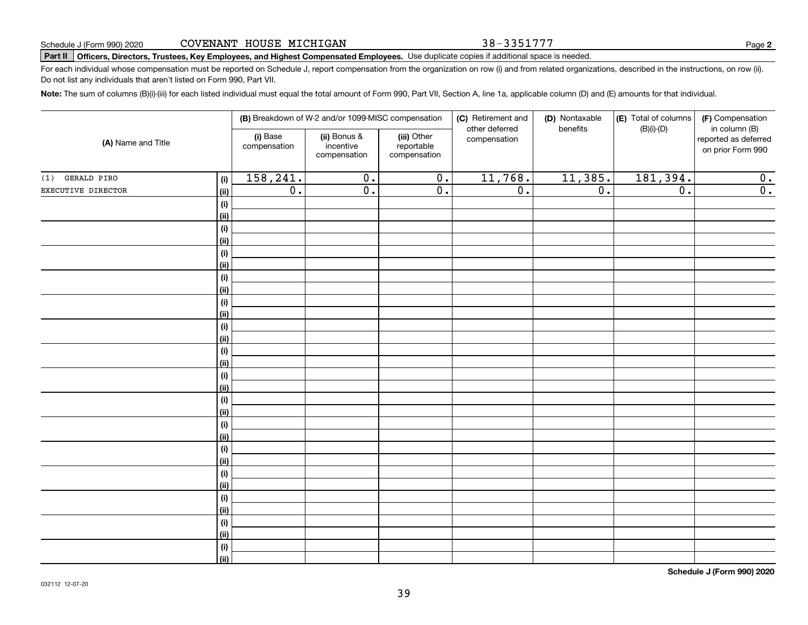38-3351777

**2**

# **Part II Officers, Directors, Trustees, Key Employees, and Highest Compensated Employees.**  Schedule J (Form 990) 2020 Page Use duplicate copies if additional space is needed.

For each individual whose compensation must be reported on Schedule J, report compensation from the organization on row (i) and from related organizations, described in the instructions, on row (ii). Do not list any individuals that aren't listed on Form 990, Part VII.

**Note:**  The sum of columns (B)(i)-(iii) for each listed individual must equal the total amount of Form 990, Part VII, Section A, line 1a, applicable column (D) and (E) amounts for that individual.

| (A) Name and Title |                |                          | (B) Breakdown of W-2 and/or 1099-MISC compensation |                                           | (C) Retirement and<br>(D) Nontaxable<br>other deferred<br>benefits | (E) Total of columns<br>$(B)(i)-(D)$ | (F) Compensation<br>in column (B) |                                           |
|--------------------|----------------|--------------------------|----------------------------------------------------|-------------------------------------------|--------------------------------------------------------------------|--------------------------------------|-----------------------------------|-------------------------------------------|
|                    |                | (i) Base<br>compensation | (ii) Bonus &<br>incentive<br>compensation          | (iii) Other<br>reportable<br>compensation | compensation                                                       |                                      |                                   | reported as deferred<br>on prior Form 990 |
| GERALD PIRO<br>(1) | (i)            | 158, 241.                | $\overline{0}$ .                                   | $\overline{0}$ .                          | 11,768.                                                            | 11,385.                              | 181,394.                          | 0.                                        |
| EXECUTIVE DIRECTOR | (ii)           | $\overline{0}$ .         | $\overline{0}$ .                                   | $\overline{0}$ .                          | $\overline{0}$ .                                                   | $\overline{0}$ .                     | $\overline{0}$ .                  | $\overline{0}$ .                          |
|                    | (i)            |                          |                                                    |                                           |                                                                    |                                      |                                   |                                           |
|                    | <u>(ii)</u>    |                          |                                                    |                                           |                                                                    |                                      |                                   |                                           |
|                    | (i)            |                          |                                                    |                                           |                                                                    |                                      |                                   |                                           |
|                    | <u>(ii)</u>    |                          |                                                    |                                           |                                                                    |                                      |                                   |                                           |
|                    | (i)            |                          |                                                    |                                           |                                                                    |                                      |                                   |                                           |
|                    | <u>(ii)</u>    |                          |                                                    |                                           |                                                                    |                                      |                                   |                                           |
|                    | (i)            |                          |                                                    |                                           |                                                                    |                                      |                                   |                                           |
|                    | <u>(ii)</u>    |                          |                                                    |                                           |                                                                    |                                      |                                   |                                           |
|                    | (i)            |                          |                                                    |                                           |                                                                    |                                      |                                   |                                           |
|                    | <u>(ii)</u>    |                          |                                                    |                                           |                                                                    |                                      |                                   |                                           |
|                    | (i)            |                          |                                                    |                                           |                                                                    |                                      |                                   |                                           |
|                    | (ii)           |                          |                                                    |                                           |                                                                    |                                      |                                   |                                           |
|                    | (i)<br>(ii)    |                          |                                                    |                                           |                                                                    |                                      |                                   |                                           |
|                    | (i)            |                          |                                                    |                                           |                                                                    |                                      |                                   |                                           |
|                    | (ii)           |                          |                                                    |                                           |                                                                    |                                      |                                   |                                           |
|                    | (i)            |                          |                                                    |                                           |                                                                    |                                      |                                   |                                           |
|                    | (ii)           |                          |                                                    |                                           |                                                                    |                                      |                                   |                                           |
|                    | (i)            |                          |                                                    |                                           |                                                                    |                                      |                                   |                                           |
|                    | <u>(ii)</u>    |                          |                                                    |                                           |                                                                    |                                      |                                   |                                           |
|                    | (i)            |                          |                                                    |                                           |                                                                    |                                      |                                   |                                           |
|                    | <u>(ii)</u>    |                          |                                                    |                                           |                                                                    |                                      |                                   |                                           |
|                    | (i)            |                          |                                                    |                                           |                                                                    |                                      |                                   |                                           |
|                    | <u>(ii)</u>    |                          |                                                    |                                           |                                                                    |                                      |                                   |                                           |
|                    | (i)            |                          |                                                    |                                           |                                                                    |                                      |                                   |                                           |
|                    | (ii)           |                          |                                                    |                                           |                                                                    |                                      |                                   |                                           |
|                    | (i)            |                          |                                                    |                                           |                                                                    |                                      |                                   |                                           |
|                    | <u>(ii)</u>    |                          |                                                    |                                           |                                                                    |                                      |                                   |                                           |
|                    | (i)            |                          |                                                    |                                           |                                                                    |                                      |                                   |                                           |
|                    | $\overline{}}$ |                          |                                                    |                                           |                                                                    |                                      |                                   |                                           |

**Schedule J (Form 990) 2020**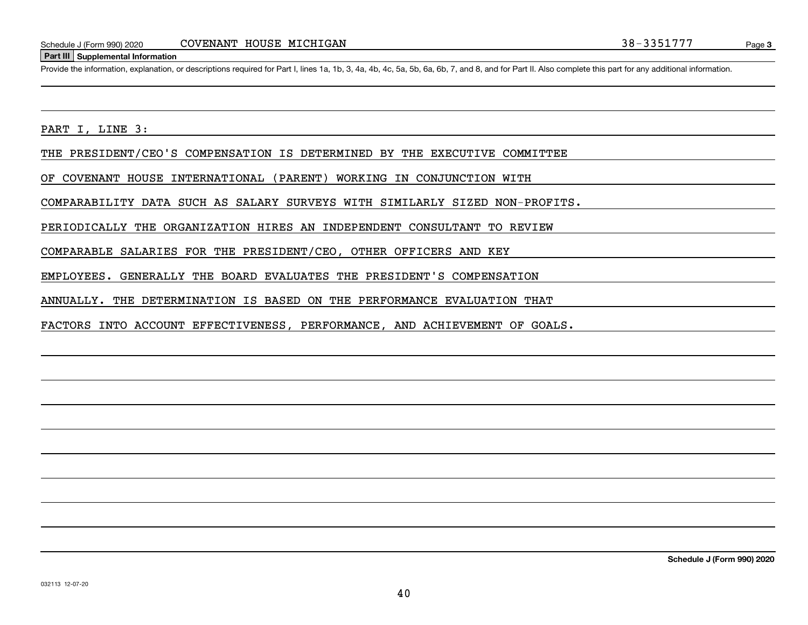#### **Part III Supplemental Information**

Schedule J (Form 990) 2020 COVENANT HOUSE MICHIGAN 38-3351777<br>
Part III Supplemental Information<br>
Provide the information, explanation, or descriptions required for Part I, lines 1a, 1b, 3, 4a, 4b, 4c, 5a, 5b, 6a, 6b, 7, a

PART I, LINE 3:

THE PRESIDENT/CEO'S COMPENSATION IS DETERMINED BY THE EXECUTIVE COMMITTEE

OF COVENANT HOUSE INTERNATIONAL (PARENT) WORKING IN CONJUNCTION WITH

COMPARABILITY DATA SUCH AS SALARY SURVEYS WITH SIMILARLY SIZED NON-PROFITS.

PERIODICALLY THE ORGANIZATION HIRES AN INDEPENDENT CONSULTANT TO REVIEW

COMPARABLE SALARIES FOR THE PRESIDENT/CEO, OTHER OFFICERS AND KEY

EMPLOYEES. GENERALLY THE BOARD EVALUATES THE PRESIDENT'S COMPENSATION

ANNUALLY. THE DETERMINATION IS BASED ON THE PERFORMANCE EVALUATION THAT

FACTORS INTO ACCOUNT EFFECTIVENESS, PERFORMANCE, AND ACHIEVEMENT OF GOALS.

**Schedule J (Form 990) 2020**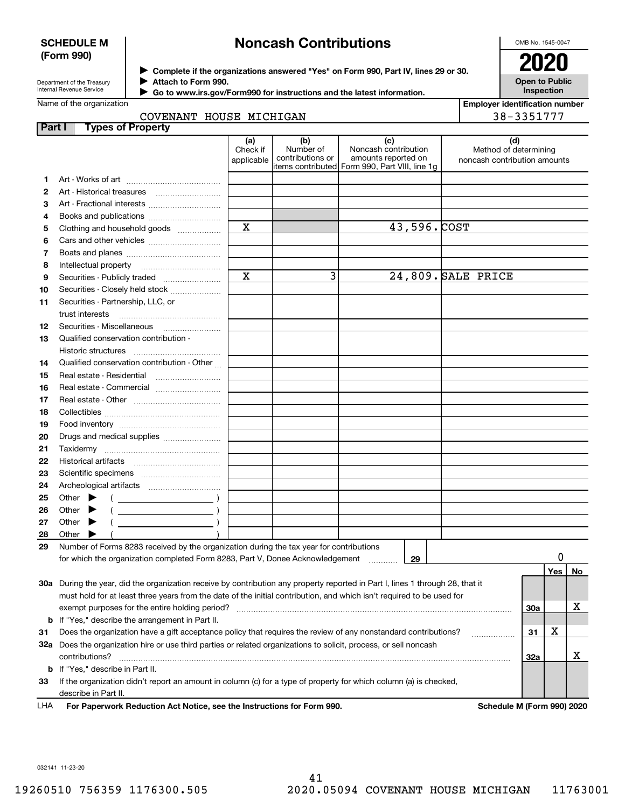## **SCHEDULE M (Form 990)**

# **Noncash Contributions**

OMB No. 1545-0047

| Department of the Treasury |
|----------------------------|
| Internal Revenue Service   |

 $\blacktriangleright$ 

**Complete if the organizations answered "Yes" on Form 990, Part IV, lines 29 or 30.** <sup>J</sup>**2020 Attach to Form 990.** J

**Open to Public Inspection**

| Go to www.irs.gov/Form990 for instructions and the latest information. |
|------------------------------------------------------------------------|
|------------------------------------------------------------------------|

|        | Name of the organization                                                                                                                                                                                                                                                                                                                                                                                                                                                                                                                                                                                          | <b>Employer identification number</b> |                                      |                                                                                                      |  |                                                              |
|--------|-------------------------------------------------------------------------------------------------------------------------------------------------------------------------------------------------------------------------------------------------------------------------------------------------------------------------------------------------------------------------------------------------------------------------------------------------------------------------------------------------------------------------------------------------------------------------------------------------------------------|---------------------------------------|--------------------------------------|------------------------------------------------------------------------------------------------------|--|--------------------------------------------------------------|
|        | COVENANT HOUSE MICHIGAN                                                                                                                                                                                                                                                                                                                                                                                                                                                                                                                                                                                           |                                       | 38-3351777                           |                                                                                                      |  |                                                              |
| Part I | <b>Types of Property</b>                                                                                                                                                                                                                                                                                                                                                                                                                                                                                                                                                                                          |                                       |                                      |                                                                                                      |  |                                                              |
|        |                                                                                                                                                                                                                                                                                                                                                                                                                                                                                                                                                                                                                   | (a)<br>Check if<br>applicable         | (b)<br>Number of<br>contributions or | (c)<br>Noncash contribution<br>amounts reported on<br>items contributed Form 990, Part VIII, line 1g |  | (d)<br>Method of determining<br>noncash contribution amounts |
| 1.     |                                                                                                                                                                                                                                                                                                                                                                                                                                                                                                                                                                                                                   |                                       |                                      |                                                                                                      |  |                                                              |
| 2      | Art - Historical treasures                                                                                                                                                                                                                                                                                                                                                                                                                                                                                                                                                                                        |                                       |                                      |                                                                                                      |  |                                                              |
| 3      |                                                                                                                                                                                                                                                                                                                                                                                                                                                                                                                                                                                                                   |                                       |                                      |                                                                                                      |  |                                                              |
| 4      |                                                                                                                                                                                                                                                                                                                                                                                                                                                                                                                                                                                                                   |                                       |                                      |                                                                                                      |  |                                                              |
| 5      | Clothing and household goods                                                                                                                                                                                                                                                                                                                                                                                                                                                                                                                                                                                      | $\mathbf x$                           |                                      | 43,596.COST                                                                                          |  |                                                              |
| 6      |                                                                                                                                                                                                                                                                                                                                                                                                                                                                                                                                                                                                                   |                                       |                                      |                                                                                                      |  |                                                              |
| 7      |                                                                                                                                                                                                                                                                                                                                                                                                                                                                                                                                                                                                                   |                                       |                                      |                                                                                                      |  |                                                              |
| 8      |                                                                                                                                                                                                                                                                                                                                                                                                                                                                                                                                                                                                                   |                                       |                                      |                                                                                                      |  |                                                              |
| 9      | Securities - Publicly traded                                                                                                                                                                                                                                                                                                                                                                                                                                                                                                                                                                                      | $\mathbf x$                           | 3                                    |                                                                                                      |  | 24,809. SALE PRICE                                           |
| 10     | Securities - Closely held stock                                                                                                                                                                                                                                                                                                                                                                                                                                                                                                                                                                                   |                                       |                                      |                                                                                                      |  |                                                              |
| 11     | Securities - Partnership, LLC, or                                                                                                                                                                                                                                                                                                                                                                                                                                                                                                                                                                                 |                                       |                                      |                                                                                                      |  |                                                              |
|        | trust interests                                                                                                                                                                                                                                                                                                                                                                                                                                                                                                                                                                                                   |                                       |                                      |                                                                                                      |  |                                                              |
| 12     |                                                                                                                                                                                                                                                                                                                                                                                                                                                                                                                                                                                                                   |                                       |                                      |                                                                                                      |  |                                                              |
| 13     | Qualified conservation contribution -                                                                                                                                                                                                                                                                                                                                                                                                                                                                                                                                                                             |                                       |                                      |                                                                                                      |  |                                                              |
|        | Historic structures                                                                                                                                                                                                                                                                                                                                                                                                                                                                                                                                                                                               |                                       |                                      |                                                                                                      |  |                                                              |
| 14     | Qualified conservation contribution - Other                                                                                                                                                                                                                                                                                                                                                                                                                                                                                                                                                                       |                                       |                                      |                                                                                                      |  |                                                              |
| 15     | Real estate - Residential                                                                                                                                                                                                                                                                                                                                                                                                                                                                                                                                                                                         |                                       |                                      |                                                                                                      |  |                                                              |
| 16     | Real estate - Commercial                                                                                                                                                                                                                                                                                                                                                                                                                                                                                                                                                                                          |                                       |                                      |                                                                                                      |  |                                                              |
| 17     |                                                                                                                                                                                                                                                                                                                                                                                                                                                                                                                                                                                                                   |                                       |                                      |                                                                                                      |  |                                                              |
| 18     |                                                                                                                                                                                                                                                                                                                                                                                                                                                                                                                                                                                                                   |                                       |                                      |                                                                                                      |  |                                                              |
| 19     |                                                                                                                                                                                                                                                                                                                                                                                                                                                                                                                                                                                                                   |                                       |                                      |                                                                                                      |  |                                                              |
| 20     | Drugs and medical supplies                                                                                                                                                                                                                                                                                                                                                                                                                                                                                                                                                                                        |                                       |                                      |                                                                                                      |  |                                                              |
| 21     |                                                                                                                                                                                                                                                                                                                                                                                                                                                                                                                                                                                                                   |                                       |                                      |                                                                                                      |  |                                                              |
| 22     |                                                                                                                                                                                                                                                                                                                                                                                                                                                                                                                                                                                                                   |                                       |                                      |                                                                                                      |  |                                                              |
| 23     |                                                                                                                                                                                                                                                                                                                                                                                                                                                                                                                                                                                                                   |                                       |                                      |                                                                                                      |  |                                                              |
| 24     |                                                                                                                                                                                                                                                                                                                                                                                                                                                                                                                                                                                                                   |                                       |                                      |                                                                                                      |  |                                                              |
| 25     | Other $\blacktriangleright$<br>$\left(\begin{array}{ccc} \begin{array}{ccc} \end{array} & \begin{array}{ccc} \end{array} & \begin{array}{ccc} \end{array} & \begin{array}{ccc} \end{array} & \begin{array}{ccc} \end{array} & \begin{array}{ccc} \end{array} & \begin{array}{ccc} \end{array} & \begin{array}{ccc} \end{array} & \begin{array}{ccc} \end{array} & \begin{array}{ccc} \end{array} & \begin{array}{ccc} \end{array} & \begin{array}{ccc} \end{array} & \begin{array}{ccc} \end{array} & \begin{array}{ccc} \end{array} & \begin{array}{ccc} \end{array} & \begin{array}{ccc} \end{array} & \begin{$ |                                       |                                      |                                                                                                      |  |                                                              |
| 26     | Other                                                                                                                                                                                                                                                                                                                                                                                                                                                                                                                                                                                                             |                                       |                                      |                                                                                                      |  |                                                              |
| 27     | Other $\blacktriangleright$                                                                                                                                                                                                                                                                                                                                                                                                                                                                                                                                                                                       |                                       |                                      |                                                                                                      |  |                                                              |
| 28     | Other                                                                                                                                                                                                                                                                                                                                                                                                                                                                                                                                                                                                             |                                       |                                      |                                                                                                      |  |                                                              |
| 29     | Number of Forms 8283 received by the organization during the tax year for contributions                                                                                                                                                                                                                                                                                                                                                                                                                                                                                                                           |                                       |                                      |                                                                                                      |  |                                                              |
|        | for which the organization completed Form 8283, Part V, Donee Acknowledgement                                                                                                                                                                                                                                                                                                                                                                                                                                                                                                                                     |                                       |                                      | 29<br>.                                                                                              |  | 0                                                            |
|        |                                                                                                                                                                                                                                                                                                                                                                                                                                                                                                                                                                                                                   |                                       |                                      |                                                                                                      |  | Yes<br>No                                                    |
|        | 30a During the year, did the organization receive by contribution any property reported in Part I, lines 1 through 28, that it                                                                                                                                                                                                                                                                                                                                                                                                                                                                                    |                                       |                                      |                                                                                                      |  |                                                              |
|        | must hold for at least three years from the date of the initial contribution, and which isn't required to be used for                                                                                                                                                                                                                                                                                                                                                                                                                                                                                             |                                       |                                      |                                                                                                      |  |                                                              |
|        | exempt purposes for the entire holding period?                                                                                                                                                                                                                                                                                                                                                                                                                                                                                                                                                                    |                                       |                                      |                                                                                                      |  | х<br><b>30a</b>                                              |
|        | <b>b</b> If "Yes," describe the arrangement in Part II.                                                                                                                                                                                                                                                                                                                                                                                                                                                                                                                                                           |                                       |                                      |                                                                                                      |  |                                                              |
| 31     | Does the organization have a gift acceptance policy that requires the review of any nonstandard contributions?                                                                                                                                                                                                                                                                                                                                                                                                                                                                                                    |                                       |                                      |                                                                                                      |  | х<br>31                                                      |
|        | 32a Does the organization hire or use third parties or related organizations to solicit, process, or sell noncash                                                                                                                                                                                                                                                                                                                                                                                                                                                                                                 |                                       |                                      |                                                                                                      |  |                                                              |
|        | contributions?                                                                                                                                                                                                                                                                                                                                                                                                                                                                                                                                                                                                    |                                       |                                      |                                                                                                      |  | х<br>32a                                                     |
|        | <b>b</b> If "Yes," describe in Part II.                                                                                                                                                                                                                                                                                                                                                                                                                                                                                                                                                                           |                                       |                                      |                                                                                                      |  |                                                              |
| 33     | If the organization didn't report an amount in column (c) for a type of property for which column (a) is checked,                                                                                                                                                                                                                                                                                                                                                                                                                                                                                                 |                                       |                                      |                                                                                                      |  |                                                              |
|        | describe in Part II.                                                                                                                                                                                                                                                                                                                                                                                                                                                                                                                                                                                              |                                       |                                      |                                                                                                      |  |                                                              |
|        | For Paperwork Poduction Act Notice, see the Instructions for Form 000                                                                                                                                                                                                                                                                                                                                                                                                                                                                                                                                             |                                       |                                      |                                                                                                      |  | Schodule M (Form 000) 2020                                   |

**For Paperwork Reduction Act Notice, see the Instructions for Form 990. Schedule M (Form 990) 2020** LHA

032141 11-23-20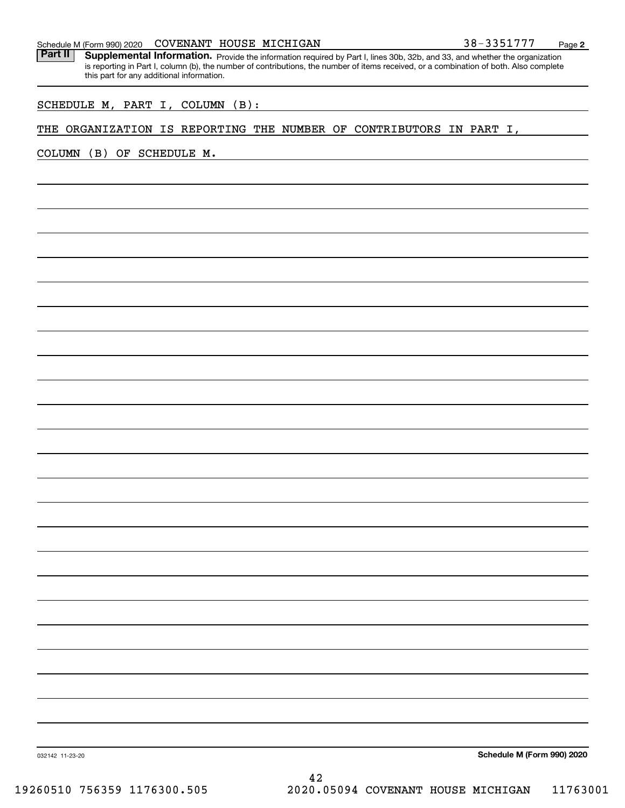Part II | Supplemental Information. Provide the information required by Part I, lines 30b, 32b, and 33, and whether the organization is reporting in Part I, column (b), the number of contributions, the number of items received, or a combination of both. Also complete this part for any additional information.

#### SCHEDULE M, PART I, COLUMN (B):

### THE ORGANIZATION IS REPORTING THE NUMBER OF CONTRIBUTORS IN PART I,

COLUMN (B) OF SCHEDULE M.

**Schedule M (Form 990) 2020**

032142 11-23-20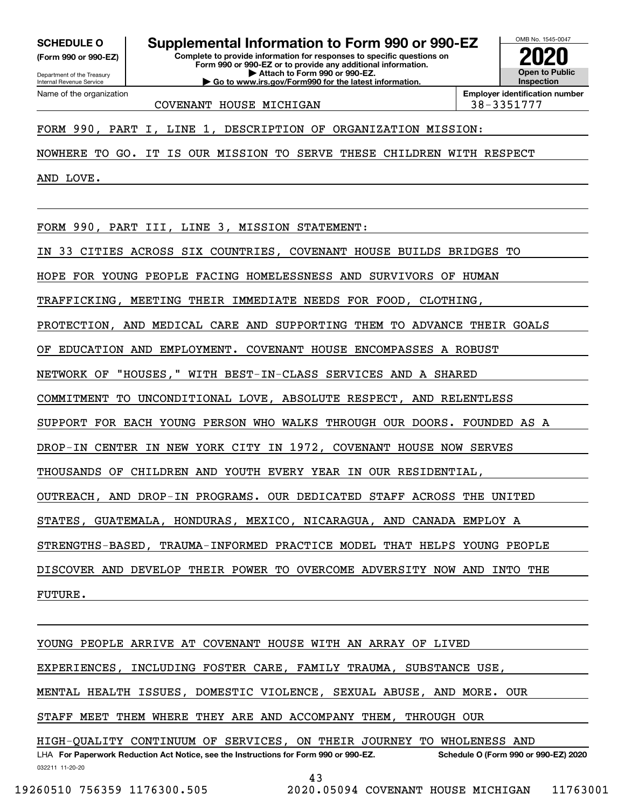**(Form 990 or 990-EZ)**

Department of the Treasury Internal Revenue Service Name of the organization

**Complete to provide information for responses to specific questions on SCHEDULE O Supplemental Information to Form 990 or 990-EZ**

**Form 990 or 990-EZ or to provide any additional information. | Attach to Form 990 or 990-EZ. | Go to www.irs.gov/Form990 for the latest information.**



COVENANT HOUSE MICHIGAN 38-3351777

**Employer identification number**

FORM 990, PART I, LINE 1, DESCRIPTION OF ORGANIZATION MISSION:

NOWHERE TO GO. IT IS OUR MISSION TO SERVE THESE CHILDREN WITH RESPECT

AND LOVE.

FORM 990, PART III, LINE 3, MISSION STATEMENT:

IN 33 CITIES ACROSS SIX COUNTRIES, COVENANT HOUSE BUILDS BRIDGES TO

HOPE FOR YOUNG PEOPLE FACING HOMELESSNESS AND SURVIVORS OF HUMAN

TRAFFICKING, MEETING THEIR IMMEDIATE NEEDS FOR FOOD, CLOTHING,

PROTECTION, AND MEDICAL CARE AND SUPPORTING THEM TO ADVANCE THEIR GOALS

OF EDUCATION AND EMPLOYMENT. COVENANT HOUSE ENCOMPASSES A ROBUST

NETWORK OF "HOUSES," WITH BEST-IN-CLASS SERVICES AND A SHARED

COMMITMENT TO UNCONDITIONAL LOVE, ABSOLUTE RESPECT, AND RELENTLESS

SUPPORT FOR EACH YOUNG PERSON WHO WALKS THROUGH OUR DOORS. FOUNDED AS A

DROP-IN CENTER IN NEW YORK CITY IN 1972, COVENANT HOUSE NOW SERVES

THOUSANDS OF CHILDREN AND YOUTH EVERY YEAR IN OUR RESIDENTIAL,

OUTREACH, AND DROP-IN PROGRAMS. OUR DEDICATED STAFF ACROSS THE UNITED

STATES, GUATEMALA, HONDURAS, MEXICO, NICARAGUA, AND CANADA EMPLOY A

STRENGTHS-BASED, TRAUMA-INFORMED PRACTICE MODEL THAT HELPS YOUNG PEOPLE

DISCOVER AND DEVELOP THEIR POWER TO OVERCOME ADVERSITY NOW AND INTO THE

FUTURE.

032211 11-20-20 LHA For Paperwork Reduction Act Notice, see the Instructions for Form 990 or 990-EZ. Schedule O (Form 990 or 990-EZ) 2020 YOUNG PEOPLE ARRIVE AT COVENANT HOUSE WITH AN ARRAY OF LIVED EXPERIENCES, INCLUDING FOSTER CARE, FAMILY TRAUMA, SUBSTANCE USE, MENTAL HEALTH ISSUES, DOMESTIC VIOLENCE, SEXUAL ABUSE, AND MORE. OUR STAFF MEET THEM WHERE THEY ARE AND ACCOMPANY THEM, THROUGH OUR HIGH-QUALITY CONTINUUM OF SERVICES, ON THEIR JOURNEY TO WHOLENESS AND

43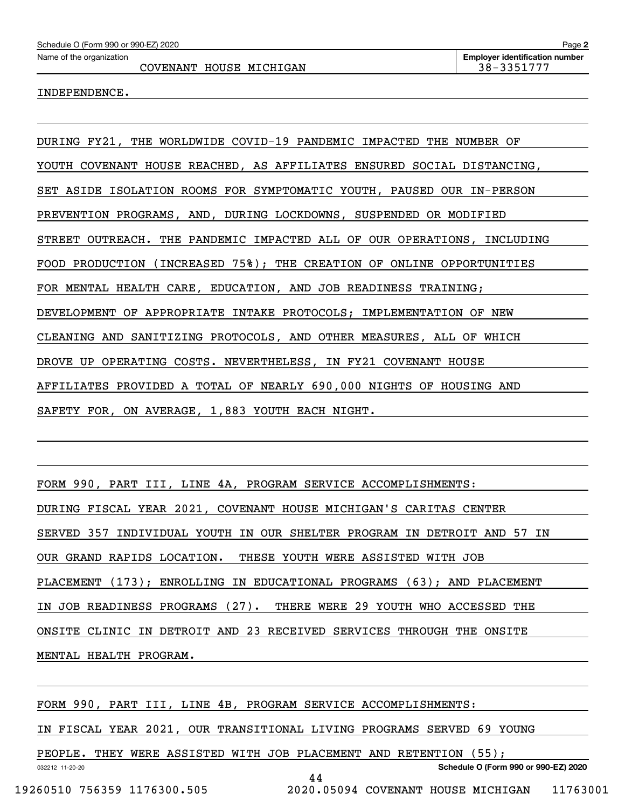COVENANT HOUSE MICHIGAN 38-3351777

INDEPENDENCE.

DURING FY21, THE WORLDWIDE COVID-19 PANDEMIC IMPACTED THE NUMBER OF YOUTH COVENANT HOUSE REACHED, AS AFFILIATES ENSURED SOCIAL DISTANCING, SET ASIDE ISOLATION ROOMS FOR SYMPTOMATIC YOUTH, PAUSED OUR IN-PERSON PREVENTION PROGRAMS, AND, DURING LOCKDOWNS, SUSPENDED OR MODIFIED STREET OUTREACH. THE PANDEMIC IMPACTED ALL OF OUR OPERATIONS, INCLUDING FOOD PRODUCTION (INCREASED 75%); THE CREATION OF ONLINE OPPORTUNITIES FOR MENTAL HEALTH CARE, EDUCATION, AND JOB READINESS TRAINING; DEVELOPMENT OF APPROPRIATE INTAKE PROTOCOLS; IMPLEMENTATION OF NEW CLEANING AND SANITIZING PROTOCOLS, AND OTHER MEASURES, ALL OF WHICH DROVE UP OPERATING COSTS. NEVERTHELESS, IN FY21 COVENANT HOUSE AFFILIATES PROVIDED A TOTAL OF NEARLY 690,000 NIGHTS OF HOUSING AND SAFETY FOR, ON AVERAGE, 1,883 YOUTH EACH NIGHT.

FORM 990, PART III, LINE 4A, PROGRAM SERVICE ACCOMPLISHMENTS: DURING FISCAL YEAR 2021, COVENANT HOUSE MICHIGAN'S CARITAS CENTER SERVED 357 INDIVIDUAL YOUTH IN OUR SHELTER PROGRAM IN DETROIT AND 57 IN OUR GRAND RAPIDS LOCATION. THESE YOUTH WERE ASSISTED WITH JOB PLACEMENT (173); ENROLLING IN EDUCATIONAL PROGRAMS (63); AND PLACEMENT IN JOB READINESS PROGRAMS (27). THERE WERE 29 YOUTH WHO ACCESSED THE ONSITE CLINIC IN DETROIT AND 23 RECEIVED SERVICES THROUGH THE ONSITE MENTAL HEALTH PROGRAM.

032212 11-20-20 **Schedule O (Form 990 or 990-EZ) 2020** FORM 990, PART III, LINE 4B, PROGRAM SERVICE ACCOMPLISHMENTS: IN FISCAL YEAR 2021, OUR TRANSITIONAL LIVING PROGRAMS SERVED 69 YOUNG PEOPLE. THEY WERE ASSISTED WITH JOB PLACEMENT AND RETENTION (55); 44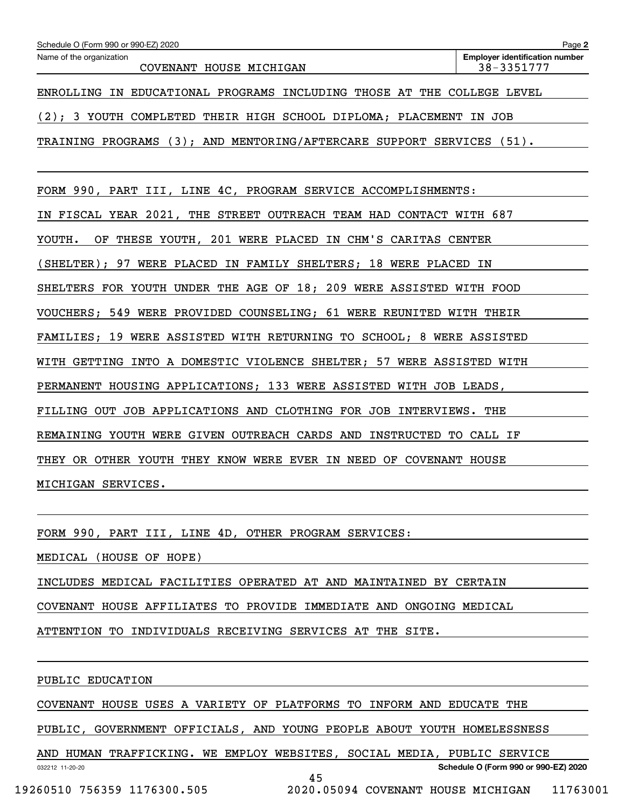| Schedule O (Form 990 or 990-EZ) 2020                                   | Page 2                                              |  |  |  |  |
|------------------------------------------------------------------------|-----------------------------------------------------|--|--|--|--|
| Name of the organization<br>COVENANT HOUSE MICHIGAN                    | <b>Employer identification number</b><br>38-3351777 |  |  |  |  |
| ENROLLING IN EDUCATIONAL PROGRAMS INCLUDING THOSE AT THE COLLEGE LEVEL |                                                     |  |  |  |  |
| (2); 3 YOUTH COMPLETED THEIR HIGH SCHOOL DIPLOMA; PLACEMENT IN JOB     |                                                     |  |  |  |  |
| TRAINING PROGRAMS (3); AND MENTORING/AFTERCARE SUPPORT SERVICES (51).  |                                                     |  |  |  |  |
| FORM 990, PART III, LINE 4C, PROGRAM SERVICE ACCOMPLISHMENTS:          |                                                     |  |  |  |  |
| IN FISCAL YEAR 2021, THE STREET OUTREACH TEAM HAD CONTACT WITH 687     |                                                     |  |  |  |  |
| OF THESE YOUTH, 201 WERE PLACED IN CHM'S CARITAS CENTER<br>YOUTH.      |                                                     |  |  |  |  |
| (SHELTER); 97 WERE PLACED IN FAMILY SHELTERS; 18 WERE PLACED IN        |                                                     |  |  |  |  |
| SHELTERS FOR YOUTH UNDER THE AGE OF 18; 209 WERE ASSISTED WITH FOOD    |                                                     |  |  |  |  |
| VOUCHERS; 549 WERE PROVIDED COUNSELING; 61 WERE REUNITED WITH THEIR    |                                                     |  |  |  |  |
| FAMILIES; 19 WERE ASSISTED WITH RETURNING TO SCHOOL; 8 WERE ASSISTED   |                                                     |  |  |  |  |
| WITH GETTING INTO A DOMESTIC VIOLENCE SHELTER; 57 WERE ASSISTED WITH   |                                                     |  |  |  |  |
| PERMANENT HOUSING APPLICATIONS; 133 WERE ASSISTED WITH JOB LEADS,      |                                                     |  |  |  |  |
| FILLING OUT JOB APPLICATIONS AND CLOTHING FOR JOB INTERVIEWS. THE      |                                                     |  |  |  |  |
| REMAINING YOUTH WERE GIVEN OUTREACH CARDS AND INSTRUCTED TO CALL IF    |                                                     |  |  |  |  |
| THEY OR OTHER YOUTH THEY KNOW WERE EVER IN NEED OF COVENANT HOUSE      |                                                     |  |  |  |  |
| MICHIGAN SERVICES.                                                     |                                                     |  |  |  |  |

FORM 990, PART III, LINE 4D, OTHER PROGRAM SERVICES:

MEDICAL (HOUSE OF HOPE)

INCLUDES MEDICAL FACILITIES OPERATED AT AND MAINTAINED BY CERTAIN

COVENANT HOUSE AFFILIATES TO PROVIDE IMMEDIATE AND ONGOING MEDICAL

ATTENTION TO INDIVIDUALS RECEIVING SERVICES AT THE SITE.

PUBLIC EDUCATION

032212 11-20-20

COVENANT HOUSE USES A VARIETY OF PLATFORMS TO INFORM AND EDUCATE THE

PUBLIC, GOVERNMENT OFFICIALS, AND YOUNG PEOPLE ABOUT YOUTH HOMELESSNESS

AND HUMAN TRAFFICKING. WE EMPLOY WEBSITES, SOCIAL MEDIA, PUBLIC SERVICE

**Schedule O (Form 990 or 990-EZ) 2020**

45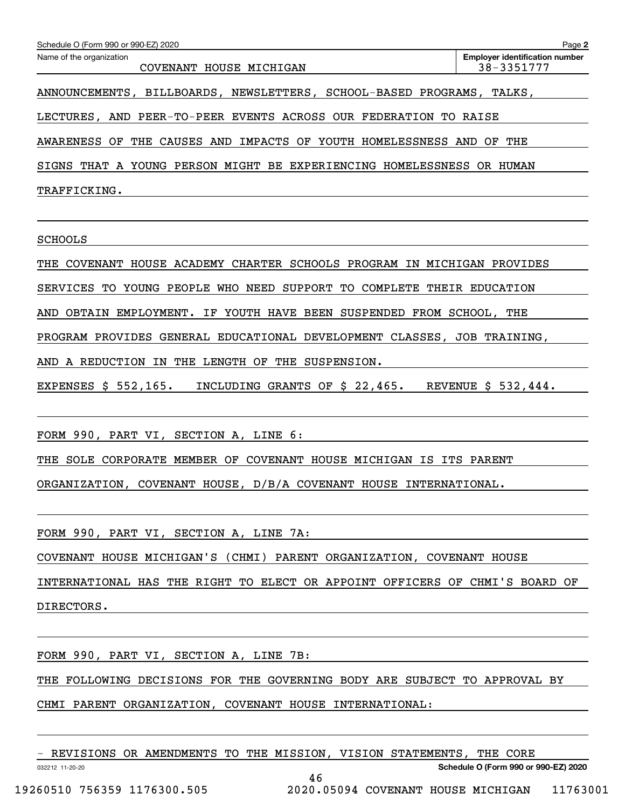| Schedule O (Form 990 or 990-EZ) 2020                                          | Page 2                                              |  |  |  |  |  |
|-------------------------------------------------------------------------------|-----------------------------------------------------|--|--|--|--|--|
| Name of the organization<br>COVENANT HOUSE MICHIGAN                           | <b>Employer identification number</b><br>38-3351777 |  |  |  |  |  |
| ANNOUNCEMENTS, BILLBOARDS, NEWSLETTERS, SCHOOL-BASED PROGRAMS, TALKS,         |                                                     |  |  |  |  |  |
| LECTURES, AND PEER-TO-PEER EVENTS ACROSS OUR FEDERATION TO RAISE              |                                                     |  |  |  |  |  |
| AWARENESS OF THE CAUSES AND IMPACTS OF YOUTH HOMELESSNESS AND OF THE          |                                                     |  |  |  |  |  |
| SIGNS THAT A YOUNG PERSON MIGHT BE EXPERIENCING HOMELESSNESS OR HUMAN         |                                                     |  |  |  |  |  |
| <b>TRAFFICKING.</b>                                                           |                                                     |  |  |  |  |  |
|                                                                               |                                                     |  |  |  |  |  |
| <b>SCHOOLS</b>                                                                |                                                     |  |  |  |  |  |
| THE COVENANT HOUSE ACADEMY CHARTER SCHOOLS PROGRAM IN MICHIGAN PROVIDES       |                                                     |  |  |  |  |  |
| SERVICES TO YOUNG PEOPLE WHO NEED SUPPORT TO COMPLETE THEIR EDUCATION         |                                                     |  |  |  |  |  |
| AND OBTAIN EMPLOYMENT. IF YOUTH HAVE BEEN SUSPENDED FROM SCHOOL, THE          |                                                     |  |  |  |  |  |
| PROGRAM PROVIDES GENERAL EDUCATIONAL DEVELOPMENT CLASSES, JOB TRAINING,       |                                                     |  |  |  |  |  |
| AND A REDUCTION IN THE LENGTH OF THE SUSPENSION.                              |                                                     |  |  |  |  |  |
| EXPENSES $$552,165$ .<br>INCLUDING GRANTS OF $$22,465$ . REVENUE $$532,444$ . |                                                     |  |  |  |  |  |
|                                                                               |                                                     |  |  |  |  |  |
| FORM 990, PART VI, SECTION A, LINE 6:                                         |                                                     |  |  |  |  |  |
| THE SOLE CORPORATE MEMBER OF COVENANT HOUSE MICHIGAN IS ITS PARENT            |                                                     |  |  |  |  |  |
| ORGANIZATION, COVENANT HOUSE, D/B/A COVENANT HOUSE INTERNATIONAL.             |                                                     |  |  |  |  |  |
|                                                                               |                                                     |  |  |  |  |  |
| FORM 990, PART VI, SECTION A, LINE 7A:                                        |                                                     |  |  |  |  |  |
| COVENANT HOUSE MICHIGAN'S (CHMI) PARENT ORGANIZATION, COVENANT HOUSE          |                                                     |  |  |  |  |  |
| INTERNATIONAL HAS THE RIGHT TO ELECT OR APPOINT OFFICERS OF CHMI'S BOARD OF   |                                                     |  |  |  |  |  |
| DIRECTORS.                                                                    |                                                     |  |  |  |  |  |
|                                                                               |                                                     |  |  |  |  |  |
| FORM 990, PART VI, SECTION A, LINE 7B:                                        |                                                     |  |  |  |  |  |
| THE FOLLOWING DECISIONS FOR THE GOVERNING BODY ARE SUBJECT TO APPROVAL BY     |                                                     |  |  |  |  |  |
| CHMI PARENT ORGANIZATION, COVENANT HOUSE INTERNATIONAL:                       |                                                     |  |  |  |  |  |
|                                                                               |                                                     |  |  |  |  |  |

| - REVISIONS OR AMENDMENTS TO THE MISSION, VISION STATEMENTS, THE CORE |
|-----------------------------------------------------------------------|
|-----------------------------------------------------------------------|

032212 11-20-20

**Schedule O (Form 990 or 990-EZ) 2020**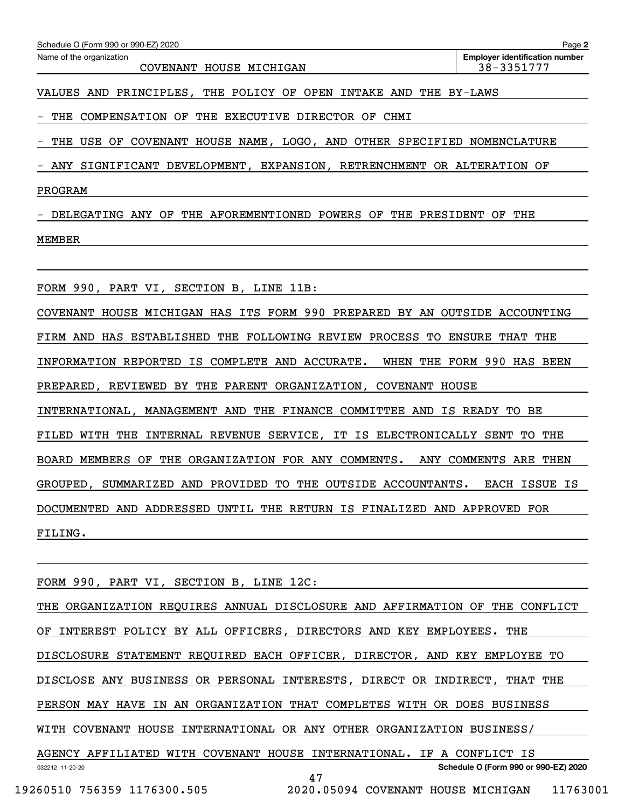| Schedule O (Form 990 or 990-EZ) 2020<br>Name of the organization           | Page 2<br><b>Employer identification number</b> |
|----------------------------------------------------------------------------|-------------------------------------------------|
| COVENANT HOUSE MICHIGAN                                                    | 38-3351777                                      |
| VALUES AND PRINCIPLES, THE POLICY OF OPEN INTAKE AND THE BY-LAWS           |                                                 |
| COMPENSATION OF THE EXECUTIVE DIRECTOR OF CHMI<br>THE                      |                                                 |
| THE USE OF COVENANT HOUSE NAME, LOGO, AND OTHER SPECIFIED NOMENCLATURE     |                                                 |
| ANY SIGNIFICANT DEVELOPMENT, EXPANSION, RETRENCHMENT OR ALTERATION OF      |                                                 |
| PROGRAM                                                                    |                                                 |
| DELEGATING ANY OF THE AFOREMENTIONED POWERS OF THE PRESIDENT OF THE        |                                                 |
| MEMBER                                                                     |                                                 |
|                                                                            |                                                 |
| FORM 990, PART VI, SECTION B, LINE 11B:                                    |                                                 |
| COVENANT HOUSE MICHIGAN HAS ITS FORM 990 PREPARED BY AN OUTSIDE ACCOUNTING |                                                 |
| FIRM AND HAS ESTABLISHED THE FOLLOWING REVIEW PROCESS TO ENSURE THAT THE   |                                                 |
| INFORMATION REPORTED IS COMPLETE AND ACCURATE.                             | WHEN THE FORM 990 HAS BEEN                      |
| PREPARED, REVIEWED BY THE PARENT ORGANIZATION, COVENANT HOUSE              |                                                 |
| INTERNATIONAL, MANAGEMENT AND THE FINANCE COMMITTEE AND IS READY TO BE     |                                                 |
| FILED WITH THE INTERNAL REVENUE SERVICE, IT IS ELECTRONICALLY SENT TO THE  |                                                 |
| BOARD MEMBERS OF THE ORGANIZATION FOR ANY COMMENTS.                        | ANY COMMENTS ARE THEN                           |
| GROUPED, SUMMARIZED AND PROVIDED TO THE OUTSIDE ACCOUNTANTS.               | EACH ISSUE IS                                   |
| DOCUMENTED AND ADDRESSED UNTIL THE RETURN IS FINALIZED AND APPROVED FOR    |                                                 |
| FILING.                                                                    |                                                 |

FORM 990, PART VI, SECTION B, LINE 12C:

032212 11-20-20 **Schedule O (Form 990 or 990-EZ) 2020** THE ORGANIZATION REQUIRES ANNUAL DISCLOSURE AND AFFIRMATION OF THE CONFLICT OF INTEREST POLICY BY ALL OFFICERS, DIRECTORS AND KEY EMPLOYEES. THE DISCLOSURE STATEMENT REQUIRED EACH OFFICER, DIRECTOR, AND KEY EMPLOYEE TO DISCLOSE ANY BUSINESS OR PERSONAL INTERESTS, DIRECT OR INDIRECT, THAT THE PERSON MAY HAVE IN AN ORGANIZATION THAT COMPLETES WITH OR DOES BUSINESS WITH COVENANT HOUSE INTERNATIONAL OR ANY OTHER ORGANIZATION BUSINESS/ AGENCY AFFILIATED WITH COVENANT HOUSE INTERNATIONAL. IF A CONFLICT IS 47

 <sup>19260510 756359 1176300.505 2020.05094</sup> COVENANT HOUSE MICHIGAN 11763001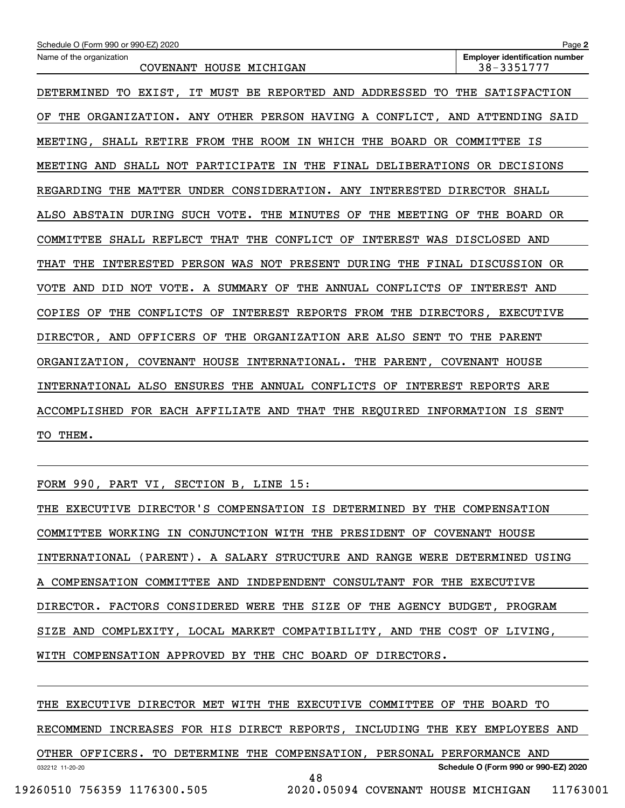| Schedule O (Form 990 or 990-EZ) 2020                                            | Page 2                                              |
|---------------------------------------------------------------------------------|-----------------------------------------------------|
| Name of the organization<br>COVENANT HOUSE MICHIGAN                             | <b>Employer identification number</b><br>38-3351777 |
| DETERMINED TO EXIST.<br>IT MUST BE REPORTED AND ADDRESSED<br>TO                 | THE SATISFACTION                                    |
| THE ORGANIZATION. ANY OTHER PERSON HAVING A CONFLICT, AND ATTENDING SAID<br>ΟF  |                                                     |
| MEETING, SHALL RETIRE FROM THE ROOM IN WHICH THE BOARD OR COMMITTEE IS          |                                                     |
| MEETING AND SHALL NOT PARTICIPATE IN THE FINAL DELIBERATIONS OR DECISIONS       |                                                     |
| REGARDING THE MATTER UNDER CONSIDERATION. ANY INTERESTED DIRECTOR SHALL         |                                                     |
| ALSO ABSTAIN DURING SUCH VOTE. THE MINUTES OF THE MEETING OF THE BOARD OR       |                                                     |
| COMMITTEE SHALL REFLECT THAT THE CONFLICT OF INTEREST WAS DISCLOSED AND         |                                                     |
| THE<br>INTERESTED PERSON WAS NOT PRESENT DURING THE FINAL DISCUSSION OR<br>THAT |                                                     |
| VOTE AND DID NOT VOTE. A SUMMARY OF THE ANNUAL CONFLICTS OF INTEREST AND        |                                                     |
| COPIES OF THE CONFLICTS OF<br>INTEREST REPORTS FROM THE DIRECTORS, EXECUTIVE    |                                                     |
| DIRECTOR, AND OFFICERS OF THE ORGANIZATION ARE ALSO SENT TO THE PARENT          |                                                     |
| ORGANIZATION, COVENANT HOUSE INTERNATIONAL. THE PARENT, COVENANT HOUSE          |                                                     |
| INTERNATIONAL ALSO ENSURES THE ANNUAL CONFLICTS OF                              | INTEREST REPORTS ARE                                |
| ACCOMPLISHED FOR EACH AFFILIATE AND THAT THE REOUIRED INFORMATION IS SENT       |                                                     |
| THEM.<br>TО                                                                     |                                                     |

FORM 990, PART VI, SECTION B, LINE 15:

THE EXECUTIVE DIRECTOR'S COMPENSATION IS DETERMINED BY THE COMPENSATION COMMITTEE WORKING IN CONJUNCTION WITH THE PRESIDENT OF COVENANT HOUSE INTERNATIONAL (PARENT). A SALARY STRUCTURE AND RANGE WERE DETERMINED USING A COMPENSATION COMMITTEE AND INDEPENDENT CONSULTANT FOR THE EXECUTIVE DIRECTOR. FACTORS CONSIDERED WERE THE SIZE OF THE AGENCY BUDGET, PROGRAM SIZE AND COMPLEXITY, LOCAL MARKET COMPATIBILITY, AND THE COST OF LIVING, WITH COMPENSATION APPROVED BY THE CHC BOARD OF DIRECTORS.

032212 11-20-20 **Schedule O (Form 990 or 990-EZ) 2020** THE EXECUTIVE DIRECTOR MET WITH THE EXECUTIVE COMMITTEE OF THE BOARD TO RECOMMEND INCREASES FOR HIS DIRECT REPORTS, INCLUDING THE KEY EMPLOYEES AND OTHER OFFICERS. TO DETERMINE THE COMPENSATION, PERSONAL PERFORMANCE AND 48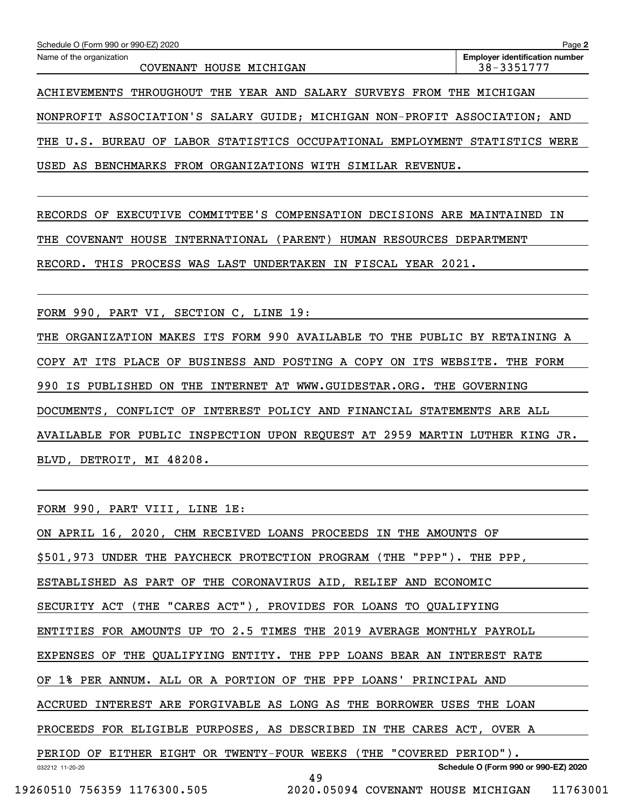ACHIEVEMENTS THROUGHOUT THE YEAR AND SALARY SURVEYS FROM THE MICHIGAN NONPROFIT ASSOCIATION'S SALARY GUIDE; MICHIGAN NON-PROFIT ASSOCIATION; AND THE U.S. BUREAU OF LABOR STATISTICS OCCUPATIONAL EMPLOYMENT STATISTICS WERE USED AS BENCHMARKS FROM ORGANIZATIONS WITH SIMILAR REVENUE.

RECORDS OF EXECUTIVE COMMITTEE'S COMPENSATION DECISIONS ARE MAINTAINED IN THE COVENANT HOUSE INTERNATIONAL (PARENT) HUMAN RESOURCES DEPARTMENT RECORD. THIS PROCESS WAS LAST UNDERTAKEN IN FISCAL YEAR 2021.

FORM 990, PART VI, SECTION C, LINE 19:

THE ORGANIZATION MAKES ITS FORM 990 AVAILABLE TO THE PUBLIC BY RETAINING A COPY AT ITS PLACE OF BUSINESS AND POSTING A COPY ON ITS WEBSITE. THE FORM 990 IS PUBLISHED ON THE INTERNET AT WWW.GUIDESTAR.ORG. THE GOVERNING DOCUMENTS, CONFLICT OF INTEREST POLICY AND FINANCIAL STATEMENTS ARE ALL AVAILABLE FOR PUBLIC INSPECTION UPON REQUEST AT 2959 MARTIN LUTHER KING JR. BLVD, DETROIT, MI 48208.

FORM 990, PART VIII, LINE 1E:

032212 11-20-20 **Schedule O (Form 990 or 990-EZ) 2020** ON APRIL 16, 2020, CHM RECEIVED LOANS PROCEEDS IN THE AMOUNTS OF \$501,973 UNDER THE PAYCHECK PROTECTION PROGRAM (THE "PPP"). THE PPP, ESTABLISHED AS PART OF THE CORONAVIRUS AID, RELIEF AND ECONOMIC SECURITY ACT (THE "CARES ACT"), PROVIDES FOR LOANS TO QUALIFYING ENTITIES FOR AMOUNTS UP TO 2.5 TIMES THE 2019 AVERAGE MONTHLY PAYROLL EXPENSES OF THE QUALIFYING ENTITY. THE PPP LOANS BEAR AN INTEREST RATE OF 1% PER ANNUM. ALL OR A PORTION OF THE PPP LOANS' PRINCIPAL AND ACCRUED INTEREST ARE FORGIVABLE AS LONG AS THE BORROWER USES THE LOAN PROCEEDS FOR ELIGIBLE PURPOSES, AS DESCRIBED IN THE CARES ACT, OVER A PERIOD OF EITHER EIGHT OR TWENTY-FOUR WEEKS (THE "COVERED PERIOD"). 49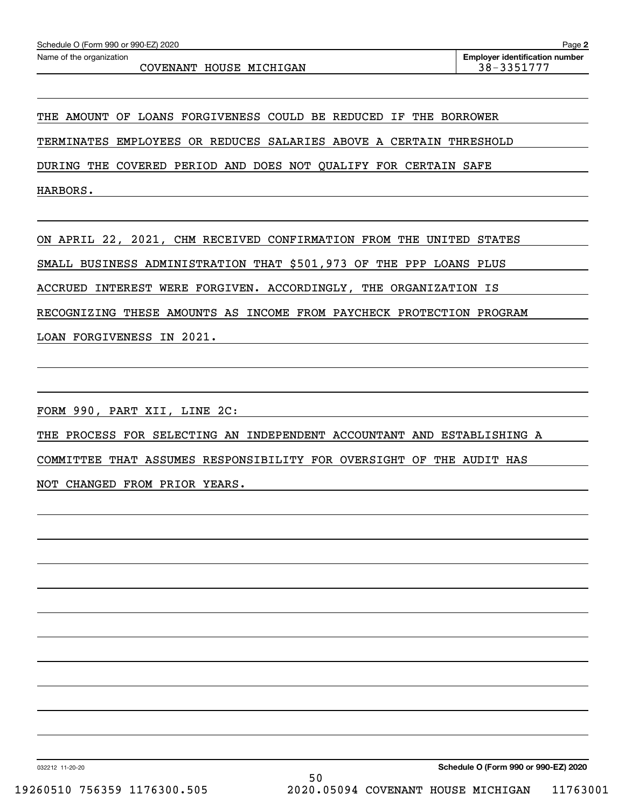THE AMOUNT OF LOANS FORGIVENESS COULD BE REDUCED IF THE BORROWER TERMINATES EMPLOYEES OR REDUCES SALARIES ABOVE A CERTAIN THRESHOLD DURING THE COVERED PERIOD AND DOES NOT QUALIFY FOR CERTAIN SAFE HARBORS.

ON APRIL 22, 2021, CHM RECEIVED CONFIRMATION FROM THE UNITED STATES

SMALL BUSINESS ADMINISTRATION THAT \$501,973 OF THE PPP LOANS PLUS

ACCRUED INTEREST WERE FORGIVEN. ACCORDINGLY, THE ORGANIZATION IS

RECOGNIZING THESE AMOUNTS AS INCOME FROM PAYCHECK PROTECTION PROGRAM

LOAN FORGIVENESS IN 2021.

FORM 990, PART XII, LINE 2C:

THE PROCESS FOR SELECTING AN INDEPENDENT ACCOUNTANT AND ESTABLISHING A

COMMITTEE THAT ASSUMES RESPONSIBILITY FOR OVERSIGHT OF THE AUDIT HAS

NOT CHANGED FROM PRIOR YEARS.

032212 11-20-20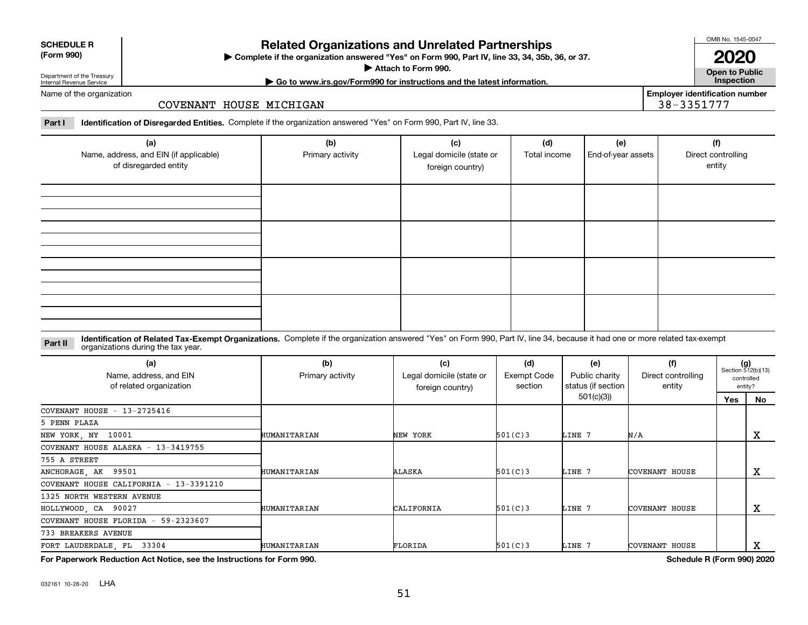# **Related Organizations and Unrelated Partnerships**

**Complete if the organization answered "Yes" on Form 990, Part IV, line 33, 34, 35b, 36, or 37.** |

**Attach to Form 990.**  |

#### **SCHEDULE R (Form 990)**

# **Open to Public Employer identification number 2020**

OMB No. 1545-0047

38-3351777

**| Go to www.irs.gov/Form990 for instructions and the latest information. Inspection**

Name of the organization

Department of the Treasury Internal Revenue Service

## COVENANT HOUSE MICHIGAN

**Part I Identification of Disregarded Entities.**  Complete if the organization answered "Yes" on Form 990, Part IV, line 33.

| (a)<br>Name, address, and EIN (if applicable)<br>of disregarded entity | (b)<br>Primary activity | (c)<br>Legal domicile (state or<br>foreign country) | (d)<br>Total income | (e)<br>End-of-year assets | (f)<br>Direct controlling<br>entity |  |  |  |  |  |
|------------------------------------------------------------------------|-------------------------|-----------------------------------------------------|---------------------|---------------------------|-------------------------------------|--|--|--|--|--|
|                                                                        |                         |                                                     |                     |                           |                                     |  |  |  |  |  |
|                                                                        |                         |                                                     |                     |                           |                                     |  |  |  |  |  |
|                                                                        |                         |                                                     |                     |                           |                                     |  |  |  |  |  |
|                                                                        |                         |                                                     |                     |                           |                                     |  |  |  |  |  |

#### **Identification of Related Tax-Exempt Organizations.** Complete if the organization answered "Yes" on Form 990, Part IV, line 34, because it had one or more related tax-exempt **Part II** organizations during the tax year.

| (a)<br>Name, address, and EIN<br>of related organization | (b)<br>Primary activity | (c)<br>Legal domicile (state or<br>foreign country) | (d)<br>Exempt Code<br>section | (e)<br>Public charity<br>status (if section | (f)<br>Direct controlling<br>entity |     | $(g)$<br>Section 512(b)(13)<br>controlled<br>entity? |
|----------------------------------------------------------|-------------------------|-----------------------------------------------------|-------------------------------|---------------------------------------------|-------------------------------------|-----|------------------------------------------------------|
|                                                          |                         |                                                     |                               | 501(c)(3))                                  |                                     | Yes | No                                                   |
| COVENANT HOUSE $-13-2725416$                             |                         |                                                     |                               |                                             |                                     |     |                                                      |
| 5 PENN PLAZA                                             |                         |                                                     |                               |                                             |                                     |     |                                                      |
| NEW YORK, NY 10001                                       | HUMANITARIAN            | NEW YORK                                            | 501(C)3                       | LINE 7                                      | N/A                                 |     | x                                                    |
| COVENANT HOUSE ALASKA - 13-3419755                       |                         |                                                     |                               |                                             |                                     |     |                                                      |
| 755 A STREET                                             |                         |                                                     |                               |                                             |                                     |     |                                                      |
| ANCHORAGE, AK 99501                                      | HUMANITARIAN            | ALASKA                                              | 501(C)3                       | LINE 7                                      | COVENANT HOUSE                      |     | х                                                    |
| COVENANT HOUSE CALIFORNIA - 13-3391210                   |                         |                                                     |                               |                                             |                                     |     |                                                      |
| 1325 NORTH WESTERN AVENUE                                |                         |                                                     |                               |                                             |                                     |     |                                                      |
| HOLLYWOOD, CA 90027                                      | HUMANITARIAN            | CALIFORNIA                                          | 501(C)3                       | LINE 7                                      | COVENANT HOUSE                      |     | х                                                    |
| COVENANT HOUSE FLORIDA - 59-2323607                      |                         |                                                     |                               |                                             |                                     |     |                                                      |
| 733 BREAKERS AVENUE                                      |                         |                                                     |                               |                                             |                                     |     |                                                      |
| FORT LAUDERDALE, FL 33304                                | HUMANITARIAN            | FLORIDA                                             | 501(C)3                       | LINE 7                                      | COVENANT HOUSE                      |     | х                                                    |

**For Paperwork Reduction Act Notice, see the Instructions for Form 990. Schedule R (Form 990) 2020**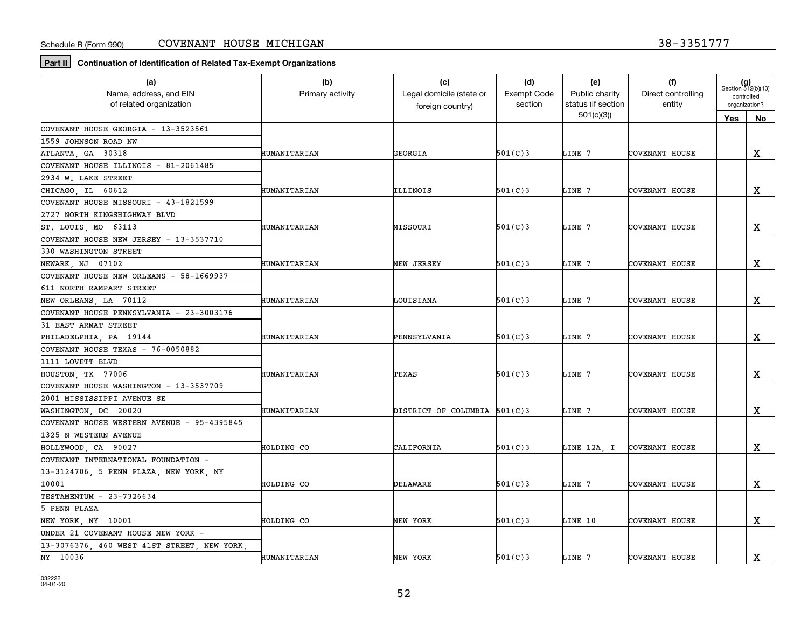**Part II Continuation of Identification of Related Tax-Exempt Organizations**

| (a)                                        | (b)              | (c)                          | (d)                | (e)                | (f)                   | $(g)$<br>Section 512(b)(13) |             |
|--------------------------------------------|------------------|------------------------------|--------------------|--------------------|-----------------------|-----------------------------|-------------|
| Name, address, and EIN                     | Primary activity | Legal domicile (state or     | <b>Exempt Code</b> | Public charity     | Direct controlling    | controlled                  |             |
| of related organization                    |                  | foreign country)             | section            | status (if section | entity                | organization?               |             |
|                                            |                  |                              |                    | 501(c)(3)          |                       | Yes                         | No.         |
| COVENANT HOUSE GEORGIA - 13-3523561        |                  |                              |                    |                    |                       |                             |             |
| 1559 JOHNSON ROAD NW                       |                  |                              |                    |                    |                       |                             |             |
| ATLANTA, GA 30318                          | HUMANITARIAN     | GEORGIA                      | 501(C)3            | LINE 7             | COVENANT HOUSE        |                             | $\mathbf X$ |
| COVENANT HOUSE ILLINOIS - 81-2061485       |                  |                              |                    |                    |                       |                             |             |
| 2934 W. LAKE STREET                        |                  |                              |                    |                    |                       |                             |             |
| CHICAGO, IL 60612                          | HUMANITARIAN     | ILLINOIS                     | 501(C)3            | LINE 7             | COVENANT HOUSE        |                             | X           |
| COVENANT HOUSE MISSOURI - 43-1821599       |                  |                              |                    |                    |                       |                             |             |
| 2727 NORTH KINGSHIGHWAY BLVD               |                  |                              |                    |                    |                       |                             |             |
| ST. LOUIS, MO 63113                        | HUMANITARIAN     | MISSOURI                     | 501(C)3            | LINE 7             | COVENANT HOUSE        |                             | X           |
| COVENANT HOUSE NEW JERSEY - 13-3537710     |                  |                              |                    |                    |                       |                             |             |
| 330 WASHINGTON STREET                      |                  |                              |                    |                    |                       |                             |             |
| NEWARK, NJ 07102                           | HUMANITARIAN     | NEW JERSEY                   | 501(C)3            | LINE 7             | COVENANT HOUSE        |                             | X           |
| COVENANT HOUSE NEW ORLEANS - 58-1669937    |                  |                              |                    |                    |                       |                             |             |
| 611 NORTH RAMPART STREET                   |                  |                              |                    |                    |                       |                             |             |
| NEW ORLEANS, LA 70112                      | HUMANITARIAN     | LOUISIANA                    | 501(C)3            | LINE 7             | COVENANT HOUSE        |                             | $\mathbf X$ |
| COVENANT HOUSE PENNSYLVANIA - 23-3003176   |                  |                              |                    |                    |                       |                             |             |
| 31 EAST ARMAT STREET                       |                  |                              |                    |                    |                       |                             |             |
| PHILADELPHIA, PA 19144                     | HUMANITARIAN     | PENNSYLVANIA                 | 501(C)3            | LINE 7             | COVENANT HOUSE        |                             | $\mathbf x$ |
| COVENANT HOUSE TEXAS - 76-0050882          |                  |                              |                    |                    |                       |                             |             |
| 1111 LOVETT BLVD                           |                  |                              |                    |                    |                       |                             |             |
| HOUSTON, TX 77006                          | HUMANITARIAN     | TEXAS                        | 501(C)3            | LINE 7             | COVENANT HOUSE        |                             | X           |
| COVENANT HOUSE WASHINGTON - 13-3537709     |                  |                              |                    |                    |                       |                             |             |
| 2001 MISSISSIPPI AVENUE SE                 |                  |                              |                    |                    |                       |                             |             |
| WASHINGTON DC 20020                        | HUMANITARIAN     | DISTRICT OF COLUMBIA 501(C)3 |                    | LINE 7             | COVENANT HOUSE        |                             | x           |
| COVENANT HOUSE WESTERN AVENUE - 95-4395845 |                  |                              |                    |                    |                       |                             |             |
| 1325 N WESTERN AVENUE                      |                  |                              |                    |                    |                       |                             |             |
| HOLLYWOOD, CA 90027                        | HOLDING CO       | CALIFORNIA                   | 501(C)3            | LINE 12A, I        | <b>COVENANT HOUSE</b> |                             | х           |
| COVENANT INTERNATIONAL FOUNDATION -        |                  |                              |                    |                    |                       |                             |             |
| 13-3124706, 5 PENN PLAZA, NEW YORK, NY     |                  |                              |                    |                    |                       |                             |             |
| 10001                                      | HOLDING CO       | DELAWARE                     | 501(C)3            | LINE 7             | COVENANT HOUSE        |                             | X           |
| TESTAMENTUM - 23-7326634                   |                  |                              |                    |                    |                       |                             |             |
| 5 PENN PLAZA                               |                  |                              |                    |                    |                       |                             |             |
| NEW YORK, NY 10001                         | HOLDING CO       | NEW YORK                     | 501(C)3            | LINE 10            | COVENANT HOUSE        |                             | $\mathbf X$ |
| UNDER 21 COVENANT HOUSE NEW YORK -         |                  |                              |                    |                    |                       |                             |             |
| 13-3076376, 460 WEST 41ST STREET, NEW YORK |                  |                              |                    |                    |                       |                             |             |
| NY 10036                                   | HUMANITARIAN     | NEW YORK                     | 501(C)3            | LINE 7             | COVENANT HOUSE        |                             | X           |
|                                            |                  |                              |                    |                    |                       |                             |             |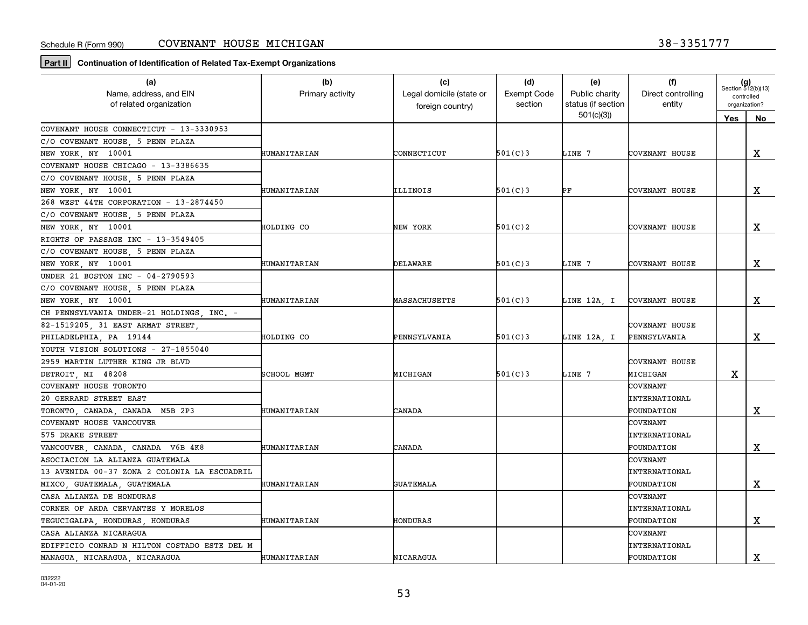**Part II Continuation of Identification of Related Tax-Exempt Organizations**

| (a)                                          | (b)              | (c)                      | (d)                | (e)                             | (f)                  | $(g)$<br>Section 512(b)(13) |             |
|----------------------------------------------|------------------|--------------------------|--------------------|---------------------------------|----------------------|-----------------------------|-------------|
| Name, address, and EIN                       | Primary activity | Legal domicile (state or | <b>Exempt Code</b> | Public charity                  | Direct controlling   | controlled                  |             |
| of related organization                      |                  | foreign country)         | section            | status (if section<br>501(c)(3) | entity               | organization?               |             |
|                                              |                  |                          |                    |                                 |                      | Yes                         | No          |
| COVENANT HOUSE CONNECTICUT - 13-3330953      |                  |                          |                    |                                 |                      |                             |             |
| C/O COVENANT HOUSE, 5 PENN PLAZA             |                  |                          |                    |                                 |                      |                             | $\mathbf X$ |
| NEW YORK, NY 10001                           | HUMANITARIAN     | CONNECTICUT              | 501(C)3            | LINE 7                          | COVENANT HOUSE       |                             |             |
| COVENANT HOUSE CHICAGO - 13-3386635          |                  |                          |                    |                                 |                      |                             |             |
| C/O COVENANT HOUSE, 5 PENN PLAZA             |                  |                          |                    |                                 |                      |                             |             |
| NEW YORK, NY 10001                           | HUMANITARIAN     | ILLINOIS                 | 501(C)3            | PF                              | COVENANT HOUSE       |                             | X           |
| 268 WEST 44TH CORPORATION - 13-2874450       |                  |                          |                    |                                 |                      |                             |             |
| C/O COVENANT HOUSE, 5 PENN PLAZA             |                  |                          |                    |                                 |                      |                             |             |
| NEW YORK, NY 10001                           | HOLDING CO       | NEW YORK                 | 501(C)2            |                                 | COVENANT HOUSE       |                             | X           |
| RIGHTS OF PASSAGE INC - 13-3549405           |                  |                          |                    |                                 |                      |                             |             |
| C/O COVENANT HOUSE 5 PENN PLAZA              |                  |                          |                    |                                 |                      |                             |             |
| NEW YORK, NY 10001                           | HUMANITARIAN     | DELAWARE                 | 501(C)3            | LINE 7                          | COVENANT HOUSE       |                             | $\mathbf X$ |
| UNDER 21 BOSTON INC - 04-2790593             |                  |                          |                    |                                 |                      |                             |             |
| C/O COVENANT HOUSE, 5 PENN PLAZA             |                  |                          |                    |                                 |                      |                             |             |
| NEW YORK, NY 10001                           | HUMANITARIAN     | MASSACHUSETTS            | 501(C)3            | LINE 12A, I                     | COVENANT HOUSE       |                             | $\mathbf X$ |
| CH PENNSYLVANIA UNDER-21 HOLDINGS, INC. -    |                  |                          |                    |                                 |                      |                             |             |
| 82-1519205, 31 EAST ARMAT STREET             |                  |                          |                    |                                 | COVENANT HOUSE       |                             |             |
| PHILADELPHIA, PA 19144                       | HOLDING CO       | PENNSYLVANIA             | 501(C)3            | LINE 12A, I                     | PENNSYLVANIA         |                             | $\mathbf X$ |
| YOUTH VISION SOLUTIONS - 27-1855040          |                  |                          |                    |                                 |                      |                             |             |
| 2959 MARTIN LUTHER KING JR BLVD              |                  |                          |                    |                                 | COVENANT HOUSE       |                             |             |
| DETROIT, MI 48208                            | SCHOOL MGMT      | MICHIGAN                 | 501(C)3            | LINE 7                          | MICHIGAN             | x                           |             |
| COVENANT HOUSE TORONTO                       |                  |                          |                    |                                 | COVENANT             |                             |             |
| 20 GERRARD STREET EAST                       |                  |                          |                    |                                 | <b>INTERNATIONAL</b> |                             |             |
| TORONTO CANADA CANADA M5B 2P3                | HUMANITARIAN     | CANADA                   |                    |                                 | FOUNDATION           |                             | X           |
| COVENANT HOUSE VANCOUVER                     |                  |                          |                    |                                 | <b>COVENANT</b>      |                             |             |
| 575 DRAKE STREET                             |                  |                          |                    |                                 | <b>INTERNATIONAL</b> |                             |             |
| VANCOUVER, CANADA, CANADA V6B 4K8            | HUMANITARIAN     | CANADA                   |                    |                                 | FOUNDATION           |                             | X           |
| ASOCIACION LA ALIANZA GUATEMALA              |                  |                          |                    |                                 | <b>COVENANT</b>      |                             |             |
| 13 AVENIDA 00-37 ZONA 2 COLONIA LA ESCUADRIL |                  |                          |                    |                                 | INTERNATIONAL        |                             |             |
| MIXCO, GUATEMALA, GUATEMALA                  | HUMANITARIAN     | <b>GUATEMALA</b>         |                    |                                 | FOUNDATION           |                             | $\mathbf X$ |
| CASA ALIANZA DE HONDURAS                     |                  |                          |                    |                                 | <b>COVENANT</b>      |                             |             |
| CORNER OF ARDA CERVANTES Y MORELOS           |                  |                          |                    |                                 | INTERNATIONAL        |                             |             |
| TEGUCIGALPA, HONDURAS, HONDURAS              | HUMANITARIAN     | HONDURAS                 |                    |                                 | FOUNDATION           |                             | $\mathbf X$ |
| CASA ALIANZA NICARAGUA                       |                  |                          |                    |                                 | COVENANT             |                             |             |
| EDIFFICIO CONRAD N HILTON COSTADO ESTE DEL M |                  |                          |                    |                                 | INTERNATIONAL        |                             |             |
| MANAGUA NICARAGUA NICARAGUA                  | HUMANITARIAN     | NICARAGUA                |                    |                                 | FOUNDATION           |                             | X           |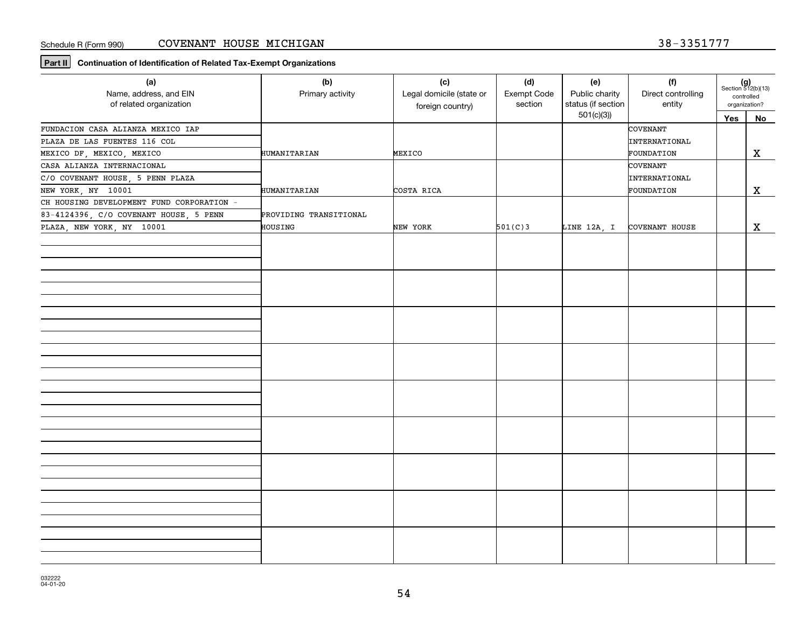**Part II Continuation of Identification of Related Tax-Exempt Organizations**

| (a)<br>Name, address, and EIN<br>of related organization | (b)<br>Primary activity | (c)<br>Legal domicile (state or<br>foreign country) | (d)<br>Exempt Code<br>section | (e)<br>Public charity<br>status (if section | (f)<br>Direct controlling<br>entity | controlled<br>organization? | $(g)$<br>Section 512(b)(13) |
|----------------------------------------------------------|-------------------------|-----------------------------------------------------|-------------------------------|---------------------------------------------|-------------------------------------|-----------------------------|-----------------------------|
|                                                          |                         |                                                     |                               | 501(c)(3)                                   |                                     | Yes                         | No                          |
| FUNDACION CASA ALIANZA MEXICO IAP                        |                         |                                                     |                               |                                             | COVENANT                            |                             |                             |
| PLAZA DE LAS FUENTES 116 COL                             |                         |                                                     |                               |                                             | INTERNATIONAL                       |                             |                             |
| MEXICO DF, MEXICO, MEXICO                                | HUMANITARIAN            | MEXICO                                              |                               |                                             | FOUNDATION                          |                             | X                           |
| CASA ALIANZA INTERNACIONAL                               |                         |                                                     |                               |                                             | COVENANT                            |                             |                             |
| C/O COVENANT HOUSE, 5 PENN PLAZA                         |                         |                                                     |                               |                                             | INTERNATIONAL                       |                             |                             |
| NEW YORK, NY 10001                                       | HUMANITARIAN            | COSTA RICA                                          |                               |                                             | FOUNDATION                          |                             | X                           |
| CH HOUSING DEVELOPMENT FUND CORPORATION -                |                         |                                                     |                               |                                             |                                     |                             |                             |
| 83-4124396, C/O COVENANT HOUSE, 5 PENN                   | PROVIDING TRANSITIONAL  |                                                     |                               |                                             |                                     |                             |                             |
| PLAZA, NEW YORK, NY 10001                                | HOUSING                 | NEW YORK                                            | 501(C)3                       |                                             | LINE 12A, I COVENANT HOUSE          |                             | $\mathbf x$                 |
|                                                          |                         |                                                     |                               |                                             |                                     |                             |                             |
|                                                          |                         |                                                     |                               |                                             |                                     |                             |                             |
|                                                          |                         |                                                     |                               |                                             |                                     |                             |                             |
|                                                          |                         |                                                     |                               |                                             |                                     |                             |                             |
|                                                          |                         |                                                     |                               |                                             |                                     |                             |                             |
|                                                          |                         |                                                     |                               |                                             |                                     |                             |                             |
|                                                          |                         |                                                     |                               |                                             |                                     |                             |                             |
|                                                          |                         |                                                     |                               |                                             |                                     |                             |                             |
|                                                          |                         |                                                     |                               |                                             |                                     |                             |                             |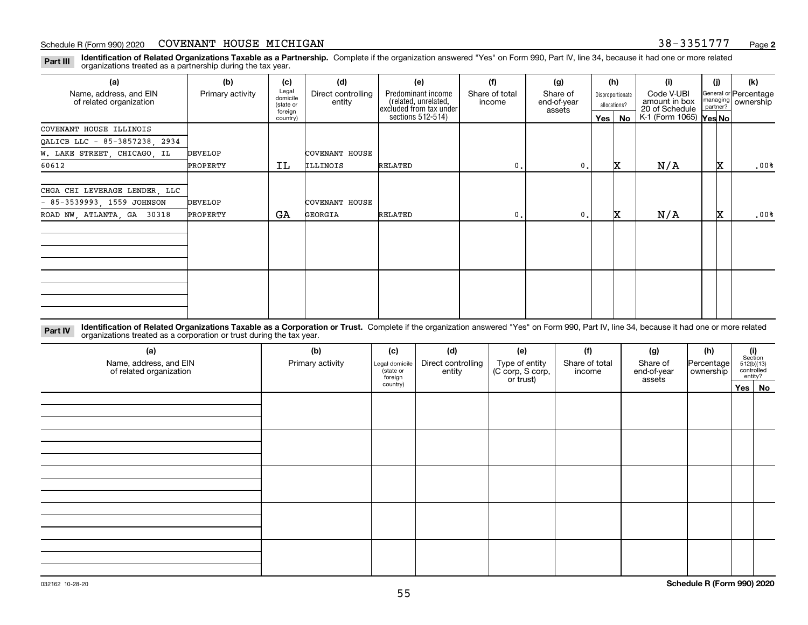**Identification of Related Organizations Taxable as a Partnership.** Complete if the organization answered "Yes" on Form 990, Part IV, line 34, because it had one or more related **Part III** organizations treated as a partnership during the tax year.

| (a)                                               | (b)              | (c)                                       | (d)                          | (e)                                                                   | (f)                      | (g)                               |                                  | (h)      | (i)                                           | (i) | (k)                                         |
|---------------------------------------------------|------------------|-------------------------------------------|------------------------------|-----------------------------------------------------------------------|--------------------------|-----------------------------------|----------------------------------|----------|-----------------------------------------------|-----|---------------------------------------------|
| Name, address, and EIN<br>of related organization | Primary activity | Legal<br>domicile<br>(state or<br>foreign | Direct controlling<br>entity | Predominant income<br>(related, unrelated,<br>excluded from tax under | Share of total<br>income | Share of<br>end-of-year<br>assets | Disproportionate<br>allocations? |          | Code V-UBI<br>amount in box<br>20 of Schedule |     | General or Percentage<br>managing ownership |
|                                                   |                  | country)                                  |                              | sections 512-514)                                                     |                          |                                   |                                  | Yes   No | K-1 (Form 1065) Yes No                        |     |                                             |
| COVENANT HOUSE ILLINOIS                           |                  |                                           |                              |                                                                       |                          |                                   |                                  |          |                                               |     |                                             |
| QALICB LLC - 85-3857238, 2934                     |                  |                                           |                              |                                                                       |                          |                                   |                                  |          |                                               |     |                                             |
| W. LAKE STREET, CHICAGO, IL                       | <b>DEVELOP</b>   |                                           | COVENANT HOUSE               |                                                                       |                          |                                   |                                  |          |                                               |     |                                             |
| 60612                                             | PROPERTY         | IL                                        | ILLINOIS                     | RELATED                                                               | $\mathfrak o$ .          | 0.                                |                                  | x        | N/A                                           | x   | .00%                                        |
|                                                   |                  |                                           |                              |                                                                       |                          |                                   |                                  |          |                                               |     |                                             |
| CHGA CHI LEVERAGE LENDER, LLC                     |                  |                                           |                              |                                                                       |                          |                                   |                                  |          |                                               |     |                                             |
| $-85-3539993, 1559$ JOHNSON                       | <b>DEVELOP</b>   |                                           | COVENANT HOUSE               |                                                                       |                          |                                   |                                  |          |                                               |     |                                             |
| ROAD NW, ATLANTA, GA 30318                        | PROPERTY         | GA                                        | <b>GEORGIA</b>               | RELATED                                                               | $\mathfrak{o}$ .         | 0.                                |                                  | x        | N/A                                           | X.  | .00%                                        |
|                                                   |                  |                                           |                              |                                                                       |                          |                                   |                                  |          |                                               |     |                                             |
|                                                   |                  |                                           |                              |                                                                       |                          |                                   |                                  |          |                                               |     |                                             |
|                                                   |                  |                                           |                              |                                                                       |                          |                                   |                                  |          |                                               |     |                                             |
|                                                   |                  |                                           |                              |                                                                       |                          |                                   |                                  |          |                                               |     |                                             |
|                                                   |                  |                                           |                              |                                                                       |                          |                                   |                                  |          |                                               |     |                                             |
|                                                   |                  |                                           |                              |                                                                       |                          |                                   |                                  |          |                                               |     |                                             |
|                                                   |                  |                                           |                              |                                                                       |                          |                                   |                                  |          |                                               |     |                                             |
|                                                   |                  |                                           |                              |                                                                       |                          |                                   |                                  |          |                                               |     |                                             |

**Identification of Related Organizations Taxable as a Corporation or Trust.** Complete if the organization answered "Yes" on Form 990, Part IV, line 34, because it had one or more related **Part IV** organizations treated as a corporation or trust during the tax year.

| (a)<br>Name, address, and EIN<br>of related organization | (b)<br>Primary activity | (c)<br>Legal domicile<br>(state or<br>foreign | (d)<br>Direct controlling<br>entity | (e)<br>Type of entity<br>(C corp, S corp,<br>or trust) | (f)<br>Share of total<br>income | (g)<br>Share of<br>end-of-year<br>assets | (h)<br>Percentage<br>ownership | $\begin{array}{c} \textbf{(i)}\\ \text{Section}\\ 512 \text{(b)} \text{(13)}\\ \text{controlled}\\ \text{entity?} \end{array}$ |        |
|----------------------------------------------------------|-------------------------|-----------------------------------------------|-------------------------------------|--------------------------------------------------------|---------------------------------|------------------------------------------|--------------------------------|--------------------------------------------------------------------------------------------------------------------------------|--------|
|                                                          |                         | country)                                      |                                     |                                                        |                                 |                                          |                                |                                                                                                                                | Yes No |
|                                                          |                         |                                               |                                     |                                                        |                                 |                                          |                                |                                                                                                                                |        |
|                                                          |                         |                                               |                                     |                                                        |                                 |                                          |                                |                                                                                                                                |        |
|                                                          |                         |                                               |                                     |                                                        |                                 |                                          |                                |                                                                                                                                |        |
|                                                          |                         |                                               |                                     |                                                        |                                 |                                          |                                |                                                                                                                                |        |
|                                                          |                         |                                               |                                     |                                                        |                                 |                                          |                                |                                                                                                                                |        |
|                                                          |                         |                                               |                                     |                                                        |                                 |                                          |                                |                                                                                                                                |        |
|                                                          |                         |                                               |                                     |                                                        |                                 |                                          |                                |                                                                                                                                |        |
|                                                          |                         |                                               |                                     |                                                        |                                 |                                          |                                |                                                                                                                                |        |
|                                                          |                         |                                               |                                     |                                                        |                                 |                                          |                                |                                                                                                                                |        |
|                                                          |                         |                                               |                                     |                                                        |                                 |                                          |                                |                                                                                                                                |        |
|                                                          |                         |                                               |                                     |                                                        |                                 |                                          |                                |                                                                                                                                |        |
|                                                          |                         |                                               |                                     |                                                        |                                 |                                          |                                |                                                                                                                                |        |
|                                                          |                         |                                               |                                     |                                                        |                                 |                                          |                                |                                                                                                                                |        |
|                                                          |                         |                                               |                                     |                                                        |                                 |                                          |                                |                                                                                                                                |        |
|                                                          |                         |                                               |                                     |                                                        |                                 |                                          |                                |                                                                                                                                |        |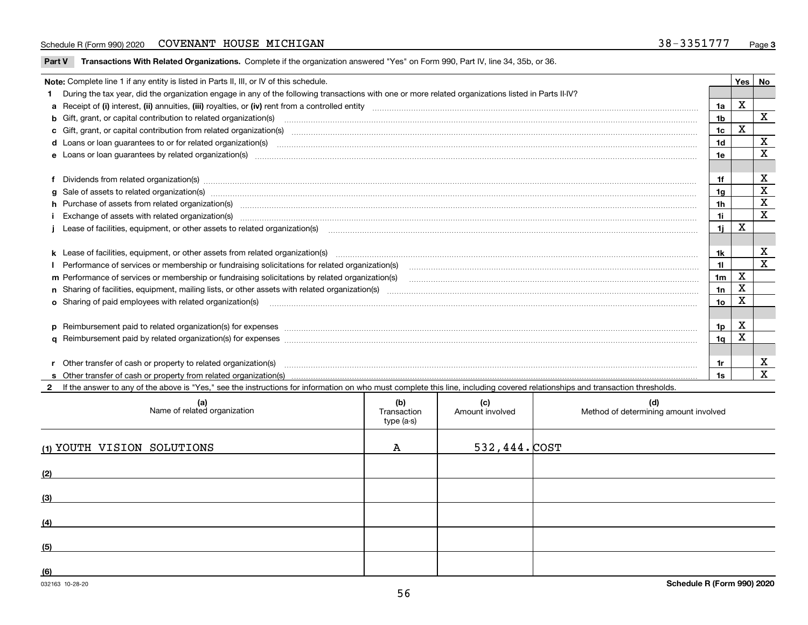#### Schedule R (Form 990) 2020 COVENANT HOUSE MICHIGAN 38-3351777 <sub>Page</sub>

**Part V** T**ransactions With Related Organizations.** Complete if the organization answered "Yes" on Form 990, Part IV, line 34, 35b, or 36.

| Note: Complete line 1 if any entity is listed in Parts II, III, or IV of this schedule.                                                                                                                                        |                |   |                         |  |  |  |
|--------------------------------------------------------------------------------------------------------------------------------------------------------------------------------------------------------------------------------|----------------|---|-------------------------|--|--|--|
| During the tax year, did the organization engage in any of the following transactions with one or more related organizations listed in Parts II-IV?                                                                            |                |   |                         |  |  |  |
|                                                                                                                                                                                                                                | 1a             | х |                         |  |  |  |
| b Gift, grant, or capital contribution to related organization(s) mature and contained and contribution to related organization(s) matures are contained and contribution to related organization(s)                           | 1 <sub>b</sub> |   | X                       |  |  |  |
| c Gift, grant, or capital contribution from related organization(s) manufaction(s) and contribution from related organization(s) manufaction contribution from related organization(s) manufaction contribution from related o | 1c             | X |                         |  |  |  |
| d Loans or loan guarantees to or for related organization(s) committion contracts are constructed as a control or contract or contract or contract or contract or contract or contract or contract or contract or contract or  | 1 <sub>d</sub> |   | X                       |  |  |  |
|                                                                                                                                                                                                                                | 1e             |   | X                       |  |  |  |
| Dividends from related organization(s) www.communically.communically.communically and all proportional contracts of the contracts of the contracts of the contracts of the contracts of the contracts of the contracts of the  | 1f             |   | х                       |  |  |  |
|                                                                                                                                                                                                                                | 1g             |   | X                       |  |  |  |
| h Purchase of assets from related organization(s) www.assettion.com/www.assettion.com/www.assettion.com/www.assettion.com/www.assettion.com/www.assettion.com/www.assettion.com/www.assettion.com/www.assettion.com/www.assett | 1h             |   | х                       |  |  |  |
| Exchange of assets with related organization(s) www.communically.communically contract and a set of assets with related organization(s) www.communically.communically and a set of a set of the set of a set of a set of a set | 11             |   | $\mathbf X$             |  |  |  |
| Lease of facilities, equipment, or other assets to related organization(s) [11] manufactured manufactured manufactured manufactured manufactured manufactured manufactured manufactured manufactured manufactured manufactured | 1i -           | X |                         |  |  |  |
|                                                                                                                                                                                                                                |                |   |                         |  |  |  |
|                                                                                                                                                                                                                                | 1k.            |   | х                       |  |  |  |
| Performance of services or membership or fundraising solicitations for related organization(s) manufaction manufactured content and the services or membership or fundraising solicitations for related organization(s) manufa | 11             |   | $\overline{\mathbf{x}}$ |  |  |  |
| m Performance of services or membership or fundraising solicitations by related organization(s)                                                                                                                                | 1m             | X |                         |  |  |  |
|                                                                                                                                                                                                                                | 1n             | X |                         |  |  |  |
| <b>o</b> Sharing of paid employees with related organization(s)                                                                                                                                                                | 10             | х |                         |  |  |  |
|                                                                                                                                                                                                                                |                |   |                         |  |  |  |
| p Reimbursement paid to related organization(s) for expenses [1111] and the content of the content of the content of the content of the content of the content of the content of the content of the content of the content of  | 1p             | X |                         |  |  |  |
|                                                                                                                                                                                                                                | 1q             | X |                         |  |  |  |
|                                                                                                                                                                                                                                |                |   |                         |  |  |  |
| r Other transfer of cash or property to related organization(s)                                                                                                                                                                | 1r             |   | х                       |  |  |  |
|                                                                                                                                                                                                                                | 1s             |   | $\mathbf X$             |  |  |  |
| 2 If the answer to any of the above is "Yes." see the instructions for information on who must complete this line, including covered relationships and transaction thresholds.                                                 |                |   |                         |  |  |  |

| (a)<br>Name of related organization | (b)<br>Transaction<br>type (a-s) | (c)<br>Amount involved | (d)<br>Method of determining amount involved |
|-------------------------------------|----------------------------------|------------------------|----------------------------------------------|
| (1) YOUTH VISION SOLUTIONS          | А                                | 532,444. COST          |                                              |
| (2)                                 |                                  |                        |                                              |
| (3)                                 |                                  |                        |                                              |
| (4)                                 |                                  |                        |                                              |
| (5)                                 |                                  |                        |                                              |
| (6)                                 |                                  |                        |                                              |

 $\overline{\phantom{a}}$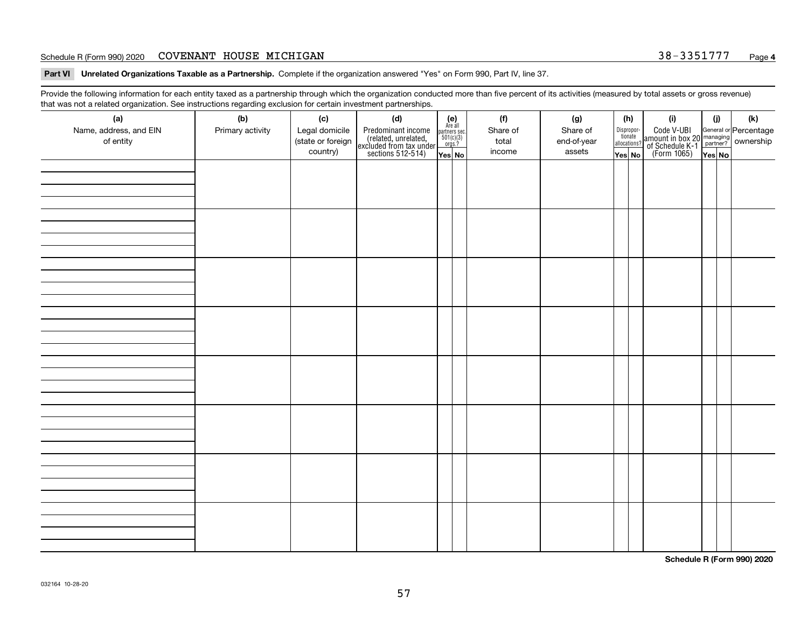#### Schedule R (Form 990) 2020 COVENANT HOUSE MICHIGAN 38-3351777 <sub>Page</sub>

**Part VI Unrelated Organizations Taxable as a Partnership. Complete if the organization answered "Yes" on Form 990, Part IV, line 37.** 

Provide the following information for each entity taxed as a partnership through which the organization conducted more than five percent of its activities (measured by total assets or gross revenue) that was not a related organization. See instructions regarding exclusion for certain investment partnerships.

| - - - - -<br>(a)<br>Name, address, and EIN<br>of entity | − ອ−<br>(b)<br>Primary activity | (c)<br>Legal domicile<br>(state or foreign<br>country) | (d)<br>Predominant income<br>(related, unrelated,<br>excluded from tax under<br>sections 512-514) | $\begin{array}{c} \textbf{(e)}\\ \text{Area all} \\ \text{partners sec.}\\ 501(c)(3) \\ \text{orgs.?} \end{array}$<br>Yes No | (f)<br>Share of<br>total<br>income | (g)<br>Share of<br>end-of-year<br>assets | (h)<br>Dispropor-<br>tionate<br>allocations?<br>Yes No | (i)<br>Code V-UBI<br>amount in box 20 managing<br>of Schedule K-1<br>(Form 1065)<br>$\overline{Yes}$ No | (i)<br>Yes No | (k) |
|---------------------------------------------------------|---------------------------------|--------------------------------------------------------|---------------------------------------------------------------------------------------------------|------------------------------------------------------------------------------------------------------------------------------|------------------------------------|------------------------------------------|--------------------------------------------------------|---------------------------------------------------------------------------------------------------------|---------------|-----|
|                                                         |                                 |                                                        |                                                                                                   |                                                                                                                              |                                    |                                          |                                                        |                                                                                                         |               |     |
|                                                         |                                 |                                                        |                                                                                                   |                                                                                                                              |                                    |                                          |                                                        |                                                                                                         |               |     |
|                                                         |                                 |                                                        |                                                                                                   |                                                                                                                              |                                    |                                          |                                                        |                                                                                                         |               |     |
|                                                         |                                 |                                                        |                                                                                                   |                                                                                                                              |                                    |                                          |                                                        |                                                                                                         |               |     |
|                                                         |                                 |                                                        |                                                                                                   |                                                                                                                              |                                    |                                          |                                                        |                                                                                                         |               |     |
|                                                         |                                 |                                                        |                                                                                                   |                                                                                                                              |                                    |                                          |                                                        |                                                                                                         |               |     |
|                                                         |                                 |                                                        |                                                                                                   |                                                                                                                              |                                    |                                          |                                                        |                                                                                                         |               |     |
|                                                         |                                 |                                                        |                                                                                                   |                                                                                                                              |                                    |                                          |                                                        |                                                                                                         |               |     |

**Schedule R (Form 990) 2020**